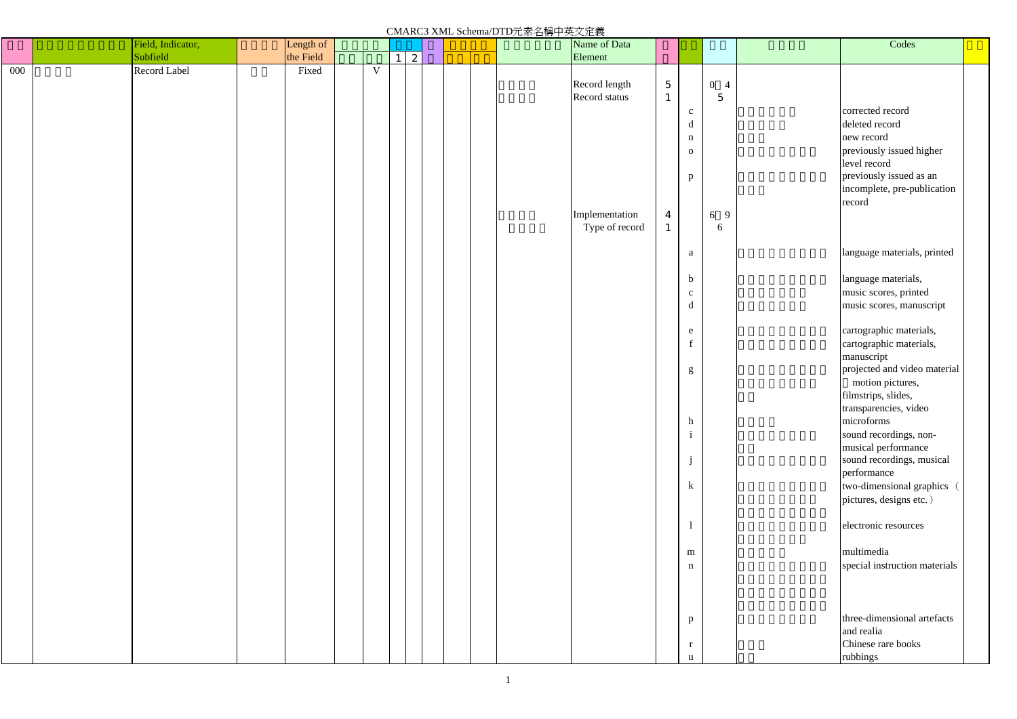|                           |                                  | Codes                                    |  |
|---------------------------|----------------------------------|------------------------------------------|--|
|                           | $\overline{0}$<br>$\overline{4}$ |                                          |  |
| $\mathbf c$               | 5                                | corrected record                         |  |
| d                         |                                  | deleted record                           |  |
| n                         |                                  | new record                               |  |
| 0                         |                                  | previously issued higher<br>level record |  |
| p                         |                                  | previously issued as an                  |  |
|                           |                                  | incomplete, pre-publication              |  |
|                           | 9                                | record                                   |  |
|                           | 6<br>6                           |                                          |  |
| a                         |                                  | language materials, printed              |  |
| b                         |                                  | language materials,                      |  |
| $\mathbf{C}$              |                                  | music scores, printed                    |  |
| d                         |                                  | music scores, manuscript                 |  |
| e                         |                                  | cartographic materials,                  |  |
| f                         |                                  | cartographic materials,                  |  |
|                           |                                  | manuscript                               |  |
| g                         |                                  | projected and video material             |  |
|                           |                                  | motion pictures,<br>filmstrips, slides,  |  |
|                           |                                  | transparencies, video                    |  |
| $\boldsymbol{\mathrm{h}}$ |                                  | microforms                               |  |
| $\mathbf{i}$              |                                  | sound recordings, non-                   |  |
|                           |                                  | musical performance                      |  |
| j                         |                                  | sound recordings, musical<br>performance |  |
| $\mathbf k$               |                                  | two-dimensional graphics                 |  |
|                           |                                  | pictures, designs etc.)                  |  |
| $\mathbf{1}$              |                                  | electronic resources                     |  |
|                           |                                  | multimedia                               |  |
| m<br>n                    |                                  | special instruction materials            |  |
|                           |                                  |                                          |  |
|                           |                                  |                                          |  |
| p                         |                                  | three-dimensional artefacts              |  |
|                           |                                  | and realia                               |  |
| r                         |                                  | Chinese rare books                       |  |
| u                         |                                  | rubbings                                 |  |

CMARC3 XML Schema/DTD元素名稱中英文定義

|     | Field, Indicator, | Length of |                |                |             |  | $\overline{\bigvee_{\text{max of Data}}$ |                |                |                                                                          |             |  |
|-----|-------------------|-----------|----------------|----------------|-------------|--|------------------------------------------|----------------|----------------|--------------------------------------------------------------------------|-------------|--|
|     | Subfield          | the Field |                | $\overline{1}$ | $\boxed{2}$ |  |                                          | Element        |                |                                                                          |             |  |
| 000 | Record Label      | Fixed     | $\overline{V}$ |                |             |  |                                          |                |                |                                                                          |             |  |
|     |                   |           |                |                |             |  |                                          |                |                |                                                                          |             |  |
|     |                   |           |                |                |             |  |                                          | Record length  | $\overline{5}$ |                                                                          | $0\quad 4$  |  |
|     |                   |           |                |                |             |  |                                          | Record status  | $\mathbf{1}$   |                                                                          | $\mathbf 5$ |  |
|     |                   |           |                |                |             |  |                                          |                |                |                                                                          |             |  |
|     |                   |           |                |                |             |  |                                          |                |                | $\mathbf{c}$                                                             |             |  |
|     |                   |           |                |                |             |  |                                          |                |                | $\mathbf d$                                                              |             |  |
|     |                   |           |                |                |             |  |                                          |                |                | $\mathbf n$                                                              |             |  |
|     |                   |           |                |                |             |  |                                          |                |                |                                                                          |             |  |
|     |                   |           |                |                |             |  |                                          |                |                | ${\bf 0}$                                                                |             |  |
|     |                   |           |                |                |             |  |                                          |                |                |                                                                          |             |  |
|     |                   |           |                |                |             |  |                                          |                |                | p                                                                        |             |  |
|     |                   |           |                |                |             |  |                                          |                |                |                                                                          |             |  |
|     |                   |           |                |                |             |  |                                          |                |                |                                                                          |             |  |
|     |                   |           |                |                |             |  |                                          |                |                |                                                                          |             |  |
|     |                   |           |                |                |             |  |                                          | Implementation | $\overline{4}$ |                                                                          | 6 9         |  |
|     |                   |           |                |                |             |  |                                          | Type of record | $\mathbf{1}$   |                                                                          | 6           |  |
|     |                   |           |                |                |             |  |                                          |                |                |                                                                          |             |  |
|     |                   |           |                |                |             |  |                                          |                |                |                                                                          |             |  |
|     |                   |           |                |                |             |  |                                          |                |                | $\mathbf{a}$                                                             |             |  |
|     |                   |           |                |                |             |  |                                          |                |                |                                                                          |             |  |
|     |                   |           |                |                |             |  |                                          |                |                |                                                                          |             |  |
|     |                   |           |                |                |             |  |                                          |                |                | $\mathbf b$                                                              |             |  |
|     |                   |           |                |                |             |  |                                          |                |                | $\mathbf{C}$                                                             |             |  |
|     |                   |           |                |                |             |  |                                          |                |                | $\mathbf d$                                                              |             |  |
|     |                   |           |                |                |             |  |                                          |                |                |                                                                          |             |  |
|     |                   |           |                |                |             |  |                                          |                |                |                                                                          |             |  |
|     |                   |           |                |                |             |  |                                          |                |                | ${\bf e}$                                                                |             |  |
|     |                   |           |                |                |             |  |                                          |                |                | $\mathbf f$                                                              |             |  |
|     |                   |           |                |                |             |  |                                          |                |                |                                                                          |             |  |
|     |                   |           |                |                |             |  |                                          |                |                |                                                                          |             |  |
|     |                   |           |                |                |             |  |                                          |                |                | $\mathbf{g}% _{T}=\mathbf{g}_{T}(\mathbf{v})=\mathbf{g}_{T}(\mathbf{v})$ |             |  |
|     |                   |           |                |                |             |  |                                          |                |                |                                                                          |             |  |
|     |                   |           |                |                |             |  |                                          |                |                |                                                                          |             |  |
|     |                   |           |                |                |             |  |                                          |                |                |                                                                          |             |  |
|     |                   |           |                |                |             |  |                                          |                |                |                                                                          |             |  |
|     |                   |           |                |                |             |  |                                          |                |                | h                                                                        |             |  |
|     |                   |           |                |                |             |  |                                          |                |                | $\rm i$                                                                  |             |  |
|     |                   |           |                |                |             |  |                                          |                |                |                                                                          |             |  |
|     |                   |           |                |                |             |  |                                          |                |                |                                                                          |             |  |
|     |                   |           |                |                |             |  |                                          |                |                | $\mathbf{j}$                                                             |             |  |
|     |                   |           |                |                |             |  |                                          |                |                |                                                                          |             |  |
|     |                   |           |                |                |             |  |                                          |                |                | $\bf k$                                                                  |             |  |
|     |                   |           |                |                |             |  |                                          |                |                |                                                                          |             |  |
|     |                   |           |                |                |             |  |                                          |                |                |                                                                          |             |  |
|     |                   |           |                |                |             |  |                                          |                |                |                                                                          |             |  |
|     |                   |           |                |                |             |  |                                          |                |                | $\mathbf{1}$                                                             |             |  |
|     |                   |           |                |                |             |  |                                          |                |                |                                                                          |             |  |
|     |                   |           |                |                |             |  |                                          |                |                |                                                                          |             |  |
|     |                   |           |                |                |             |  |                                          |                |                | ${\bf m}$                                                                |             |  |
|     |                   |           |                |                |             |  |                                          |                |                | $\mathbf n$                                                              |             |  |
|     |                   |           |                |                |             |  |                                          |                |                |                                                                          |             |  |
|     |                   |           |                |                |             |  |                                          |                |                |                                                                          |             |  |
|     |                   |           |                |                |             |  |                                          |                |                |                                                                          |             |  |
|     |                   |           |                |                |             |  |                                          |                |                |                                                                          |             |  |
|     |                   |           |                |                |             |  |                                          |                |                | p                                                                        |             |  |
|     |                   |           |                |                |             |  |                                          |                |                |                                                                          |             |  |
|     |                   |           |                |                |             |  |                                          |                |                |                                                                          |             |  |
|     |                   |           |                |                |             |  |                                          |                |                | $\mathbf{r}$                                                             |             |  |
|     |                   |           |                |                |             |  |                                          |                |                | u                                                                        |             |  |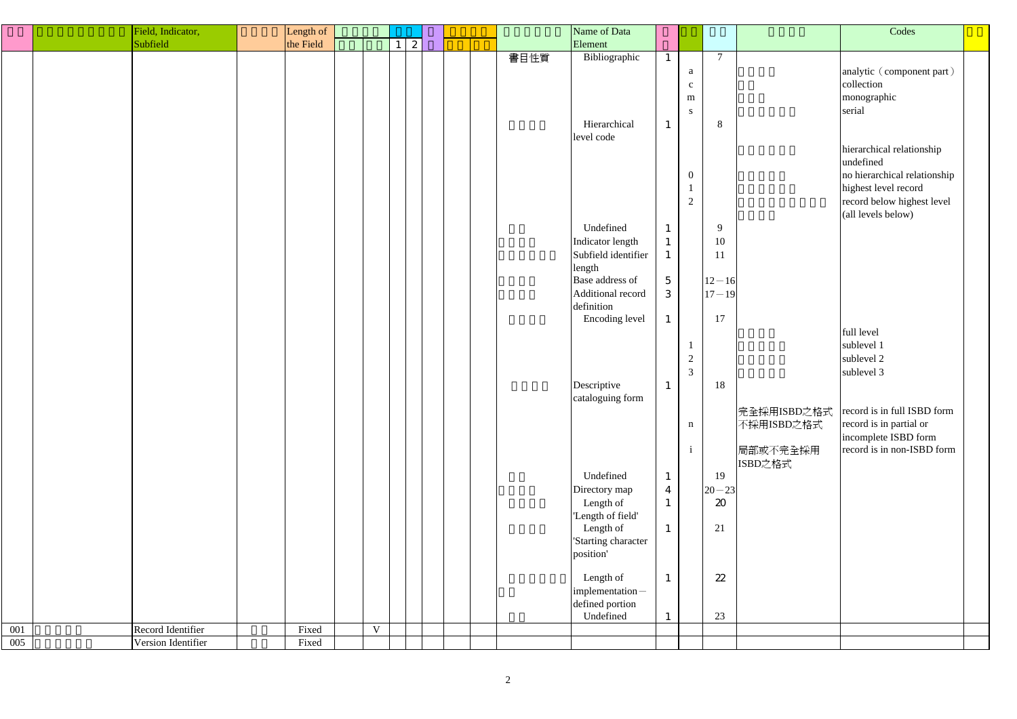|     | Field, Indicator,  | Length of |             |          |   |  |      | Name of Data                            |                  |                                  |                             |                           | Codes                                                                                                                        |  |
|-----|--------------------|-----------|-------------|----------|---|--|------|-----------------------------------------|------------------|----------------------------------|-----------------------------|---------------------------|------------------------------------------------------------------------------------------------------------------------------|--|
|     | Subfield           | the Field |             | $1\vert$ | 2 |  |      | Element                                 |                  |                                  |                             |                           |                                                                                                                              |  |
|     |                    |           |             |          |   |  | 書目性質 | Bibliographic                           |                  |                                  | $\overline{7}$              |                           |                                                                                                                              |  |
|     |                    |           |             |          |   |  |      |                                         |                  | a<br>$\mathbf{C}$<br>m           |                             |                           | analytic (component part)<br>collection<br>monographic                                                                       |  |
|     |                    |           |             |          |   |  |      | Hierarchical<br>level code              | $\mathbf{1}$     | S                                | 8                           |                           | serial                                                                                                                       |  |
|     |                    |           |             |          |   |  |      |                                         |                  | $\overline{0}$<br>$\overline{2}$ |                             |                           | hierarchical relationship<br>undefined<br>no hierarchical relationship<br>highest level record<br>record below highest level |  |
|     |                    |           |             |          |   |  |      |                                         |                  |                                  |                             |                           | (all levels below)                                                                                                           |  |
|     |                    |           |             |          |   |  |      | Undefined                               | $\mathbf{1}$     |                                  | 9                           |                           |                                                                                                                              |  |
|     |                    |           |             |          |   |  |      | Indicator length<br>Subfield identifier | $\mathbf{1}$     |                                  | 10<br>11                    |                           |                                                                                                                              |  |
|     |                    |           |             |          |   |  |      | length                                  |                  |                                  |                             |                           |                                                                                                                              |  |
|     |                    |           |             |          |   |  |      | Base address of                         | $5\overline{)}$  |                                  | $12 - 16$                   |                           |                                                                                                                              |  |
|     |                    |           |             |          |   |  |      | Additional record                       | 3                |                                  | $17 - 19$                   |                           |                                                                                                                              |  |
|     |                    |           |             |          |   |  |      | definition                              |                  |                                  | 17                          |                           |                                                                                                                              |  |
|     |                    |           |             |          |   |  |      | Encoding level                          | $\mathbf{1}$     |                                  |                             |                           | full level                                                                                                                   |  |
|     |                    |           |             |          |   |  |      |                                         |                  |                                  |                             |                           | sublevel 1                                                                                                                   |  |
|     |                    |           |             |          |   |  |      |                                         |                  |                                  |                             |                           | sublevel 2                                                                                                                   |  |
|     |                    |           |             |          |   |  |      |                                         |                  | $\overline{2}$                   |                             |                           |                                                                                                                              |  |
|     |                    |           |             |          |   |  |      |                                         |                  | 3                                |                             |                           | sublevel 3                                                                                                                   |  |
|     |                    |           |             |          |   |  |      | Descriptive<br>cataloguing form         | $\mathbf{1}$     |                                  | 18                          |                           |                                                                                                                              |  |
|     |                    |           |             |          |   |  |      |                                         |                  | $\mathbf n$                      |                             | 完全採用ISBD之格式<br>不採用ISBD之格式 | record is in full ISBD form<br>record is in partial or                                                                       |  |
|     |                    |           |             |          |   |  |      |                                         |                  |                                  |                             | 局部或不完全採用<br>ISBD之格式       | incomplete ISBD form<br>record is in non-ISBD form                                                                           |  |
|     |                    |           |             |          |   |  |      | Undefined                               | $\mathbf{1}$     |                                  | 19                          |                           |                                                                                                                              |  |
|     |                    |           |             |          |   |  |      | Directory map                           | $\boldsymbol{4}$ |                                  | $ 20 - 23 $                 |                           |                                                                                                                              |  |
|     |                    |           |             |          |   |  |      | Length of                               | $\mathbf{1}$     |                                  | $\boldsymbol{\mathfrak{D}}$ |                           |                                                                                                                              |  |
|     |                    |           |             |          |   |  |      | 'Length of field'                       |                  |                                  |                             |                           |                                                                                                                              |  |
|     |                    |           |             |          |   |  |      | Length of                               | $\mathbf{1}$     |                                  | 21                          |                           |                                                                                                                              |  |
|     |                    |           |             |          |   |  |      | 'Starting character                     |                  |                                  |                             |                           |                                                                                                                              |  |
|     |                    |           |             |          |   |  |      | position'                               |                  |                                  |                             |                           |                                                                                                                              |  |
|     |                    |           |             |          |   |  |      | Length of                               | $\mathbf{1}$     |                                  | 22                          |                           |                                                                                                                              |  |
|     |                    |           |             |          |   |  |      | implementation-                         |                  |                                  |                             |                           |                                                                                                                              |  |
|     |                    |           |             |          |   |  |      | defined portion                         |                  |                                  |                             |                           |                                                                                                                              |  |
|     |                    |           |             |          |   |  |      | Undefined                               |                  |                                  | 23                          |                           |                                                                                                                              |  |
| 001 | Record Identifier  | Fixed     | $\mathbf V$ |          |   |  |      |                                         |                  |                                  |                             |                           |                                                                                                                              |  |
| 005 | Version Identifier | Fixed     |             |          |   |  |      |                                         |                  |                                  |                             |                           |                                                                                                                              |  |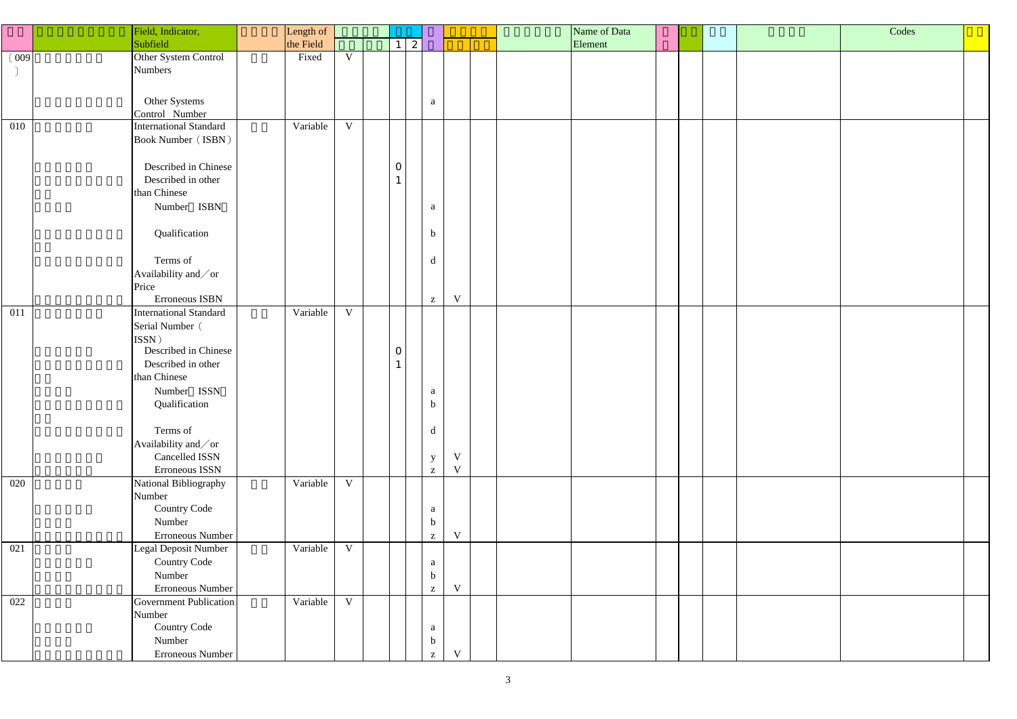|       | Field, Indicator,             | Length of |             |                |                |                                         |  | Name of Data |  | Codes |  |
|-------|-------------------------------|-----------|-------------|----------------|----------------|-----------------------------------------|--|--------------|--|-------|--|
|       | Subfield                      | the Field |             | $\lfloor$ 2    |                |                                         |  | Element      |  |       |  |
| (009) | Other System Control          | Fixed     | $\mathbf V$ |                |                |                                         |  |              |  |       |  |
|       | Numbers                       |           |             |                |                |                                         |  |              |  |       |  |
|       |                               |           |             |                |                |                                         |  |              |  |       |  |
|       | Other Systems                 |           |             |                |                |                                         |  |              |  |       |  |
|       | Control Number                |           |             |                |                | a                                       |  |              |  |       |  |
| 010   | <b>International Standard</b> | Variable  | $\mathbf V$ |                |                |                                         |  |              |  |       |  |
|       | <b>Book Number (ISBN)</b>     |           |             |                |                |                                         |  |              |  |       |  |
|       |                               |           |             |                |                |                                         |  |              |  |       |  |
|       | Described in Chinese          |           |             | $\overline{O}$ |                |                                         |  |              |  |       |  |
|       | Described in other            |           |             |                |                |                                         |  |              |  |       |  |
|       | than Chinese                  |           |             |                |                |                                         |  |              |  |       |  |
|       | Number ISBN                   |           |             |                |                |                                         |  |              |  |       |  |
|       |                               |           |             |                |                | a                                       |  |              |  |       |  |
|       | Qualification                 |           |             |                | $\mathbf b$    |                                         |  |              |  |       |  |
|       |                               |           |             |                |                |                                         |  |              |  |       |  |
|       | Terms of                      |           |             |                |                | $\mathbf d$                             |  |              |  |       |  |
|       | Availability and/or           |           |             |                |                |                                         |  |              |  |       |  |
|       | Price                         |           |             |                |                |                                         |  |              |  |       |  |
|       | Erroneous ISBN                |           |             |                |                | $\mathbf V$<br>$\mathbf{Z}$             |  |              |  |       |  |
| 011   | International Standard        | Variable  | $\mathbf V$ |                |                |                                         |  |              |  |       |  |
|       | Serial Number (               |           |             |                |                |                                         |  |              |  |       |  |
|       | ISSN)                         |           |             |                |                |                                         |  |              |  |       |  |
|       | Described in Chinese          |           |             | $\overline{0}$ |                |                                         |  |              |  |       |  |
|       | Described in other            |           |             |                |                |                                         |  |              |  |       |  |
|       | than Chinese                  |           |             |                |                |                                         |  |              |  |       |  |
|       | Number ISSN                   |           |             |                |                | a                                       |  |              |  |       |  |
|       | Qualification                 |           |             |                | $\mathfrak{v}$ |                                         |  |              |  |       |  |
|       |                               |           |             |                |                |                                         |  |              |  |       |  |
|       | Terms of                      |           |             |                |                | $\mathbf d$                             |  |              |  |       |  |
|       | Availability and/or           |           |             |                |                |                                         |  |              |  |       |  |
|       | Cancelled ISSN                |           |             |                |                | V<br>$\mathbf{y}$                       |  |              |  |       |  |
|       | Erroneous ISSN                |           |             |                |                | $\mathbf V$<br>$\mathbf{Z}$             |  |              |  |       |  |
| 020   | National Bibliography         | Variable  | $\mathbf V$ |                |                |                                         |  |              |  |       |  |
|       | Number                        |           |             |                |                |                                         |  |              |  |       |  |
|       | <b>Country Code</b>           |           |             |                |                | a                                       |  |              |  |       |  |
|       | Number                        |           |             |                |                | $\mathbf b$                             |  |              |  |       |  |
|       | Erroneous Number              |           |             |                |                | $\mathbf V$<br>$\mathbf{Z}$             |  |              |  |       |  |
| 021   | Legal Deposit Number          | Variable  | $\mathbf V$ |                |                |                                         |  |              |  |       |  |
|       | <b>Country Code</b>           |           |             |                |                | $\mathbf{a}$                            |  |              |  |       |  |
|       | Number                        |           |             |                |                | $\mathbf b$                             |  |              |  |       |  |
|       | Erroneous Number              |           |             |                |                | $\ensuremath{\text{V}}$<br>$\mathbf{Z}$ |  |              |  |       |  |
| 022   | Government Publication        | Variable  | $\mathbf V$ |                |                |                                         |  |              |  |       |  |
|       | Number                        |           |             |                |                |                                         |  |              |  |       |  |
|       | <b>Country Code</b>           |           |             |                |                | $\mathbf{a}$                            |  |              |  |       |  |
|       | Number                        |           |             |                |                | $\mathbf b$                             |  |              |  |       |  |
|       | Erroneous Number              |           |             |                |                | V<br>$\mathbf{Z}$                       |  |              |  |       |  |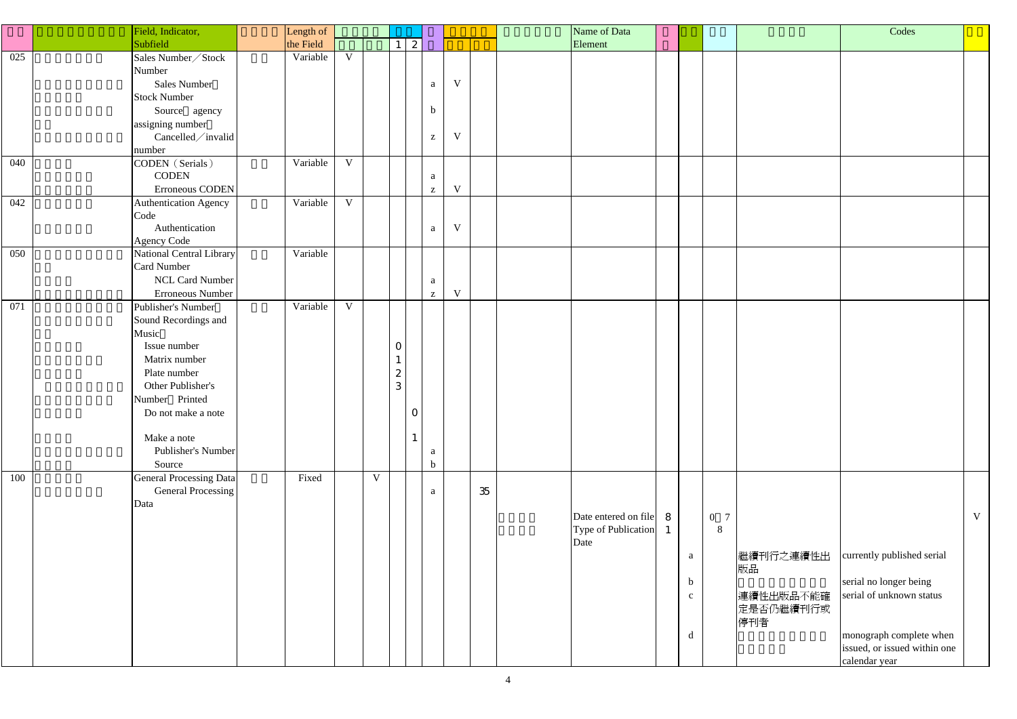|            | Field, Indicator,                                                                                                                                                                                                | Length of            |                            |             |                          |                                                  |                            |    |      | Name of Data                                  |                                       |          |                                                  | Codes                                                                                                                                       |   |
|------------|------------------------------------------------------------------------------------------------------------------------------------------------------------------------------------------------------------------|----------------------|----------------------------|-------------|--------------------------|--------------------------------------------------|----------------------------|----|------|-----------------------------------------------|---------------------------------------|----------|--------------------------------------------------|---------------------------------------------------------------------------------------------------------------------------------------------|---|
|            | Subfield                                                                                                                                                                                                         | the Field            |                            |             |                          | $\boldsymbol{z}$                                 |                            |    |      | Element                                       |                                       |          |                                                  |                                                                                                                                             |   |
| 025<br>040 | Sales Number / Stock<br>Number<br><b>Sales Number</b><br><b>Stock Number</b><br>Source agency<br>assigning number<br>Cancelled/invalid<br>number<br>CODEN (Serials)<br><b>CODEN</b>                              | Variable<br>Variable | $\mathbf V$<br>$\mathbf V$ |             |                          | a<br>$\mathbf b$<br>$\mathbf{Z}$<br>a            | $\mathbf V$<br>$\mathbf V$ |    |      |                                               |                                       |          |                                                  |                                                                                                                                             |   |
|            | Erroneous CODEN                                                                                                                                                                                                  |                      |                            |             |                          | $\mathbf{Z}$                                     | $\mathbf V$                |    |      |                                               |                                       |          |                                                  |                                                                                                                                             |   |
| 042        | <b>Authentication Agency</b><br>Code<br>Authentication<br><b>Agency Code</b>                                                                                                                                     | Variable             | $\mathbf V$                |             |                          | $\mathbf{a}$                                     | $\mathbf V$                |    |      |                                               |                                       |          |                                                  |                                                                                                                                             |   |
| 050        | National Central Library<br>Card Number<br><b>NCL Card Number</b><br>Erroneous Number                                                                                                                            | Variable             |                            |             |                          | a<br>$\mathbf{Z}$                                | $\mathbf V$                |    |      |                                               |                                       |          |                                                  |                                                                                                                                             |   |
| 071        | Publisher's Number<br>Sound Recordings and<br>Music<br>Issue number<br>Matrix number<br>Plate number<br>Other Publisher's<br>Number Printed<br>Do not make a note<br>Make a note<br>Publisher's Number<br>Source | Variable             | $\mathbf V$                |             | $\overline{O}$<br>2<br>3 | $\mathbf{O}$<br>$\mathbf{1}$<br>a<br>$\mathbf b$ |                            |    |      |                                               |                                       |          |                                                  |                                                                                                                                             |   |
| 100        | General Processing Data<br>General Processing<br>Data                                                                                                                                                            | Fixed                |                            | $\mathbf V$ |                          | a                                                |                            | 35 | Date | Date entered on file 8<br>Type of Publication | a<br>$\mathbf b$<br>$\mathbf{c}$<br>d | 0 7<br>8 | 繼續刊行之連續性出<br>版品<br>連續性出版品不能確<br>定是否仍繼續刊行或<br>停刊者 | currently published serial<br>serial no longer being<br>serial of unknown status<br>monograph complete when<br>issued, or issued within one | V |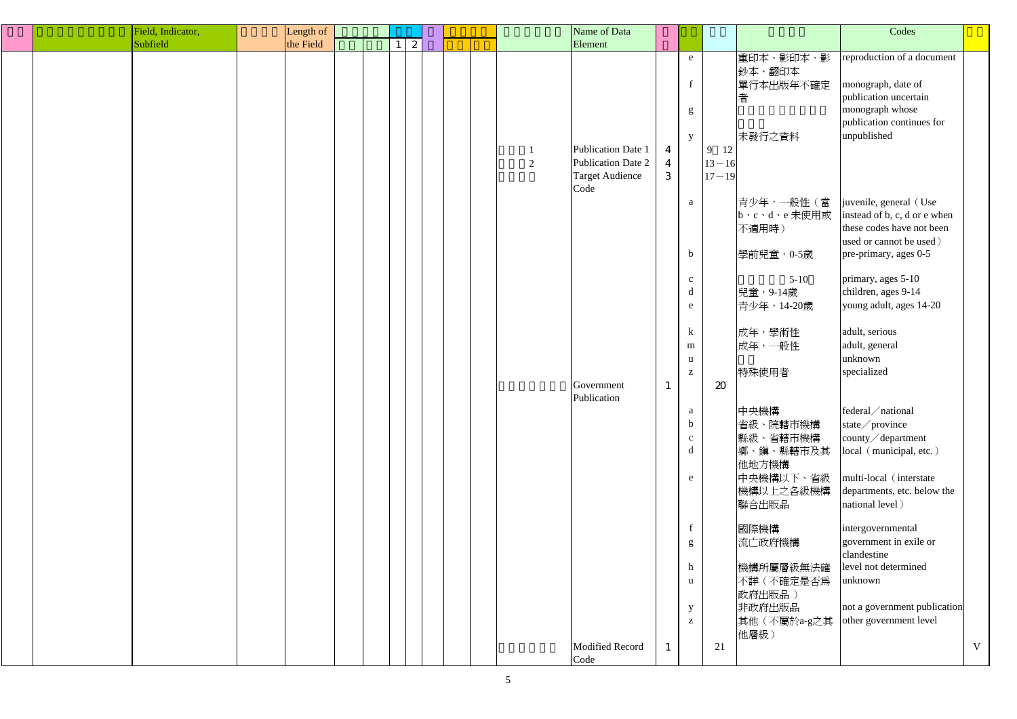| Field, Indicator, | Length of |              |  |   | Name of Data                                                               |                                       |                                               |                                |                                                    | Codes                                                                                                          |   |
|-------------------|-----------|--------------|--|---|----------------------------------------------------------------------------|---------------------------------------|-----------------------------------------------|--------------------------------|----------------------------------------------------|----------------------------------------------------------------------------------------------------------------|---|
| Subfield          | the Field | $\mathbf{2}$ |  |   | Element                                                                    |                                       |                                               |                                |                                                    |                                                                                                                |   |
|                   |           |              |  |   |                                                                            |                                       | e<br>$\mathbf{f}$<br>g                        |                                | 重印本、影印本、影<br>鈔本、翻印本<br>單行本出版年不確定<br>者              | reproduction of a document<br>monograph, date of<br>publication uncertain<br>monograph whose                   |   |
|                   |           |              |  | 2 | Publication Date 1<br>Publication Date 2<br><b>Target Audience</b><br>Code | $\overline{4}$<br>$\overline{4}$<br>3 | y                                             | 9 12<br>$13 - 16$<br>$17 - 19$ | 未發行之資料                                             | publication continues for<br>unpublished                                                                       |   |
|                   |           |              |  |   |                                                                            |                                       | $\mathbf{a}$                                  |                                | 青少年,一般性(當<br>b、c、d、e 未使用或<br>不適用時)                 | juvenile, general (Use<br>instead of b, c, d or e when<br>these codes have not been<br>used or cannot be used) |   |
|                   |           |              |  |   |                                                                            |                                       | $\mathbf b$<br>$\mathbf{c}$<br>d<br>${\bf e}$ |                                | 學前兒童, 0-5歲<br>$5 - 10$<br>兒童,9-14歲<br>青少年, 14-20歲  | pre-primary, ages 0-5<br>primary, ages 5-10<br>children, ages 9-14<br>young adult, ages 14-20                  |   |
|                   |           |              |  |   | Government                                                                 |                                       | $\bf k$<br>m<br>u<br>$\mathbf{Z}$             |                                | 成年,學術性<br>成年,一般性<br>特殊使用者                          | adult, serious<br>adult, general<br>unknown<br>specialized                                                     |   |
|                   |           |              |  |   | Publication                                                                |                                       | a<br>$\mathbf b$<br>$\mathbf{C}$<br>d         | $\boldsymbol{\mathfrak{D}}$    | 中央機構<br>省級、院轄市機構<br>縣級、省轄市機構<br>鄉、鎭、縣轄市及其<br>他地方機構 | federal/national<br>state/province<br>county/department<br>local (municipal, etc.)                             |   |
|                   |           |              |  |   |                                                                            |                                       | e                                             |                                | 中央機構以下、省級<br> 機構以上之各級機構 <br>聯合出版品                  | multi-local (interstate<br>departments, etc. below the<br>national level)<br>intergovernmental                 |   |
|                   |           |              |  |   |                                                                            |                                       | g<br>$\boldsymbol{h}$<br>u                    |                                | 國際機構<br>流亡政府機構<br>機構所屬層級無法確<br>不詳(不確定是否爲           | government in exile or<br>clandestine<br>level not determined<br>unknown                                       |   |
|                   |           |              |  |   |                                                                            |                                       | $\mathbf{y}$<br>$\mathbf{Z}$                  |                                | 政府出版品)<br>非政府出版品<br>其他(不屬於a-g之其<br>他層級)            | not a government publication<br>other government level                                                         |   |
|                   |           |              |  |   | <b>Modified Record</b><br>Code                                             |                                       |                                               | 21                             |                                                    |                                                                                                                | V |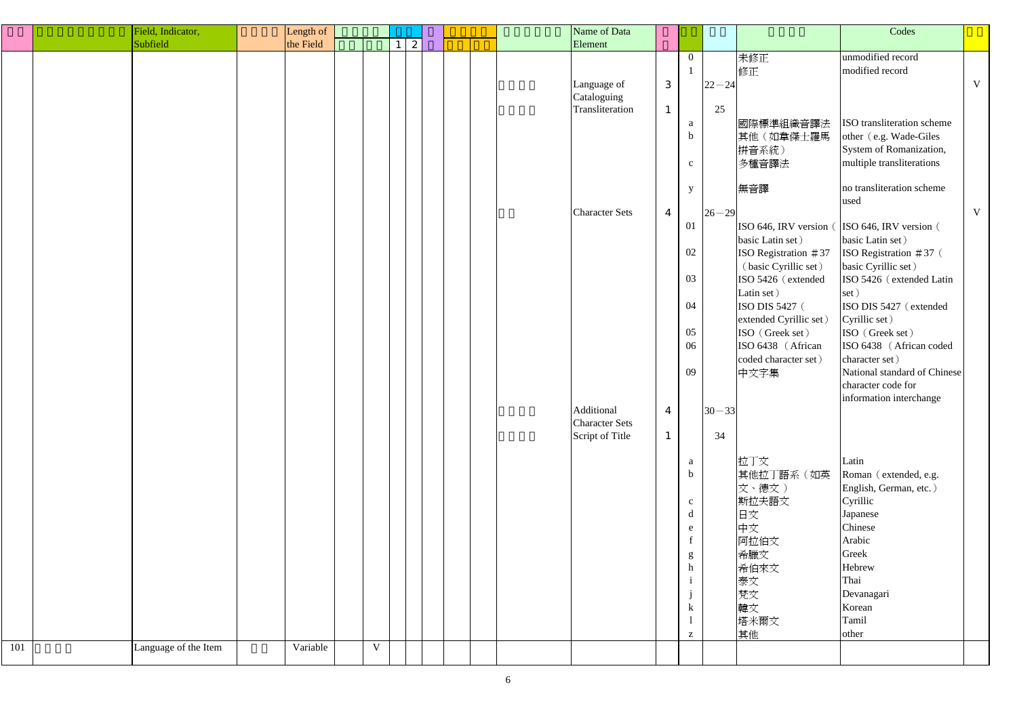| Field, Indicator,<br>Name of Data<br>Length of              | Codes                                        |
|-------------------------------------------------------------|----------------------------------------------|
| Subfield<br>the Field<br> 2 <br>Element                     |                                              |
| 未修正<br>$\overline{0}$                                       | unmodified record                            |
| 修正                                                          | modified record                              |
| $\ensuremath{\mathsf{3}}$<br>Language of<br>$22 - 24$       | $\mathbf V$                                  |
| Cataloguing                                                 |                                              |
| 25<br>Transliteration<br>$\mathbf{1}$                       |                                              |
| 國際標準組織音譯法<br>a                                              | ISO transliteration scheme                   |
| 其他(如韋傑士羅馬<br>$\mathbf b$                                    | other (e.g. Wade-Giles)                      |
| 拼音系統)                                                       | System of Romanization,                      |
| 多種音譯法<br>$\mathbf{c}$                                       | multiple transliterations                    |
|                                                             | no transliteration scheme                    |
| 無音譯<br>y                                                    | used                                         |
| <b>Character Sets</b><br>$26 - 29$<br>$\overline{4}$        | V                                            |
| 01                                                          | ISO 646, IRV version (ISO 646, IRV version ( |
| basic Latin set)                                            | basic Latin set)                             |
| 02<br>ISO Registration $#37$                                | ISO Registration $#37$ (                     |
| (basic Cyrillic set)                                        | basic Cyrillic set)                          |
| 03<br>ISO 5426 (extended                                    | ISO 5426 (extended Latin                     |
| Latin set)                                                  | set)                                         |
| 04<br>ISO DIS 5427 (                                        | ISO DIS 5427 (extended                       |
| extended Cyrillic set)                                      | Cyrillic set)                                |
| 05<br>ISO (Greek set)                                       | ISO (Greek set)                              |
| 06<br>ISO 6438 (African                                     | ISO 6438 (African coded                      |
| coded character set)                                        | character set)                               |
| 09<br>中文字集                                                  | National standard of Chinese                 |
|                                                             | character code for                           |
| Additional                                                  | information interchange                      |
| $30 - 33$<br>$\overline{4}$<br><b>Character Sets</b>        |                                              |
| 34<br>Script of Title<br>$\mathbf{1}$                       |                                              |
|                                                             |                                              |
| 拉丁文<br>a                                                    | Latin                                        |
| 其他拉丁語系(如英<br>$\mathbf b$                                    | Roman (extended, e.g.                        |
| 文、德文)                                                       | English, German, etc.)                       |
| 斯拉夫語文<br>$\mathbf{c}$                                       | Cyrillic                                     |
| 日文<br>d                                                     | Japanese                                     |
| 中文<br>e                                                     | Chinese                                      |
| 阿拉伯文                                                        | Arabic                                       |
| 希臘文<br>g                                                    | Greek                                        |
| 希伯來文<br>h                                                   | Hebrew                                       |
| 泰文                                                          | Thai                                         |
| 梵文                                                          | Devanagari                                   |
| 韓文<br>$\bf k$                                               | Korean                                       |
| 塔米爾文<br>其他                                                  | Tamil<br>other                               |
| Z<br>101<br>Variable<br>$\mathbf V$<br>Language of the Item |                                              |
|                                                             |                                              |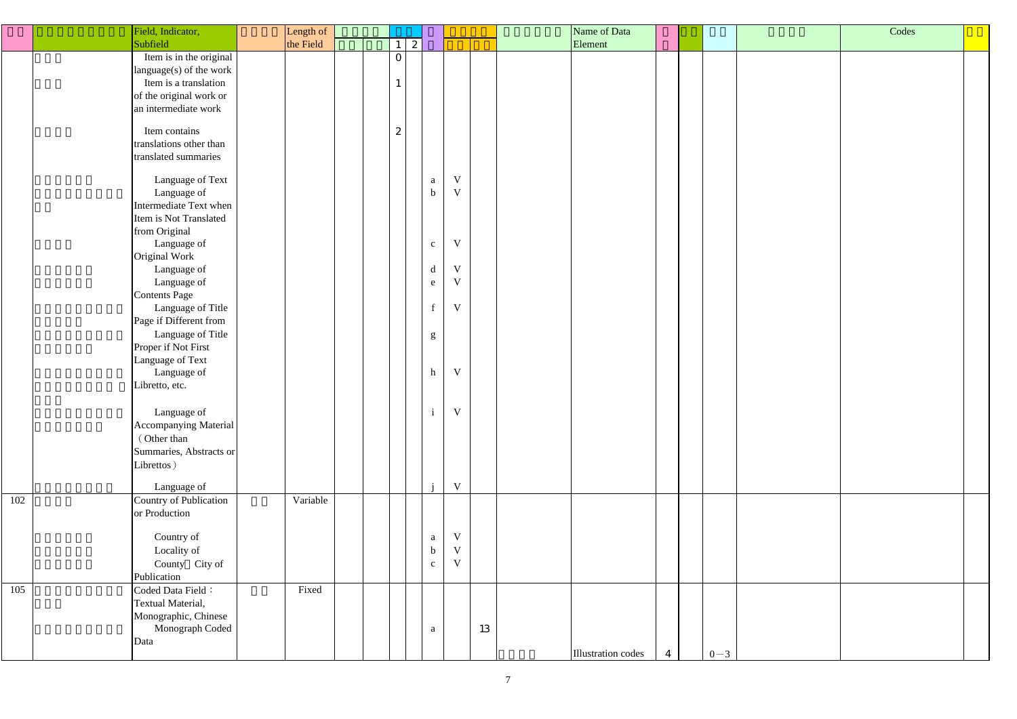|     | Field, Indicator,       | Length of |              |                  |              |    | Name of Data              |         | Codes |  |
|-----|-------------------------|-----------|--------------|------------------|--------------|----|---------------------------|---------|-------|--|
|     | Subfield                | the Field | $\mathbf{1}$ | $\vert 2 \vert$  |              |    | Element                   |         |       |  |
|     | Item is in the original |           | $\mathbf{0}$ |                  |              |    |                           |         |       |  |
|     | language(s) of the work |           |              |                  |              |    |                           |         |       |  |
|     | Item is a translation   |           |              |                  |              |    |                           |         |       |  |
|     | of the original work or |           |              |                  |              |    |                           |         |       |  |
|     | an intermediate work    |           |              |                  |              |    |                           |         |       |  |
|     |                         |           |              |                  |              |    |                           |         |       |  |
|     | Item contains           |           | 2            |                  |              |    |                           |         |       |  |
|     | translations other than |           |              |                  |              |    |                           |         |       |  |
|     | translated summaries    |           |              |                  |              |    |                           |         |       |  |
|     |                         |           |              |                  |              |    |                           |         |       |  |
|     | Language of Text        |           |              | $\rm{a}$         | $\mathbf V$  |    |                           |         |       |  |
|     | Language of             |           |              | $\mathbf b$      | $\mathbf{V}$ |    |                           |         |       |  |
|     | Intermediate Text when  |           |              |                  |              |    |                           |         |       |  |
|     | Item is Not Translated  |           |              |                  |              |    |                           |         |       |  |
|     | from Original           |           |              |                  |              |    |                           |         |       |  |
|     | Language of             |           |              | $\mathbf{C}$     | $\mathbf{V}$ |    |                           |         |       |  |
|     | Original Work           |           |              |                  |              |    |                           |         |       |  |
|     | Language of             |           |              | $\mathbf d$      | V            |    |                           |         |       |  |
|     | Language of             |           |              | e                | $\mathbf{V}$ |    |                           |         |       |  |
|     | <b>Contents Page</b>    |           |              |                  |              |    |                           |         |       |  |
|     | Language of Title       |           |              | $\mathbf f$      | $\mathbf{V}$ |    |                           |         |       |  |
|     | Page if Different from  |           |              |                  |              |    |                           |         |       |  |
|     | Language of Title       |           |              | g                |              |    |                           |         |       |  |
|     | Proper if Not First     |           |              |                  |              |    |                           |         |       |  |
|     | Language of Text        |           |              |                  |              |    |                           |         |       |  |
|     | Language of             |           |              | h                | $\mathbf V$  |    |                           |         |       |  |
|     | Libretto, etc.          |           |              |                  |              |    |                           |         |       |  |
|     |                         |           |              |                  |              |    |                           |         |       |  |
|     | Language of             |           |              | $\mathbf{i}$     | $\mathbf V$  |    |                           |         |       |  |
|     | Accompanying Material   |           |              |                  |              |    |                           |         |       |  |
|     | (Other than             |           |              |                  |              |    |                           |         |       |  |
|     | Summaries, Abstracts or |           |              |                  |              |    |                           |         |       |  |
|     | Librettos)              |           |              |                  |              |    |                           |         |       |  |
|     |                         |           |              |                  | $\mathbf{V}$ |    |                           |         |       |  |
|     | Language of             |           |              |                  |              |    |                           |         |       |  |
| 102 | Country of Publication  | Variable  |              |                  |              |    |                           |         |       |  |
|     | or Production           |           |              |                  |              |    |                           |         |       |  |
|     | Country of              |           |              |                  | $\mathbf V$  |    |                           |         |       |  |
|     | Locality of             |           |              | a<br>$\mathbf b$ | $\mathbf V$  |    |                           |         |       |  |
|     |                         |           |              |                  | $\mathbf{V}$ |    |                           |         |       |  |
|     | County City of          |           |              | $\mathbf C$      |              |    |                           |         |       |  |
| 105 | Publication             | Fixed     |              |                  |              |    |                           |         |       |  |
|     | Coded Data Field:       |           |              |                  |              |    |                           |         |       |  |
|     | Textual Material,       |           |              |                  |              |    |                           |         |       |  |
|     | Monographic, Chinese    |           |              |                  |              |    |                           |         |       |  |
|     | Monograph Coded         |           |              | a                |              | 13 |                           |         |       |  |
|     | Data                    |           |              |                  |              |    | <b>Illustration codes</b> |         |       |  |
|     |                         |           |              |                  |              |    |                           | $0 - 3$ |       |  |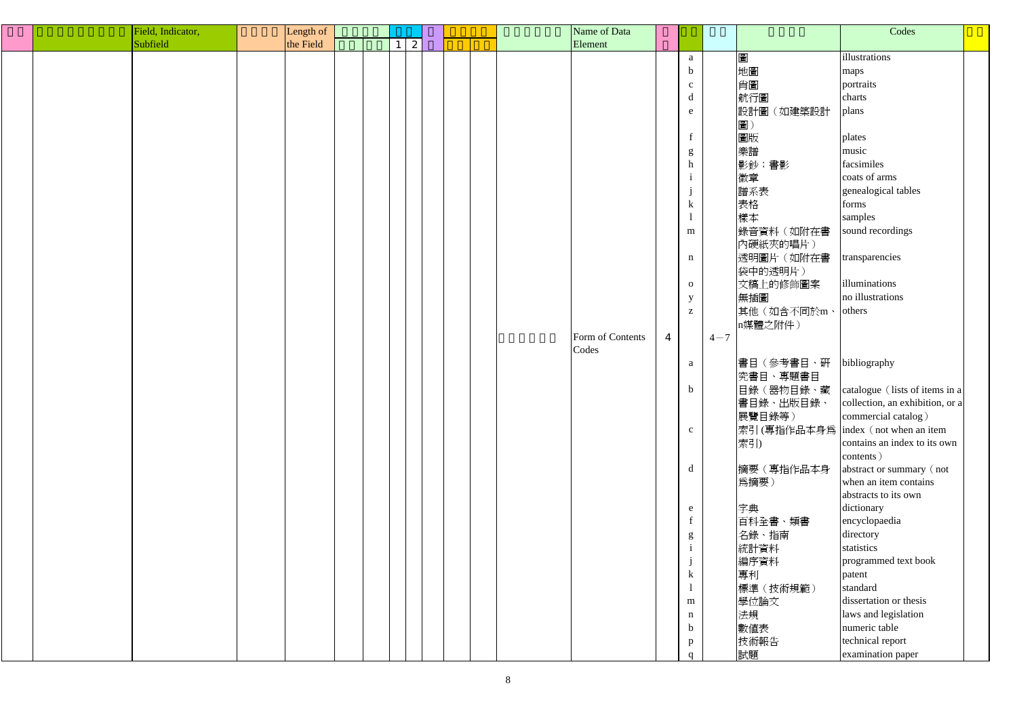|  | Field, Indicator, | Length of |  |   |  |  | Name of Data     |                |                                                       |         |               | Codes                                             |  |
|--|-------------------|-----------|--|---|--|--|------------------|----------------|-------------------------------------------------------|---------|---------------|---------------------------------------------------|--|
|  | Subfield          | the Field |  | 2 |  |  | Element          |                |                                                       |         |               |                                                   |  |
|  |                   |           |  |   |  |  |                  |                | a                                                     |         | 圖             | illustrations                                     |  |
|  |                   |           |  |   |  |  |                  |                | $\mathbf b$                                           |         | 地圖            | maps                                              |  |
|  |                   |           |  |   |  |  |                  |                | $\mathbf{c}$                                          |         | 肖圖            | portraits                                         |  |
|  |                   |           |  |   |  |  |                  |                | $\mathbf d$                                           |         | 航行圖           | charts                                            |  |
|  |                   |           |  |   |  |  |                  |                | e                                                     |         | 設計圖<br>(如建築設計 | plans                                             |  |
|  |                   |           |  |   |  |  |                  |                |                                                       |         | 圖)            |                                                   |  |
|  |                   |           |  |   |  |  |                  |                | $f_{\parallel}$                                       |         | 圖版            | plates                                            |  |
|  |                   |           |  |   |  |  |                  |                |                                                       |         | 樂譜            | music                                             |  |
|  |                   |           |  |   |  |  |                  |                | g<br>h                                                |         | 影鈔;書影         | facsimiles                                        |  |
|  |                   |           |  |   |  |  |                  |                | $\mathbf{1}$                                          |         | 徽章            | coats of arms                                     |  |
|  |                   |           |  |   |  |  |                  |                | $\mathbf{j}$                                          |         | 譜系表           | genealogical tables                               |  |
|  |                   |           |  |   |  |  |                  |                | $\bf k$                                               |         | 表格            | forms                                             |  |
|  |                   |           |  |   |  |  |                  |                | $\mathbf{1}$                                          |         | 樣本            | samples                                           |  |
|  |                   |           |  |   |  |  |                  |                |                                                       |         |               | sound recordings                                  |  |
|  |                   |           |  |   |  |  |                  |                | m                                                     |         | 錄音資料(如附在書     |                                                   |  |
|  |                   |           |  |   |  |  |                  |                |                                                       |         | 內硬紙夾的唱片)      |                                                   |  |
|  |                   |           |  |   |  |  |                  |                | $\mathbf n$                                           |         | 透明圖片(如附在書     | transparencies                                    |  |
|  |                   |           |  |   |  |  |                  |                |                                                       |         | 袋中的透明片)       | illuminations                                     |  |
|  |                   |           |  |   |  |  |                  |                | $\mathbf{O}$                                          |         | 文稿上的修飾圖案      | no illustrations                                  |  |
|  |                   |           |  |   |  |  |                  |                | y                                                     |         | 無插圖           |                                                   |  |
|  |                   |           |  |   |  |  |                  |                | $\mathbf{Z}% ^{T}=\mathbf{Z}^{T}\times\mathbf{Z}^{T}$ |         | 其他(如含不同於m、    | others                                            |  |
|  |                   |           |  |   |  |  |                  |                |                                                       |         | n媒體之附件)       |                                                   |  |
|  |                   |           |  |   |  |  | Form of Contents | $\overline{4}$ |                                                       | $4 - 7$ |               |                                                   |  |
|  |                   |           |  |   |  |  | Codes            |                |                                                       |         |               |                                                   |  |
|  |                   |           |  |   |  |  |                  |                | a                                                     |         | 書目(參考書目、硏     | bibliography                                      |  |
|  |                   |           |  |   |  |  |                  |                |                                                       |         | 究書目、專題書目      |                                                   |  |
|  |                   |           |  |   |  |  |                  |                | $\mathbf b$                                           |         | 目錄(器物目錄、藏     | catalogue (lists of items in a                    |  |
|  |                   |           |  |   |  |  |                  |                |                                                       |         | 書目錄、出版目錄、     | collection, an exhibition, or a                   |  |
|  |                   |           |  |   |  |  |                  |                |                                                       |         | 展覽目錄等)        | commercial catalog)                               |  |
|  |                   |           |  |   |  |  |                  |                | $\mathbf{c}$                                          |         |               | 索引(專指作品本身爲 index (not when an item                |  |
|  |                   |           |  |   |  |  |                  |                |                                                       |         | 索引)           | contains an index to its own                      |  |
|  |                   |           |  |   |  |  |                  |                | $\mathbf d$                                           |         |               | contents)                                         |  |
|  |                   |           |  |   |  |  |                  |                |                                                       |         | 摘要(專指作品本身     | abstract or summary (not<br>when an item contains |  |
|  |                   |           |  |   |  |  |                  |                |                                                       |         | 為摘要)          | abstracts to its own                              |  |
|  |                   |           |  |   |  |  |                  |                |                                                       |         |               | dictionary                                        |  |
|  |                   |           |  |   |  |  |                  |                | e<br>$f_{\parallel}$                                  |         | 字典            |                                                   |  |
|  |                   |           |  |   |  |  |                  |                |                                                       |         | 百科全書、類書       | encyclopaedia<br>directory                        |  |
|  |                   |           |  |   |  |  |                  |                | g<br>$\mathbf{i}$                                     |         | 名錄、指南         | statistics                                        |  |
|  |                   |           |  |   |  |  |                  |                |                                                       |         | 統計資料          |                                                   |  |
|  |                   |           |  |   |  |  |                  |                |                                                       |         | 編序資料          | programmed text book                              |  |
|  |                   |           |  |   |  |  |                  |                | $\bf k$                                               |         | 專利            | patent<br>standard                                |  |
|  |                   |           |  |   |  |  |                  |                |                                                       |         | 標準(技術規範)      |                                                   |  |
|  |                   |           |  |   |  |  |                  |                | m                                                     |         | 學位論文          | dissertation or thesis                            |  |
|  |                   |           |  |   |  |  |                  |                | $\mathbf n$                                           |         | 法規            | laws and legislation                              |  |
|  |                   |           |  |   |  |  |                  |                | $\mathbf b$                                           |         | 數值表           | numeric table                                     |  |
|  |                   |           |  |   |  |  |                  |                | $\mathbf{p}$                                          |         | 技術報告          | technical report                                  |  |
|  |                   |           |  |   |  |  |                  |                | $\alpha$                                              |         | 試題            | examination paper                                 |  |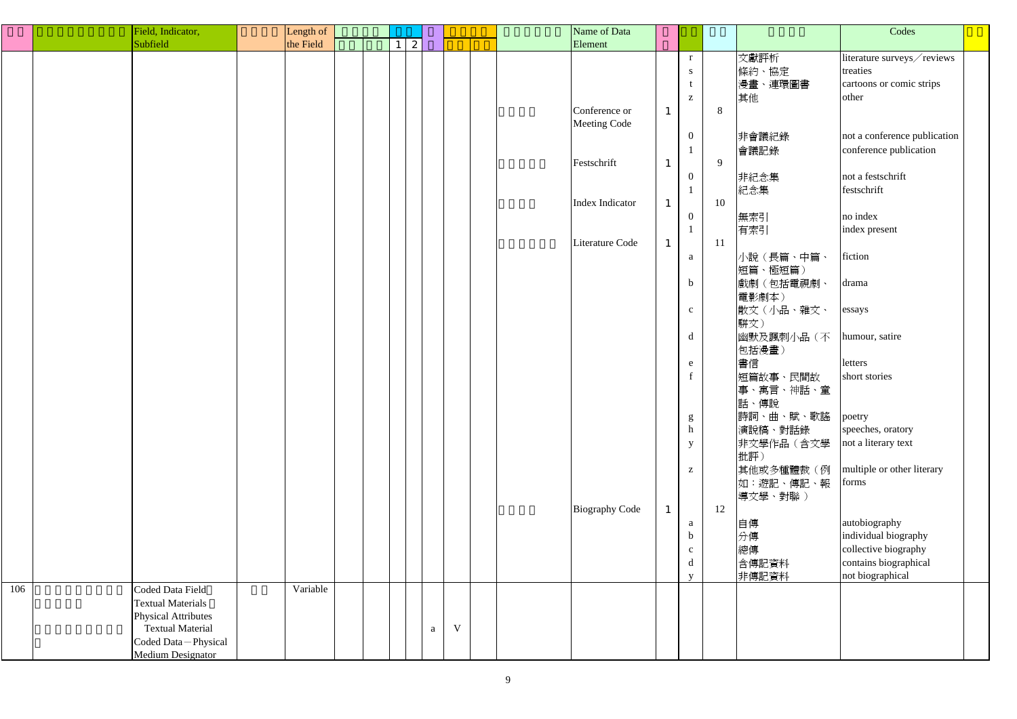|     | Field, Indicator,          | Length of |  |                     |              |             | Name of Data          |              |                                                |    |            | Codes                        |  |
|-----|----------------------------|-----------|--|---------------------|--------------|-------------|-----------------------|--------------|------------------------------------------------|----|------------|------------------------------|--|
|     | Subfield                   | the Field |  | 2<br>1 <sup>1</sup> |              |             | Element               |              |                                                |    |            |                              |  |
|     |                            |           |  |                     |              |             |                       |              | r                                              |    | 文獻評析       | literature surveys/reviews   |  |
|     |                            |           |  |                     |              |             |                       |              | S                                              |    | 條約、協定      | treaties                     |  |
|     |                            |           |  |                     |              |             |                       |              |                                                |    | 漫畫、連環圖書    | cartoons or comic strips     |  |
|     |                            |           |  |                     |              |             |                       |              | Z                                              |    | 其他         | other                        |  |
|     |                            |           |  |                     |              |             | Conference or         | $\mathbf{1}$ |                                                | 8  |            |                              |  |
|     |                            |           |  |                     |              |             | <b>Meeting Code</b>   |              |                                                |    |            |                              |  |
|     |                            |           |  |                     |              |             |                       |              | $\overline{0}$                                 |    | 非會議紀錄      | not a conference publication |  |
|     |                            |           |  |                     |              |             |                       |              |                                                |    | 會議記錄       | conference publication       |  |
|     |                            |           |  |                     |              |             | Festschrift           | $\mathbf{1}$ |                                                | 9  |            |                              |  |
|     |                            |           |  |                     |              |             |                       |              | $\overline{0}$                                 |    | 非紀念集       | not a festschrift            |  |
|     |                            |           |  |                     |              |             |                       |              |                                                |    | 紀念集        | festschrift                  |  |
|     |                            |           |  |                     |              |             | Index Indicator       |              |                                                | 10 |            |                              |  |
|     |                            |           |  |                     |              |             |                       | $\mathbf{1}$ |                                                |    |            |                              |  |
|     |                            |           |  |                     |              |             |                       |              | $\overline{0}$                                 |    | 無索引        | no index                     |  |
|     |                            |           |  |                     |              |             |                       |              |                                                |    | 有索引        | index present                |  |
|     |                            |           |  |                     |              |             | Literature Code       | $\mathbf{1}$ |                                                | 11 |            |                              |  |
|     |                            |           |  |                     |              |             |                       |              | a                                              |    | 小說(長篇、中篇、  | fiction                      |  |
|     |                            |           |  |                     |              |             |                       |              |                                                |    | 短篇、極短篇)    |                              |  |
|     |                            |           |  |                     |              |             |                       |              | $\mathbf b$                                    |    | 戲劇(包括電視劇、  | drama                        |  |
|     |                            |           |  |                     |              |             |                       |              |                                                |    | 電影劇本)      |                              |  |
|     |                            |           |  |                     |              |             |                       |              | $\mathbf{C}$                                   |    | 散文(小品、雜文、  | essays                       |  |
|     |                            |           |  |                     |              |             |                       |              |                                                |    | 駢文)        |                              |  |
|     |                            |           |  |                     |              |             |                       |              | d                                              |    | 幽默及諷刺小品(不  | humour, satire               |  |
|     |                            |           |  |                     |              |             |                       |              |                                                |    | 包括漫畫)      |                              |  |
|     |                            |           |  |                     |              |             |                       |              | e                                              |    | 書信         | letters                      |  |
|     |                            |           |  |                     |              |             |                       |              |                                                |    | 短篇故事、民間故   | short stories                |  |
|     |                            |           |  |                     |              |             |                       |              |                                                |    | 事、寓言、神話、童  |                              |  |
|     |                            |           |  |                     |              |             |                       |              |                                                |    | 話、傳說       |                              |  |
|     |                            |           |  |                     |              |             |                       |              | g                                              |    | 詩詞、曲、賦、歌謠  | poetry                       |  |
|     |                            |           |  |                     |              |             |                       |              | h                                              |    | 演說稿、對話錄    | speeches, oratory            |  |
|     |                            |           |  |                     |              |             |                       |              |                                                |    | 非文學作品 (含文學 | not a literary text          |  |
|     |                            |           |  |                     |              |             |                       |              | $\mathbf{y}$                                   |    |            |                              |  |
|     |                            |           |  |                     |              |             |                       |              |                                                |    | 批評)        | multiple or other literary   |  |
|     |                            |           |  |                     |              |             |                       |              | $\mathbf{Z}% ^{t}\left( \mathbf{Z}_{1}\right)$ |    | 其他或多種體裁(例  |                              |  |
|     |                            |           |  |                     |              |             |                       |              |                                                |    | 如:遊記、傳記、報  | forms                        |  |
|     |                            |           |  |                     |              |             |                       |              |                                                |    | 導文學、對聯)    |                              |  |
|     |                            |           |  |                     |              |             | <b>Biography Code</b> | $\mathbf{1}$ |                                                | 12 |            |                              |  |
|     |                            |           |  |                     |              |             |                       |              | a                                              |    | 自傳         | autobiography                |  |
|     |                            |           |  |                     |              |             |                       |              | $\mathbf b$                                    |    | 分傳         | individual biography         |  |
|     |                            |           |  |                     |              |             |                       |              | $\mathbf{C}$                                   |    | 總傳         | collective biography         |  |
|     |                            |           |  |                     |              |             |                       |              | d                                              |    | 含傳記資料      | contains biographical        |  |
|     |                            |           |  |                     |              |             |                       |              | V                                              |    | 非傳記資料      | not biographical             |  |
| 106 | Coded Data Field           | Variable  |  |                     |              |             |                       |              |                                                |    |            |                              |  |
|     | <b>Textual Materials</b>   |           |  |                     |              |             |                       |              |                                                |    |            |                              |  |
|     | <b>Physical Attributes</b> |           |  |                     |              |             |                       |              |                                                |    |            |                              |  |
|     | <b>Textual Material</b>    |           |  |                     | $\mathbf{a}$ | $\mathbf V$ |                       |              |                                                |    |            |                              |  |
|     | Coded Data-Physical        |           |  |                     |              |             |                       |              |                                                |    |            |                              |  |
|     | <b>Medium Designator</b>   |           |  |                     |              |             |                       |              |                                                |    |            |                              |  |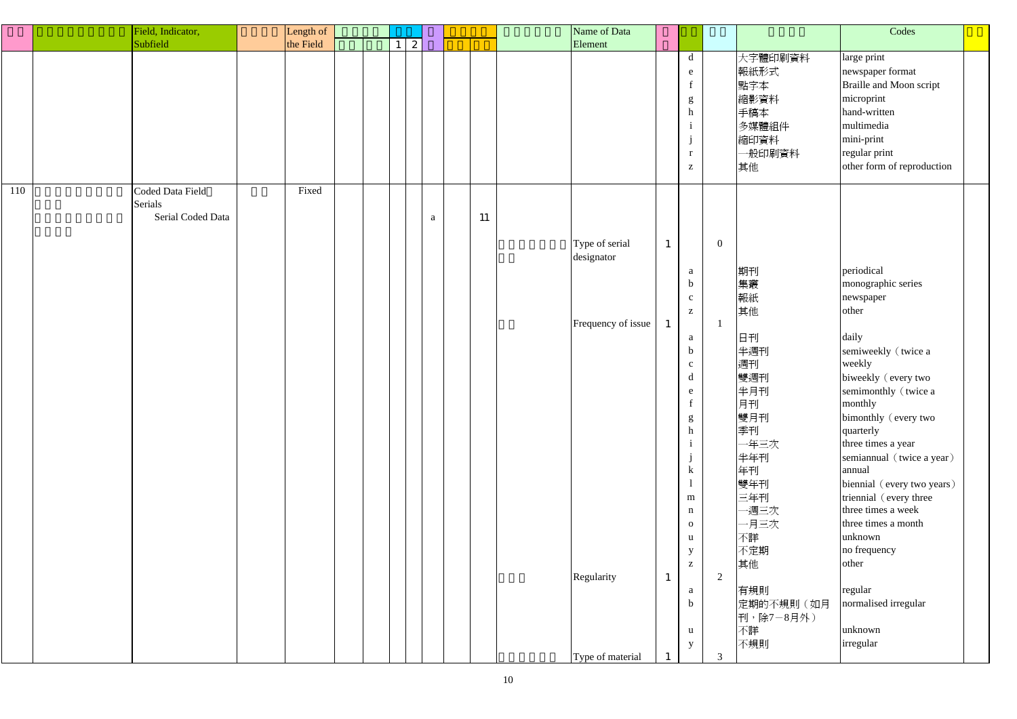|     | Field, Indicator,                                | Length of |  |                 |              |    | Name of Data                 |              |                                                                                                |                |                                                                        | Codes                                                                                                                                                               |  |
|-----|--------------------------------------------------|-----------|--|-----------------|--------------|----|------------------------------|--------------|------------------------------------------------------------------------------------------------|----------------|------------------------------------------------------------------------|---------------------------------------------------------------------------------------------------------------------------------------------------------------------|--|
|     | Subfield                                         | the Field |  | $1 \mid 2 \mid$ |              |    | Element                      |              |                                                                                                |                |                                                                        |                                                                                                                                                                     |  |
|     |                                                  |           |  |                 |              |    |                              |              | $\mathbf d$<br>e<br>$\mathbf f$<br>g<br>$\mathbf h$<br>$\mathbf{r}$<br>$\mathbf{Z}$            |                | 大字體印刷資料<br>報紙形式<br>點字本<br>縮影資料<br>手稿本<br>多媒體組件<br>縮印資料<br>一般印刷資料<br>其他 | large print<br>newspaper format<br>Braille and Moon script<br>microprint<br>hand-written<br>multimedia<br>mini-print<br>regular print<br>other form of reproduction |  |
| 110 | Coded Data Field<br>Serials<br>Serial Coded Data | Fixed     |  |                 | $\mathbf{a}$ | 11 | Type of serial<br>designator | $\mathbf{1}$ |                                                                                                | $\overline{0}$ |                                                                        |                                                                                                                                                                     |  |
|     |                                                  |           |  |                 |              |    | Frequency of issue           | $\mathbf{1}$ | a<br>$\mathbf b$<br>$\mathbf{C}$<br>$\mathbf{Z}% ^{T}=\mathbf{Z}^{T}\times\mathbf{Z}^{T}$<br>a |                | 期刊<br>集叢<br>報紙<br>其他<br>日刊                                             | periodical<br>monographic series<br>newspaper<br>other<br>daily                                                                                                     |  |
|     |                                                  |           |  |                 |              |    |                              |              | $\mathbf b$<br>$\mathbf{C}$<br>$\mathbf d$<br>e<br>$g_{\parallel}$                             |                | 半週刊<br>週刊<br>雙週刊<br>半月刊<br>月刊<br>雙月刊                                   | semiweekly (twice a<br>weekly<br>biweekly (every two<br>semimonthly (twice a<br>monthly<br>bimonthly (every two                                                     |  |
|     |                                                  |           |  |                 |              |    |                              |              | h<br>$\mathbf{k}$                                                                              |                | 季刊<br>一年三次<br>半年刊<br>年刊<br>雙年刊                                         | quarterly<br>three times a year<br>semiannual (twice a year)<br>annual<br>biennial (every two years)                                                                |  |
|     |                                                  |           |  |                 |              |    |                              |              | ${\bf m}$<br>$\mathbf n$<br>$\mathbf{O}$<br>u<br>y<br>$\mathbf{Z}$                             |                | 三年刊<br>一週三次<br>一月三次<br>不詳<br>不定期                                       | triennial (every three<br>three times a week<br>three times a month<br>unknown<br>no frequency<br>other                                                             |  |
|     |                                                  |           |  |                 |              |    | Regularity                   | $\mathbf{1}$ | a<br>$\mathbf b$<br>u                                                                          | $\overline{2}$ | 其他<br>有規則<br>定期的不規則 (如月<br>刊,除7-8月外)<br>不詳                             | regular<br>normalised irregular<br>unknown                                                                                                                          |  |
|     |                                                  |           |  |                 |              |    | Type of material             |              | y                                                                                              | 3              | 不規則                                                                    | irregular                                                                                                                                                           |  |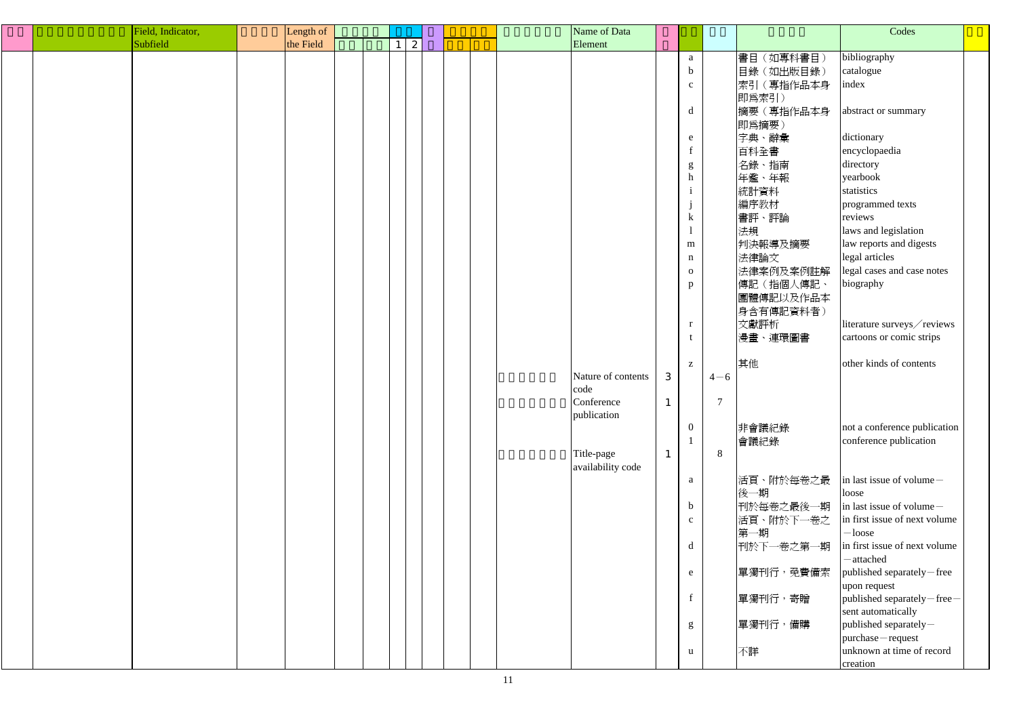|  | Field, Indicator, | Length of |  |   |  |  | Name of Data       |              |                 |                |            | Codes                         |  |
|--|-------------------|-----------|--|---|--|--|--------------------|--------------|-----------------|----------------|------------|-------------------------------|--|
|  | Subfield          | the Field |  | 2 |  |  | Element            |              |                 |                |            |                               |  |
|  |                   |           |  |   |  |  |                    |              | a               |                | 書目 (如專科書目) | bibliography                  |  |
|  |                   |           |  |   |  |  |                    |              | $\mathbf b$     |                | 目錄(如出版目錄)  | catalogue                     |  |
|  |                   |           |  |   |  |  |                    |              | $\mathbf{c}$    |                | 索引(專指作品本身  | index                         |  |
|  |                   |           |  |   |  |  |                    |              |                 |                | 即爲索引)      |                               |  |
|  |                   |           |  |   |  |  |                    |              |                 |                |            |                               |  |
|  |                   |           |  |   |  |  |                    |              | $\mathbf d$     |                | 摘要(專指作品本身  | abstract or summary           |  |
|  |                   |           |  |   |  |  |                    |              |                 |                | 即為摘要)      |                               |  |
|  |                   |           |  |   |  |  |                    |              | e               |                | 字典、辭彙      | dictionary                    |  |
|  |                   |           |  |   |  |  |                    |              | $f_{\parallel}$ |                | 百科全書       | encyclopaedia                 |  |
|  |                   |           |  |   |  |  |                    |              | $g_{\parallel}$ |                | 名錄、指南      | directory                     |  |
|  |                   |           |  |   |  |  |                    |              | h               |                | 年鑑、年報      | yearbook                      |  |
|  |                   |           |  |   |  |  |                    |              | $\mathbf{i}$    |                | 統計資料       | statistics                    |  |
|  |                   |           |  |   |  |  |                    |              |                 |                | 編序教材       | programmed texts              |  |
|  |                   |           |  |   |  |  |                    |              | $\bf k$         |                | 書評、評論      | reviews                       |  |
|  |                   |           |  |   |  |  |                    |              |                 |                | 法規         | laws and legislation          |  |
|  |                   |           |  |   |  |  |                    |              | m               |                | 判決報導及摘要    | law reports and digests       |  |
|  |                   |           |  |   |  |  |                    |              | $\mathbf n$     |                | 法律論文       | legal articles                |  |
|  |                   |           |  |   |  |  |                    |              | $\mathbf{O}$    |                | 法律案例及案例註解  | legal cases and case notes    |  |
|  |                   |           |  |   |  |  |                    |              |                 |                |            |                               |  |
|  |                   |           |  |   |  |  |                    |              | $p_{\parallel}$ |                | 傳記(指個人傳記、  | biography                     |  |
|  |                   |           |  |   |  |  |                    |              |                 |                | 團體傳記以及作品本  |                               |  |
|  |                   |           |  |   |  |  |                    |              |                 |                | 身含有傳記資料者)  |                               |  |
|  |                   |           |  |   |  |  |                    |              | r               |                | 文獻評析       | literature surveys/reviews    |  |
|  |                   |           |  |   |  |  |                    |              | t               |                | 漫畫、連環圖書    | cartoons or comic strips      |  |
|  |                   |           |  |   |  |  |                    |              |                 |                |            |                               |  |
|  |                   |           |  |   |  |  |                    |              | $\mathbf{Z}$    |                | 其他         | other kinds of contents       |  |
|  |                   |           |  |   |  |  | Nature of contents | 3            |                 | $4 - 6$        |            |                               |  |
|  |                   |           |  |   |  |  | code               |              |                 |                |            |                               |  |
|  |                   |           |  |   |  |  | Conference         | $\mathbf{r}$ |                 | $\overline{7}$ |            |                               |  |
|  |                   |           |  |   |  |  | publication        |              |                 |                |            |                               |  |
|  |                   |           |  |   |  |  |                    |              | $\overline{0}$  |                | 非會議紀錄      | not a conference publication  |  |
|  |                   |           |  |   |  |  |                    |              | $\mathbf{1}$    |                | 會議紀錄       | conference publication        |  |
|  |                   |           |  |   |  |  | Title-page         |              |                 | 8              |            |                               |  |
|  |                   |           |  |   |  |  | availability code  |              |                 |                |            |                               |  |
|  |                   |           |  |   |  |  |                    |              | a               |                | 活頁、附於每卷之最  | in last issue of volume $-$   |  |
|  |                   |           |  |   |  |  |                    |              |                 |                | 後一期        | loose                         |  |
|  |                   |           |  |   |  |  |                    |              | $\mathbf b$     |                | 刊於每卷之最後一期  | in last issue of volume-      |  |
|  |                   |           |  |   |  |  |                    |              | $\mathbf{C}$    |                | 活頁、附於下一卷之  | in first issue of next volume |  |
|  |                   |           |  |   |  |  |                    |              |                 |                | 第一期        | $-$ loose                     |  |
|  |                   |           |  |   |  |  |                    |              |                 |                |            | in first issue of next volume |  |
|  |                   |           |  |   |  |  |                    |              | $\mathbf d$     |                | 刊於下一卷之第一期  |                               |  |
|  |                   |           |  |   |  |  |                    |              |                 |                |            | -attached                     |  |
|  |                   |           |  |   |  |  |                    |              | e               |                | 單獨刊行, 免費備索 | published separately-free     |  |
|  |                   |           |  |   |  |  |                    |              |                 |                |            | upon request                  |  |
|  |                   |           |  |   |  |  |                    |              | $f_{\parallel}$ |                | 單獨刊行,寄贈    | published separately-free-    |  |
|  |                   |           |  |   |  |  |                    |              |                 |                |            | sent automatically            |  |
|  |                   |           |  |   |  |  |                    |              | g               |                | 單獨刊行,備購    | published separately-         |  |
|  |                   |           |  |   |  |  |                    |              |                 |                |            | purchase-request              |  |
|  |                   |           |  |   |  |  |                    |              | $\mathbf{u}$    |                | 不詳         | unknown at time of record     |  |
|  |                   |           |  |   |  |  |                    |              |                 |                |            | creation                      |  |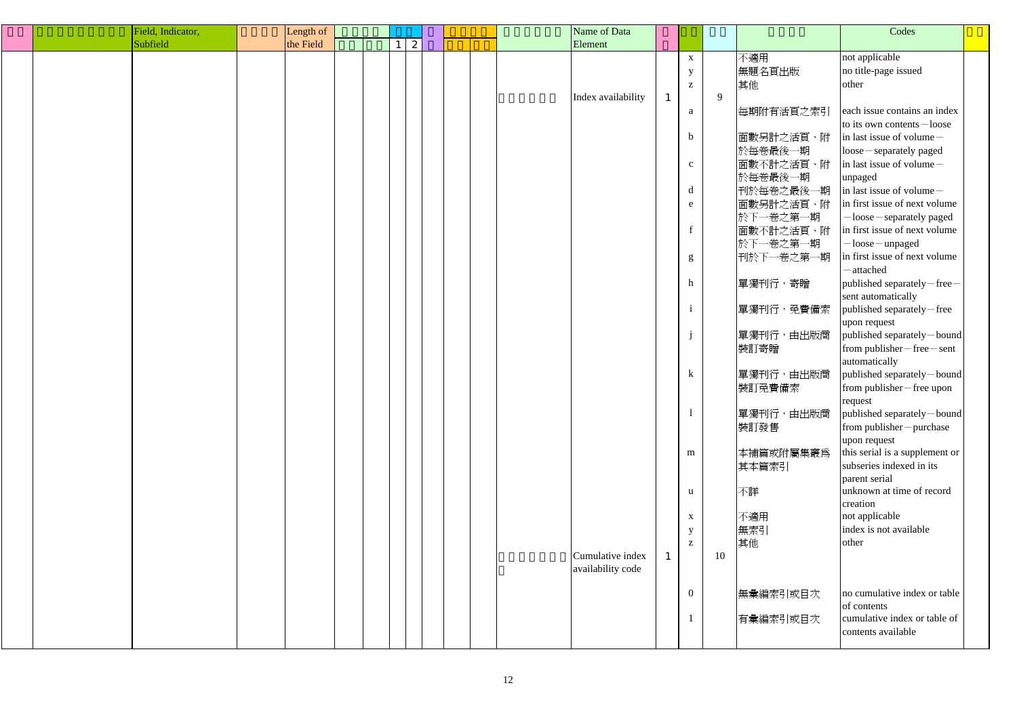| Field, Indicator, | Length of |                 |  |  | Name of Data       |              |                                                       |    |            | Codes                                                      |  |
|-------------------|-----------|-----------------|--|--|--------------------|--------------|-------------------------------------------------------|----|------------|------------------------------------------------------------|--|
| Subfield          | the Field | $1 \mid 2 \mid$ |  |  | Element            |              |                                                       |    |            |                                                            |  |
|                   |           |                 |  |  |                    |              | $\mathbf X$                                           |    | 不適用        | not applicable                                             |  |
|                   |           |                 |  |  |                    |              | $\mathbf{y}$                                          |    | 無題名頁出版     | no title-page issued                                       |  |
|                   |           |                 |  |  |                    |              | $\mathbf{Z}% ^{T}=\mathbf{Z}^{T}\times\mathbf{Z}^{T}$ |    | 其他         | other                                                      |  |
|                   |           |                 |  |  | Index availability | $\mathbf{1}$ |                                                       | 9  |            |                                                            |  |
|                   |           |                 |  |  |                    |              | a                                                     |    | 每期附有活頁之索引  | each issue contains an index                               |  |
|                   |           |                 |  |  |                    |              |                                                       |    |            | to its own contents $-\text{loose}$                        |  |
|                   |           |                 |  |  |                    |              | $\mathbf b$                                           |    | 面數另計之活頁、附  | in last issue of volume $-$                                |  |
|                   |           |                 |  |  |                    |              |                                                       |    |            |                                                            |  |
|                   |           |                 |  |  |                    |              |                                                       |    | 於每卷最後一期    | $ loose -$ separately paged<br>in last issue of volume $-$ |  |
|                   |           |                 |  |  |                    |              | $\mathbf C$                                           |    | 面數不計之活頁、附  |                                                            |  |
|                   |           |                 |  |  |                    |              |                                                       |    | 於每卷最後一期    | unpaged                                                    |  |
|                   |           |                 |  |  |                    |              | d                                                     |    | 刊於每卷之最後一期  | in last issue of volume $-$                                |  |
|                   |           |                 |  |  |                    |              | e                                                     |    | 面數另計之活頁、附  | in first issue of next volume                              |  |
|                   |           |                 |  |  |                    |              |                                                       |    | 於下一卷之第一期   | -loose - separately paged                                  |  |
|                   |           |                 |  |  |                    |              | $\mathbf f$                                           |    | 面數不計之活頁、附  | in first issue of next volume                              |  |
|                   |           |                 |  |  |                    |              |                                                       |    | 於下一卷之第一期   | -loose - unpaged                                           |  |
|                   |           |                 |  |  |                    |              | g                                                     |    | 刊於下一卷之第一期  | in first issue of next volume                              |  |
|                   |           |                 |  |  |                    |              |                                                       |    |            | -attached                                                  |  |
|                   |           |                 |  |  |                    |              | h                                                     |    | 單獨刊行,寄贈    | published separately-free-                                 |  |
|                   |           |                 |  |  |                    |              |                                                       |    |            | sent automatically                                         |  |
|                   |           |                 |  |  |                    |              |                                                       |    | 單獨刊行, 免費備索 | published separately-free                                  |  |
|                   |           |                 |  |  |                    |              |                                                       |    |            | upon request                                               |  |
|                   |           |                 |  |  |                    |              |                                                       |    | 單獨刊行,由出版商  | published separately-bound                                 |  |
|                   |           |                 |  |  |                    |              |                                                       |    | 裝訂寄贈       | from publisher – free – sent                               |  |
|                   |           |                 |  |  |                    |              |                                                       |    |            | automatically                                              |  |
|                   |           |                 |  |  |                    |              | $\bf k$                                               |    | 單獨刊行,由出版商  | published separately-bound                                 |  |
|                   |           |                 |  |  |                    |              |                                                       |    | 裝訂免費備索     | from publisher – free upon                                 |  |
|                   |           |                 |  |  |                    |              |                                                       |    |            | request                                                    |  |
|                   |           |                 |  |  |                    |              |                                                       |    | 單獨刊行,由出版商  | published separately-bound                                 |  |
|                   |           |                 |  |  |                    |              |                                                       |    | 裝訂發售       | $from public - purchase$                                   |  |
|                   |           |                 |  |  |                    |              |                                                       |    |            | upon request                                               |  |
|                   |           |                 |  |  |                    |              | ${\bf m}$                                             |    | 本補篇或附屬集叢爲  | this serial is a supplement or                             |  |
|                   |           |                 |  |  |                    |              |                                                       |    | 其本篇索引      | subseries indexed in its                                   |  |
|                   |           |                 |  |  |                    |              |                                                       |    |            | parent serial                                              |  |
|                   |           |                 |  |  |                    |              | $\mathbf{u}$                                          |    | 不詳         | unknown at time of record                                  |  |
|                   |           |                 |  |  |                    |              |                                                       |    |            | creation                                                   |  |
|                   |           |                 |  |  |                    |              | $\mathbf X$                                           |    | 不適用        | not applicable                                             |  |
|                   |           |                 |  |  |                    |              | $\mathbf{y}$                                          |    | 無索引        | index is not available                                     |  |
|                   |           |                 |  |  |                    |              | $\mathbf{Z}% ^{T}=\mathbf{Z}^{T}\times\mathbf{Z}^{T}$ |    | 其他         | other                                                      |  |
|                   |           |                 |  |  | Cumulative index   | $\mathbf{1}$ |                                                       | 10 |            |                                                            |  |
|                   |           |                 |  |  | availability code  |              |                                                       |    |            |                                                            |  |
|                   |           |                 |  |  |                    |              |                                                       |    |            |                                                            |  |
|                   |           |                 |  |  |                    |              | $\overline{0}$                                        |    | 無彙編索引或目次   | no cumulative index or table                               |  |
|                   |           |                 |  |  |                    |              |                                                       |    |            | of contents                                                |  |
|                   |           |                 |  |  |                    |              |                                                       |    | 有彙編索引或目次   | cumulative index or table of                               |  |
|                   |           |                 |  |  |                    |              |                                                       |    |            | contents available                                         |  |
|                   |           |                 |  |  |                    |              |                                                       |    |            |                                                            |  |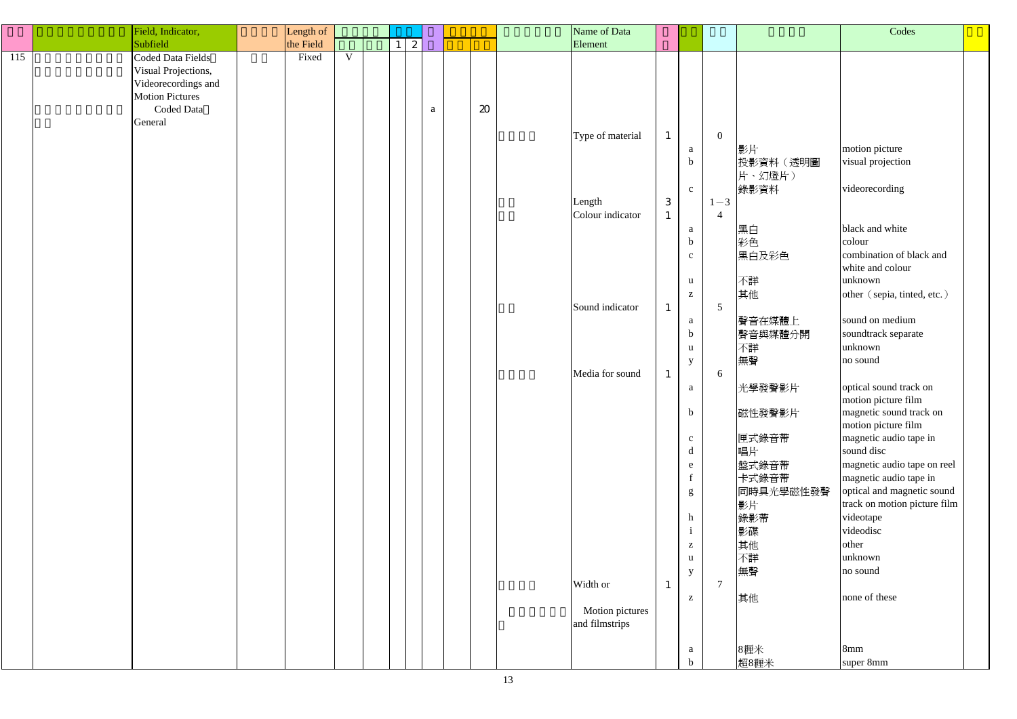|     | Field, Indicator,      | Length of |             |              |              |                            | Name of Data                      |              |              |                 |           | Codes                        |  |
|-----|------------------------|-----------|-------------|--------------|--------------|----------------------------|-----------------------------------|--------------|--------------|-----------------|-----------|------------------------------|--|
|     | Subfield               | the Field |             | $\mathbf{2}$ |              |                            | Element                           |              |              |                 |           |                              |  |
| 115 | Coded Data Fields      | Fixed     | $\mathbf V$ |              |              |                            |                                   |              |              |                 |           |                              |  |
|     | Visual Projections,    |           |             |              |              |                            |                                   |              |              |                 |           |                              |  |
|     | Videorecordings and    |           |             |              |              |                            |                                   |              |              |                 |           |                              |  |
|     | <b>Motion Pictures</b> |           |             |              |              |                            |                                   |              |              |                 |           |                              |  |
|     |                        |           |             |              |              |                            |                                   |              |              |                 |           |                              |  |
|     | Coded Data             |           |             |              | $\mathbf{a}$ | $\boldsymbol{\mathcal{Z}}$ |                                   |              |              |                 |           |                              |  |
|     | General                |           |             |              |              |                            |                                   |              |              |                 |           |                              |  |
|     |                        |           |             |              |              |                            | Type of material                  | $\mathbf{1}$ |              | $\overline{0}$  |           |                              |  |
|     |                        |           |             |              |              |                            |                                   |              | a            |                 | 影片        | motion picture               |  |
|     |                        |           |             |              |              |                            |                                   |              | $\mathbf b$  |                 | 投影資料 (透明圖 | visual projection            |  |
|     |                        |           |             |              |              |                            |                                   |              |              |                 | 片、幻燈片)    |                              |  |
|     |                        |           |             |              |              |                            |                                   |              | $\mathbf{c}$ |                 | 錄影資料      | videorecording               |  |
|     |                        |           |             |              |              |                            | Length                            | $\mathbf{3}$ |              | $1 - 3$         |           |                              |  |
|     |                        |           |             |              |              |                            | Colour indicator                  | $\mathbf{1}$ |              | $\overline{4}$  |           |                              |  |
|     |                        |           |             |              |              |                            |                                   |              | a            |                 | 黑白        | black and white              |  |
|     |                        |           |             |              |              |                            |                                   |              | $\mathbf b$  |                 | 彩色        | colour                       |  |
|     |                        |           |             |              |              |                            |                                   |              | $\mathbf{c}$ |                 | 黑白及彩色     | combination of black and     |  |
|     |                        |           |             |              |              |                            |                                   |              |              |                 |           | white and colour             |  |
|     |                        |           |             |              |              |                            |                                   |              | $\mathbf{u}$ |                 | 不詳        | unknown                      |  |
|     |                        |           |             |              |              |                            |                                   |              | $\mathbf{Z}$ |                 | 其他        | other (sepia, tinted, etc.)  |  |
|     |                        |           |             |              |              |                            | Sound indicator                   | $\mathbf{1}$ |              | $5\overline{)}$ |           |                              |  |
|     |                        |           |             |              |              |                            |                                   |              |              |                 |           | sound on medium              |  |
|     |                        |           |             |              |              |                            |                                   |              | a            |                 | 聲音在媒體上    |                              |  |
|     |                        |           |             |              |              |                            |                                   |              | $\mathbf b$  |                 | 聲音與媒體分開   | soundtrack separate          |  |
|     |                        |           |             |              |              |                            |                                   |              | u            |                 | 不詳        | unknown                      |  |
|     |                        |           |             |              |              |                            |                                   |              | y            |                 | 無聲        | no sound                     |  |
|     |                        |           |             |              |              |                            | Media for sound                   | $\mathbf{1}$ |              | 6               |           |                              |  |
|     |                        |           |             |              |              |                            |                                   |              | a            |                 | 光學發聲影片    | optical sound track on       |  |
|     |                        |           |             |              |              |                            |                                   |              |              |                 |           | motion picture film          |  |
|     |                        |           |             |              |              |                            |                                   |              | $\mathbf b$  |                 | 磁性發聲影片    | magnetic sound track on      |  |
|     |                        |           |             |              |              |                            |                                   |              |              |                 |           | motion picture film          |  |
|     |                        |           |             |              |              |                            |                                   |              | $\mathbf{c}$ |                 | 匣式錄音帶     | magnetic audio tape in       |  |
|     |                        |           |             |              |              |                            |                                   |              | d            |                 | 唱片        | sound disc                   |  |
|     |                        |           |             |              |              |                            |                                   |              | e            |                 | 盤式錄音帶     | magnetic audio tape on reel  |  |
|     |                        |           |             |              |              |                            |                                   |              |              |                 | 卡式錄音帶     | magnetic audio tape in       |  |
|     |                        |           |             |              |              |                            |                                   |              | g            |                 | 同時具光學磁性發聲 | optical and magnetic sound   |  |
|     |                        |           |             |              |              |                            |                                   |              |              |                 | 影片        | track on motion picture film |  |
|     |                        |           |             |              |              |                            |                                   |              | h            |                 | 錄影帶       | videotape                    |  |
|     |                        |           |             |              |              |                            |                                   |              | $\rm i$      |                 | 影碟        | videodisc                    |  |
|     |                        |           |             |              |              |                            |                                   |              | $\mathbf{Z}$ |                 | 其他        | other                        |  |
|     |                        |           |             |              |              |                            |                                   |              | $\mathbf{u}$ |                 | 不詳        | unknown                      |  |
|     |                        |           |             |              |              |                            |                                   |              | y            |                 | 無聲        | no sound                     |  |
|     |                        |           |             |              |              |                            | Width or                          | $\mathbf{1}$ |              | $\overline{7}$  |           |                              |  |
|     |                        |           |             |              |              |                            |                                   |              | $\mathbf{Z}$ |                 | 其他        | none of these                |  |
|     |                        |           |             |              |              |                            |                                   |              |              |                 |           |                              |  |
|     |                        |           |             |              |              |                            | Motion pictures<br>and filmstrips |              |              |                 |           |                              |  |
|     |                        |           |             |              |              |                            |                                   |              |              |                 |           |                              |  |
|     |                        |           |             |              |              |                            |                                   |              |              |                 |           |                              |  |
|     |                        |           |             |              |              |                            |                                   |              | a            |                 | 8糎米       | 8mm                          |  |
|     |                        |           |             |              |              |                            |                                   |              | $\mathbf b$  |                 | 超8糎米      | super 8mm                    |  |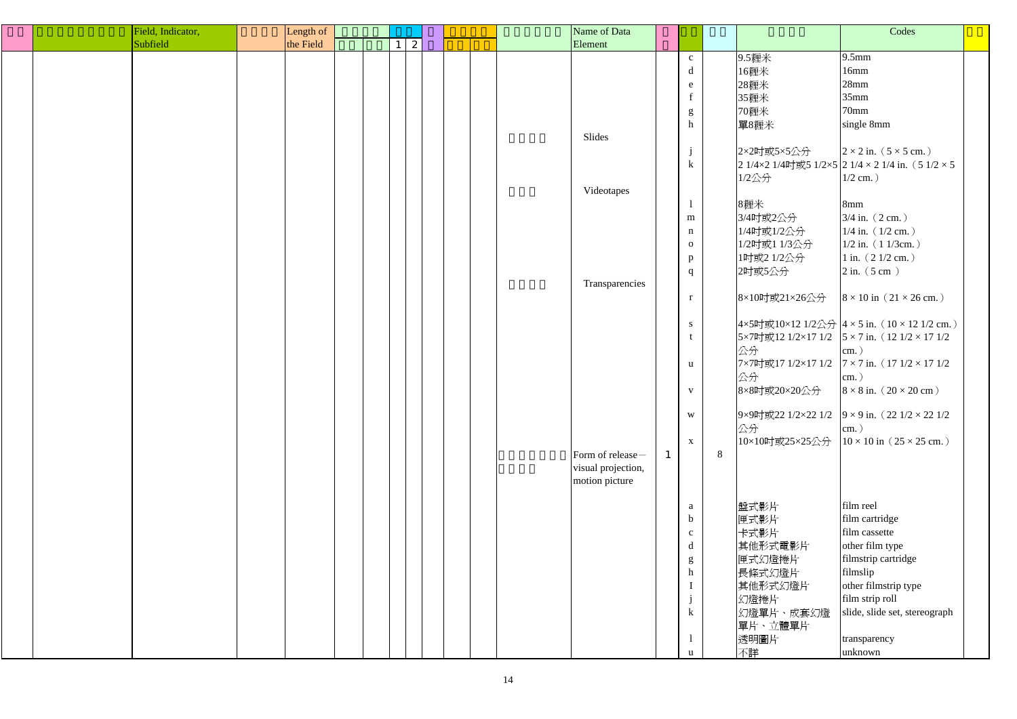|  | Field, Indicator, | Length of |  |   |  |  | Name of Data       |              |                   |   |                      | Codes                                                              |  |
|--|-------------------|-----------|--|---|--|--|--------------------|--------------|-------------------|---|----------------------|--------------------------------------------------------------------|--|
|  | Subfield          | the Field |  | 2 |  |  | Element            |              |                   |   |                      |                                                                    |  |
|  |                   |           |  |   |  |  |                    |              | $\mathbf{C}$      |   | 9.5糎米                | $9.5$ mm                                                           |  |
|  |                   |           |  |   |  |  |                    |              | d                 |   | 16糎米                 | 16mm                                                               |  |
|  |                   |           |  |   |  |  |                    |              | e                 |   | 28糎米                 | 28mm                                                               |  |
|  |                   |           |  |   |  |  |                    |              | $\mathbf{f}$      |   | 35糎米                 | 35mm                                                               |  |
|  |                   |           |  |   |  |  |                    |              | ${\bf g}$         |   | 70糎米                 | 70mm                                                               |  |
|  |                   |           |  |   |  |  |                    |              | $\hbar$           |   | 單8糎米                 | single 8mm                                                         |  |
|  |                   |           |  |   |  |  | Slides             |              |                   |   |                      |                                                                    |  |
|  |                   |           |  |   |  |  |                    |              | $\mathbf{J}$      |   | 2×2吋或5×5公分           | $2 \times 2$ in. $(5 \times 5$ cm.)                                |  |
|  |                   |           |  |   |  |  |                    |              | $\mathbf k$       |   |                      | $21/4 \times 21/4$ 吋或5 1/2×5 $21/4 \times 21/4$ in. (51/2×5)       |  |
|  |                   |           |  |   |  |  |                    |              |                   |   | $1/2$ 公分             | $1/2$ cm.)                                                         |  |
|  |                   |           |  |   |  |  | Videotapes         |              |                   |   |                      |                                                                    |  |
|  |                   |           |  |   |  |  |                    |              |                   |   | 8糎米                  | 8mm                                                                |  |
|  |                   |           |  |   |  |  |                    |              | m                 |   | 3/4吋或2公分             | $3/4$ in. $(2 \text{ cm.})$                                        |  |
|  |                   |           |  |   |  |  |                    |              | $\mathbf n$       |   | 1/4吋或1/2公分           | $1/4$ in. $(1/2$ cm.)                                              |  |
|  |                   |           |  |   |  |  |                    |              | $\mathbf{O}$      |   | 1/2吋或1 1/3公分         | $1/2$ in. $(11/3cm.)$                                              |  |
|  |                   |           |  |   |  |  |                    |              |                   |   | 1吋或2 1/2公分           | $1$ in. $(21/2$ cm.)                                               |  |
|  |                   |           |  |   |  |  |                    |              | p<br>$\mathbf{q}$ |   | 2吋或5公分               | $2$ in. $(5 \text{ cm})$                                           |  |
|  |                   |           |  |   |  |  | Transparencies     |              |                   |   |                      |                                                                    |  |
|  |                   |           |  |   |  |  |                    |              | $\mathbf{r}$      |   | 8×10吋或21×26公分        | $8 \times 10$ in $(21 \times 26$ cm.)                              |  |
|  |                   |           |  |   |  |  |                    |              | ${\bf S}$         |   |                      | $4 \times 5$ 吋或10×12 1/2公分 $4 \times 5$ in. (10 × 12 1/2 cm.)      |  |
|  |                   |           |  |   |  |  |                    |              |                   |   |                      | $5 \times 7$ 吋或12 1/2×17 1/2 5 × 7 in. (12 1/2 × 17 1/2            |  |
|  |                   |           |  |   |  |  |                    |              | u                 |   | 公分                   | $cm.$ )<br>$7 \times 7$ 吋或17 1/2×17 1/2 7 × 7 in. (17 1/2 × 17 1/2 |  |
|  |                   |           |  |   |  |  |                    |              |                   |   | 公分                   | $\text{cm.}$ )                                                     |  |
|  |                   |           |  |   |  |  |                    |              | $\mathbf{V}$      |   | 8×8吋或20×20公分         | $8 \times 8$ in. $(20 \times 20$ cm)                               |  |
|  |                   |           |  |   |  |  |                    |              | $\mathbf W$       |   |                      | $9 \times 9$ 吋或22 1/2×22 1/2 $9 \times 9$ in. (22 1/2 × 22 1/2     |  |
|  |                   |           |  |   |  |  |                    |              | $\mathbf{X}$      |   | 公分<br>10×10吋或25×25公分 | $\text{cm.}$ )<br>$10 \times 10$ in $(25 \times 25$ cm.)           |  |
|  |                   |           |  |   |  |  | Form of release-   | $\mathbf{1}$ |                   | 8 |                      |                                                                    |  |
|  |                   |           |  |   |  |  | visual projection, |              |                   |   |                      |                                                                    |  |
|  |                   |           |  |   |  |  | motion picture     |              |                   |   |                      |                                                                    |  |
|  |                   |           |  |   |  |  |                    |              |                   |   |                      |                                                                    |  |
|  |                   |           |  |   |  |  |                    |              | a                 |   | 盤式影片                 | film reel                                                          |  |
|  |                   |           |  |   |  |  |                    |              | $\mathbf b$       |   | 匣式影片                 | film cartridge                                                     |  |
|  |                   |           |  |   |  |  |                    |              | $\mathbf{C}$      |   | 卡式影片                 | film cassette                                                      |  |
|  |                   |           |  |   |  |  |                    |              | $\mathbf d$       |   | 其他形式電影片              | other film type                                                    |  |
|  |                   |           |  |   |  |  |                    |              | g                 |   | 匣式幻燈捲片               | filmstrip cartridge                                                |  |
|  |                   |           |  |   |  |  |                    |              | h                 |   | 長條式幻燈片               | filmslip                                                           |  |
|  |                   |           |  |   |  |  |                    |              |                   |   | 其他形式幻燈片              | other filmstrip type                                               |  |
|  |                   |           |  |   |  |  |                    |              |                   |   | 幻燈捲片                 | film strip roll                                                    |  |
|  |                   |           |  |   |  |  |                    |              | $\bf k$           |   | 幻燈單片、成套幻燈            | slide, slide set, stereograph                                      |  |
|  |                   |           |  |   |  |  |                    |              |                   |   | 單片、立體單片              |                                                                    |  |
|  |                   |           |  |   |  |  |                    |              |                   |   | 透明圖片                 | transparency                                                       |  |
|  |                   |           |  |   |  |  |                    |              | $\mathbf u$       |   | 不詳                   | unknown                                                            |  |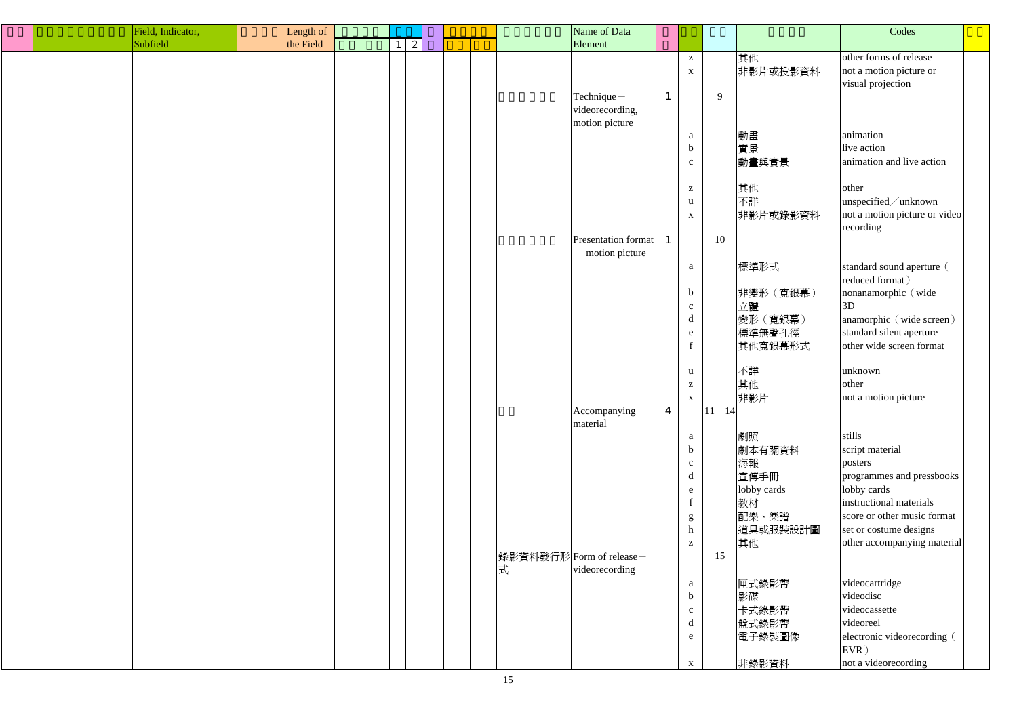| Field, Indicator, | Length of |   |  |                          | Name of Data               |                |                                                                 |           |             | Codes                         |
|-------------------|-----------|---|--|--------------------------|----------------------------|----------------|-----------------------------------------------------------------|-----------|-------------|-------------------------------|
| Subfield          | the Field | 2 |  |                          | Element                    |                |                                                                 |           |             |                               |
|                   |           |   |  |                          |                            |                | $\mathbf{Z}$                                                    |           | 其他          | other forms of release        |
|                   |           |   |  |                          |                            |                | $\mathbf X$                                                     |           | 非影片或投影資料    | not a motion picture or       |
|                   |           |   |  |                          |                            |                |                                                                 |           |             | visual projection             |
|                   |           |   |  |                          | Technique-                 | $\mathbf{1}$   |                                                                 | 9         |             |                               |
|                   |           |   |  |                          |                            |                |                                                                 |           |             |                               |
|                   |           |   |  |                          | videorecording,            |                |                                                                 |           |             |                               |
|                   |           |   |  |                          | motion picture             |                |                                                                 |           |             | animation                     |
|                   |           |   |  |                          |                            |                | a                                                               |           | 動畫          |                               |
|                   |           |   |  |                          |                            |                | $\mathbf b$                                                     |           | 實景          | live action                   |
|                   |           |   |  |                          |                            |                | $\mathbf{C}$                                                    |           | 動畫與實景       | animation and live action     |
|                   |           |   |  |                          |                            |                |                                                                 |           |             |                               |
|                   |           |   |  |                          |                            |                | $\mathbf{Z}$                                                    |           | 其他          | other                         |
|                   |           |   |  |                          |                            |                | $\mathbf u$                                                     |           | 不詳          | unspecified/unknown           |
|                   |           |   |  |                          |                            |                | $\mathbf X$                                                     |           | 非影片或錄影資料    | not a motion picture or video |
|                   |           |   |  |                          |                            |                |                                                                 |           |             | recording                     |
|                   |           |   |  |                          | <b>Presentation format</b> | $\mathbf{1}$   |                                                                 | 10        |             |                               |
|                   |           |   |  |                          | - motion picture           |                |                                                                 |           |             |                               |
|                   |           |   |  |                          |                            |                | $\mathbf{a}$                                                    |           | 標準形式        | standard sound aperture (     |
|                   |           |   |  |                          |                            |                |                                                                 |           |             | reduced format)               |
|                   |           |   |  |                          |                            |                | $\mathbf b$                                                     |           | 非變形 (寬銀幕)   | nonanamorphic (wide           |
|                   |           |   |  |                          |                            |                | $\mathbf{c}$                                                    |           | 立體          | 3D                            |
|                   |           |   |  |                          |                            |                | $\mathbf d$                                                     |           | 變形 (寬銀幕)    | anamorphic (wide screen)      |
|                   |           |   |  |                          |                            |                | ${\bf e}$                                                       |           | 標準無聲孔徑      | standard silent aperture      |
|                   |           |   |  |                          |                            |                | f                                                               |           | 其他寬銀幕形式     | other wide screen format      |
|                   |           |   |  |                          |                            |                |                                                                 |           |             |                               |
|                   |           |   |  |                          |                            |                | $\mathbf u$                                                     |           | 不詳          | unknown                       |
|                   |           |   |  |                          |                            |                | $\mathbf{Z}% ^{T}=\mathbf{Z}^{T}\times\mathbf{Z}^{T}$           |           | 其他          | other                         |
|                   |           |   |  |                          |                            |                | $\mathbf X$                                                     |           | 非影片         | not a motion picture          |
|                   |           |   |  |                          | Accompanying               | $\overline{4}$ |                                                                 | $11 - 14$ |             |                               |
|                   |           |   |  |                          | material                   |                |                                                                 |           |             |                               |
|                   |           |   |  |                          |                            |                | a                                                               |           | 劇照          | stills                        |
|                   |           |   |  |                          |                            |                | $\mathbf b$                                                     |           | 劇本有關資料      | script material               |
|                   |           |   |  |                          |                            |                | $\mathbf{c}$                                                    |           | 海報          | posters                       |
|                   |           |   |  |                          |                            |                | $\mathbf d$                                                     |           | 宣傳手冊        | programmes and pressbooks     |
|                   |           |   |  |                          |                            |                | e                                                               |           | lobby cards | lobby cards                   |
|                   |           |   |  |                          |                            |                | $\mathbf f$                                                     |           | 教材          | instructional materials       |
|                   |           |   |  |                          |                            |                |                                                                 |           | 配樂、樂譜       | score or other music format   |
|                   |           |   |  |                          |                            |                | $\mathbf{g}% _{0}\left( \mathbf{r},\mathbf{r}\right)$<br>$\,$ h |           | 道具或服裝設計圖    | set or costume designs        |
|                   |           |   |  |                          |                            |                | $\mathbf{Z}$                                                    |           | 其他          | other accompanying material   |
|                   |           |   |  |                          |                            |                |                                                                 |           |             |                               |
|                   |           |   |  | 錄影資料發行形 Form of release- |                            |                |                                                                 | 15        |             |                               |
|                   |           |   |  | 式                        | videorecording             |                |                                                                 |           |             |                               |
|                   |           |   |  |                          |                            |                | $\mathbf{a}$                                                    |           | 匣式錄影帶       | videocartridge                |
|                   |           |   |  |                          |                            |                | $\mathbf b$                                                     |           | 影碟          | videodisc                     |
|                   |           |   |  |                          |                            |                | $\mathbf{c}$                                                    |           | 卡式錄影帶       | videocassette                 |
|                   |           |   |  |                          |                            |                | $\mathbf d$                                                     |           | 盤式錄影帶       | videoreel                     |
|                   |           |   |  |                          |                            |                | e                                                               |           | 電子錄製圖像      | electronic videorecording (   |
|                   |           |   |  |                          |                            |                |                                                                 |           |             | $EVR$ )                       |
|                   |           |   |  |                          |                            |                | $\mathbf X$                                                     |           | 非錄影資料       | not a videorecording          |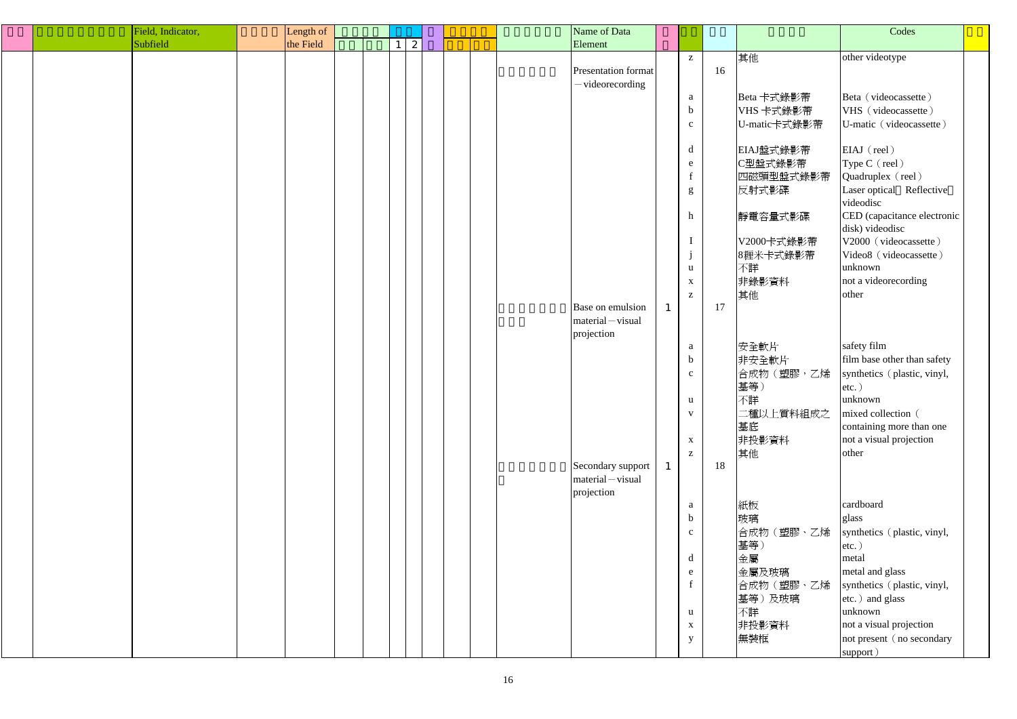|  | Field, Indicator, | Length of |  |   |  | Name of Data        |              |    |              | Codes                                          |  |
|--|-------------------|-----------|--|---|--|---------------------|--------------|----|--------------|------------------------------------------------|--|
|  | Subfield          | the Field |  | 2 |  | Element             |              |    |              |                                                |  |
|  |                   |           |  |   |  |                     | $\mathbf{Z}$ |    | 其他           | other videotype                                |  |
|  |                   |           |  |   |  | Presentation format |              | 16 |              |                                                |  |
|  |                   |           |  |   |  | -videorecording     |              |    |              |                                                |  |
|  |                   |           |  |   |  |                     | a            |    | Beta 卡式錄影帶   | Beta (videocassette)                           |  |
|  |                   |           |  |   |  |                     | $\mathbf b$  |    | VHS 卡式錄影帶    | VHS (videocassette)                            |  |
|  |                   |           |  |   |  |                     |              |    |              |                                                |  |
|  |                   |           |  |   |  |                     | $\mathbf{c}$ |    | U-matic卡式錄影帶 | U-matic (videocassette)                        |  |
|  |                   |           |  |   |  |                     | d            |    |              |                                                |  |
|  |                   |           |  |   |  |                     |              |    | EIAJ盤式錄影帶    | EIAJ (reel)                                    |  |
|  |                   |           |  |   |  |                     | e            |    | C型盤式錄影帶      | Type C (reel)                                  |  |
|  |                   |           |  |   |  |                     |              |    | 四磁頭型盤式錄影帶    | Quadruplex (reel)                              |  |
|  |                   |           |  |   |  |                     | g            |    | 反射式影碟        | Laser optical Reflective                       |  |
|  |                   |           |  |   |  |                     |              |    |              | videodisc                                      |  |
|  |                   |           |  |   |  |                     | h            |    | 靜電容量式影碟      | CED (capacitance electronic<br>disk) videodisc |  |
|  |                   |           |  |   |  |                     |              |    |              |                                                |  |
|  |                   |           |  |   |  |                     |              |    | V2000卡式錄影帶   | V2000 (videocassette)                          |  |
|  |                   |           |  |   |  |                     | $\mathbf{J}$ |    | 8糎米卡式錄影帶     | Video8 (videocassette)                         |  |
|  |                   |           |  |   |  |                     | $\mathbf{u}$ |    | 不詳           | unknown                                        |  |
|  |                   |           |  |   |  |                     | $\mathbf{X}$ |    | 非錄影資料        | not a videorecording                           |  |
|  |                   |           |  |   |  |                     | $\mathbf{Z}$ |    | 其他           | other                                          |  |
|  |                   |           |  |   |  | Base on emulsion    |              | 17 |              |                                                |  |
|  |                   |           |  |   |  | $material - visual$ |              |    |              |                                                |  |
|  |                   |           |  |   |  | projection          |              |    |              |                                                |  |
|  |                   |           |  |   |  |                     | a            |    | 安全軟片         | safety film                                    |  |
|  |                   |           |  |   |  |                     | $\mathbf b$  |    | 非安全軟片        | film base other than safety                    |  |
|  |                   |           |  |   |  |                     | $\mathbf{c}$ |    | 合成物(塑膠,乙烯    | synthetics (plastic, vinyl,                    |  |
|  |                   |           |  |   |  |                     |              |    | 基等)          | $etc.$ )                                       |  |
|  |                   |           |  |   |  |                     | <u>u</u>     |    | 不詳           | unknown                                        |  |
|  |                   |           |  |   |  |                     | $\mathbf V$  |    | 二種以上質料組成之    | mixed collection (                             |  |
|  |                   |           |  |   |  |                     |              |    | 基底           | containing more than one                       |  |
|  |                   |           |  |   |  |                     | $\mathbf{X}$ |    | 非投影資料        | not a visual projection                        |  |
|  |                   |           |  |   |  |                     | $\mathbf{Z}$ |    | 其他           | other                                          |  |
|  |                   |           |  |   |  | Secondary support   |              | 18 |              |                                                |  |
|  |                   |           |  |   |  | $material - visual$ |              |    |              |                                                |  |
|  |                   |           |  |   |  | projection          |              |    |              |                                                |  |
|  |                   |           |  |   |  |                     | a            |    | 紙板           | cardboard                                      |  |
|  |                   |           |  |   |  |                     | $\mathbf b$  |    | 玻璃           | glass                                          |  |
|  |                   |           |  |   |  |                     | $\mathbf{c}$ |    | 合成物(塑膠、乙烯    | synthetics (plastic, vinyl,                    |  |
|  |                   |           |  |   |  |                     |              |    | 基等)          | $etc.$ )                                       |  |
|  |                   |           |  |   |  |                     | d            |    | 金屬           | metal                                          |  |
|  |                   |           |  |   |  |                     | $\mathbf{e}$ |    | 金屬及玻璃        | metal and glass                                |  |
|  |                   |           |  |   |  |                     |              |    | 合成物(塑膠、乙烯    | synthetics (plastic, vinyl,                    |  |
|  |                   |           |  |   |  |                     |              |    | 基等)及玻璃       |                                                |  |
|  |                   |           |  |   |  |                     |              |    |              | etc.) and glass                                |  |
|  |                   |           |  |   |  |                     | $\mathbf{u}$ |    | 不詳           | unknown                                        |  |
|  |                   |           |  |   |  |                     | $\mathbf{X}$ |    | 非投影資料        | not a visual projection                        |  |
|  |                   |           |  |   |  |                     | y            |    | 無裝框          | not present (no secondary                      |  |
|  |                   |           |  |   |  |                     |              |    |              | support)                                       |  |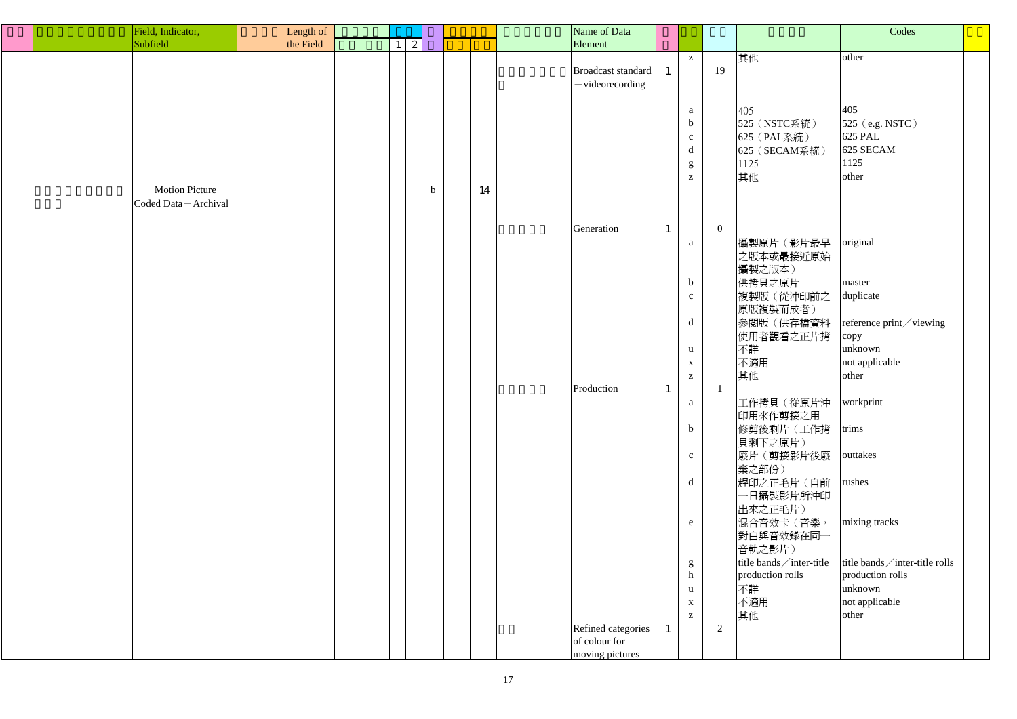|  | Field, Indicator,     | Length of |  |                              |             |    | Name of Data              |              |              |          |                           | Codes                           |  |
|--|-----------------------|-----------|--|------------------------------|-------------|----|---------------------------|--------------|--------------|----------|---------------------------|---------------------------------|--|
|  | Subfield              | the Field |  | $\mathbf{2}$<br>$\mathbf{1}$ |             |    | Element                   |              |              |          |                           |                                 |  |
|  |                       |           |  |                              |             |    |                           |              |              |          |                           |                                 |  |
|  |                       |           |  |                              |             |    |                           |              | $\mathbf{Z}$ |          | 其他                        | other                           |  |
|  |                       |           |  |                              |             |    | <b>Broadcast standard</b> | $\mathbf{1}$ |              | 19       |                           |                                 |  |
|  |                       |           |  |                              |             |    | -videorecording           |              |              |          |                           |                                 |  |
|  |                       |           |  |                              |             |    |                           |              |              |          |                           |                                 |  |
|  |                       |           |  |                              |             |    |                           |              | a            |          | 405                       | 405                             |  |
|  |                       |           |  |                              |             |    |                           |              | $\mathbf b$  |          | 525 (NSTC系統)              | $525$ (e.g. NSTC)               |  |
|  |                       |           |  |                              |             |    |                           |              |              |          |                           | 625 PAL                         |  |
|  |                       |           |  |                              |             |    |                           |              | $\mathbf{C}$ |          | 625 (PAL系統)               |                                 |  |
|  |                       |           |  |                              |             |    |                           |              | d            |          | 625 (SECAM系統)             | 625 SECAM                       |  |
|  |                       |           |  |                              |             |    |                           |              | g            |          | 1125                      | 1125                            |  |
|  |                       |           |  |                              |             |    |                           |              | $\mathbf{Z}$ |          | 其他                        | other                           |  |
|  | <b>Motion Picture</b> |           |  |                              | $\mathbf b$ | 14 |                           |              |              |          |                           |                                 |  |
|  | Coded Data-Archival   |           |  |                              |             |    |                           |              |              |          |                           |                                 |  |
|  |                       |           |  |                              |             |    |                           |              |              |          |                           |                                 |  |
|  |                       |           |  |                              |             |    |                           |              |              |          |                           |                                 |  |
|  |                       |           |  |                              |             |    | Generation                | $\mathbf{1}$ |              | $\bf{0}$ |                           |                                 |  |
|  |                       |           |  |                              |             |    |                           |              | a            |          | 攝製原片 (影片最早                | original                        |  |
|  |                       |           |  |                              |             |    |                           |              |              |          | 之版本或最接近原始                 |                                 |  |
|  |                       |           |  |                              |             |    |                           |              |              |          | 攝製之版本)                    |                                 |  |
|  |                       |           |  |                              |             |    |                           |              |              |          |                           |                                 |  |
|  |                       |           |  |                              |             |    |                           |              | $\mathbf b$  |          | 供拷貝之原片                    | master                          |  |
|  |                       |           |  |                              |             |    |                           |              | $\mathbf c$  |          | 複製版(從沖印前之                 | duplicate                       |  |
|  |                       |           |  |                              |             |    |                           |              |              |          | 原版複製而成者)                  |                                 |  |
|  |                       |           |  |                              |             |    |                           |              | d            |          | 參閱版(供存檔資料                 | reference print/viewing         |  |
|  |                       |           |  |                              |             |    |                           |              |              |          | 使用者觀看之正片拷                 | copy                            |  |
|  |                       |           |  |                              |             |    |                           |              |              |          |                           | unknown                         |  |
|  |                       |           |  |                              |             |    |                           |              | $\mathbf{u}$ |          | 不詳                        |                                 |  |
|  |                       |           |  |                              |             |    |                           |              | $\mathbf{X}$ |          | 不適用                       | not applicable                  |  |
|  |                       |           |  |                              |             |    |                           |              | $\mathbf{Z}$ |          | 其他                        | other                           |  |
|  |                       |           |  |                              |             |    | Production                | $\mathbf{1}$ |              |          |                           |                                 |  |
|  |                       |           |  |                              |             |    |                           |              | a            |          | 工作拷貝 (從原片沖   workprint    |                                 |  |
|  |                       |           |  |                              |             |    |                           |              |              |          | 印用來作剪接之用                  |                                 |  |
|  |                       |           |  |                              |             |    |                           |              |              |          |                           |                                 |  |
|  |                       |           |  |                              |             |    |                           |              | $\mathbf b$  |          | 修剪後剩片(工作拷                 | trims                           |  |
|  |                       |           |  |                              |             |    |                           |              |              |          | 貝剩下之原片)                   |                                 |  |
|  |                       |           |  |                              |             |    |                           |              | $\mathbf{c}$ |          | 廢片(剪接影片後廢                 | outtakes                        |  |
|  |                       |           |  |                              |             |    |                           |              |              |          | 棄之部份)                     |                                 |  |
|  |                       |           |  |                              |             |    |                           |              | d            |          | 趕印之正毛片 (自前                | rushes                          |  |
|  |                       |           |  |                              |             |    |                           |              |              |          |                           |                                 |  |
|  |                       |           |  |                              |             |    |                           |              |              |          | 一日攝製影片所沖印                 |                                 |  |
|  |                       |           |  |                              |             |    |                           |              |              |          | 出來之正毛片)                   |                                 |  |
|  |                       |           |  |                              |             |    |                           |              | e            |          | 混合音效卡(音樂,                 | mixing tracks                   |  |
|  |                       |           |  |                              |             |    |                           |              |              |          | 對白與音效錄在同一                 |                                 |  |
|  |                       |           |  |                              |             |    |                           |              |              |          | 音軌之影片)                    |                                 |  |
|  |                       |           |  |                              |             |    |                           |              |              |          | title bands / inter-title | title bands / inter-title rolls |  |
|  |                       |           |  |                              |             |    |                           |              | g            |          |                           |                                 |  |
|  |                       |           |  |                              |             |    |                           |              | h            |          | production rolls          | production rolls                |  |
|  |                       |           |  |                              |             |    |                           |              | $\mathbf{u}$ |          | 不詳                        | unknown                         |  |
|  |                       |           |  |                              |             |    |                           |              | $\mathbf{X}$ |          | 不適用                       | not applicable                  |  |
|  |                       |           |  |                              |             |    |                           |              | $\mathbf{Z}$ |          | 其他                        | other                           |  |
|  |                       |           |  |                              |             |    | Refined categories        |              |              | 2        |                           |                                 |  |
|  |                       |           |  |                              |             |    | of colour for             |              |              |          |                           |                                 |  |
|  |                       |           |  |                              |             |    |                           |              |              |          |                           |                                 |  |
|  |                       |           |  |                              |             |    | moving pictures           |              |              |          |                           |                                 |  |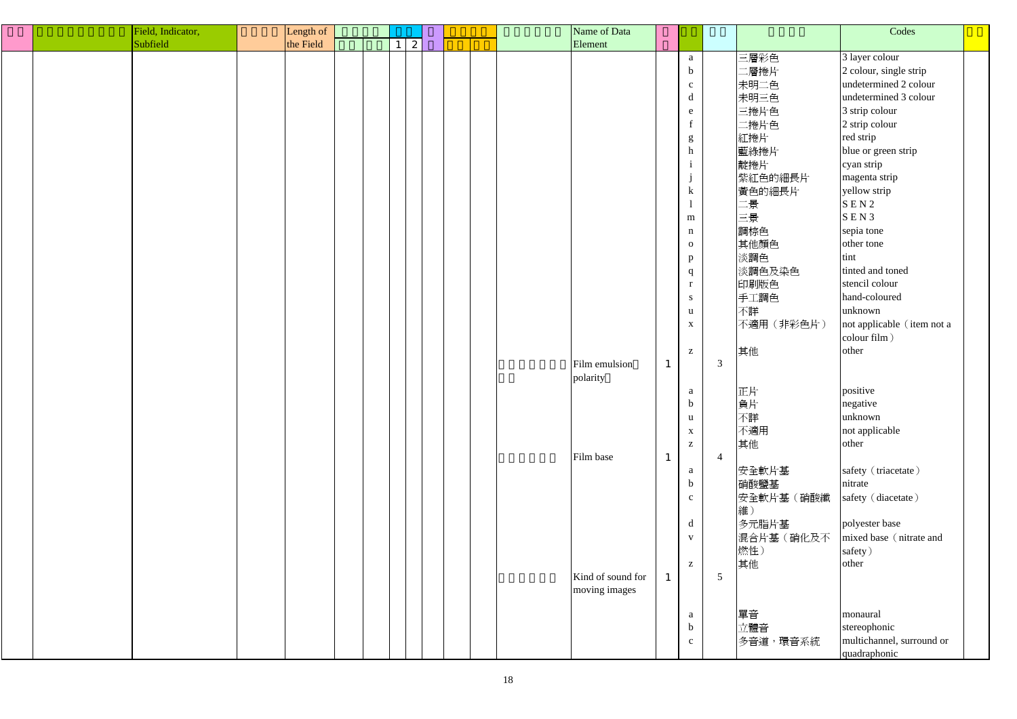|  | Field, Indicator, | Length of |  |                       |  |  | Name of Data      |              |                                                                                                                                                                                                                                                                                                                                                                                                                                              |                |           | Codes                      |  |
|--|-------------------|-----------|--|-----------------------|--|--|-------------------|--------------|----------------------------------------------------------------------------------------------------------------------------------------------------------------------------------------------------------------------------------------------------------------------------------------------------------------------------------------------------------------------------------------------------------------------------------------------|----------------|-----------|----------------------------|--|
|  | Subfield          | the Field |  | $\mathbf{2}^{\prime}$ |  |  | Element           |              |                                                                                                                                                                                                                                                                                                                                                                                                                                              |                |           |                            |  |
|  |                   |           |  |                       |  |  |                   |              | a                                                                                                                                                                                                                                                                                                                                                                                                                                            |                | 三層彩色      | 3 layer colour             |  |
|  |                   |           |  |                       |  |  |                   |              | $\mathbf b$                                                                                                                                                                                                                                                                                                                                                                                                                                  |                | 二層捲片      | 2 colour, single strip     |  |
|  |                   |           |  |                       |  |  |                   |              | $\mathbf{C}$                                                                                                                                                                                                                                                                                                                                                                                                                                 |                | 未明二色      | undetermined 2 colour      |  |
|  |                   |           |  |                       |  |  |                   |              | $\mathrm{d}% \left\  \mathbf{r}_{i}^{*}\right\  _{A_{i}}=\mathrm{d}\left\  \mathbf{r}_{i}^{*}\right\  _{A_{i}}=\mathrm{d}\left\  \mathbf{r}_{i}^{*}\right\  _{A_{i}}=\mathrm{d}\left\  \mathbf{r}_{i}^{*}\right\  _{A_{i}}=\mathrm{d}\left\  \mathbf{r}_{i}^{*}\right\  _{A_{i}}=\mathrm{d}\left\  \mathbf{r}_{i}^{*}\right\  _{A_{i}}=\mathrm{d}\left\  \mathbf{r}_{i}^{*}\right\  _{A_{i}}=\mathrm{d}\left\  \mathbf{r}_{i}^{*}\right\  _$ |                | 未明三色      | undetermined 3 colour      |  |
|  |                   |           |  |                       |  |  |                   |              | e                                                                                                                                                                                                                                                                                                                                                                                                                                            |                | 三捲片色      | 3 strip colour             |  |
|  |                   |           |  |                       |  |  |                   |              | $\mathbf f$                                                                                                                                                                                                                                                                                                                                                                                                                                  |                | 二捲片色      | 2 strip colour             |  |
|  |                   |           |  |                       |  |  |                   |              | ${\sf g}$                                                                                                                                                                                                                                                                                                                                                                                                                                    |                | 紅捲片       | red strip                  |  |
|  |                   |           |  |                       |  |  |                   |              | $\boldsymbol{\text{h}}$                                                                                                                                                                                                                                                                                                                                                                                                                      |                | 藍綠捲片      | blue or green strip        |  |
|  |                   |           |  |                       |  |  |                   |              |                                                                                                                                                                                                                                                                                                                                                                                                                                              |                | 靛捲片       | cyan strip                 |  |
|  |                   |           |  |                       |  |  |                   |              |                                                                                                                                                                                                                                                                                                                                                                                                                                              |                | 紫紅色的細長片   | magenta strip              |  |
|  |                   |           |  |                       |  |  |                   |              | $\mathbf{J}$<br>$\bf k$                                                                                                                                                                                                                                                                                                                                                                                                                      |                | 黃色的細長片    | yellow strip               |  |
|  |                   |           |  |                       |  |  |                   |              |                                                                                                                                                                                                                                                                                                                                                                                                                                              |                | 二景        | SEN2                       |  |
|  |                   |           |  |                       |  |  |                   |              |                                                                                                                                                                                                                                                                                                                                                                                                                                              |                |           | SEN3                       |  |
|  |                   |           |  |                       |  |  |                   |              | m                                                                                                                                                                                                                                                                                                                                                                                                                                            |                | 三景        | sepia tone                 |  |
|  |                   |           |  |                       |  |  |                   |              | $\mathbf n$                                                                                                                                                                                                                                                                                                                                                                                                                                  |                | 調棕色       |                            |  |
|  |                   |           |  |                       |  |  |                   |              | $\mathbf{O}$                                                                                                                                                                                                                                                                                                                                                                                                                                 |                | 其他顏色      | other tone                 |  |
|  |                   |           |  |                       |  |  |                   |              | p                                                                                                                                                                                                                                                                                                                                                                                                                                            |                | 淡調色       | tint                       |  |
|  |                   |           |  |                       |  |  |                   |              | $\mathbf q$                                                                                                                                                                                                                                                                                                                                                                                                                                  |                | 淡調色及染色    | tinted and toned           |  |
|  |                   |           |  |                       |  |  |                   |              | $\bf r$                                                                                                                                                                                                                                                                                                                                                                                                                                      |                | 印刷版色      | stencil colour             |  |
|  |                   |           |  |                       |  |  |                   |              | S                                                                                                                                                                                                                                                                                                                                                                                                                                            |                | 手工調色      | hand-coloured              |  |
|  |                   |           |  |                       |  |  |                   |              | u                                                                                                                                                                                                                                                                                                                                                                                                                                            |                | 不詳        | unknown                    |  |
|  |                   |           |  |                       |  |  |                   |              | $\mathbf X$                                                                                                                                                                                                                                                                                                                                                                                                                                  |                | 不適用(非彩色片) | not applicable (item not a |  |
|  |                   |           |  |                       |  |  |                   |              |                                                                                                                                                                                                                                                                                                                                                                                                                                              |                |           | colour film)               |  |
|  |                   |           |  |                       |  |  |                   |              | $\mathbf{Z}$                                                                                                                                                                                                                                                                                                                                                                                                                                 |                | 其他        | other                      |  |
|  |                   |           |  |                       |  |  | Film emulsion     | $\mathbf{1}$ |                                                                                                                                                                                                                                                                                                                                                                                                                                              | $\mathfrak{Z}$ |           |                            |  |
|  |                   |           |  |                       |  |  | polarity          |              |                                                                                                                                                                                                                                                                                                                                                                                                                                              |                |           |                            |  |
|  |                   |           |  |                       |  |  |                   |              | a                                                                                                                                                                                                                                                                                                                                                                                                                                            |                | 正片        | positive                   |  |
|  |                   |           |  |                       |  |  |                   |              | $\mathbf b$                                                                                                                                                                                                                                                                                                                                                                                                                                  |                | 負片        | negative                   |  |
|  |                   |           |  |                       |  |  |                   |              | u                                                                                                                                                                                                                                                                                                                                                                                                                                            |                | 不詳        | unknown                    |  |
|  |                   |           |  |                       |  |  |                   |              | $\mathbf X$                                                                                                                                                                                                                                                                                                                                                                                                                                  |                | 不適用       | not applicable             |  |
|  |                   |           |  |                       |  |  |                   |              | $\mathbf{Z}$                                                                                                                                                                                                                                                                                                                                                                                                                                 |                | 其他        | other                      |  |
|  |                   |           |  |                       |  |  | Film base         |              |                                                                                                                                                                                                                                                                                                                                                                                                                                              | $\overline{4}$ |           |                            |  |
|  |                   |           |  |                       |  |  |                   |              | a                                                                                                                                                                                                                                                                                                                                                                                                                                            |                | 安全軟片基     | safety (triacetate)        |  |
|  |                   |           |  |                       |  |  |                   |              | $\mathbf b$                                                                                                                                                                                                                                                                                                                                                                                                                                  |                | 硝酸鹽基      | nitrate                    |  |
|  |                   |           |  |                       |  |  |                   |              | $\mathbf{c}$                                                                                                                                                                                                                                                                                                                                                                                                                                 |                | 安全軟片基(硝酸纖 | safety (diacetate)         |  |
|  |                   |           |  |                       |  |  |                   |              |                                                                                                                                                                                                                                                                                                                                                                                                                                              |                | 維)        |                            |  |
|  |                   |           |  |                       |  |  |                   |              | d                                                                                                                                                                                                                                                                                                                                                                                                                                            |                | 多元脂片基     | polyester base             |  |
|  |                   |           |  |                       |  |  |                   |              | $\mathbf{V}$                                                                                                                                                                                                                                                                                                                                                                                                                                 |                | 混合片基(硝化及不 | mixed base (nitrate and    |  |
|  |                   |           |  |                       |  |  |                   |              |                                                                                                                                                                                                                                                                                                                                                                                                                                              |                | 燃性)       | safety)                    |  |
|  |                   |           |  |                       |  |  |                   |              | $\mathbf{Z}$                                                                                                                                                                                                                                                                                                                                                                                                                                 |                | 其他        | other                      |  |
|  |                   |           |  |                       |  |  | Kind of sound for | $\mathbf{1}$ |                                                                                                                                                                                                                                                                                                                                                                                                                                              | 5              |           |                            |  |
|  |                   |           |  |                       |  |  | moving images     |              |                                                                                                                                                                                                                                                                                                                                                                                                                                              |                |           |                            |  |
|  |                   |           |  |                       |  |  |                   |              |                                                                                                                                                                                                                                                                                                                                                                                                                                              |                |           |                            |  |
|  |                   |           |  |                       |  |  |                   |              | a                                                                                                                                                                                                                                                                                                                                                                                                                                            |                | 單音        | monaural                   |  |
|  |                   |           |  |                       |  |  |                   |              | $\mathbf b$                                                                                                                                                                                                                                                                                                                                                                                                                                  |                | 立體音       | stereophonic               |  |
|  |                   |           |  |                       |  |  |                   |              | $\mathbf{C}$                                                                                                                                                                                                                                                                                                                                                                                                                                 |                | 多音道,環音系統  | multichannel, surround or  |  |
|  |                   |           |  |                       |  |  |                   |              |                                                                                                                                                                                                                                                                                                                                                                                                                                              |                |           | quadraphonic               |  |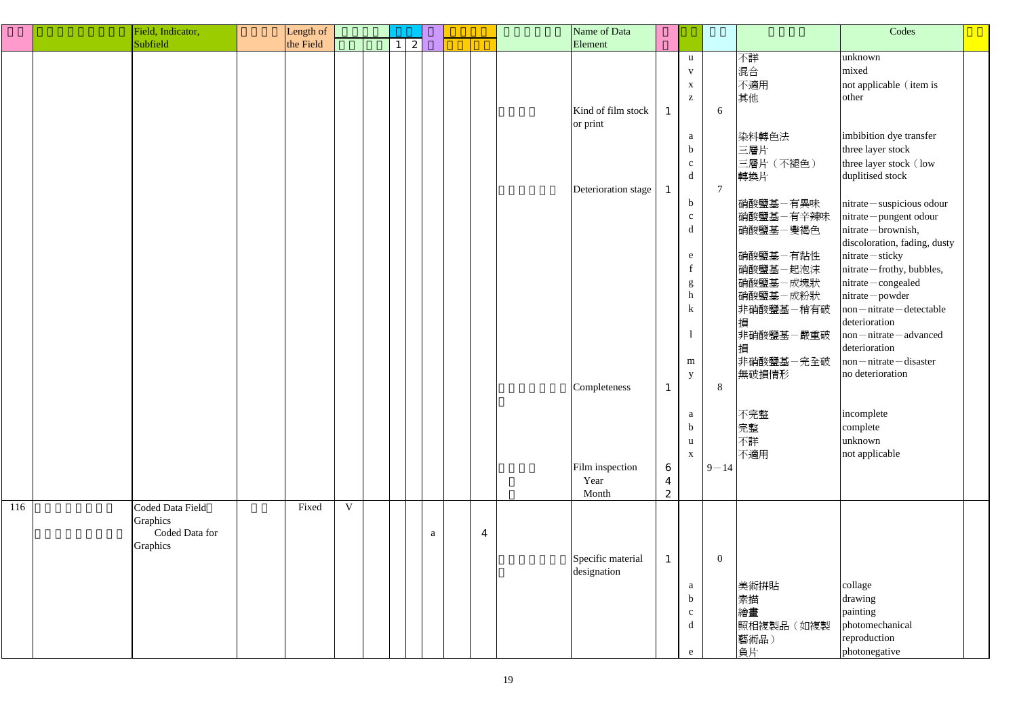|     | Field, Indicator,                                          | Length of |   |  |              |  |                  | Name of Data                                                                                              |                                         |                                                                                                                                                                                                                                                 |                              |                                                                                                                                                                                                                                     | Codes                                                                                                                                                                                                                                                                                                                                                                                                                                                                                                                                                |  |
|-----|------------------------------------------------------------|-----------|---|--|--------------|--|------------------|-----------------------------------------------------------------------------------------------------------|-----------------------------------------|-------------------------------------------------------------------------------------------------------------------------------------------------------------------------------------------------------------------------------------------------|------------------------------|-------------------------------------------------------------------------------------------------------------------------------------------------------------------------------------------------------------------------------------|------------------------------------------------------------------------------------------------------------------------------------------------------------------------------------------------------------------------------------------------------------------------------------------------------------------------------------------------------------------------------------------------------------------------------------------------------------------------------------------------------------------------------------------------------|--|
|     | Subfield                                                   | the Field |   |  | 2            |  |                  | Element                                                                                                   |                                         |                                                                                                                                                                                                                                                 |                              |                                                                                                                                                                                                                                     |                                                                                                                                                                                                                                                                                                                                                                                                                                                                                                                                                      |  |
|     |                                                            |           |   |  |              |  |                  | Kind of film stock<br>or print<br>Deterioration stage<br>Completeness<br>Film inspection<br>Year<br>Month | $\boldsymbol{6}$<br>$\overline{4}$<br>2 | $\mathbf{u}$<br>$\mathbf{V}$<br>$\mathbf X$<br>$\mathbf{Z}$<br>a<br>$\mathbf b$<br>$\mathbf{c}$<br>d<br>$\mathbf b$<br>$\mathbf{c}$<br>d<br>e<br>g<br>$\,$ h<br>$\bf k$<br>m<br>y<br>$\mathbf{a}$<br>$\mathbf b$<br>$\mathbf u$<br>$\mathbf{X}$ | 6<br>$\tau$<br>8<br>$9 - 14$ | 不詳<br>混合<br>不適用<br>其他<br>染料轉色法<br>三層片<br>三層片 (不褪色)<br>轉換片<br>硝酸鹽基-有異味<br>硝酸鹽基-有辛辣味<br> 硝酸鹽基-變褐色<br>硝酸鹽基-有黏性<br>硝酸鹽基-起泡沫<br>硝酸鹽基一成塊狀<br>硝酸鹽基一成粉狀<br>非硝酸鹽基-稍有破<br>損<br>非硝酸鹽基一嚴重破<br>損<br>非硝酸鹽基一完全破<br>無破損情形<br>不完整<br>完整<br>不詳<br>不適用 | unknown<br>mixed<br>not applicable (item is<br>other<br>imbibition dye transfer<br>three layer stock<br>three layer stock (low<br>duplitised stock<br>nitrate - suspicious odour<br>nitrate-pungent odour<br>nitrate - brownish,<br>discoloration, fading, dusty<br>nitrate - sticky<br>nitrate - frothy, bubbles,<br>nitrate-congealed<br>nitrate-powder<br>non–nitrate–detectable<br>deterioration<br>$non-nitrate - advanced$<br>deterioration<br>non–nitrate–disaster<br>no deterioration<br>incomplete<br>complete<br>unknown<br>not applicable |  |
| 116 | Coded Data Field<br>Graphics<br>Coded Data for<br>Graphics | Fixed     | V |  | $\mathbf{a}$ |  | $\boldsymbol{4}$ | Specific material<br>designation                                                                          |                                         | a<br>$\mathbf b$<br>$\mathbf{c}$<br>d<br>e                                                                                                                                                                                                      | $\overline{0}$               | 美術拼貼<br>素描<br>繪畫<br>照相複製品(如複製<br>藝術品)<br>負片                                                                                                                                                                                         | collage<br>drawing<br>painting<br>photomechanical<br>reproduction<br>photonegative                                                                                                                                                                                                                                                                                                                                                                                                                                                                   |  |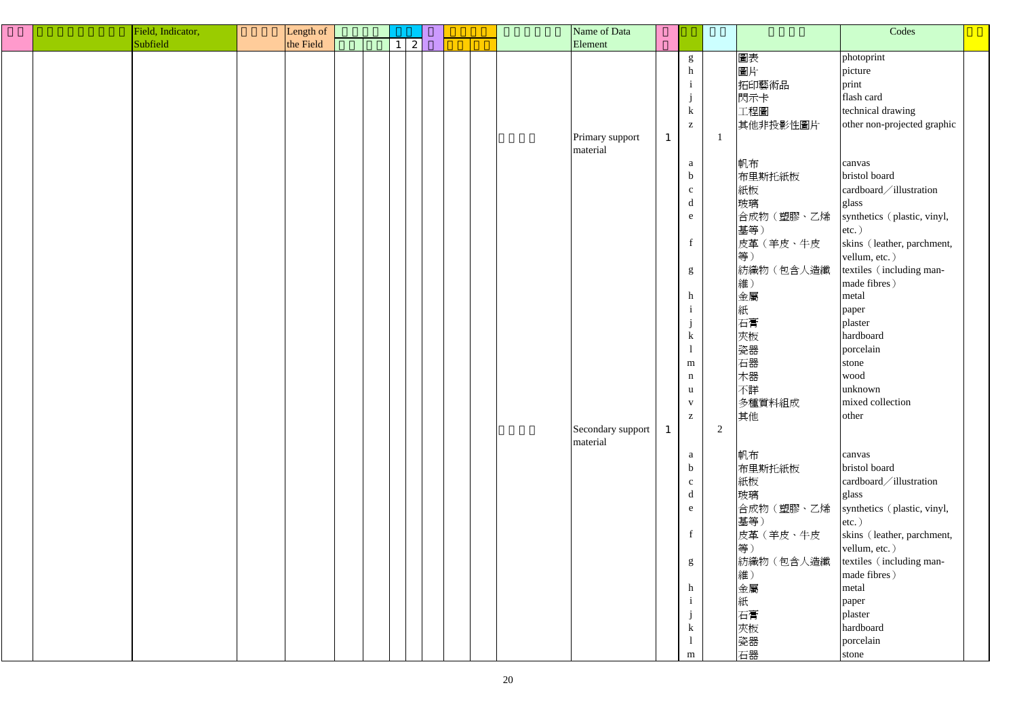|  | Field, Indicator, | Length of |  |              |  |  | Name of Data      |              |                 |                |            | Codes                       |  |
|--|-------------------|-----------|--|--------------|--|--|-------------------|--------------|-----------------|----------------|------------|-----------------------------|--|
|  | Subfield          | the Field |  | $\mathbf{2}$ |  |  | Element           |              |                 |                |            |                             |  |
|  |                   |           |  |              |  |  |                   |              | ${\bf g}$       |                | 圖表         | photoprint                  |  |
|  |                   |           |  |              |  |  |                   |              | h               |                | 圖片         | picture                     |  |
|  |                   |           |  |              |  |  |                   |              |                 |                |            |                             |  |
|  |                   |           |  |              |  |  |                   |              | $\mathbf{1}$    |                | 拓印藝術品      | print                       |  |
|  |                   |           |  |              |  |  |                   |              | j               |                | 閃示卡        | flash card                  |  |
|  |                   |           |  |              |  |  |                   |              | $\bf k$         |                | 工程圖        | technical drawing           |  |
|  |                   |           |  |              |  |  |                   |              | $\mathbf{Z}$    |                | 其他非投影性圖片   | other non-projected graphic |  |
|  |                   |           |  |              |  |  | Primary support   | $\mathbf{1}$ |                 |                |            |                             |  |
|  |                   |           |  |              |  |  | material          |              |                 |                |            |                             |  |
|  |                   |           |  |              |  |  |                   |              | a               |                | 帆布         | canvas                      |  |
|  |                   |           |  |              |  |  |                   |              | $\mathbf b$     |                | 布里斯托紙板     | bristol board               |  |
|  |                   |           |  |              |  |  |                   |              | $\mathbf{c}$    |                | 紙板         | cardboard/illustration      |  |
|  |                   |           |  |              |  |  |                   |              | $\mathbf d$     |                | 玻璃         | glass                       |  |
|  |                   |           |  |              |  |  |                   |              | ${\bf e}$       |                | 合成物(塑膠、乙烯  | synthetics (plastic, vinyl, |  |
|  |                   |           |  |              |  |  |                   |              |                 |                | 基等)        | $etc.$ )                    |  |
|  |                   |           |  |              |  |  |                   |              | $f_{\parallel}$ |                | 皮革 (羊皮、牛皮  | skins (leather, parchment,  |  |
|  |                   |           |  |              |  |  |                   |              |                 |                | 等)         | vellum, etc.)               |  |
|  |                   |           |  |              |  |  |                   |              |                 |                |            |                             |  |
|  |                   |           |  |              |  |  |                   |              | $g_{\rm}$       |                | 紡織物 (包含人造纖 | textiles (including man-    |  |
|  |                   |           |  |              |  |  |                   |              |                 |                | 維)         | made fibres)                |  |
|  |                   |           |  |              |  |  |                   |              | h               |                | 金屬         | metal                       |  |
|  |                   |           |  |              |  |  |                   |              | $\mathbf{1}$    |                | 紙          | paper                       |  |
|  |                   |           |  |              |  |  |                   |              |                 |                | 石膏         | plaster                     |  |
|  |                   |           |  |              |  |  |                   |              | $\mathbf k$     |                | 夾板         | hardboard                   |  |
|  |                   |           |  |              |  |  |                   |              |                 |                | 瓷器         | porcelain                   |  |
|  |                   |           |  |              |  |  |                   |              | m               |                | 石器         | stone                       |  |
|  |                   |           |  |              |  |  |                   |              | $\mathbf n$     |                | 木器         | wood                        |  |
|  |                   |           |  |              |  |  |                   |              | u               |                | 不詳         | unknown                     |  |
|  |                   |           |  |              |  |  |                   |              |                 |                | 多種質料組成     | mixed collection            |  |
|  |                   |           |  |              |  |  |                   |              | $\mathbf{Z}$    |                | 其他         | other                       |  |
|  |                   |           |  |              |  |  | Secondary support |              |                 | $\overline{2}$ |            |                             |  |
|  |                   |           |  |              |  |  | material          |              |                 |                |            |                             |  |
|  |                   |           |  |              |  |  |                   |              |                 |                | 帆布         | canvas                      |  |
|  |                   |           |  |              |  |  |                   |              | a               |                |            | bristol board               |  |
|  |                   |           |  |              |  |  |                   |              | $\mathbf b$     |                | 布里斯托紙板     |                             |  |
|  |                   |           |  |              |  |  |                   |              | $\mathbf{c}$    |                | 紙板         | cardboard/illustration      |  |
|  |                   |           |  |              |  |  |                   |              | d               |                | 玻璃         | glass                       |  |
|  |                   |           |  |              |  |  |                   |              | e               |                | 合成物(塑膠、乙烯  | synthetics (plastic, vinyl, |  |
|  |                   |           |  |              |  |  |                   |              |                 |                | 基等)        | $etc.$ )                    |  |
|  |                   |           |  |              |  |  |                   |              | $\mathbf f$     |                | 皮革 (羊皮、牛皮  | skins (leather, parchment,  |  |
|  |                   |           |  |              |  |  |                   |              |                 |                | 等)         | vellum, etc.)               |  |
|  |                   |           |  |              |  |  |                   |              | g               |                | 紡織物 (包含人造纖 | textiles (including man-    |  |
|  |                   |           |  |              |  |  |                   |              |                 |                | 維)         | made fibres)                |  |
|  |                   |           |  |              |  |  |                   |              | h               |                | 金屬         | metal                       |  |
|  |                   |           |  |              |  |  |                   |              |                 |                | 紙          | paper                       |  |
|  |                   |           |  |              |  |  |                   |              |                 |                | 石膏         | plaster                     |  |
|  |                   |           |  |              |  |  |                   |              | $\mathbf k$     |                | 夾板         | hardboard                   |  |
|  |                   |           |  |              |  |  |                   |              |                 |                |            |                             |  |
|  |                   |           |  |              |  |  |                   |              |                 |                | 瓷器         | porcelain                   |  |
|  |                   |           |  |              |  |  |                   |              | ${\bf m}$       |                | 石器         | stone                       |  |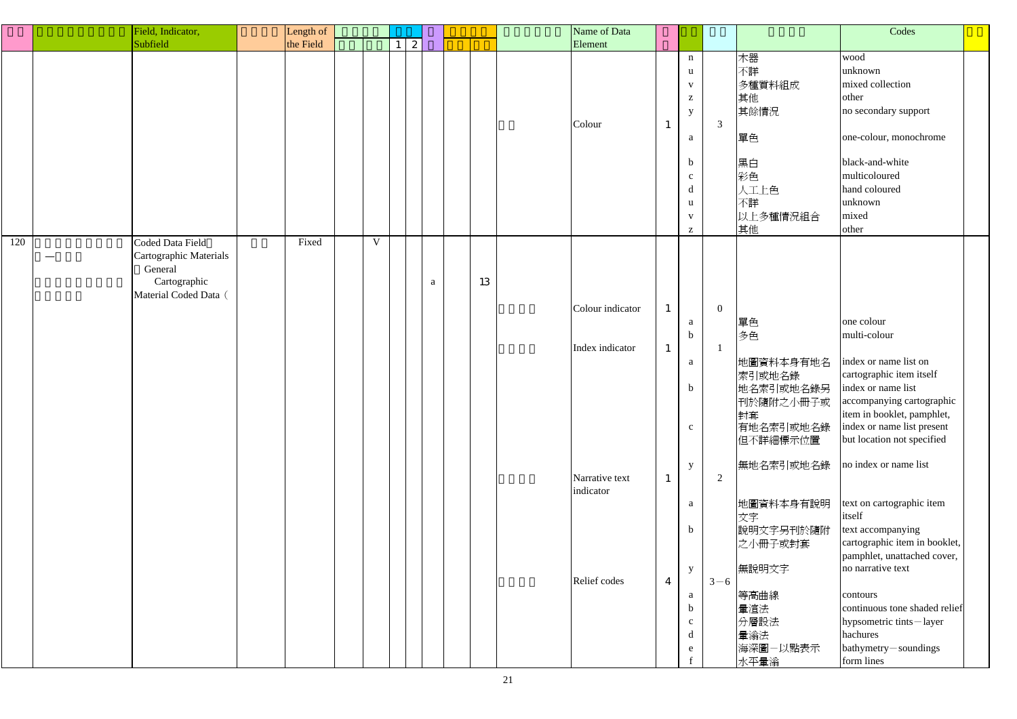|     | Field, Indicator,                                                                              | Length of |   |   |              |    | Name of Data                                                                       |                                                                |                                                                                                                                                                                                                                 |                                |                                                                                                                                                                                                | Codes                                                                                                                                                                                                                                                                                                                                                                                                                                                                                                                                         |  |
|-----|------------------------------------------------------------------------------------------------|-----------|---|---|--------------|----|------------------------------------------------------------------------------------|----------------------------------------------------------------|---------------------------------------------------------------------------------------------------------------------------------------------------------------------------------------------------------------------------------|--------------------------------|------------------------------------------------------------------------------------------------------------------------------------------------------------------------------------------------|-----------------------------------------------------------------------------------------------------------------------------------------------------------------------------------------------------------------------------------------------------------------------------------------------------------------------------------------------------------------------------------------------------------------------------------------------------------------------------------------------------------------------------------------------|--|
|     | Subfield                                                                                       | the Field |   | 2 |              |    | Element                                                                            |                                                                |                                                                                                                                                                                                                                 |                                |                                                                                                                                                                                                |                                                                                                                                                                                                                                                                                                                                                                                                                                                                                                                                               |  |
|     |                                                                                                |           |   |   |              |    | Colour                                                                             | $\overline{1}$                                                 | $\mathbf n$<br>u<br>$\mathbf{V}$<br>$\mathbf{Z}% ^{T}=\mathbf{Z}^{T}\times\mathbf{Z}^{T}$<br>y<br>a<br>$\mathbf b$<br>$\mathbf{C}$<br>$\mathbf d$<br>u<br>$\mathbf{V}$<br>$\mathbf{Z}% ^{T}=\mathbf{Z}^{T}\times\mathbf{Z}^{T}$ | $\mathfrak{Z}$                 | 木器<br>不詳<br>多種質料組成<br>其他<br>其餘情況<br>單色<br>黑白<br>彩色<br>人工上色<br>不詳<br>以上多種情況組合<br>其他                                                                                                             | wood<br>unknown<br>mixed collection<br>other<br>no secondary support<br>one-colour, monochrome<br>black-and-white<br>multicoloured<br>hand coloured<br>unknown<br>mixed<br>other                                                                                                                                                                                                                                                                                                                                                              |  |
| 120 | Coded Data Field<br>Cartographic Materials<br>General<br>Cartographic<br>Material Coded Data ( | Fixed     | V |   | $\mathbf{a}$ | 13 | Colour indicator<br>Index indicator<br>Narrative text<br>indicator<br>Relief codes | $\mathbf{1}$<br>$\mathbf{1}$<br>$\mathbf{1}$<br>$\overline{4}$ | a<br>$\mathbf b$<br>a<br>$\mathbf b$<br>$\mathbf{C}$<br>$\mathbf{y}$<br>a<br>$\mathbf b$<br>$\mathbf{y}$<br>a<br>$\mathbf b$<br>$\mathbf{C}$<br>d<br>e                                                                          | $\overline{0}$<br>2<br>$3 - 6$ | 單色<br>多色<br>地圖資料本身有地名<br>索引或地名錄<br>地名索引或地名錄另<br>封套<br>有地名索引或地名錄<br>但不詳細標示位置<br>無地名索引或地名錄<br>地圖資料本身有說明<br>文字<br>說明文字另刊於隨附<br>之小冊子或封套<br>無說明文字<br>等高曲線<br>暈渲法<br>分層設法<br>暈滃法<br>海深圖一以點表示<br>水平暈滃 | one colour<br>multi-colour<br>index or name list on<br>cartographic item itself<br>index or name list<br> 刊於隨附之小冊子或   accompanying cartographic<br>item in booklet, pamphlet,<br>index or name list present<br>but location not specified<br>no index or name list<br>text on cartographic item<br>itself<br>text accompanying<br>cartographic item in booklet,<br>pamphlet, unattached cover,<br>no narrative text<br>contours<br>continuous tone shaded relief<br>hypsometric tints-layer<br>hachures<br>bathymetry-soundings<br>form lines |  |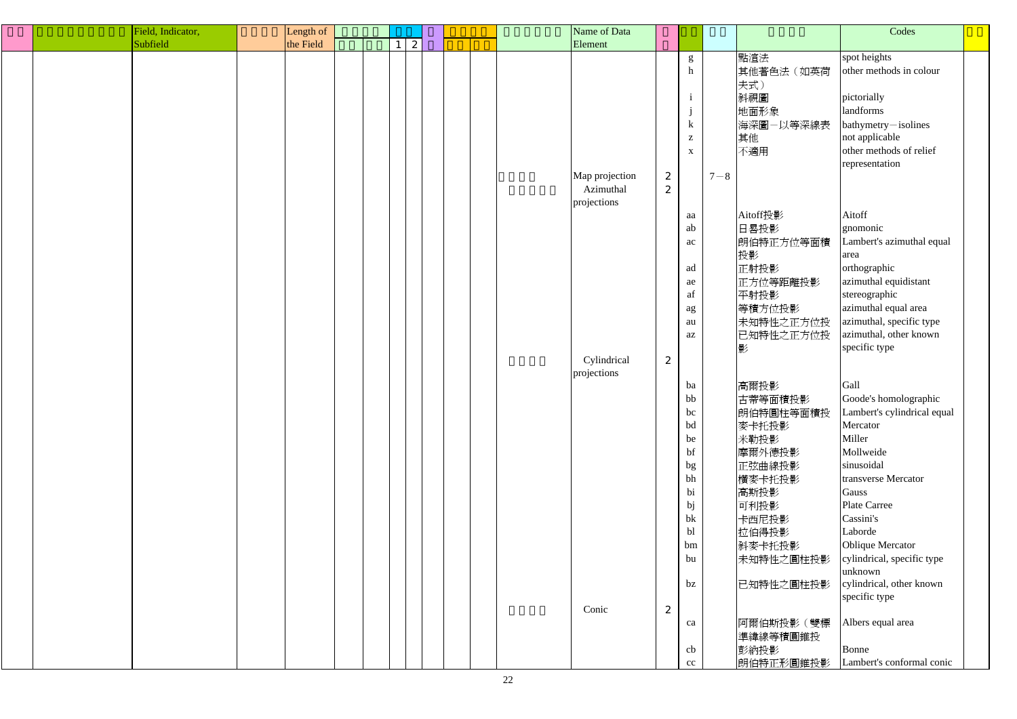|  | Field, Indicator, | Length of |  |                 |  |  | Name of Data   |                  |                                                       |         |           | Codes                       |  |
|--|-------------------|-----------|--|-----------------|--|--|----------------|------------------|-------------------------------------------------------|---------|-----------|-----------------------------|--|
|  | Subfield          | the Field |  | $1 \mid 2 \mid$ |  |  | Element        |                  |                                                       |         |           |                             |  |
|  |                   |           |  |                 |  |  |                |                  | g                                                     |         | 點渲法       | spot heights                |  |
|  |                   |           |  |                 |  |  |                |                  | $\boldsymbol{h}$                                      |         | 其他著色法(如英荷 | other methods in colour     |  |
|  |                   |           |  |                 |  |  |                |                  |                                                       |         | 夫式)       |                             |  |
|  |                   |           |  |                 |  |  |                |                  | $\mathbf{i}$                                          |         | 斜視圖       | pictorially                 |  |
|  |                   |           |  |                 |  |  |                |                  | j                                                     |         | 地面形象      | landforms                   |  |
|  |                   |           |  |                 |  |  |                |                  |                                                       |         |           |                             |  |
|  |                   |           |  |                 |  |  |                |                  | $\bf k$                                               |         | 海深圖-以等深線表 | bathymetry-isolines         |  |
|  |                   |           |  |                 |  |  |                |                  | $\mathbf{Z}% ^{T}=\mathbf{Z}^{T}\times\mathbf{Z}^{T}$ |         | 其他        | not applicable              |  |
|  |                   |           |  |                 |  |  |                |                  | $\mathbf X$                                           |         | 不適用       | other methods of relief     |  |
|  |                   |           |  |                 |  |  |                |                  |                                                       |         |           | representation              |  |
|  |                   |           |  |                 |  |  | Map projection | 2                |                                                       | $7 - 8$ |           |                             |  |
|  |                   |           |  |                 |  |  | Azimuthal      | 2                |                                                       |         |           |                             |  |
|  |                   |           |  |                 |  |  | projections    |                  |                                                       |         |           |                             |  |
|  |                   |           |  |                 |  |  |                |                  | aa                                                    |         | Aitoff投影  | Aitoff                      |  |
|  |                   |           |  |                 |  |  |                |                  | ab                                                    |         | 日晷投影      | gnomonic                    |  |
|  |                   |           |  |                 |  |  |                |                  | ac                                                    |         | 朗伯特正方位等面積 | Lambert's azimuthal equal   |  |
|  |                   |           |  |                 |  |  |                |                  |                                                       |         | 投影        | area                        |  |
|  |                   |           |  |                 |  |  |                |                  | ad                                                    |         | 正射投影      | orthographic                |  |
|  |                   |           |  |                 |  |  |                |                  | ae                                                    |         | 正方位等距離投影  | azimuthal equidistant       |  |
|  |                   |           |  |                 |  |  |                |                  | af                                                    |         | 平射投影      | stereographic               |  |
|  |                   |           |  |                 |  |  |                |                  | $\rm ag$                                              |         | 等積方位投影    | azimuthal equal area        |  |
|  |                   |           |  |                 |  |  |                |                  | au                                                    |         | 未知特性之正方位投 | azimuthal, specific type    |  |
|  |                   |           |  |                 |  |  |                |                  | $\rm az$                                              |         | 已知特性之正方位投 | azimuthal, other known      |  |
|  |                   |           |  |                 |  |  |                |                  |                                                       |         | 影         | specific type               |  |
|  |                   |           |  |                 |  |  | Cylindrical    | 2                |                                                       |         |           |                             |  |
|  |                   |           |  |                 |  |  | projections    |                  |                                                       |         |           |                             |  |
|  |                   |           |  |                 |  |  |                |                  | ba                                                    |         | 高爾投影      | Gall                        |  |
|  |                   |           |  |                 |  |  |                |                  | bb                                                    |         | 古蒂等面積投影   | Goode's homolographic       |  |
|  |                   |           |  |                 |  |  |                |                  | bc                                                    |         | 朗伯特圓柱等面積投 | Lambert's cylindrical equal |  |
|  |                   |           |  |                 |  |  |                |                  | bd                                                    |         | 麥卡托投影     | Mercator                    |  |
|  |                   |           |  |                 |  |  |                |                  | be                                                    |         | 米勒投影      | Miller                      |  |
|  |                   |           |  |                 |  |  |                |                  | bf                                                    |         | 摩爾外德投影    | Mollweide                   |  |
|  |                   |           |  |                 |  |  |                |                  | bg                                                    |         | 正弦曲線投影    | sinusoidal                  |  |
|  |                   |           |  |                 |  |  |                |                  | bh                                                    |         | 横麥卡托投影    | transverse Mercator         |  |
|  |                   |           |  |                 |  |  |                |                  | bi                                                    |         | 高斯投影      | Gauss                       |  |
|  |                   |           |  |                 |  |  |                |                  | bj                                                    |         | 可利投影      | Plate Carree                |  |
|  |                   |           |  |                 |  |  |                |                  | bk                                                    |         | 卡西尼投影     | Cassini's                   |  |
|  |                   |           |  |                 |  |  |                |                  | bl                                                    |         | 拉伯得投影     | Laborde                     |  |
|  |                   |           |  |                 |  |  |                |                  | bm                                                    |         | 斜麥卡托投影    | <b>Oblique Mercator</b>     |  |
|  |                   |           |  |                 |  |  |                |                  | bu                                                    |         | 未知特性之圓柱投影 | cylindrical, specific type  |  |
|  |                   |           |  |                 |  |  |                |                  |                                                       |         |           | unknown                     |  |
|  |                   |           |  |                 |  |  |                |                  | bz                                                    |         | 已知特性之圓柱投影 | cylindrical, other known    |  |
|  |                   |           |  |                 |  |  |                |                  |                                                       |         |           | specific type               |  |
|  |                   |           |  |                 |  |  | Conic          | $\boldsymbol{2}$ |                                                       |         |           |                             |  |
|  |                   |           |  |                 |  |  |                |                  | ca                                                    |         | 阿爾伯斯投影(雙標 | Albers equal area           |  |
|  |                   |           |  |                 |  |  |                |                  |                                                       |         | 準緯線等積圓錐投  |                             |  |
|  |                   |           |  |                 |  |  |                |                  | cb                                                    |         | 彭納投影      | Bonne                       |  |
|  |                   |           |  |                 |  |  |                |                  |                                                       |         | 朗伯特正形圓錐投影 | Lambert's conformal conic   |  |
|  |                   |           |  |                 |  |  |                |                  | cc                                                    |         |           |                             |  |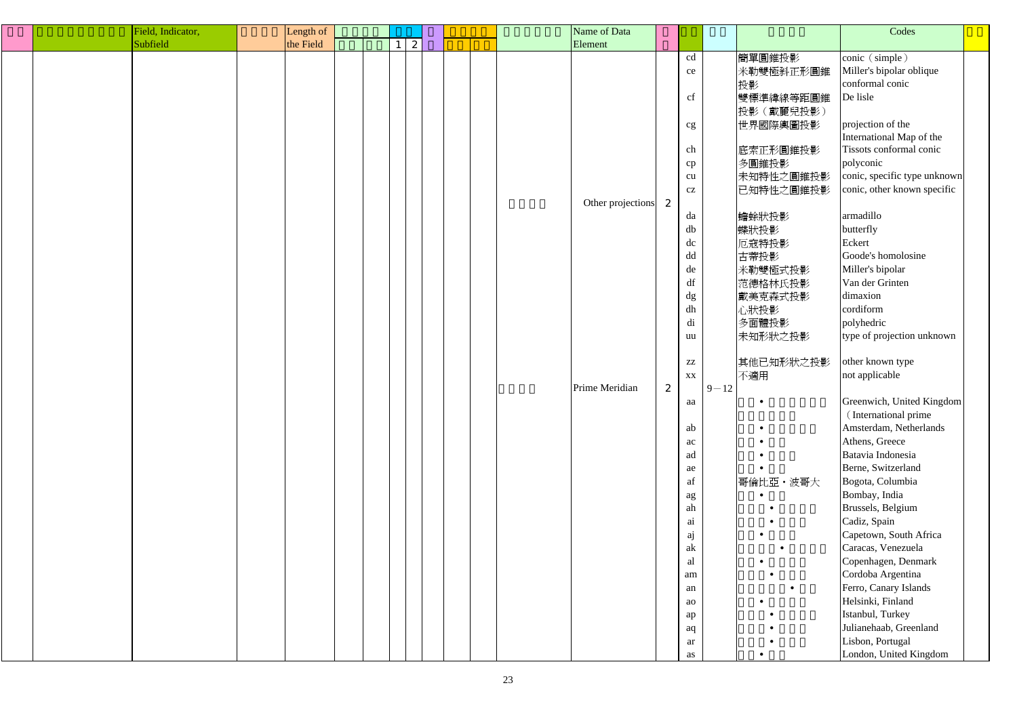|  | Field, Indicator, | Length of |  |   |  |  | Name of Data      |              |                        |          |           | Codes                        |  |
|--|-------------------|-----------|--|---|--|--|-------------------|--------------|------------------------|----------|-----------|------------------------------|--|
|  | Subfield          | the Field |  | 2 |  |  | Element           |              |                        |          |           |                              |  |
|  |                   |           |  |   |  |  |                   |              | cd                     |          | 簡單圓錐投影    | conic (simple)               |  |
|  |                   |           |  |   |  |  |                   |              | ce                     |          | 米勒雙極斜正形圓錐 | Miller's bipolar oblique     |  |
|  |                   |           |  |   |  |  |                   |              |                        |          | 投影        | conformal conic              |  |
|  |                   |           |  |   |  |  |                   |              | cf                     |          | 雙標準緯線等距圓錐 | De lisle                     |  |
|  |                   |           |  |   |  |  |                   |              |                        |          | 投影(戴麗兒投影) |                              |  |
|  |                   |           |  |   |  |  |                   |              | cg                     |          | 世界國際輿圖投影  | projection of the            |  |
|  |                   |           |  |   |  |  |                   |              |                        |          |           | International Map of the     |  |
|  |                   |           |  |   |  |  |                   |              | ch                     |          | 底索正形圓錐投影  | Tissots conformal conic      |  |
|  |                   |           |  |   |  |  |                   |              | cp                     |          | 多圓錐投影     | polyconic                    |  |
|  |                   |           |  |   |  |  |                   |              | cu                     |          | 未知特性之圓錐投影 | conic, specific type unknown |  |
|  |                   |           |  |   |  |  |                   |              | $\operatorname{cz}$    |          | 已知特性之圓錐投影 | conic, other known specific  |  |
|  |                   |           |  |   |  |  | Other projections | 2            |                        |          |           |                              |  |
|  |                   |           |  |   |  |  |                   |              | da                     |          | 蟾蜍狀投影     | armadillo                    |  |
|  |                   |           |  |   |  |  |                   |              | db                     |          | 蝶狀投影      | butterfly                    |  |
|  |                   |           |  |   |  |  |                   |              | dc                     |          | 厄寇特投影     | Eckert                       |  |
|  |                   |           |  |   |  |  |                   |              | dd                     |          | 古蒂投影      | Goode's homolosine           |  |
|  |                   |           |  |   |  |  |                   |              | de                     |          | 米勒雙極式投影   | Miller's bipolar             |  |
|  |                   |           |  |   |  |  |                   |              | $\mathrm{d}\mathrm{f}$ |          | 范德格林氏投影   | Van der Grinten              |  |
|  |                   |           |  |   |  |  |                   |              | dg                     |          | 戴美克森式投影   | dimaxion                     |  |
|  |                   |           |  |   |  |  |                   |              | ${\rm d} h$            |          | 心狀投影      | cordiform                    |  |
|  |                   |           |  |   |  |  |                   |              | di                     |          | 多面體投影     | polyhedric                   |  |
|  |                   |           |  |   |  |  |                   |              | uu                     |          | 未知形狀之投影   | type of projection unknown   |  |
|  |                   |           |  |   |  |  |                   |              |                        |          |           |                              |  |
|  |                   |           |  |   |  |  |                   |              | $\mathbf{Z}\mathbf{Z}$ |          | 其他已知形狀之投影 | other known type             |  |
|  |                   |           |  |   |  |  |                   |              | XX                     |          | 不適用       | not applicable               |  |
|  |                   |           |  |   |  |  | Prime Meridian    | $\mathbf{z}$ |                        | $9 - 12$ |           |                              |  |
|  |                   |           |  |   |  |  |                   |              | aa                     |          |           | Greenwich, United Kingdom    |  |
|  |                   |           |  |   |  |  |                   |              |                        |          |           | (International prime         |  |
|  |                   |           |  |   |  |  |                   |              | ab                     |          |           | Amsterdam, Netherlands       |  |
|  |                   |           |  |   |  |  |                   |              | ac                     |          |           | Athens, Greece               |  |
|  |                   |           |  |   |  |  |                   |              | ad                     |          |           | Batavia Indonesia            |  |
|  |                   |           |  |   |  |  |                   |              | ae                     |          |           | Berne, Switzerland           |  |
|  |                   |           |  |   |  |  |                   |              | af                     |          | 哥倫比亞·波哥大  | Bogota, Columbia             |  |
|  |                   |           |  |   |  |  |                   |              |                        |          |           | Bombay, India                |  |
|  |                   |           |  |   |  |  |                   |              | ag<br>ah               |          |           | Brussels, Belgium            |  |
|  |                   |           |  |   |  |  |                   |              | ai                     |          |           | Cadiz, Spain                 |  |
|  |                   |           |  |   |  |  |                   |              | ${\rm a}{\rm j}$       |          |           | Capetown, South Africa       |  |
|  |                   |           |  |   |  |  |                   |              | ak                     |          |           | Caracas, Venezuela           |  |
|  |                   |           |  |   |  |  |                   |              | al                     |          |           | Copenhagen, Denmark          |  |
|  |                   |           |  |   |  |  |                   |              | am                     |          |           | Cordoba Argentina            |  |
|  |                   |           |  |   |  |  |                   |              | an                     |          |           | Ferro, Canary Islands        |  |
|  |                   |           |  |   |  |  |                   |              | ao                     |          |           | Helsinki, Finland            |  |
|  |                   |           |  |   |  |  |                   |              |                        |          |           | Istanbul, Turkey             |  |
|  |                   |           |  |   |  |  |                   |              | ap                     |          |           | Julianehaab, Greenland       |  |
|  |                   |           |  |   |  |  |                   |              | aq                     |          |           | Lisbon, Portugal             |  |
|  |                   |           |  |   |  |  |                   |              | ar                     |          |           |                              |  |
|  |                   |           |  |   |  |  |                   |              | as                     |          |           | London, United Kingdom       |  |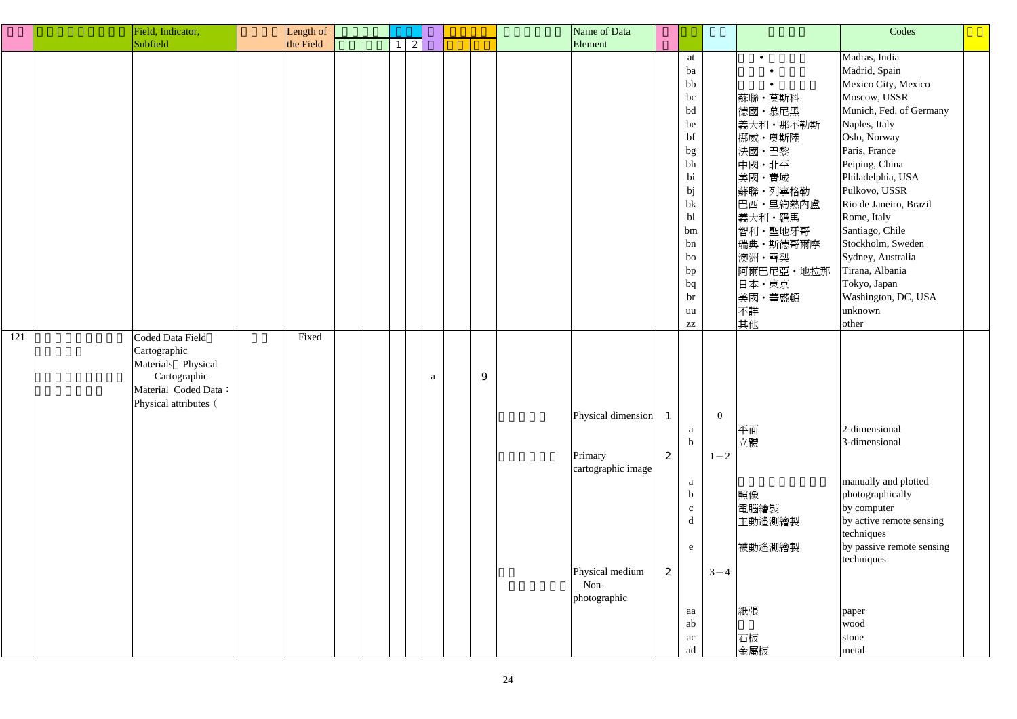|     | Field, Indicator,                                                                                                       | Length of |  |   |   |   | Name of Data                                                                                   |        |                                                                                                                |                                      |                                                                                                                                                                          | Codes                                                                                                                                                                                                                                                                                                                                                                                 |  |
|-----|-------------------------------------------------------------------------------------------------------------------------|-----------|--|---|---|---|------------------------------------------------------------------------------------------------|--------|----------------------------------------------------------------------------------------------------------------|--------------------------------------|--------------------------------------------------------------------------------------------------------------------------------------------------------------------------|---------------------------------------------------------------------------------------------------------------------------------------------------------------------------------------------------------------------------------------------------------------------------------------------------------------------------------------------------------------------------------------|--|
|     | Subfield                                                                                                                | the Field |  |   |   |   |                                                                                                |        |                                                                                                                |                                      |                                                                                                                                                                          |                                                                                                                                                                                                                                                                                                                                                                                       |  |
|     |                                                                                                                         |           |  | 2 |   |   | Element                                                                                        |        | at<br>ba<br>bb<br>bc<br>bd<br>be<br>bf<br>bg<br>bh<br>bi<br>bj<br>bk<br>bl<br>bm<br>bn<br>bo<br>bp<br>bq<br>br |                                      | 蘇聯·莫斯科<br>德國・慕尼黑<br>義大利・那不勒斯<br>  挪威 · 奧斯陸<br>法國·巴黎<br>中國・北平<br>美國・費城<br>蘇聯 · 列寧格勒<br>巴西・里約熱內盧<br>義大利・羅馬<br>智利·聖地牙哥<br>瑞典·斯德哥爾摩<br>澳洲・雪梨<br>阿爾巴尼亞·地拉那<br>日本・東京<br>美國・華盛頓 | Madras, India<br>Madrid, Spain<br>Mexico City, Mexico<br>Moscow, USSR<br>Munich, Fed. of Germany<br>Naples, Italy<br>Oslo, Norway<br>Paris, France<br>Peiping, China<br>Philadelphia, USA<br>Pulkovo, USSR<br>Rio de Janeiro, Brazil<br>Rome, Italy<br>Santiago, Chile<br>Stockholm, Sweden<br>Sydney, Australia<br>Tirana, Albania<br>Tokyo, Japan<br>Washington, DC, USA<br>unknown |  |
|     |                                                                                                                         |           |  |   |   |   |                                                                                                |        | uu<br>${\bf ZZ}$                                                                                               |                                      | 不詳<br>其他                                                                                                                                                                 | other                                                                                                                                                                                                                                                                                                                                                                                 |  |
| 121 | Coded Data Field<br>Cartographic<br>Materials Physical<br>Cartographic<br>Material Coded Data:<br>Physical attributes ( | Fixed     |  |   | a | 9 | Physical dimension<br>Primary<br>cartographic image<br>Physical medium<br>Non-<br>photographic | 2<br>2 | a<br>$\mathbf b$<br>a<br>$\mathbf b$<br>$\mathbf{C}$<br>d<br>e<br>aa<br>ab<br>ac<br>ad                         | $\overline{0}$<br>$1 - 2$<br>$3 - 4$ | 平面<br>立體<br>照像<br>電腦繪製<br>主動遙測繪製<br>被動遙測繪製<br>紙張<br>石板<br>金屬板                                                                                                            | 2-dimensional<br>3-dimensional<br>manually and plotted<br>photographically<br>by computer<br>by active remote sensing<br>techniques<br>by passive remote sensing<br>techniques<br>paper<br>wood<br>stone<br>metal                                                                                                                                                                     |  |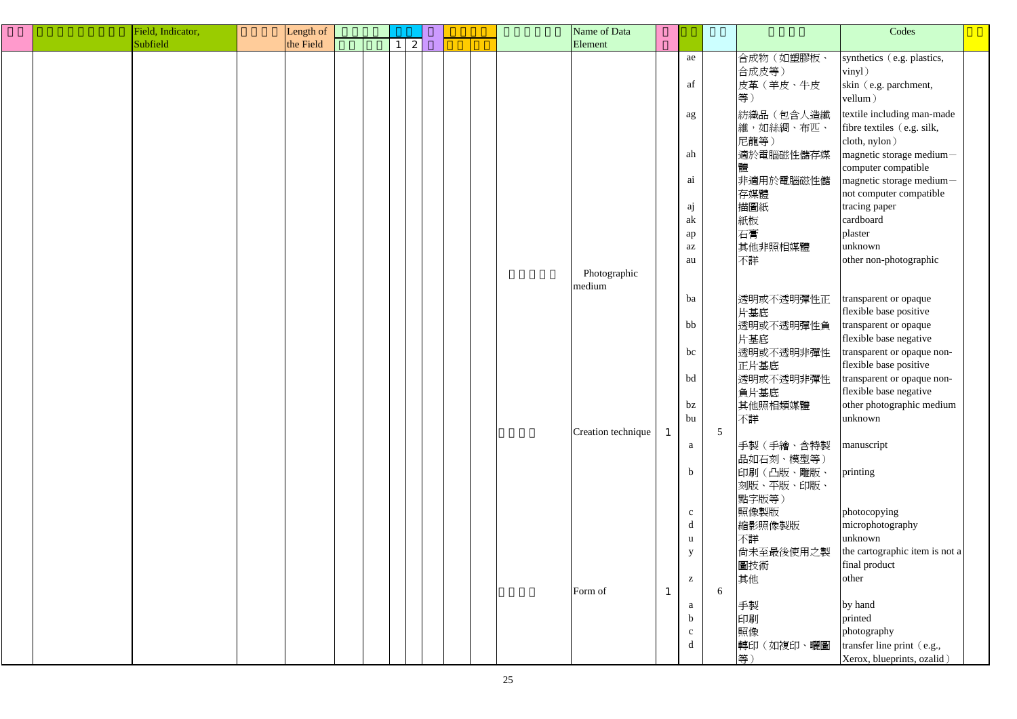|  | Field, Indicator, | Length of |  |   |  |  | Name of Data       |              |              |   |            | Codes                          |  |
|--|-------------------|-----------|--|---|--|--|--------------------|--------------|--------------|---|------------|--------------------------------|--|
|  | Subfield          | the Field |  | 2 |  |  | Element            |              |              |   |            |                                |  |
|  |                   |           |  |   |  |  |                    |              | ae           |   | 合成物(如塑膠板、  | synthetics (e.g. plastics,     |  |
|  |                   |           |  |   |  |  |                    |              |              |   | 合成皮等)      | vinyl)                         |  |
|  |                   |           |  |   |  |  |                    |              | af           |   | 皮革 (羊皮、牛皮  | skin (e.g. parchment,          |  |
|  |                   |           |  |   |  |  |                    |              |              |   | 等)         | vellum)                        |  |
|  |                   |           |  |   |  |  |                    |              |              |   | 紡織品(包含人造纖  | textile including man-made     |  |
|  |                   |           |  |   |  |  |                    |              | ag           |   | 維,如絲綢、布匹、  | fibre textiles (e.g. silk,     |  |
|  |                   |           |  |   |  |  |                    |              |              |   | 尼龍等)       | cloth, nylon)                  |  |
|  |                   |           |  |   |  |  |                    |              | ah           |   | 適於電腦磁性儲存媒  | magnetic storage medium-       |  |
|  |                   |           |  |   |  |  |                    |              |              |   |            | computer compatible            |  |
|  |                   |           |  |   |  |  |                    |              | ai           |   | 非適用於電腦磁性儲  | magnetic storage medium-       |  |
|  |                   |           |  |   |  |  |                    |              |              |   | 存媒體        | not computer compatible        |  |
|  |                   |           |  |   |  |  |                    |              |              |   | 描圖紙        | tracing paper                  |  |
|  |                   |           |  |   |  |  |                    |              | aj<br>ak     |   | 紙板         | cardboard                      |  |
|  |                   |           |  |   |  |  |                    |              |              |   | 石膏         | plaster                        |  |
|  |                   |           |  |   |  |  |                    |              | ap           |   |            | unknown                        |  |
|  |                   |           |  |   |  |  |                    |              | $\rm az$     |   | 其他非照相媒體    |                                |  |
|  |                   |           |  |   |  |  | Photographic       |              | au           |   | 不詳         | other non-photographic         |  |
|  |                   |           |  |   |  |  | medium             |              |              |   |            |                                |  |
|  |                   |           |  |   |  |  |                    |              | ba           |   | 透明或不透明彈性正  | transparent or opaque          |  |
|  |                   |           |  |   |  |  |                    |              |              |   | 片基底        | flexible base positive         |  |
|  |                   |           |  |   |  |  |                    |              | bb           |   | 透明或不透明彈性負  | transparent or opaque          |  |
|  |                   |           |  |   |  |  |                    |              |              |   | 片基底        | flexible base negative         |  |
|  |                   |           |  |   |  |  |                    |              | bc           |   | 透明或不透明非彈性  | transparent or opaque non-     |  |
|  |                   |           |  |   |  |  |                    |              |              |   | 正片基底       | flexible base positive         |  |
|  |                   |           |  |   |  |  |                    |              | bd           |   | 透明或不透明非彈性  | transparent or opaque non-     |  |
|  |                   |           |  |   |  |  |                    |              |              |   | 負片基底       | flexible base negative         |  |
|  |                   |           |  |   |  |  |                    |              | $bz$         |   | 其他照相類媒體    | other photographic medium      |  |
|  |                   |           |  |   |  |  |                    |              | bu           |   | 不詳         | unknown                        |  |
|  |                   |           |  |   |  |  | Creation technique | $\mathbf{1}$ |              | 5 |            |                                |  |
|  |                   |           |  |   |  |  |                    |              | a            |   | 手製(手繪、含特製  | manuscript                     |  |
|  |                   |           |  |   |  |  |                    |              |              |   | 品如石刻、模型等)  |                                |  |
|  |                   |           |  |   |  |  |                    |              | $\mathbf b$  |   | 印刷(凸版、雕版、  | printing                       |  |
|  |                   |           |  |   |  |  |                    |              |              |   | 刻版、平版、印版、  |                                |  |
|  |                   |           |  |   |  |  |                    |              |              |   | 點字版等)      |                                |  |
|  |                   |           |  |   |  |  |                    |              | $\mathbf{c}$ |   | 照像製版       | photocopying                   |  |
|  |                   |           |  |   |  |  |                    |              | $\mathbf d$  |   | 縮影照像製版     | microphotography               |  |
|  |                   |           |  |   |  |  |                    |              | $\mathbf u$  |   | 不詳         | unknown                        |  |
|  |                   |           |  |   |  |  |                    |              | $\mathbf{y}$ |   | 尚未至最後使用之製  | the cartographic item is not a |  |
|  |                   |           |  |   |  |  |                    |              |              |   | 圖技術        | final product                  |  |
|  |                   |           |  |   |  |  |                    |              | $\mathbf{Z}$ |   | 其他         | other                          |  |
|  |                   |           |  |   |  |  | Form of            | $\mathbf{1}$ |              | 6 |            |                                |  |
|  |                   |           |  |   |  |  |                    |              | $\rm{a}$     |   | 手製         | by hand                        |  |
|  |                   |           |  |   |  |  |                    |              | $\mathbf b$  |   | 印刷         | printed                        |  |
|  |                   |           |  |   |  |  |                    |              | $\mathbf{C}$ |   | 照像         | photography                    |  |
|  |                   |           |  |   |  |  |                    |              | $\mathbf d$  |   | 轉印 (如複印、曬圖 | transfer line print (e.g.,     |  |
|  |                   |           |  |   |  |  |                    |              |              |   | 等)         | Xerox, blueprints, ozalid)     |  |
|  |                   |           |  |   |  |  |                    |              |              |   |            |                                |  |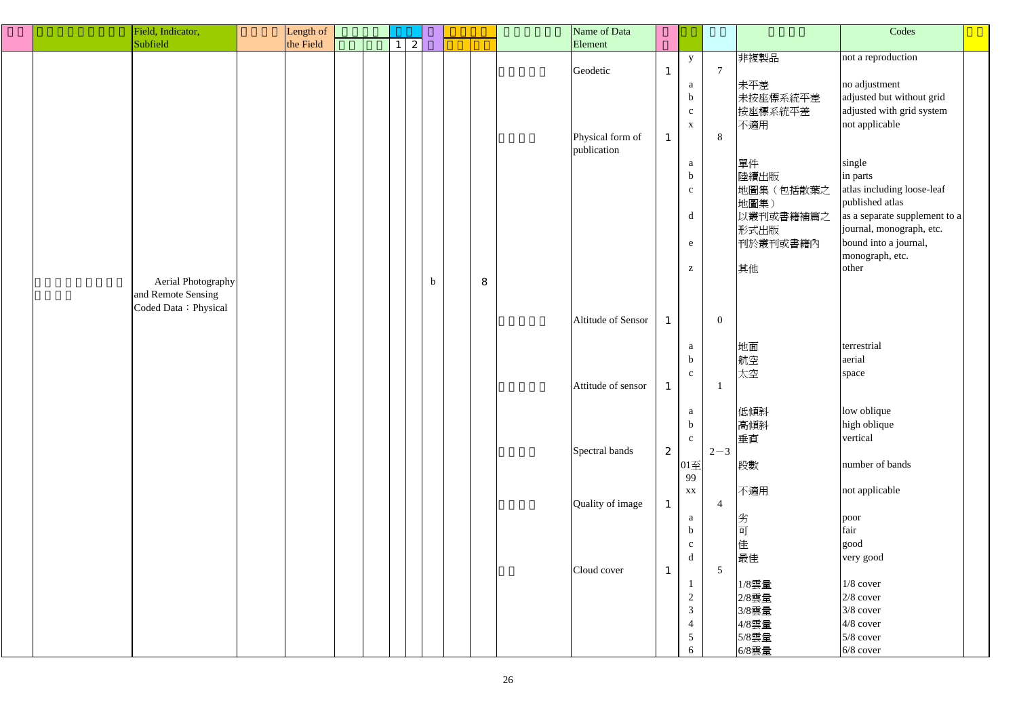|  | Field, Indicator,    | Length of |  |                  |             |   | Name of Data       |              |                                                       |                |           | Codes                         |
|--|----------------------|-----------|--|------------------|-------------|---|--------------------|--------------|-------------------------------------------------------|----------------|-----------|-------------------------------|
|  | Subfield             | the Field |  | $\boldsymbol{z}$ |             |   | Element            |              |                                                       |                |           |                               |
|  |                      |           |  |                  |             |   |                    |              | $\mathbf{y}$                                          |                | 非複製品      | not a reproduction            |
|  |                      |           |  |                  |             |   | Geodetic           | $\mathbf{1}$ |                                                       | $\overline{7}$ |           |                               |
|  |                      |           |  |                  |             |   |                    |              |                                                       |                |           |                               |
|  |                      |           |  |                  |             |   |                    |              | a                                                     |                | 未平差       | no adjustment                 |
|  |                      |           |  |                  |             |   |                    |              | $\mathbf b$                                           |                | 未按座標系統平差  | adjusted but without grid     |
|  |                      |           |  |                  |             |   |                    |              | $\mathbf{c}$                                          |                | 按座標系統平差   | adjusted with grid system     |
|  |                      |           |  |                  |             |   |                    |              | $\mathbf{X}$                                          |                | 不適用       | not applicable                |
|  |                      |           |  |                  |             |   | Physical form of   | $\mathbf{1}$ |                                                       | 8              |           |                               |
|  |                      |           |  |                  |             |   | publication        |              |                                                       |                |           |                               |
|  |                      |           |  |                  |             |   |                    |              | a                                                     |                | 單件        | single                        |
|  |                      |           |  |                  |             |   |                    |              | $\mathbf b$                                           |                | 陸續出版      | in parts                      |
|  |                      |           |  |                  |             |   |                    |              | $\mathbf{c}$                                          |                | 地圖集(包括散葉之 | atlas including loose-leaf    |
|  |                      |           |  |                  |             |   |                    |              |                                                       |                | 地圖集)      | published atlas               |
|  |                      |           |  |                  |             |   |                    |              |                                                       |                |           | as a separate supplement to a |
|  |                      |           |  |                  |             |   |                    |              | d                                                     |                | 以叢刊或書籍補篇之 |                               |
|  |                      |           |  |                  |             |   |                    |              |                                                       |                | 形式出版      | journal, monograph, etc.      |
|  |                      |           |  |                  |             |   |                    |              | e                                                     |                | 刊於叢刊或書籍內  | bound into a journal,         |
|  |                      |           |  |                  |             |   |                    |              |                                                       |                |           | monograph, etc.               |
|  |                      |           |  |                  |             |   |                    |              | $\mathbf{Z}% ^{T}=\mathbf{Z}^{T}\times\mathbf{Z}^{T}$ |                | 其他        | other                         |
|  | Aerial Photography   |           |  |                  | $\mathbf b$ | 8 |                    |              |                                                       |                |           |                               |
|  | and Remote Sensing   |           |  |                  |             |   |                    |              |                                                       |                |           |                               |
|  | Coded Data: Physical |           |  |                  |             |   |                    |              |                                                       |                |           |                               |
|  |                      |           |  |                  |             |   | Altitude of Sensor | $\mathbf{1}$ |                                                       | $\overline{0}$ |           |                               |
|  |                      |           |  |                  |             |   |                    |              |                                                       |                |           |                               |
|  |                      |           |  |                  |             |   |                    |              | a                                                     |                | 地面        | terrestrial                   |
|  |                      |           |  |                  |             |   |                    |              | $\mathbf b$                                           |                | 航空        | aerial                        |
|  |                      |           |  |                  |             |   |                    |              |                                                       |                |           |                               |
|  |                      |           |  |                  |             |   |                    |              | $\mathbf{C}$                                          |                | 太空        | space                         |
|  |                      |           |  |                  |             |   | Attitude of sensor | $\mathbf{1}$ |                                                       |                |           |                               |
|  |                      |           |  |                  |             |   |                    |              |                                                       |                |           |                               |
|  |                      |           |  |                  |             |   |                    |              | a                                                     |                | 低傾斜       | low oblique                   |
|  |                      |           |  |                  |             |   |                    |              | $\mathbf b$                                           |                | 高傾斜       | high oblique                  |
|  |                      |           |  |                  |             |   |                    |              | $\mathbf{c}$                                          |                | 垂直        | vertical                      |
|  |                      |           |  |                  |             |   | Spectral bands     | 2            |                                                       | $2 - 3$        |           |                               |
|  |                      |           |  |                  |             |   |                    |              | $01\overline{\pm}$                                    |                | 段數        | number of bands               |
|  |                      |           |  |                  |             |   |                    |              | 99                                                    |                |           |                               |
|  |                      |           |  |                  |             |   |                    |              | XX                                                    |                | 不適用       | not applicable                |
|  |                      |           |  |                  |             |   | Quality of image   | $\mathbf{1}$ |                                                       | $\overline{4}$ |           |                               |
|  |                      |           |  |                  |             |   |                    |              | a                                                     |                | 劣         |                               |
|  |                      |           |  |                  |             |   |                    |              |                                                       |                |           | poor<br>fair                  |
|  |                      |           |  |                  |             |   |                    |              | $\mathbf b$                                           |                | 可         |                               |
|  |                      |           |  |                  |             |   |                    |              | $\mathbf{c}$                                          |                | 佳         | good                          |
|  |                      |           |  |                  |             |   |                    |              | d                                                     |                | 最佳        | very good                     |
|  |                      |           |  |                  |             |   | Cloud cover        | $\mathbf{1}$ |                                                       | $\overline{5}$ |           |                               |
|  |                      |           |  |                  |             |   |                    |              |                                                       |                | $1/8$ 雲量  | $1/8$ cover                   |
|  |                      |           |  |                  |             |   |                    |              | $\overline{c}$                                        |                | 2/8雲量     | $2/8$ cover                   |
|  |                      |           |  |                  |             |   |                    |              | $\mathfrak{Z}$                                        |                | 3/8雲量     | 3/8 cover                     |
|  |                      |           |  |                  |             |   |                    |              | $\overline{4}$                                        |                | 4/8雲量     | $4/8$ cover                   |
|  |                      |           |  |                  |             |   |                    |              | $5\overline{)}$                                       |                | 5/8雲量     | $5/8$ cover                   |
|  |                      |           |  |                  |             |   |                    |              | 6                                                     |                |           |                               |
|  |                      |           |  |                  |             |   |                    |              |                                                       |                | 6/8雲量     | $6/8$ cover                   |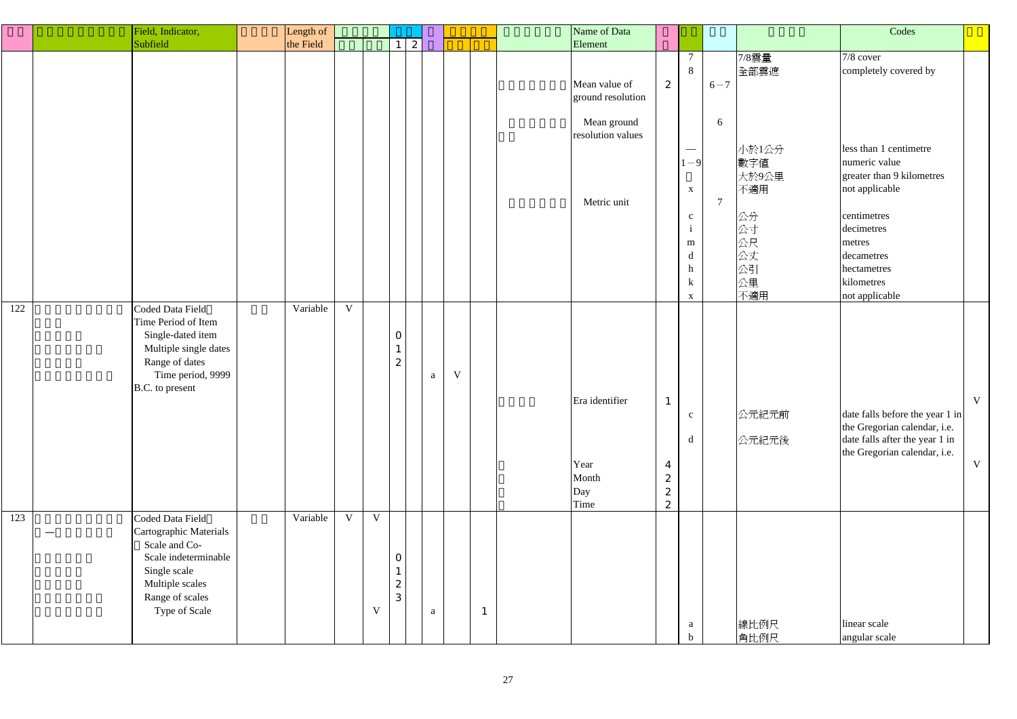|     | Field, Indicator,                                                                                                                                          | Length of |             |                                 |                                                       |              |             |              | Name of Data                                                                          |                                                             |                                                                                                                                                               |                                |                                                                                   | Codes                                                                                                                                                                                                          |
|-----|------------------------------------------------------------------------------------------------------------------------------------------------------------|-----------|-------------|---------------------------------|-------------------------------------------------------|--------------|-------------|--------------|---------------------------------------------------------------------------------------|-------------------------------------------------------------|---------------------------------------------------------------------------------------------------------------------------------------------------------------|--------------------------------|-----------------------------------------------------------------------------------|----------------------------------------------------------------------------------------------------------------------------------------------------------------------------------------------------------------|
|     | Subfield                                                                                                                                                   | the Field |             |                                 | 2<br>1 <sup>1</sup>                                   |              |             |              | Element                                                                               |                                                             |                                                                                                                                                               |                                |                                                                                   |                                                                                                                                                                                                                |
|     |                                                                                                                                                            |           |             |                                 |                                                       |              |             |              | Mean value of<br>ground resolution<br>Mean ground<br>resolution values<br>Metric unit | 2                                                           | $\overline{7}$<br>8<br>$\hspace{0.1mm}-\hspace{0.1mm}$<br>$1 - 9$<br>$\mathbf{X}$<br>$\mathbf{C}$<br>$\mathbf{i}$<br>${\bf m}$<br>$\mathbf d$<br>h<br>$\bf k$ | $6 - 7$<br>6<br>$\overline{7}$ | 7/8雲量<br>全部雲遮<br>小於1公分<br>數字值<br>大於9公里<br>不適用<br>公分<br>公寸<br>公尺<br>公丈<br>公引<br>公里 | 7/8 cover<br>completely covered by<br>less than 1 centimetre<br>numeric value<br>greater than 9 kilometres<br>not applicable<br>centimetres<br>decimetres<br>metres<br>decametres<br>hectametres<br>kilometres |
| 122 | Coded Data Field<br>Time Period of Item<br>Single-dated item<br>Multiple single dates<br>Range of dates<br>Time period, 9999<br>B.C. to present            | Variable  | V           |                                 | $\mathbf{O}$<br>$\mathbf{1}$<br>$\boldsymbol{2}$      | $\mathbf{a}$ | $\mathbf V$ |              | Era identifier<br>Year<br>Month<br>Day<br>Time                                        | $\overline{4}$<br>$\boldsymbol{2}$<br>$\boldsymbol{2}$<br>2 | $\mathbf{X}$<br>$\mathbf{C}$<br>$\mathbf d$                                                                                                                   |                                | 不適用<br>公元紀元前<br>公元紀元後                                                             | not applicable<br>$\mathbf{V}$<br>date falls before the year 1 in<br>the Gregorian calendar, i.e.<br>date falls after the year 1 in<br>the Gregorian calendar, i.e.<br>$\mathbf V$                             |
| 123 | Coded Data Field<br>Cartographic Materials<br>Scale and Co-<br>Scale indeterminable<br>Single scale<br>Multiple scales<br>Range of scales<br>Type of Scale | Variable  | $\mathbf V$ | $V_{\parallel}$<br>$\mathbf{V}$ | $\mathbf{0}$<br>$\mathbf{1}$<br>$\boldsymbol{z}$<br>3 | a            |             | $\mathbf{1}$ |                                                                                       |                                                             | a<br>$\mathbf b$                                                                                                                                              |                                | 線比例尺<br>角比例尺                                                                      | linear scale<br>angular scale                                                                                                                                                                                  |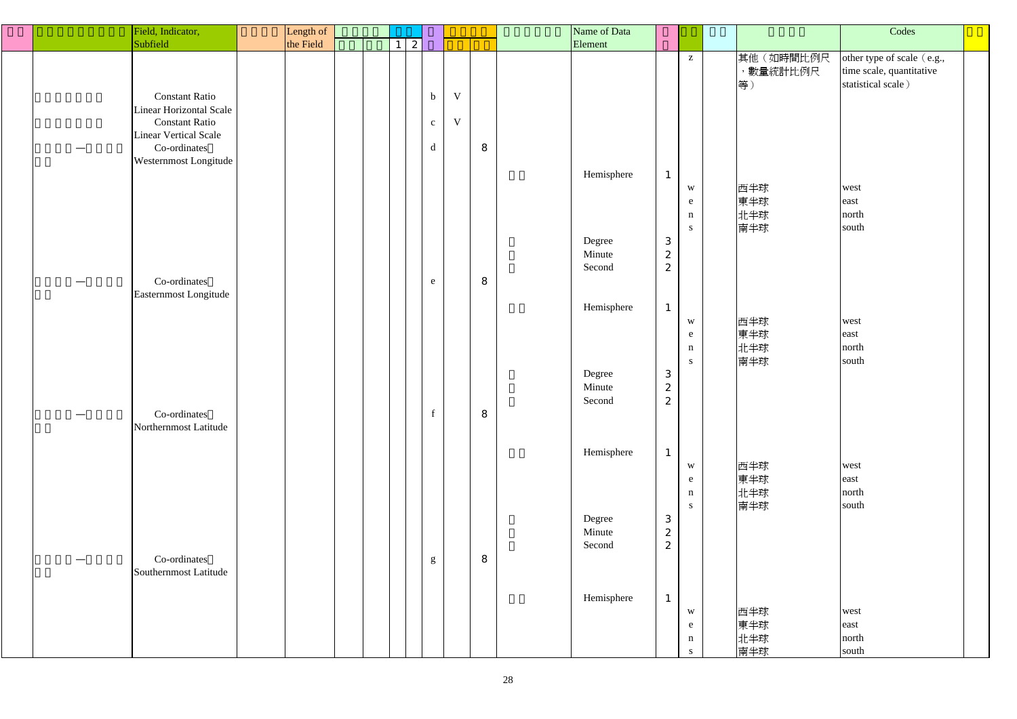|  | Field, Indicator,                                                                                                  | Length of |  |                 |                     |             |   | Name of Data               |                                                    |                                                            |                             | Codes                                                                        |
|--|--------------------------------------------------------------------------------------------------------------------|-----------|--|-----------------|---------------------|-------------|---|----------------------------|----------------------------------------------------|------------------------------------------------------------|-----------------------------|------------------------------------------------------------------------------|
|  | Subfield                                                                                                           | the Field |  | $1 \mid 2 \mid$ |                     |             |   | Element                    |                                                    |                                                            |                             |                                                                              |
|  | <b>Constant Ratio</b>                                                                                              |           |  |                 | $\mathbf b$         | $\mathbf V$ |   |                            |                                                    | $\mathbf{Z}$                                               | 其他(如時間比例尺<br>,數量統計比例尺<br>等) | other type of scale (e.g.,<br>time scale, quantitative<br>statistical scale) |
|  | Linear Horizontal Scale<br><b>Constant Ratio</b><br>Linear Vertical Scale<br>Co-ordinates<br>Westernmost Longitude |           |  |                 | $\mathbf{C}^-$<br>d | $\mathbf V$ | 8 |                            |                                                    |                                                            |                             |                                                                              |
|  |                                                                                                                    |           |  |                 |                     |             |   | Hemisphere                 | $\mathbf{1}$                                       | $\ensuremath{\text{W}}$<br>e<br>$\mathbf n$<br>${\bf S}^-$ | 西半球<br>東半球<br>北半球<br>南半球    | west<br>east<br>north<br>south                                               |
|  | Co-ordinates<br>Easternmost Longitude                                                                              |           |  |                 | e                   |             | 8 | Degree<br>Minute<br>Second | $\mathbf{3}$<br>$\mathbf{2}$<br>$\overline{c}$     |                                                            |                             |                                                                              |
|  |                                                                                                                    |           |  |                 |                     |             |   | Hemisphere                 | $\mathbf{1}$                                       | $\ensuremath{\text{W}}$<br>e<br>$\mathbf n$<br>${\bf S}^-$ | 西半球<br>東半球<br>北半球<br>南半球    | west<br>east<br>north<br>south                                               |
|  | Co-ordinates<br>Northernmost Latitude                                                                              |           |  |                 | $\mathbf f$         |             | 8 | Degree<br>Minute<br>Second | $\mathbf{3}$<br>$\mathbf{z}$<br>2                  |                                                            |                             |                                                                              |
|  |                                                                                                                    |           |  |                 |                     |             |   | Hemisphere                 | $\mathbf{1}$                                       | W<br>e<br>$\mathbf n$<br>${\bf S}^-$                       | 西半球<br>東半球<br>北半球<br>南半球    | west<br>east<br>north<br>south                                               |
|  | Co-ordinates<br>Southernmost Latitude                                                                              |           |  |                 | $g_{\rm}$           |             | 8 | Degree<br>Minute<br>Second | $\ensuremath{\mathbf{3}}$<br>$\boldsymbol{2}$<br>2 |                                                            |                             |                                                                              |
|  |                                                                                                                    |           |  |                 |                     |             |   | Hemisphere                 | $\mathbf{1}$                                       | $\ensuremath{\text{W}}$<br>e                               | 西半球<br>東半球<br>北半球           | west<br>east<br>north                                                        |
|  |                                                                                                                    |           |  |                 |                     |             |   |                            |                                                    | $\mathbf n$<br>S                                           | 南半球                         | south                                                                        |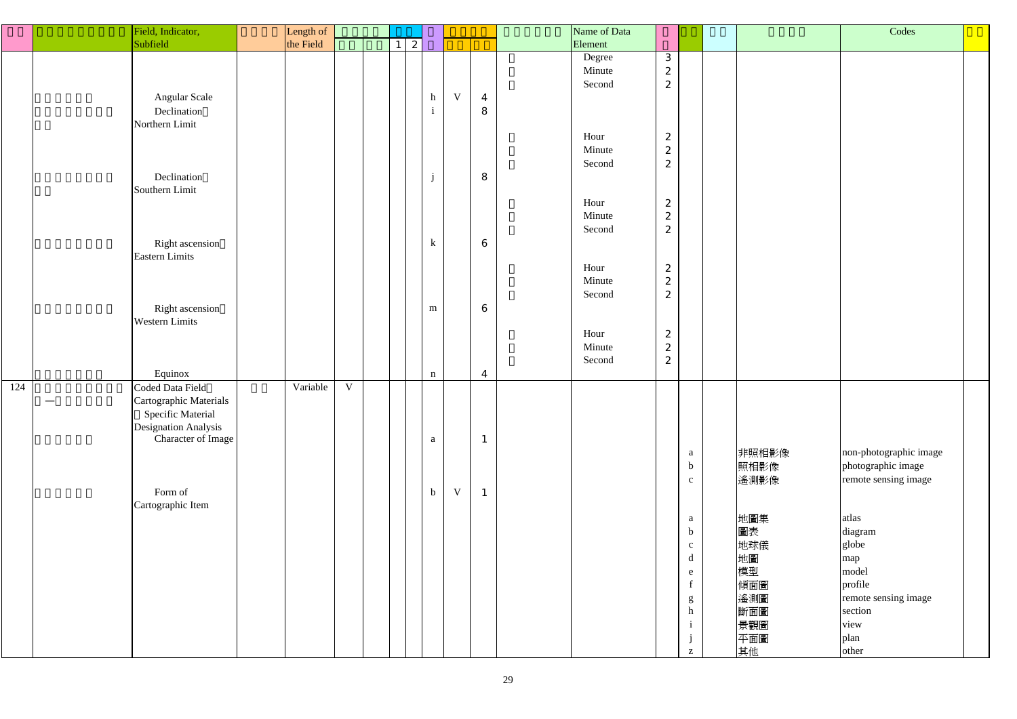|     | Field, Indicator,             | Length of |             |          |   |              |   |                  | Name of Data |                                      |                                                       |           |
|-----|-------------------------------|-----------|-------------|----------|---|--------------|---|------------------|--------------|--------------------------------------|-------------------------------------------------------|-----------|
|     | Subfield                      | the Field |             | $1\vert$ | 2 |              |   |                  | Element      |                                      |                                                       |           |
|     |                               |           |             |          |   |              |   |                  | Degree       | 3                                    |                                                       |           |
|     |                               |           |             |          |   |              |   |                  | Minute       | $\boldsymbol{2}$                     |                                                       |           |
|     |                               |           |             |          |   |              |   |                  | Second       | $\boldsymbol{2}$                     |                                                       |           |
|     | Angular Scale                 |           |             |          |   | h            | V | $\overline{4}$   |              |                                      |                                                       |           |
|     | Declination<br>Northern Limit |           |             |          |   | $\mathbf{i}$ |   | 8                |              |                                      |                                                       |           |
|     |                               |           |             |          |   |              |   |                  | Hour         | $\boldsymbol{2}$                     |                                                       |           |
|     |                               |           |             |          |   |              |   |                  | Minute       | $\boldsymbol{2}$                     |                                                       |           |
|     |                               |           |             |          |   |              |   |                  | Second       | $\mathbf{z}$                         |                                                       |           |
|     | Declination                   |           |             |          |   | $\mathbf{j}$ |   | 8                |              |                                      |                                                       |           |
|     | Southern Limit                |           |             |          |   |              |   |                  |              |                                      |                                                       |           |
|     |                               |           |             |          |   |              |   |                  | Hour         | $\boldsymbol{2}$                     |                                                       |           |
|     |                               |           |             |          |   |              |   |                  | Minute       | $\boldsymbol{z}$                     |                                                       |           |
|     |                               |           |             |          |   |              |   |                  | Second       | $\overline{c}$                       |                                                       |           |
|     | Right ascension               |           |             |          |   | $\bf k$      |   | $\bf 6$          |              |                                      |                                                       |           |
|     | Eastern Limits                |           |             |          |   |              |   |                  |              |                                      |                                                       |           |
|     |                               |           |             |          |   |              |   |                  | Hour         | $\boldsymbol{2}$                     |                                                       |           |
|     |                               |           |             |          |   |              |   |                  | Minute       | $\boldsymbol{2}$                     |                                                       |           |
|     |                               |           |             |          |   |              |   |                  | Second       | $\mathbf{z}$                         |                                                       |           |
|     | Right ascension               |           |             |          |   | ${\bf m}$    |   | $\boldsymbol{6}$ |              |                                      |                                                       |           |
|     | <b>Western Limits</b>         |           |             |          |   |              |   |                  | Hour         |                                      |                                                       |           |
|     |                               |           |             |          |   |              |   |                  | Minute       | $\boldsymbol{2}$<br>$\boldsymbol{2}$ |                                                       |           |
|     |                               |           |             |          |   |              |   |                  | Second       | $\boldsymbol{2}$                     |                                                       |           |
|     | Equinox                       |           |             |          |   | $\mathbf n$  |   | $\overline{4}$   |              |                                      |                                                       |           |
| 124 | Coded Data Field              | Variable  | $\mathbf V$ |          |   |              |   |                  |              |                                      |                                                       |           |
|     | Cartographic Materials        |           |             |          |   |              |   |                  |              |                                      |                                                       |           |
|     | Specific Material             |           |             |          |   |              |   |                  |              |                                      |                                                       |           |
|     | <b>Designation Analysis</b>   |           |             |          |   |              |   |                  |              |                                      |                                                       |           |
|     | Character of Image            |           |             |          |   | $\mathbf{a}$ |   | $\mathbf{1}$     |              |                                      |                                                       |           |
|     |                               |           |             |          |   |              |   |                  |              |                                      | a                                                     | 非照相       |
|     |                               |           |             |          |   |              |   |                  |              |                                      | $\mathbf b$                                           | 照相影       |
|     |                               |           |             |          |   |              |   |                  |              |                                      | $\mathbf{c}$                                          | 遙測景       |
|     | Form of                       |           |             |          |   | $\mathbf b$  | V | $\mathbf{1}$     |              |                                      |                                                       |           |
|     | Cartographic Item             |           |             |          |   |              |   |                  |              |                                      |                                                       |           |
|     |                               |           |             |          |   |              |   |                  |              |                                      | a                                                     | 地圖集       |
|     |                               |           |             |          |   |              |   |                  |              |                                      | $\mathbf b$                                           | 圖表        |
|     |                               |           |             |          |   |              |   |                  |              |                                      | $\mathbf{C}$<br>d                                     | 地球偉<br>地圖 |
|     |                               |           |             |          |   |              |   |                  |              |                                      | e                                                     | 模型        |
|     |                               |           |             |          |   |              |   |                  |              |                                      | $\mathbf f$                                           | 傾面圖       |
|     |                               |           |             |          |   |              |   |                  |              |                                      | $\mathbf{g}% _{0}$                                    | 遙測圖       |
|     |                               |           |             |          |   |              |   |                  |              |                                      | $\mathbf h$                                           | 斷面圖       |
|     |                               |           |             |          |   |              |   |                  |              |                                      | 1                                                     | 景觀圖       |
|     |                               |           |             |          |   |              |   |                  |              |                                      |                                                       | 平面圖       |
|     |                               |           |             |          |   |              |   |                  |              |                                      | $\mathbf{Z}% ^{T}=\mathbf{Z}^{T}\times\mathbf{Z}^{T}$ | 其他        |

|              |               | Codes                                        |  |
|--------------|---------------|----------------------------------------------|--|
|              |               |                                              |  |
|              |               |                                              |  |
|              |               |                                              |  |
|              |               |                                              |  |
|              |               |                                              |  |
|              |               |                                              |  |
|              |               |                                              |  |
|              |               |                                              |  |
|              |               |                                              |  |
|              |               |                                              |  |
|              |               |                                              |  |
|              |               |                                              |  |
|              |               |                                              |  |
|              |               |                                              |  |
|              |               |                                              |  |
|              |               |                                              |  |
|              |               |                                              |  |
|              |               |                                              |  |
|              |               |                                              |  |
|              |               |                                              |  |
|              |               |                                              |  |
|              |               |                                              |  |
|              |               |                                              |  |
|              |               |                                              |  |
|              |               |                                              |  |
|              |               |                                              |  |
|              |               |                                              |  |
| a<br>b       | 非照相影像<br>照相影像 | non-photographic image<br>photographic image |  |
| $\mathbf c$  | 遙測影像          | remote sensing image                         |  |
|              |               |                                              |  |
|              |               |                                              |  |
| a            | 地圖集           | atlas                                        |  |
| b            | 圖表            | diagram                                      |  |
| $\mathbf c$  | 地球儀           | globe                                        |  |
| d            | 地圖            | map                                          |  |
| e            | 模型            | model                                        |  |
| $\mathbf f$  | 傾面圖           | profile                                      |  |
| g<br>h       | 遙測圖<br>斷面圖    | remote sensing image<br>section              |  |
| $\mathbf{i}$ | 景觀圖           | view                                         |  |
| j            | 平面圖           | plan                                         |  |
| Z            | 其他            | other                                        |  |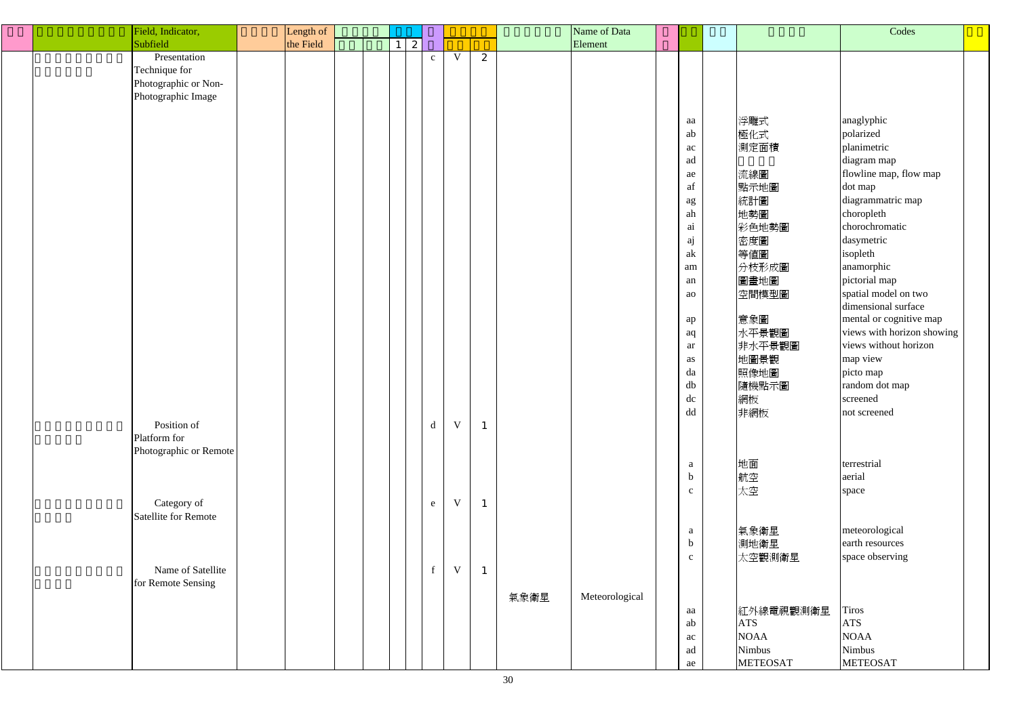| Field, Indicator,           | Length of |  |              |              |             |              |      | Name of Data   |                                                     |                 | Codes                      |  |
|-----------------------------|-----------|--|--------------|--------------|-------------|--------------|------|----------------|-----------------------------------------------------|-----------------|----------------------------|--|
| Subfield                    | the Field |  | $\mathbf{2}$ |              |             |              |      | Element        |                                                     |                 |                            |  |
| Presentation                |           |  |              | $\mathbf{c}$ | V           | 2            |      |                |                                                     |                 |                            |  |
| Technique for               |           |  |              |              |             |              |      |                |                                                     |                 |                            |  |
| Photographic or Non-        |           |  |              |              |             |              |      |                |                                                     |                 |                            |  |
| Photographic Image          |           |  |              |              |             |              |      |                |                                                     |                 |                            |  |
|                             |           |  |              |              |             |              |      |                |                                                     |                 |                            |  |
|                             |           |  |              |              |             |              |      |                |                                                     |                 |                            |  |
|                             |           |  |              |              |             |              |      |                | aa                                                  | 浮雕式             | anaglyphic                 |  |
|                             |           |  |              |              |             |              |      |                | ab                                                  | 極化式             | polarized                  |  |
|                             |           |  |              |              |             |              |      |                | ac                                                  | 測定面積            | planimetric                |  |
|                             |           |  |              |              |             |              |      |                | ad                                                  |                 | diagram map                |  |
|                             |           |  |              |              |             |              |      |                | ae                                                  | 流線圖             | flowline map, flow map     |  |
|                             |           |  |              |              |             |              |      |                | $\operatorname{af}$                                 | 點示地圖            | dot map                    |  |
|                             |           |  |              |              |             |              |      |                | $\rm ag$                                            | 統計圖             | diagrammatric map          |  |
|                             |           |  |              |              |             |              |      |                | ah                                                  | 地勢圖             | choropleth                 |  |
|                             |           |  |              |              |             |              |      |                | $\, {\rm ai}$                                       | 彩色地勢圖           | chorochromatic             |  |
|                             |           |  |              |              |             |              |      |                | aj                                                  | 密度圖             | dasymetric                 |  |
|                             |           |  |              |              |             |              |      |                | $\ensuremath{\text{a}}\xspace\ensuremath{\text{k}}$ |                 |                            |  |
|                             |           |  |              |              |             |              |      |                |                                                     | 等値圖             | isopleth                   |  |
|                             |           |  |              |              |             |              |      |                | am                                                  | 分枝形成圖           | anamorphic                 |  |
|                             |           |  |              |              |             |              |      |                | an                                                  | 圖畫地圖            | pictorial map              |  |
|                             |           |  |              |              |             |              |      |                | ao                                                  | 空間模型圖           | spatial model on two       |  |
|                             |           |  |              |              |             |              |      |                |                                                     |                 | dimensional surface        |  |
|                             |           |  |              |              |             |              |      |                | ap                                                  | 意象圖             | mental or cognitive map    |  |
|                             |           |  |              |              |             |              |      |                | aq                                                  | 水平景觀圖           | views with horizon showing |  |
|                             |           |  |              |              |             |              |      |                | ar                                                  | 非水平景觀圖          | views without horizon      |  |
|                             |           |  |              |              |             |              |      |                | as                                                  | 地圖景觀            | map view                   |  |
|                             |           |  |              |              |             |              |      |                | da                                                  | 照像地圖            | picto map                  |  |
|                             |           |  |              |              |             |              |      |                | ${\rm db}$                                          | 隨機點示圖           | random dot map             |  |
|                             |           |  |              |              |             |              |      |                | dc                                                  |                 | screened                   |  |
|                             |           |  |              |              |             |              |      |                |                                                     | 網板              |                            |  |
|                             |           |  |              |              |             |              |      |                | dd                                                  | 非網板             | not screened               |  |
| Position of                 |           |  |              | $\rm d$      | $\mathbf V$ | $\mathbf{1}$ |      |                |                                                     |                 |                            |  |
| Platform for                |           |  |              |              |             |              |      |                |                                                     |                 |                            |  |
| Photographic or Remote      |           |  |              |              |             |              |      |                |                                                     |                 |                            |  |
|                             |           |  |              |              |             |              |      |                | $\mathbf{a}$                                        | 地面              | terrestrial                |  |
|                             |           |  |              |              |             |              |      |                | $\mathbf b$                                         | 航空              | aerial                     |  |
|                             |           |  |              |              |             |              |      |                | $\mathbf{C}$                                        | 太空              | space                      |  |
| Category of                 |           |  |              | $\mathbf{e}$ | $\mathbf V$ | $\mathbf{1}$ |      |                |                                                     |                 |                            |  |
| <b>Satellite for Remote</b> |           |  |              |              |             |              |      |                |                                                     |                 |                            |  |
|                             |           |  |              |              |             |              |      |                | $\mathbf{a}$                                        | 氣象衛星            | meteorological             |  |
|                             |           |  |              |              |             |              |      |                | $\mathbf b$                                         |                 | earth resources            |  |
|                             |           |  |              |              |             |              |      |                |                                                     | 測地衛星            |                            |  |
|                             |           |  |              |              |             |              |      |                | $\mathbf{C}$                                        | 太空觀測衛星          | space observing            |  |
| Name of Satellite           |           |  |              | $\mathbf f$  | $\mathbf V$ | $\mathbf{1}$ |      |                |                                                     |                 |                            |  |
| for Remote Sensing          |           |  |              |              |             |              |      |                |                                                     |                 |                            |  |
|                             |           |  |              |              |             |              | 氣象衛星 | Meteorological |                                                     |                 |                            |  |
|                             |           |  |              |              |             |              |      |                | aa                                                  | 紅外線電視觀測衛星       | <b>Tiros</b>               |  |
|                             |           |  |              |              |             |              |      |                | ab                                                  | <b>ATS</b>      | <b>ATS</b>                 |  |
|                             |           |  |              |              |             |              |      |                | ac                                                  | <b>NOAA</b>     | <b>NOAA</b>                |  |
|                             |           |  |              |              |             |              |      |                | ad                                                  | Nimbus          | Nimbus                     |  |
|                             |           |  |              |              |             |              |      |                | ae                                                  | <b>METEOSAT</b> | <b>METEOSAT</b>            |  |
|                             |           |  |              |              |             |              |      |                |                                                     |                 |                            |  |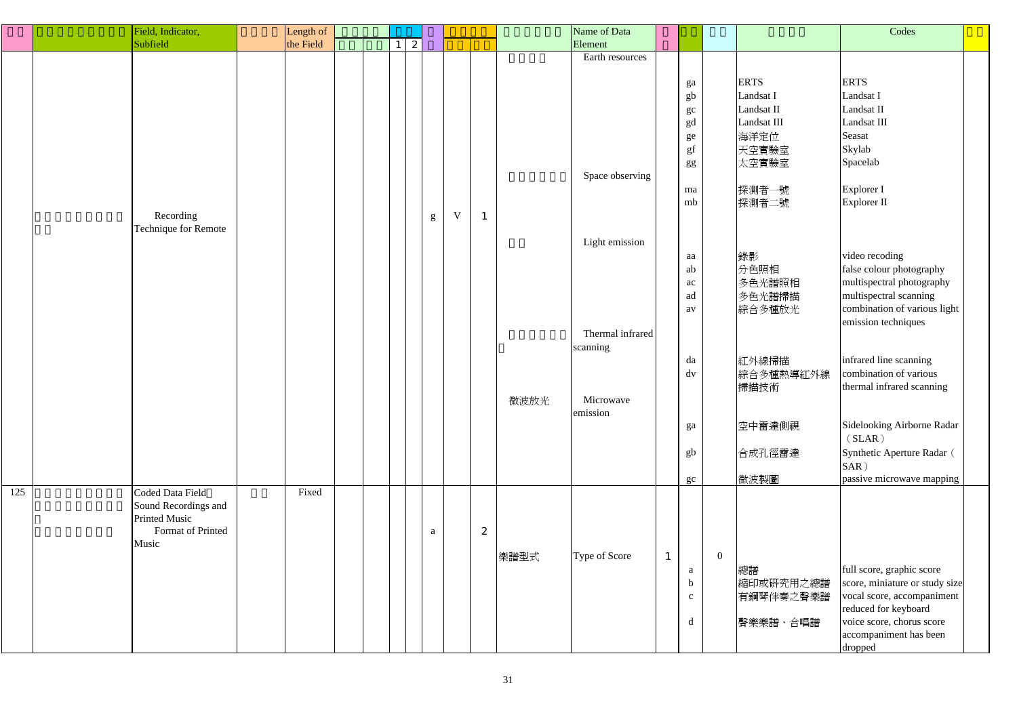|     | Field, Indicator,    | Length of |  |   |          |             |              |      | Name of Data     |                        |                |             | Codes                          |  |
|-----|----------------------|-----------|--|---|----------|-------------|--------------|------|------------------|------------------------|----------------|-------------|--------------------------------|--|
|     | Subfield             | the Field |  | 2 |          |             |              |      | Element          |                        |                |             |                                |  |
|     |                      |           |  |   |          |             |              |      | Earth resources  |                        |                |             |                                |  |
|     |                      |           |  |   |          |             |              |      |                  |                        |                |             |                                |  |
|     |                      |           |  |   |          |             |              |      |                  |                        |                | <b>ERTS</b> | <b>ERTS</b>                    |  |
|     |                      |           |  |   |          |             |              |      |                  | ga                     |                | Landsat I   | Landsat I                      |  |
|     |                      |           |  |   |          |             |              |      |                  | ${\bf g}{\bf b}$       |                |             |                                |  |
|     |                      |           |  |   |          |             |              |      |                  | $\operatorname{gc}$    |                | Landsat II  | Landsat II                     |  |
|     |                      |           |  |   |          |             |              |      |                  | gd                     |                | Landsat III | Landsat III                    |  |
|     |                      |           |  |   |          |             |              |      |                  | ${\rm ge}$             |                | 海洋定位        | Seasat                         |  |
|     |                      |           |  |   |          |             |              |      |                  | gf                     |                | 天空實驗室       | Skylab                         |  |
|     |                      |           |  |   |          |             |              |      |                  | gg                     |                | 太空實驗室       | Spacelab                       |  |
|     |                      |           |  |   |          |             |              |      | Space observing  |                        |                |             |                                |  |
|     |                      |           |  |   |          |             |              |      |                  | ma                     |                | 探測者一號       | Explorer I                     |  |
|     |                      |           |  |   |          |             |              |      |                  | mb                     |                | 探測者二號       | Explorer II                    |  |
|     | Recording            |           |  |   |          | $\mathbf V$ | $\mathbf{1}$ |      |                  |                        |                |             |                                |  |
|     | Technique for Remote |           |  |   | g        |             |              |      |                  |                        |                |             |                                |  |
|     |                      |           |  |   |          |             |              |      |                  |                        |                |             |                                |  |
|     |                      |           |  |   |          |             |              |      | Light emission   |                        |                |             |                                |  |
|     |                      |           |  |   |          |             |              |      |                  | aa                     |                | 錄影          | video recoding                 |  |
|     |                      |           |  |   |          |             |              |      |                  | ab                     |                | 分色照相        | false colour photography       |  |
|     |                      |           |  |   |          |             |              |      |                  | ac                     |                | 多色光譜照相      | multispectral photography      |  |
|     |                      |           |  |   |          |             |              |      |                  | ad                     |                | 多色光譜掃描      | multispectral scanning         |  |
|     |                      |           |  |   |          |             |              |      |                  | av                     |                | 綜合多種放光      | combination of various light   |  |
|     |                      |           |  |   |          |             |              |      |                  |                        |                |             | emission techniques            |  |
|     |                      |           |  |   |          |             |              |      | Thermal infrared |                        |                |             |                                |  |
|     |                      |           |  |   |          |             |              |      | scanning         |                        |                |             |                                |  |
|     |                      |           |  |   |          |             |              |      |                  | da                     |                | 紅外線掃描       | infrared line scanning         |  |
|     |                      |           |  |   |          |             |              |      |                  |                        |                |             | combination of various         |  |
|     |                      |           |  |   |          |             |              |      |                  | $\mathrm{d}\mathrm{v}$ |                | 綜合多種熱導紅外線   |                                |  |
|     |                      |           |  |   |          |             |              |      |                  |                        |                | 掃描技術        | thermal infrared scanning      |  |
|     |                      |           |  |   |          |             |              | 微波放光 | Microwave        |                        |                |             |                                |  |
|     |                      |           |  |   |          |             |              |      | emission         |                        |                |             |                                |  |
|     |                      |           |  |   |          |             |              |      |                  | ga                     |                | 空中雷達側視      | Sidelooking Airborne Radar     |  |
|     |                      |           |  |   |          |             |              |      |                  |                        |                |             | (SLAR)                         |  |
|     |                      |           |  |   |          |             |              |      |                  | gb                     |                | 合成孔徑雷達      | Synthetic Aperture Radar (     |  |
|     |                      |           |  |   |          |             |              |      |                  |                        |                |             | SAR)                           |  |
|     |                      |           |  |   |          |             |              |      |                  | gc                     |                | 微波製圖        | passive microwave mapping      |  |
| 125 | Coded Data Field     | Fixed     |  |   |          |             |              |      |                  |                        |                |             |                                |  |
|     | Sound Recordings and |           |  |   |          |             |              |      |                  |                        |                |             |                                |  |
|     | <b>Printed Music</b> |           |  |   |          |             |              |      |                  |                        |                |             |                                |  |
|     | Format of Printed    |           |  |   |          |             | 2            |      |                  |                        |                |             |                                |  |
|     |                      |           |  |   | $\rm{a}$ |             |              |      |                  |                        |                |             |                                |  |
|     | Music                |           |  |   |          |             |              |      |                  |                        |                |             |                                |  |
|     |                      |           |  |   |          |             |              | 樂譜型式 | Type of Score    | $\mathbf{1}$           | $\overline{0}$ |             |                                |  |
|     |                      |           |  |   |          |             |              |      |                  | $\mathbf{a}$           |                | 總譜          | full score, graphic score      |  |
|     |                      |           |  |   |          |             |              |      |                  | $\mathbf b$            |                | 縮印或研究用之總譜   | score, miniature or study size |  |
|     |                      |           |  |   |          |             |              |      |                  | $\mathbf{C}$           |                | 有鋼琴伴奏之聲樂譜   | vocal score, accompaniment     |  |
|     |                      |           |  |   |          |             |              |      |                  |                        |                |             | reduced for keyboard           |  |
|     |                      |           |  |   |          |             |              |      |                  | d                      |                | 聲樂樂譜、合唱譜    | voice score, chorus score      |  |
|     |                      |           |  |   |          |             |              |      |                  |                        |                |             | accompaniment has been         |  |
|     |                      |           |  |   |          |             |              |      |                  |                        |                |             | dropped                        |  |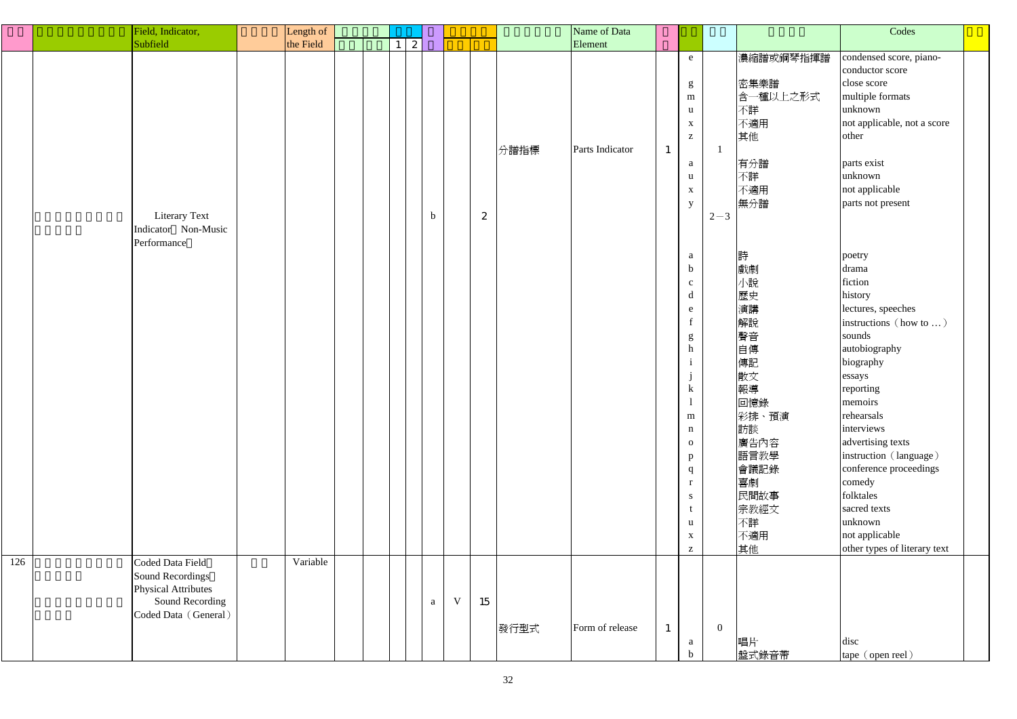|     | Field, Indicator,                                                     | Length of |  |                  |             |                  |      | Name of Data    |              |                                                                                                                                                                                                                                                                                           |                |                                                                                                                                         | Codes                                                                                                                                                                                                                                                                                                                  |  |
|-----|-----------------------------------------------------------------------|-----------|--|------------------|-------------|------------------|------|-----------------|--------------|-------------------------------------------------------------------------------------------------------------------------------------------------------------------------------------------------------------------------------------------------------------------------------------------|----------------|-----------------------------------------------------------------------------------------------------------------------------------------|------------------------------------------------------------------------------------------------------------------------------------------------------------------------------------------------------------------------------------------------------------------------------------------------------------------------|--|
|     | Subfield                                                              | the Field |  | $\boldsymbol{z}$ |             |                  |      | Element         |              |                                                                                                                                                                                                                                                                                           |                |                                                                                                                                         |                                                                                                                                                                                                                                                                                                                        |  |
|     | <b>Literary Text</b><br>Indicator Non-Music                           |           |  | $\mathbf b$      |             | $\boldsymbol{2}$ | 分譜指標 | Parts Indicator | $\mathbf{I}$ | e<br>g<br>${\bf m}$<br>$\mathbf{u}$<br>$\mathbf X$<br>$\mathbf{Z}% ^{T}=\mathbf{Z}^{T}\times\mathbf{Z}^{T}$<br>a<br>$\mathbf{u}$<br>$\mathbf X$<br>y                                                                                                                                      | $2 - 3$        | 濃縮譜或鋼琴指揮譜<br>密集樂譜<br>含一種以上之形式<br>不詳<br>不適用<br>其他<br>有分譜<br>不詳<br>不適用<br>無分譜                                                             | condensed score, piano-<br>conductor score<br>close score<br>multiple formats<br>unknown<br>not applicable, not a score<br>other<br>parts exist<br>unknown<br>not applicable<br>parts not present                                                                                                                      |  |
|     | Performance                                                           |           |  |                  |             |                  |      |                 |              | a<br>$\mathbf b$<br>$\mathbf{C}$<br>$\mathbf d$<br>e<br>$f_{\parallel}$<br>$\mathop{\mathrm{g}}\nolimits$ h<br>$\mathbf{i}$<br>$\mathbf{j}$<br>$\bf k$<br>$\mathbf{I}$<br>${\bf m}$<br>$\mathbf n$<br>${\bf 0}$<br>p<br>q<br>$\mathbf{r}$<br>${\bf S}$<br>$t_{\parallel}$<br>$\mathbf{u}$ |                | 詩<br>戲劇<br>小說<br>歷史<br>演講<br>解說<br>聲音<br>自傳<br>傳記<br>散文<br>報導<br>回憶錄<br>彩排、預演<br>訪談<br>廣告內容<br>語言教學<br>會議記錄<br>喜劇<br>民間故事<br>宗教經文<br>不詳 | poetry<br>drama<br>fiction<br>history<br>lectures, speeches<br>instructions (how to )<br>sounds<br>autobiography<br>biography<br>essays<br>reporting<br>memoirs<br>rehearsals<br>interviews<br>advertising texts<br>instruction (language)<br>conference proceedings<br>comedy<br>folktales<br>sacred texts<br>unknown |  |
| 126 | Coded Data Field<br><b>Sound Recordings</b>                           | Variable  |  |                  |             |                  |      |                 |              | $\mathbf{X}$<br>$\mathbf{Z}$                                                                                                                                                                                                                                                              |                | 不適用<br>其他                                                                                                                               | not applicable<br>other types of literary text                                                                                                                                                                                                                                                                         |  |
|     | <b>Physical Attributes</b><br>Sound Recording<br>Coded Data (General) |           |  | $\mathbf{a}$     | $\mathbf V$ | 15               | 發行型式 | Form of release | $\mathbf{1}$ | a<br>$\mathbf b$                                                                                                                                                                                                                                                                          | $\overline{0}$ | 唱片<br>盤式錄音帶                                                                                                                             | disc<br>tape (open reel)                                                                                                                                                                                                                                                                                               |  |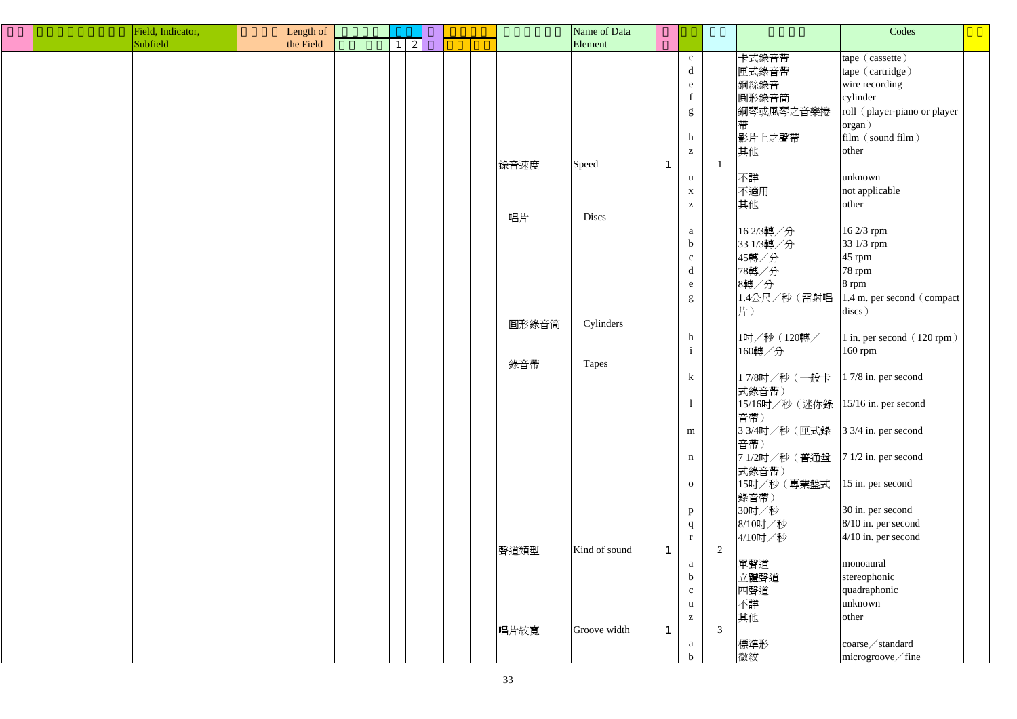|  | Field, Indicator, | Length of |  |   |  |       | Name of Data  |              |                 |   |                                     | Codes                        |  |
|--|-------------------|-----------|--|---|--|-------|---------------|--------------|-----------------|---|-------------------------------------|------------------------------|--|
|  | Subfield          | the Field |  | 2 |  |       | Element       |              |                 |   |                                     |                              |  |
|  |                   |           |  |   |  |       |               |              | $\mathbf{C}$    |   | 卡式錄音帶                               | tape (cassette)              |  |
|  |                   |           |  |   |  |       |               |              | $\mathbf d$     |   | 匣式錄音帶                               | tape (cartridge)             |  |
|  |                   |           |  |   |  |       |               |              | e               |   | 鋼絲錄音                                | wire recording               |  |
|  |                   |           |  |   |  |       |               |              | $f_{\parallel}$ |   | 圓形錄音筒                               | cylinder                     |  |
|  |                   |           |  |   |  |       |               |              |                 |   |                                     | roll (player-piano or player |  |
|  |                   |           |  |   |  |       |               |              | g               |   | 鋼琴或風琴之音樂捲                           |                              |  |
|  |                   |           |  |   |  |       |               |              |                 |   | 帶                                   | organ)                       |  |
|  |                   |           |  |   |  |       |               |              | h               |   | 影片上之聲帶                              | film (sound film)            |  |
|  |                   |           |  |   |  |       |               |              | $\mathbf{Z}$    |   | 其他                                  | other                        |  |
|  |                   |           |  |   |  | 錄音速度  | Speed         | $\perp$      |                 |   |                                     |                              |  |
|  |                   |           |  |   |  |       |               |              | $\mathbf{u}$    |   | 不詳                                  | unknown                      |  |
|  |                   |           |  |   |  |       |               |              | $\mathbf{X}$    |   | 不適用                                 | not applicable               |  |
|  |                   |           |  |   |  |       |               |              | $\mathbf{Z}$    |   | 其他                                  | other                        |  |
|  |                   |           |  |   |  | 唱片    | Discs         |              |                 |   |                                     |                              |  |
|  |                   |           |  |   |  |       |               |              | a               |   | 162/3轉/分                            | 16 2/3 rpm                   |  |
|  |                   |           |  |   |  |       |               |              | $\mathbf b$     |   | 33 1/3轉/分                           | 33 1/3 rpm                   |  |
|  |                   |           |  |   |  |       |               |              | $\mathbf{C}$    |   | 45轉/分                               | $45$ rpm                     |  |
|  |                   |           |  |   |  |       |               |              | $\mathbf d$     |   | 78轉/分                               | 78 rpm                       |  |
|  |                   |           |  |   |  |       |               |              | e               |   | 8轉/分                                | 8 rpm                        |  |
|  |                   |           |  |   |  |       |               |              | g               |   | 1.4公尺/秒(雷射唱                         | 1.4 m. per second (compact)  |  |
|  |                   |           |  |   |  |       |               |              |                 |   | 片)                                  | discs)                       |  |
|  |                   |           |  |   |  | 圓形錄音筒 | Cylinders     |              |                 |   |                                     |                              |  |
|  |                   |           |  |   |  |       |               |              | h               |   | 1吋/秒(120轉/                          | 1 in. per second (120 rpm)   |  |
|  |                   |           |  |   |  |       |               |              | $\mathbf{i}$    |   | 160轉/分                              | 160 rpm                      |  |
|  |                   |           |  |   |  | 錄音帶   |               |              |                 |   |                                     |                              |  |
|  |                   |           |  |   |  |       | Tapes         |              |                 |   |                                     |                              |  |
|  |                   |           |  |   |  |       |               |              | $\bf k$         |   | 17/8吋/秒 (一般卡 17/8 in. per second    |                              |  |
|  |                   |           |  |   |  |       |               |              |                 |   | 式錄音帶)                               |                              |  |
|  |                   |           |  |   |  |       |               |              | $\mathbf{I}$    |   | 15/16吋/秒 (迷你錄  15/16 in. per second |                              |  |
|  |                   |           |  |   |  |       |               |              |                 |   | 音帶)                                 |                              |  |
|  |                   |           |  |   |  |       |               |              | m               |   | 3 3/4吋/秒 (匣式錄 3 3/4 in. per second  |                              |  |
|  |                   |           |  |   |  |       |               |              |                 |   | 音帶)                                 |                              |  |
|  |                   |           |  |   |  |       |               |              | n               |   | 71/2吋/秒 (普通盤                        | $71/2$ in. per second        |  |
|  |                   |           |  |   |  |       |               |              |                 |   | 式錄音帶)                               |                              |  |
|  |                   |           |  |   |  |       |               |              | $\mathbf{o}$    |   | 15吋/秒 (專業盤式                         | 15 in. per second            |  |
|  |                   |           |  |   |  |       |               |              |                 |   | 錄音帶)                                |                              |  |
|  |                   |           |  |   |  |       |               |              | p               |   | 30吋/秒                               | 30 in. per second            |  |
|  |                   |           |  |   |  |       |               |              | q               |   | 8/10吋/秒                             | 8/10 in. per second          |  |
|  |                   |           |  |   |  |       |               |              | r               |   | 4/10吋/秒                             | $4/10$ in. per second        |  |
|  |                   |           |  |   |  | 聲道類型  | Kind of sound |              |                 | 2 |                                     |                              |  |
|  |                   |           |  |   |  |       |               |              | a               |   | 單聲道                                 | monoaural                    |  |
|  |                   |           |  |   |  |       |               |              | $\mathbf b$     |   | 立體聲道                                | stereophonic                 |  |
|  |                   |           |  |   |  |       |               |              | $\mathbf{c}$    |   | 四聲道                                 | quadraphonic                 |  |
|  |                   |           |  |   |  |       |               |              | $\mathbf{u}$    |   | 不詳                                  | unknown                      |  |
|  |                   |           |  |   |  |       |               |              | $\mathbf{Z}$    |   | 其他                                  | other                        |  |
|  |                   |           |  |   |  | 唱片紋寬  | Groove width  | $\mathbf{1}$ |                 | 3 |                                     |                              |  |
|  |                   |           |  |   |  |       |               |              | a               |   | 標準形                                 | $\cos\theta$ / standard      |  |
|  |                   |           |  |   |  |       |               |              | $\mathbf b$     |   | 微紋                                  | microgroove/fine             |  |
|  |                   |           |  |   |  |       |               |              |                 |   |                                     |                              |  |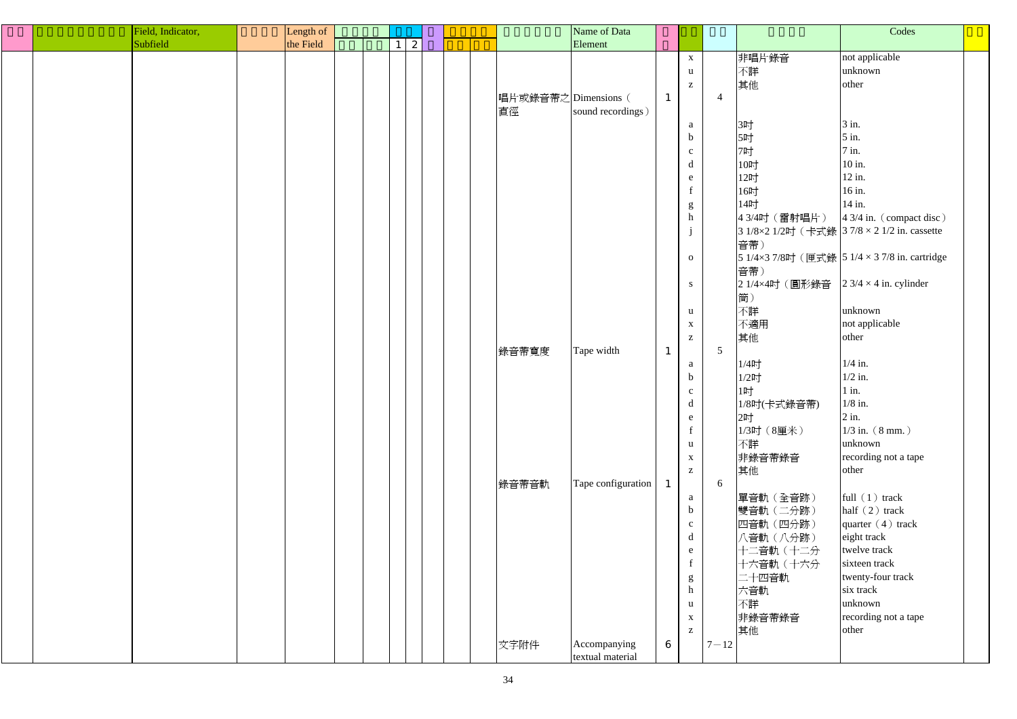| Field, Indicator, | Length of |  |                 |  |                      | Name of Data       |                  |                                                       |                |                                       | Codes                                         |  |
|-------------------|-----------|--|-----------------|--|----------------------|--------------------|------------------|-------------------------------------------------------|----------------|---------------------------------------|-----------------------------------------------|--|
| Subfield          | the Field |  | $1 \mid 2 \mid$ |  |                      | Element            |                  |                                                       |                |                                       |                                               |  |
|                   |           |  |                 |  |                      |                    |                  | $\mathbf{X}$                                          |                | 非唱片錄音                                 | not applicable                                |  |
|                   |           |  |                 |  |                      |                    |                  | $\mathbf{u}$                                          |                | 不詳                                    | unknown                                       |  |
|                   |           |  |                 |  |                      |                    |                  |                                                       |                |                                       |                                               |  |
|                   |           |  |                 |  |                      |                    |                  | $\mathbf{Z}% ^{T}=\mathbf{Z}^{T}\times\mathbf{Z}^{T}$ |                | 其他                                    | other                                         |  |
|                   |           |  |                 |  | 唱片或錄音帶之 Dimensions ( |                    | $\mathbf 1$      |                                                       | $\overline{4}$ |                                       |                                               |  |
|                   |           |  |                 |  | 直徑                   | sound recordings)  |                  |                                                       |                |                                       |                                               |  |
|                   |           |  |                 |  |                      |                    |                  | a                                                     |                | 3吋                                    | $3$ in.                                       |  |
|                   |           |  |                 |  |                      |                    |                  | $\mathbf b$                                           |                | 5吋                                    | $5$ in.                                       |  |
|                   |           |  |                 |  |                      |                    |                  | $\mathbf{c}$                                          |                | 7吋                                    | $7$ in.                                       |  |
|                   |           |  |                 |  |                      |                    |                  | d                                                     |                | 10吋                                   | 10 in.                                        |  |
|                   |           |  |                 |  |                      |                    |                  | e                                                     |                | 12吋                                   | $12$ in.                                      |  |
|                   |           |  |                 |  |                      |                    |                  |                                                       |                | 16吋                                   | 16 in.                                        |  |
|                   |           |  |                 |  |                      |                    |                  | g                                                     |                | 14吋                                   | 14 in.                                        |  |
|                   |           |  |                 |  |                      |                    |                  | $\,$ h                                                |                | 43/4吋 (雷射唱片)                          | $43/4$ in. (compact disc)                     |  |
|                   |           |  |                 |  |                      |                    |                  |                                                       |                |                                       | 3 1/8×2 1/2吋 (卡式錄 3 7/8 × 2 1/2 in. cassette  |  |
|                   |           |  |                 |  |                      |                    |                  | $\mathbf{J}$                                          |                |                                       |                                               |  |
|                   |           |  |                 |  |                      |                    |                  |                                                       |                | 音帶)                                   |                                               |  |
|                   |           |  |                 |  |                      |                    |                  | $\mathbf{O}$                                          |                |                                       | 5 1/4×3 7/8吋 (匣式錄 5 1/4 × 3 7/8 in. cartridge |  |
|                   |           |  |                 |  |                      |                    |                  |                                                       |                | 音帶)                                   |                                               |  |
|                   |           |  |                 |  |                      |                    |                  | S                                                     |                | 2 1/4×4吋 (圓形錄音 2 3/4 × 4 in. cylinder |                                               |  |
|                   |           |  |                 |  |                      |                    |                  |                                                       |                | 筒)                                    |                                               |  |
|                   |           |  |                 |  |                      |                    |                  | $\mathbf{u}$                                          |                | 不詳                                    | unknown                                       |  |
|                   |           |  |                 |  |                      |                    |                  | $\mathbf X$                                           |                | 不適用                                   | not applicable                                |  |
|                   |           |  |                 |  |                      |                    |                  | $\mathbf{Z}$                                          |                | 其他                                    | other                                         |  |
|                   |           |  |                 |  | 錄音帶寬度                | Tape width         |                  |                                                       | $\overline{5}$ |                                       |                                               |  |
|                   |           |  |                 |  |                      |                    |                  | a                                                     |                | $1/4$ 吋                               | $1/4$ in.                                     |  |
|                   |           |  |                 |  |                      |                    |                  | $\mathbf b$                                           |                | $1/2$ 吋                               | $1/2$ in.                                     |  |
|                   |           |  |                 |  |                      |                    |                  |                                                       |                | 1时                                    | $1$ in.                                       |  |
|                   |           |  |                 |  |                      |                    |                  | $\mathbf{c}$                                          |                |                                       | $1/8$ in.                                     |  |
|                   |           |  |                 |  |                      |                    |                  | u                                                     |                | 1/8吋(卡式錄音帶)                           |                                               |  |
|                   |           |  |                 |  |                      |                    |                  | e                                                     |                | 2吋                                    | $2$ in.                                       |  |
|                   |           |  |                 |  |                      |                    |                  |                                                       |                | 1/3吋 (8厘米)                            | $1/3$ in. $(8 \text{ mm.})$                   |  |
|                   |           |  |                 |  |                      |                    |                  | $\mathbf{u}$                                          |                | 不詳                                    | unknown                                       |  |
|                   |           |  |                 |  |                      |                    |                  | $\mathbf{X}$                                          |                | 非錄音帶錄音                                | recording not a tape                          |  |
|                   |           |  |                 |  |                      |                    |                  | $\mathbf{Z}$                                          |                | 其他                                    | other                                         |  |
|                   |           |  |                 |  | 錄音帶音軌                | Tape configuration |                  |                                                       | 6              |                                       |                                               |  |
|                   |           |  |                 |  |                      |                    |                  | a                                                     |                | 單音軌 (全音跡)                             | full $(1)$ track                              |  |
|                   |           |  |                 |  |                      |                    |                  | $\mathbf b$                                           |                | 雙音軌(二分跡)                              | half $(2)$ track                              |  |
|                   |           |  |                 |  |                      |                    |                  | $\mathbf{c}$                                          |                | 四音軌 (四分跡)                             | quarter $(4)$ track                           |  |
|                   |           |  |                 |  |                      |                    |                  | d                                                     |                | 八音軌(八分跡)                              | eight track                                   |  |
|                   |           |  |                 |  |                      |                    |                  | e                                                     |                | 十二音軌(十二分                              | twelve track                                  |  |
|                   |           |  |                 |  |                      |                    |                  |                                                       |                | 十六音軌 (十六分                             | sixteen track                                 |  |
|                   |           |  |                 |  |                      |                    |                  |                                                       |                | 二十四音軌                                 | twenty-four track                             |  |
|                   |           |  |                 |  |                      |                    |                  | g<br>h                                                |                |                                       | six track                                     |  |
|                   |           |  |                 |  |                      |                    |                  |                                                       |                | 六音軌                                   |                                               |  |
|                   |           |  |                 |  |                      |                    |                  | $\mathbf{u}$                                          |                | 不詳                                    | unknown                                       |  |
|                   |           |  |                 |  |                      |                    |                  | $\mathbf X$                                           |                | 非錄音帶錄音                                | recording not a tape                          |  |
|                   |           |  |                 |  |                      |                    |                  | $\mathbf{Z}$                                          |                | 其他                                    | other                                         |  |
|                   |           |  |                 |  | 文字附件                 | Accompanying       | $\boldsymbol{6}$ |                                                       | $7 - 12$       |                                       |                                               |  |
|                   |           |  |                 |  |                      | textual material   |                  |                                                       |                |                                       |                                               |  |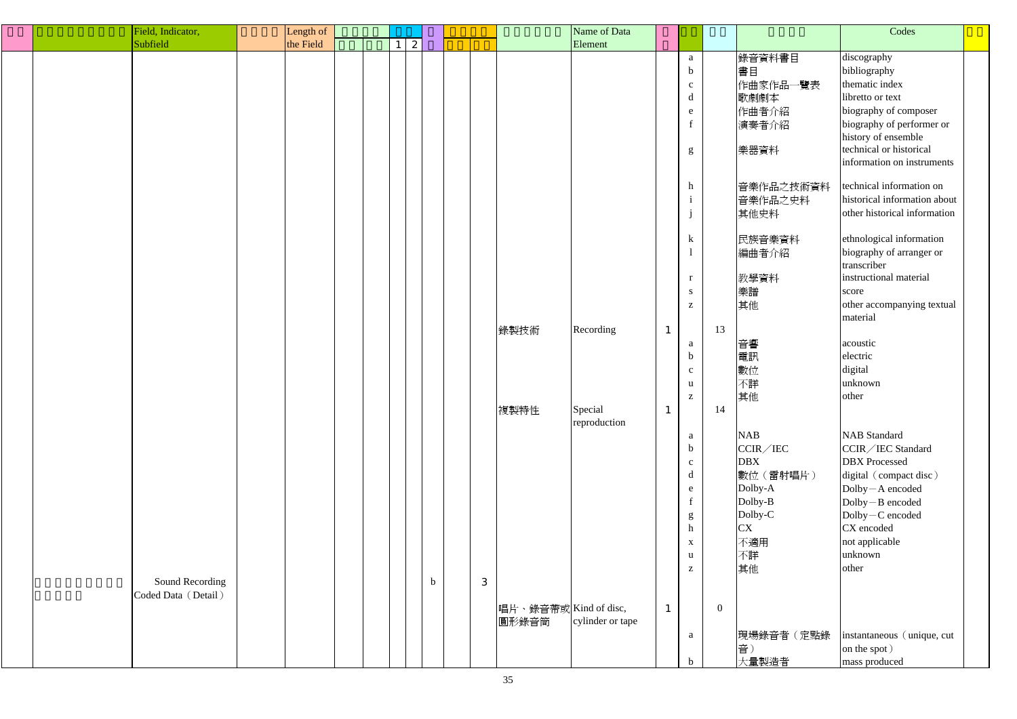| Field, Indicator, |                     | Length of |             |                      | Name of Data            |              |                                                                    |                |                        | Codes                                                                        |
|-------------------|---------------------|-----------|-------------|----------------------|-------------------------|--------------|--------------------------------------------------------------------|----------------|------------------------|------------------------------------------------------------------------------|
| Subfield          |                     | the Field | 2           |                      | Element                 |              |                                                                    |                |                        |                                                                              |
|                   |                     |           |             |                      |                         |              | $\mathbf{a}$<br>$\mathbf b$                                        |                | 錄音資料書目<br>書目           | discography<br>bibliography                                                  |
|                   |                     |           |             |                      |                         |              | $\mathbf{c}$<br>d                                                  |                | 作曲家作品一覽表<br>歌劇劇本       | thematic index<br>libretto or text                                           |
|                   |                     |           |             |                      |                         |              | e                                                                  |                | 作曲者介紹<br>演奏者介紹         | biography of composer<br>biography of performer or                           |
|                   |                     |           |             |                      |                         |              | g                                                                  |                | 樂器資料                   | history of ensemble<br>technical or historical<br>information on instruments |
|                   |                     |           |             |                      |                         |              | $\mathbf{h}$<br>$\mathbf{1}$                                       |                | 音樂作品之技術資料<br>音樂作品之史料   | technical information on<br>historical information about                     |
|                   |                     |           |             |                      |                         |              |                                                                    |                | 其他史料                   | other historical information                                                 |
|                   |                     |           |             |                      |                         |              | $\bf k$                                                            |                | 民族音樂資料<br>編曲者介紹        | ethnological information<br>biography of arranger or<br>transcriber          |
|                   |                     |           |             |                      |                         |              | r                                                                  |                | 教學資料                   | instructional material                                                       |
|                   |                     |           |             |                      |                         |              | ${\bf S}$<br>$\mathbf{Z}% ^{T}=\mathbf{Z}^{T}\times\mathbf{Z}^{T}$ |                | 樂譜<br>其他               | score<br>other accompanying textual<br>material                              |
|                   |                     |           |             | 錄製技術                 | Recording               | $\mathbf{1}$ |                                                                    | 13             |                        |                                                                              |
|                   |                     |           |             |                      |                         |              | a<br>$\mathbf b$                                                   |                | 音響<br>電訊               | acoustic<br>electric                                                         |
|                   |                     |           |             |                      |                         |              | $\mathbf{C}$                                                       |                | 數位                     | digital<br>unknown                                                           |
|                   |                     |           |             |                      |                         |              | u<br>Z                                                             |                | 不詳<br>其他               | other                                                                        |
|                   |                     |           |             | 複製特性                 | Special<br>reproduction | $\mathbf{1}$ |                                                                    | 14             |                        |                                                                              |
|                   |                     |           |             |                      |                         |              | a<br>b                                                             |                | <b>NAB</b><br>CCIR/IEC | <b>NAB</b> Standard<br>CCIR/IEC Standard                                     |
|                   |                     |           |             |                      |                         |              | $\mathbf{C}$                                                       |                | <b>DBX</b>             | <b>DBX</b> Processed                                                         |
|                   |                     |           |             |                      |                         |              | d<br>$\mathbf{e}$                                                  |                | 數位(雷射唱片)<br>Dolby-A    | digital (compact disc)<br>Dolby-A encoded                                    |
|                   |                     |           |             |                      |                         |              | g                                                                  |                | Dolby-B<br>Dolby-C     | $Dolly - B encoded$<br>$Dolly-C encoded$                                     |
|                   |                     |           |             |                      |                         |              | h<br>$\mathbf{X}$                                                  |                | <b>CX</b><br>不適用       | CX encoded<br>not applicable                                                 |
|                   |                     |           |             |                      |                         |              | u                                                                  |                | 不詳                     | unknown                                                                      |
|                   | Sound Recording     |           | $\mathbf b$ | 3                    |                         |              | $\mathbf{Z}$                                                       |                | 其他                     | other                                                                        |
|                   | Coded Data (Detail) |           |             | 唱片、錄音帶或Kind of disc, |                         | $\mathbf{1}$ |                                                                    | $\overline{0}$ |                        |                                                                              |
|                   |                     |           |             | 圓形錄音筒                | cylinder or tape        |              |                                                                    |                | 現場錄音者(定點錄              | instantaneous (unique, cut)                                                  |
|                   |                     |           |             |                      |                         |              | a<br>$\mathbf b$                                                   |                | 音)<br>大量製造者            | on the spot)<br>mass produced                                                |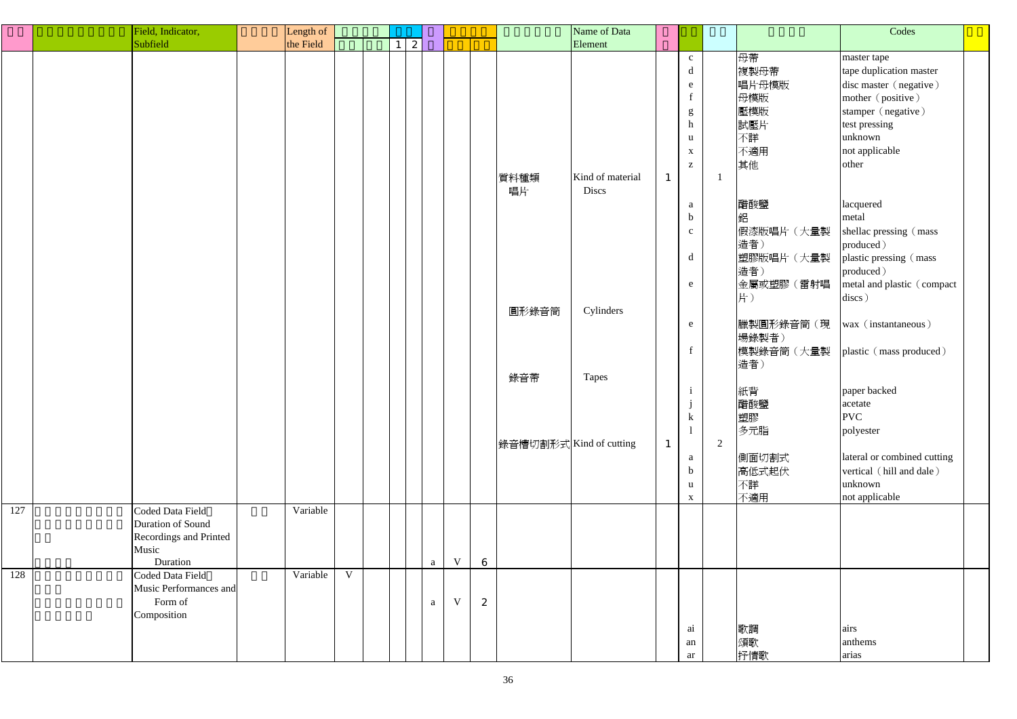|     | Field, Indicator,                                                                           | Length of |   |   |              |             |                  |                         | Name of Data              |              |                                               |                |                               | Codes                                                                                 |  |
|-----|---------------------------------------------------------------------------------------------|-----------|---|---|--------------|-------------|------------------|-------------------------|---------------------------|--------------|-----------------------------------------------|----------------|-------------------------------|---------------------------------------------------------------------------------------|--|
|     | Subfield                                                                                    | the Field |   | 2 |              |             |                  |                         | Element                   |              |                                               |                |                               |                                                                                       |  |
|     |                                                                                             |           |   |   |              |             |                  |                         |                           |              | $\mathbf{C}^-$<br>$\mathbf d$<br>e<br>f       |                | 母帶<br>複製母帶<br>唱片母模版<br>母模版    | master tape<br>tape duplication master<br>disc master (negative)<br>mother (positive) |  |
|     |                                                                                             |           |   |   |              |             |                  |                         |                           |              | $\frac{g}{h}$<br>$\mathbf{u}$<br>$\mathbf{X}$ |                | 壓模版<br>試壓片<br>不詳<br>不適用       | stamper (negative)<br>test pressing<br>unknown<br>not applicable                      |  |
|     |                                                                                             |           |   |   |              |             |                  | 質料種類<br>唱片              | Kind of material<br>Discs | $\mathbf{1}$ | $\mathbf{Z}$                                  |                | 其他                            | other                                                                                 |  |
|     |                                                                                             |           |   |   |              |             |                  |                         |                           |              | a<br>$\mathbf b$<br>$\mathbf{C}$              |                | 醋酸鹽<br>鋁<br>假漆版唱片(大量製<br>造者)  | lacquered<br>metal<br>shellac pressing (mass<br>produced)                             |  |
|     |                                                                                             |           |   |   |              |             |                  |                         |                           |              | $\mathbf d$<br>e                              |                | 塑膠版唱片(大量製<br>造者)<br>金屬或塑膠(雷射唱 | plastic pressing (mass<br>produced)<br>metal and plastic (compact                     |  |
|     |                                                                                             |           |   |   |              |             |                  | 圓形錄音筒                   | Cylinders                 |              | e                                             |                | 片)<br>臘製圓形錄音筒(現<br>場錄製者)      | discs)<br>wax (instantaneous)                                                         |  |
|     |                                                                                             |           |   |   |              |             |                  | 錄音帶                     | Tapes                     |              | $f_{\parallel}$                               |                | 模製錄音筒(大量製<br>造者)              | plastic (mass produced)                                                               |  |
|     |                                                                                             |           |   |   |              |             |                  |                         |                           |              | -1<br>$\bf k$                                 |                | 紙背<br>醋酸鹽<br>塑膠<br>多元脂        | paper backed<br>acetate<br><b>PVC</b><br>polyester                                    |  |
|     |                                                                                             |           |   |   |              |             |                  | 錄音槽切割形式 Kind of cutting |                           | $\mathbf{1}$ | a<br>$\mathbf b$<br>$\mathbf{u}$              | $\overline{2}$ | 側面切割式<br>高低式起伏<br>不詳          | lateral or combined cutting<br>vertical (hill and dale)<br>unknown                    |  |
| 127 | Coded Data Field<br>Duration of Sound<br><b>Recordings and Printed</b><br>Music<br>Duration | Variable  |   |   | $\mathbf{a}$ | $\mathbf V$ | $6\phantom{1}6$  |                         |                           |              | $\mathbf{X}$                                  |                | 不適用                           | not applicable                                                                        |  |
| 128 | Coded Data Field<br>Music Performances and<br>Form of<br>Composition                        | Variable  | V |   | $\rm{a}$     | $\mathbf V$ | $\boldsymbol{2}$ |                         |                           |              | $a\dot{i}$<br>an                              |                | 歌調<br>頌歌                      | airs<br>anthems                                                                       |  |
|     |                                                                                             |           |   |   |              |             |                  |                         |                           |              | ar                                            |                | 抒情歌                           | arias                                                                                 |  |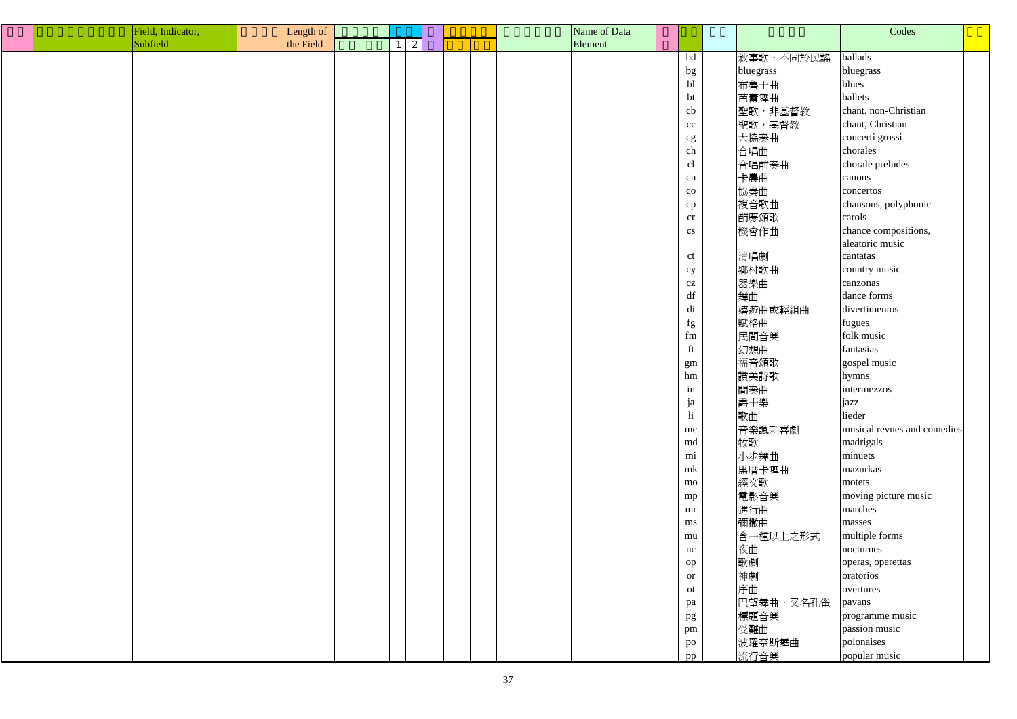|  | Field, Indicator, | Length of |  |              |  | Name of Data |                         |           | Codes                       |  |
|--|-------------------|-----------|--|--------------|--|--------------|-------------------------|-----------|-----------------------------|--|
|  | Subfield          | the Field |  | $\mathbf{2}$ |  | Element      |                         |           |                             |  |
|  |                   |           |  |              |  |              | bd                      | 敘事歌,不同於民謠 | ballads                     |  |
|  |                   |           |  |              |  |              | bg                      | bluegrass | bluegrass                   |  |
|  |                   |           |  |              |  |              | bl                      | 布魯士曲      | blues                       |  |
|  |                   |           |  |              |  |              | bt                      | 芭蕾舞曲      | ballets                     |  |
|  |                   |           |  |              |  |              | cb                      | 聖歌,非基督教   | chant, non-Christian        |  |
|  |                   |           |  |              |  |              | $\rm{cc}$               | 聖歌,基督教    | chant, Christian            |  |
|  |                   |           |  |              |  |              | cg                      | 大協奏曲      | concerti grossi             |  |
|  |                   |           |  |              |  |              | ${\rm ch}$              | 合唱曲       | chorales                    |  |
|  |                   |           |  |              |  |              | cl                      | 合唱前奏曲     | chorale preludes            |  |
|  |                   |           |  |              |  |              | cn                      | 卡農曲       | canons                      |  |
|  |                   |           |  |              |  |              |                         |           |                             |  |
|  |                   |           |  |              |  |              | $_{\rm CO}$             | 協奏曲       | concertos                   |  |
|  |                   |           |  |              |  |              | cp                      | 複音歌曲      | chansons, polyphonic        |  |
|  |                   |           |  |              |  |              | cr                      | 節慶頌歌      | carols                      |  |
|  |                   |           |  |              |  |              | cs                      | 機會作曲      | chance compositions,        |  |
|  |                   |           |  |              |  |              |                         |           | aleatoric music             |  |
|  |                   |           |  |              |  |              | ct                      | 清唱劇       | cantatas                    |  |
|  |                   |           |  |              |  |              | cy                      | 鄉村歌曲      | country music               |  |
|  |                   |           |  |              |  |              | cz                      | 器樂曲       | canzonas                    |  |
|  |                   |           |  |              |  |              | $\mathrm{d}\mathrm{f}$  | 舞曲        | dance forms                 |  |
|  |                   |           |  |              |  |              | di                      | 嬉遊曲或輕組曲   | divertimentos               |  |
|  |                   |           |  |              |  |              | fg                      | 賦格曲       | fugues                      |  |
|  |                   |           |  |              |  |              | fm                      | 民間音樂      | folk music                  |  |
|  |                   |           |  |              |  |              | ft                      | 幻想曲       | fantasias                   |  |
|  |                   |           |  |              |  |              | gm                      | 福音頌歌      | gospel music                |  |
|  |                   |           |  |              |  |              | hm                      | 讚美詩歌      | hymns                       |  |
|  |                   |           |  |              |  |              | in                      | 間奏曲       | intermezzos                 |  |
|  |                   |           |  |              |  |              | ja                      | 爵士樂       | jazz                        |  |
|  |                   |           |  |              |  |              | $\overline{\mathbf{h}}$ | 歌曲        | lieder                      |  |
|  |                   |           |  |              |  |              | mc                      | 音樂諷刺喜劇    | musical revues and comedies |  |
|  |                   |           |  |              |  |              | md                      | 牧歌        | madrigals                   |  |
|  |                   |           |  |              |  |              | mi                      | 小步舞曲      | minuets                     |  |
|  |                   |           |  |              |  |              | mk                      | 馬厝卡舞曲     | mazurkas                    |  |
|  |                   |           |  |              |  |              | mo                      | 經文歌       | motets                      |  |
|  |                   |           |  |              |  |              |                         | 電影音樂      | moving picture music        |  |
|  |                   |           |  |              |  |              | mp                      |           | marches                     |  |
|  |                   |           |  |              |  |              | mr                      | 進行曲       |                             |  |
|  |                   |           |  |              |  |              | ms                      | 彌撒曲       | masses                      |  |
|  |                   |           |  |              |  |              | mu                      | 含一種以上之形式  | multiple forms              |  |
|  |                   |           |  |              |  |              | nc                      | 夜曲        | nocturnes                   |  |
|  |                   |           |  |              |  |              | op                      | 歌劇        | operas, operettas           |  |
|  |                   |           |  |              |  |              | <b>or</b>               | 神劇        | oratorios                   |  |
|  |                   |           |  |              |  |              | ot                      | 序曲        | overtures                   |  |
|  |                   |           |  |              |  |              | pa                      | 巴望舞曲,又名孔雀 | pavans                      |  |
|  |                   |           |  |              |  |              | pg                      | 標題音樂      | programme music             |  |
|  |                   |           |  |              |  |              | pm                      | 受難曲       | passion music               |  |
|  |                   |           |  |              |  |              | $\mathbf{p}\mathbf{o}$  | 波羅奈斯舞曲    | polonaises                  |  |
|  |                   |           |  |              |  |              | pp                      | 流行音樂      | popular music               |  |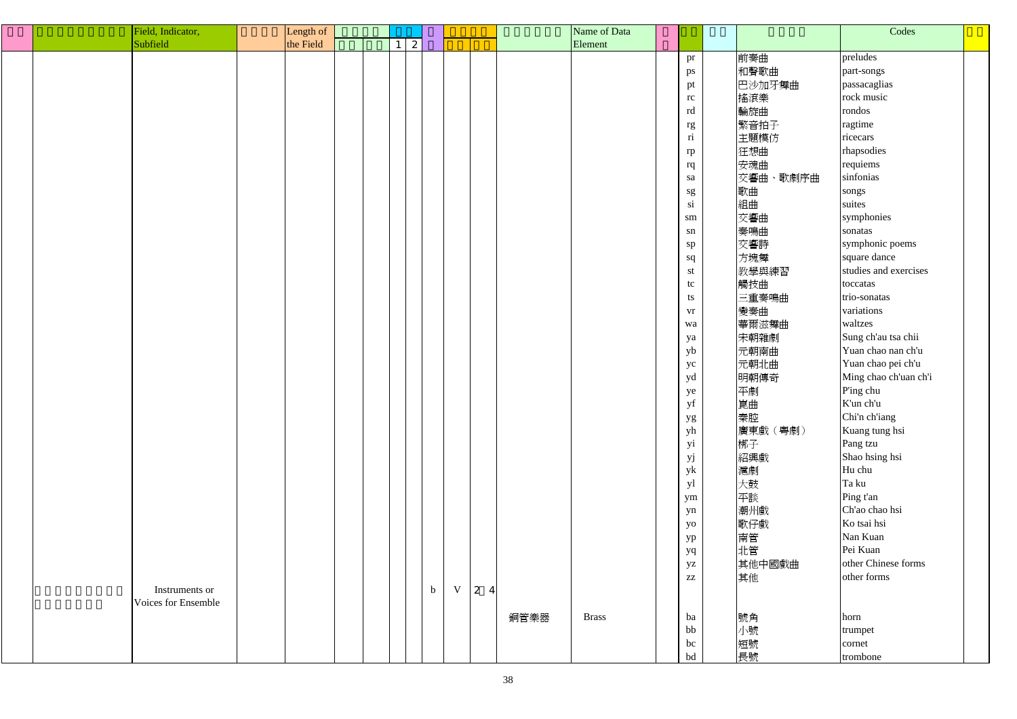| Field, Indicator,   | Length of |              |             |     | Name of Data         |                         |          | Codes                 |  |
|---------------------|-----------|--------------|-------------|-----|----------------------|-------------------------|----------|-----------------------|--|
| Subfield            | the Field | $\mathbf{2}$ |             |     | Element              |                         |          |                       |  |
|                     |           |              |             |     |                      | pr                      | 前奏曲      | preludes              |  |
|                     |           |              |             |     |                      | ps                      | 和聲歌曲     | part-songs            |  |
|                     |           |              |             |     |                      | pt                      | 巴沙加牙舞曲   | passacaglias          |  |
|                     |           |              |             |     |                      | rc                      | 搖滾樂      | rock music            |  |
|                     |           |              |             |     |                      | rd                      | 輪旋曲      | rondos                |  |
|                     |           |              |             |     |                      | rg                      | 繁音拍子     | ragtime               |  |
|                     |           |              |             |     |                      | $\overline{\textbf{n}}$ | 主題模仿     | ricecars              |  |
|                     |           |              |             |     |                      | rp                      | 狂想曲      | rhapsodies            |  |
|                     |           |              |             |     |                      | rq                      | 安魂曲      | requiems              |  |
|                     |           |              |             |     |                      | sa                      | 交響曲、歌劇序曲 | sinfonias             |  |
|                     |           |              |             |     |                      |                         | 歌曲       | songs                 |  |
|                     |           |              |             |     |                      | $\mathrm{sg}$<br>si     | 組曲       | suites                |  |
|                     |           |              |             |     |                      |                         | 交響曲      | symphonies            |  |
|                     |           |              |             |     |                      | sm                      |          | sonatas               |  |
|                     |           |              |             |     |                      | ${\rm sn}$              | 奏鳴曲      |                       |  |
|                     |           |              |             |     |                      | sp                      | 交響詩      | symphonic poems       |  |
|                     |           |              |             |     |                      | sq                      | 方塊舞      | square dance          |  |
|                     |           |              |             |     |                      | st                      | 教學與練習    | studies and exercises |  |
|                     |           |              |             |     |                      | tc                      | 觸技曲      | toccatas              |  |
|                     |           |              |             |     |                      | ts                      | 三重奏鳴曲    | trio-sonatas          |  |
|                     |           |              |             |     |                      | vr                      | 變奏曲      | variations            |  |
|                     |           |              |             |     |                      | wa                      | 華爾滋舞曲    | waltzes               |  |
|                     |           |              |             |     |                      | ya                      | 宋朝雜劇     | Sung ch'au tsa chii   |  |
|                     |           |              |             |     |                      | yb                      | 元朝南曲     | Yuan chao nan ch'u    |  |
|                     |           |              |             |     |                      | yc                      | 元朝北曲     | Yuan chao pei ch'u    |  |
|                     |           |              |             |     |                      | yd                      | 明朝傳奇     | Ming chao ch'uan ch'i |  |
|                     |           |              |             |     |                      | ye                      | 平劇       | P'ing chu             |  |
|                     |           |              |             |     |                      | $\mathbf{y}\mathbf{f}$  | 崑曲       | K'un ch'u             |  |
|                     |           |              |             |     |                      | yg                      | 秦腔       | Chi'n ch'iang         |  |
|                     |           |              |             |     |                      | yh                      | 廣東戲 (粵劇) | Kuang tung hsi        |  |
|                     |           |              |             |     |                      | yi                      | 梆子       | Pang tzu              |  |
|                     |           |              |             |     |                      | yj                      | 紹興戲      | Shao hsing hsi        |  |
|                     |           |              |             |     |                      | yk                      | 滬劇       | Hu chu                |  |
|                     |           |              |             |     |                      | yl                      | 大鼓       | Ta ku                 |  |
|                     |           |              |             |     |                      | ym                      | 平談       | Ping t'an             |  |
|                     |           |              |             |     |                      | yn                      | 潮州戲      | Ch'ao chao hsi        |  |
|                     |           |              |             |     |                      | yo                      | 歌仔戲      | Ko tsai hsi           |  |
|                     |           |              |             |     |                      | yp                      | 南管       | Nan Kuan              |  |
|                     |           |              |             |     |                      | yq                      | 北管       | Pei Kuan              |  |
|                     |           |              |             |     |                      | yz                      | 其他中國戲曲   | other Chinese forms   |  |
|                     |           |              |             |     |                      | $\mathbf{Z}\mathbf{Z}$  | 其他       | other forms           |  |
| Instruments or      |           | $\mathbf b$  | $\mathbf V$ | 2 4 |                      |                         |          |                       |  |
| Voices for Ensemble |           |              |             |     |                      |                         |          |                       |  |
|                     |           |              |             |     | 銅管樂器<br><b>Brass</b> | ba                      | 號角       | horn                  |  |
|                     |           |              |             |     |                      | bb                      | 小號       | trumpet               |  |
|                     |           |              |             |     |                      | bc                      | 短號       | cornet                |  |
|                     |           |              |             |     |                      | bd                      | 長號       | trombone              |  |
|                     |           |              |             |     |                      |                         |          |                       |  |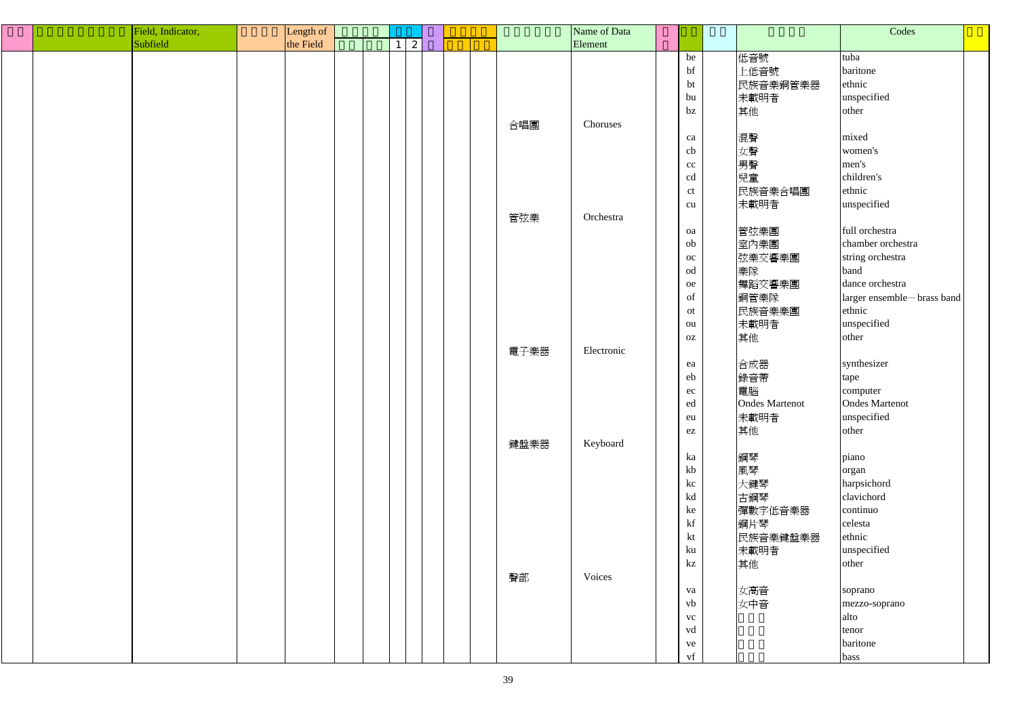|  | Field, Indicator, | Length of |  |                 |  |      | Name of Data |                        |                       | Codes                      |  |
|--|-------------------|-----------|--|-----------------|--|------|--------------|------------------------|-----------------------|----------------------------|--|
|  | Subfield          | the Field |  | $1 \mid 2 \mid$ |  |      | Element      |                        |                       |                            |  |
|  |                   |           |  |                 |  |      |              | be                     | 低音號                   | tuba                       |  |
|  |                   |           |  |                 |  |      |              | bf                     | 上低音號                  | baritone                   |  |
|  |                   |           |  |                 |  |      |              | bt                     | 民族音樂銅管樂器              | ethnic                     |  |
|  |                   |           |  |                 |  |      |              | bu                     | 未載明者                  | unspecified                |  |
|  |                   |           |  |                 |  |      |              | bz                     | 其他                    | other                      |  |
|  |                   |           |  |                 |  | 合唱團  | Choruses     |                        |                       |                            |  |
|  |                   |           |  |                 |  |      |              | ca                     | 混聲                    | mixed                      |  |
|  |                   |           |  |                 |  |      |              | cb                     | 女聲                    | women's                    |  |
|  |                   |           |  |                 |  |      |              | $\rm cc$               | 男聲                    | men's                      |  |
|  |                   |           |  |                 |  |      |              | cd                     | 兒童                    | children's                 |  |
|  |                   |           |  |                 |  |      |              | ct                     | 民族音樂合唱團               | ethnic                     |  |
|  |                   |           |  |                 |  |      |              | cu                     | 未載明者                  | unspecified                |  |
|  |                   |           |  |                 |  | 管弦樂  | Orchestra    |                        |                       |                            |  |
|  |                   |           |  |                 |  |      |              | oa                     | 管弦樂團                  | full orchestra             |  |
|  |                   |           |  |                 |  |      |              | ob                     |                       | chamber orchestra          |  |
|  |                   |           |  |                 |  |      |              |                        | 室內樂團                  |                            |  |
|  |                   |           |  |                 |  |      |              | oc                     | 弦樂交響樂團                | string orchestra           |  |
|  |                   |           |  |                 |  |      |              | od                     | 樂隊                    | band                       |  |
|  |                   |           |  |                 |  |      |              | ${\rm oe}$             | 舞蹈交響樂團                | dance orchestra            |  |
|  |                   |           |  |                 |  |      |              | of                     | 銅管樂隊                  | larger ensemble-brass band |  |
|  |                   |           |  |                 |  |      |              | ot                     | 民族音樂樂團                | ethnic                     |  |
|  |                   |           |  |                 |  |      |              | ou                     | 未載明者                  | unspecified                |  |
|  |                   |           |  |                 |  |      |              | OZ                     | 其他                    | other                      |  |
|  |                   |           |  |                 |  | 電子樂器 | Electronic   |                        |                       |                            |  |
|  |                   |           |  |                 |  |      |              | ea                     | 合成器                   | synthesizer                |  |
|  |                   |           |  |                 |  |      |              | eb                     | 錄音帶                   | tape                       |  |
|  |                   |           |  |                 |  |      |              | ec                     | 電腦                    | computer                   |  |
|  |                   |           |  |                 |  |      |              | ed                     | <b>Ondes Martenot</b> | <b>Ondes Martenot</b>      |  |
|  |                   |           |  |                 |  |      |              | eu                     | 未載明者                  | unspecified                |  |
|  |                   |           |  |                 |  |      |              | ez                     | 其他                    | other                      |  |
|  |                   |           |  |                 |  | 鍵盤樂器 | Keyboard     |                        |                       |                            |  |
|  |                   |           |  |                 |  |      |              | ka                     | 鋼琴                    | piano                      |  |
|  |                   |           |  |                 |  |      |              | kb                     | 風琴                    | organ                      |  |
|  |                   |           |  |                 |  |      |              | kc                     | 大鍵琴                   | harpsichord                |  |
|  |                   |           |  |                 |  |      |              | kd                     | 古鋼琴                   | clavichord                 |  |
|  |                   |           |  |                 |  |      |              | ke                     | 彈數字低音樂器               | continuo                   |  |
|  |                   |           |  |                 |  |      |              | $\mathbf{k}\mathbf{f}$ | 鋼片琴                   | celesta                    |  |
|  |                   |           |  |                 |  |      |              | kt                     | 民族音樂鍵盤樂器              | ethnic                     |  |
|  |                   |           |  |                 |  |      |              | ku                     | 未載明者                  | unspecified                |  |
|  |                   |           |  |                 |  |      |              | kz                     | 其他                    | other                      |  |
|  |                   |           |  |                 |  | 聲部   | Voices       |                        |                       |                            |  |
|  |                   |           |  |                 |  |      |              | va                     | 女高音                   | soprano                    |  |
|  |                   |           |  |                 |  |      |              | vb                     | 女中音                   | mezzo-soprano              |  |
|  |                   |           |  |                 |  |      |              | ${\rm VC}$             |                       | alto                       |  |
|  |                   |           |  |                 |  |      |              | vd                     |                       | tenor                      |  |
|  |                   |           |  |                 |  |      |              |                        |                       | baritone                   |  |
|  |                   |           |  |                 |  |      |              | ve                     |                       |                            |  |
|  |                   |           |  |                 |  |      |              | vf                     |                       | bass                       |  |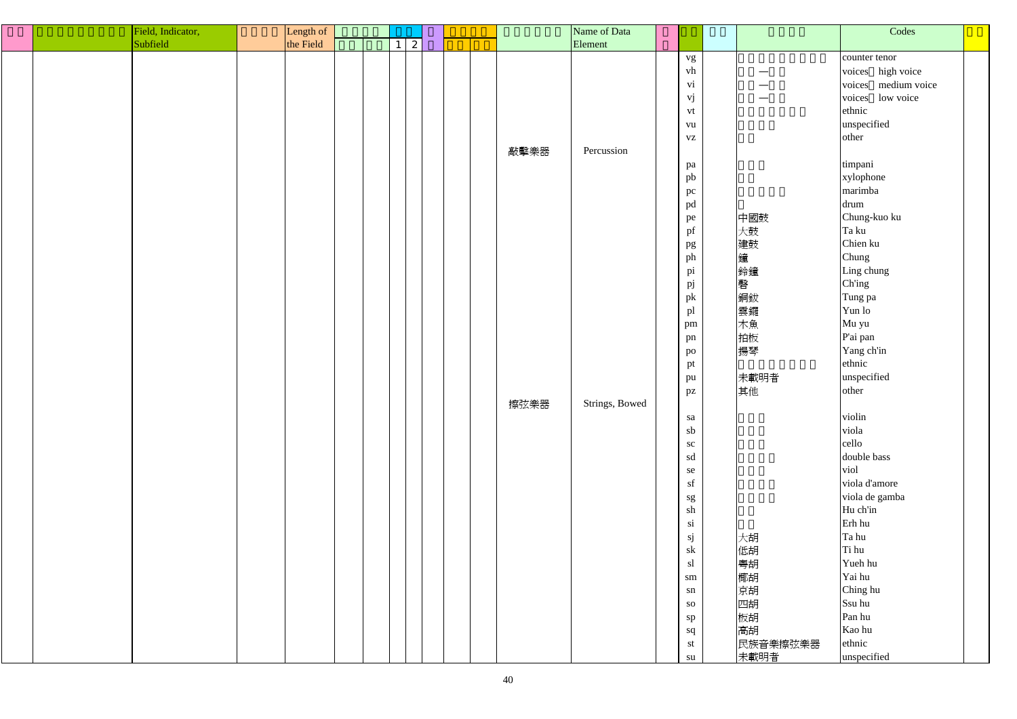|  | Field, Indicator, | Length of |                 |  |      | Name of Data   |                        |          | Codes               |
|--|-------------------|-----------|-----------------|--|------|----------------|------------------------|----------|---------------------|
|  | Subfield          | the Field | $1 \mid 2 \mid$ |  |      | Element        |                        |          |                     |
|  |                   |           |                 |  |      |                | vg                     |          | counter tenor       |
|  |                   |           |                 |  |      |                | vh                     |          | voices high voice   |
|  |                   |           |                 |  |      |                | vi                     |          | voices medium voice |
|  |                   |           |                 |  |      |                | vj                     | --       | voices<br>low voice |
|  |                   |           |                 |  |      |                | vt                     |          | ethnic              |
|  |                   |           |                 |  |      |                | vu                     |          | unspecified         |
|  |                   |           |                 |  |      |                | ${\bf V}{\bf Z}$       |          | other               |
|  |                   |           |                 |  | 敲擊樂器 | Percussion     |                        |          |                     |
|  |                   |           |                 |  |      |                | pa                     |          | timpani             |
|  |                   |           |                 |  |      |                | pb                     |          | xylophone           |
|  |                   |           |                 |  |      |                | pc                     |          | marimba             |
|  |                   |           |                 |  |      |                | pd                     |          | drum                |
|  |                   |           |                 |  |      |                |                        | 中國鼓      | Chung-kuo ku        |
|  |                   |           |                 |  |      |                | pe<br>pf               | 大鼓       | Ta ku               |
|  |                   |           |                 |  |      |                |                        | 建鼓       | Chien ku            |
|  |                   |           |                 |  |      |                | pg<br>ph               | 鐘        | Chung               |
|  |                   |           |                 |  |      |                |                        | 鈴鐘       | Ling chung          |
|  |                   |           |                 |  |      |                | pi                     | 磬        | Ch'ing              |
|  |                   |           |                 |  |      |                | pj                     |          |                     |
|  |                   |           |                 |  |      |                | pk                     | 銅鈸       | Tung pa<br>Yun lo   |
|  |                   |           |                 |  |      |                | pl                     | 雲鑼       |                     |
|  |                   |           |                 |  |      |                | pm                     | 木魚       | Mu yu               |
|  |                   |           |                 |  |      |                | pn                     | 拍板       | P'ai pan            |
|  |                   |           |                 |  |      |                | po                     | 揚琴       | Yang ch'in          |
|  |                   |           |                 |  |      |                | pt                     |          | ethnic              |
|  |                   |           |                 |  |      |                | pu                     | 未載明者     | unspecified         |
|  |                   |           |                 |  |      |                | pz                     | 其他       | other               |
|  |                   |           |                 |  | 擦弦樂器 | Strings, Bowed |                        |          |                     |
|  |                   |           |                 |  |      |                | sa                     |          | violin              |
|  |                   |           |                 |  |      |                | sb                     |          | viola               |
|  |                   |           |                 |  |      |                | SC                     |          | cello               |
|  |                   |           |                 |  |      |                | sd                     |          | double bass         |
|  |                   |           |                 |  |      |                | se                     |          | viol                |
|  |                   |           |                 |  |      |                | sf                     |          | viola d'amore       |
|  |                   |           |                 |  |      |                | sg                     |          | viola de gamba      |
|  |                   |           |                 |  |      |                | sh                     |          | Hu ch'in            |
|  |                   |           |                 |  |      |                | $\overline{\text{si}}$ |          | Erh hu              |
|  |                   |           |                 |  |      |                | sj                     | 大胡       | Ta hu               |
|  |                   |           |                 |  |      |                | sk                     | 低胡       | Ti hu               |
|  |                   |           |                 |  |      |                | sl                     | 粵胡       | Yueh hu             |
|  |                   |           |                 |  |      |                | sm                     | 椰胡       | Yai hu              |
|  |                   |           |                 |  |      |                | sn                     | 京胡       | Ching hu            |
|  |                   |           |                 |  |      |                | <b>SO</b>              | 四胡       | Ssu hu              |
|  |                   |           |                 |  |      |                | sp                     | 板胡       | Pan hu              |
|  |                   |           |                 |  |      |                | sq                     | 高胡       | Kao hu              |
|  |                   |           |                 |  |      |                | st                     | 民族音樂擦弦樂器 | ethnic              |
|  |                   |           |                 |  |      |                | su                     | 未載明者     | unspecified         |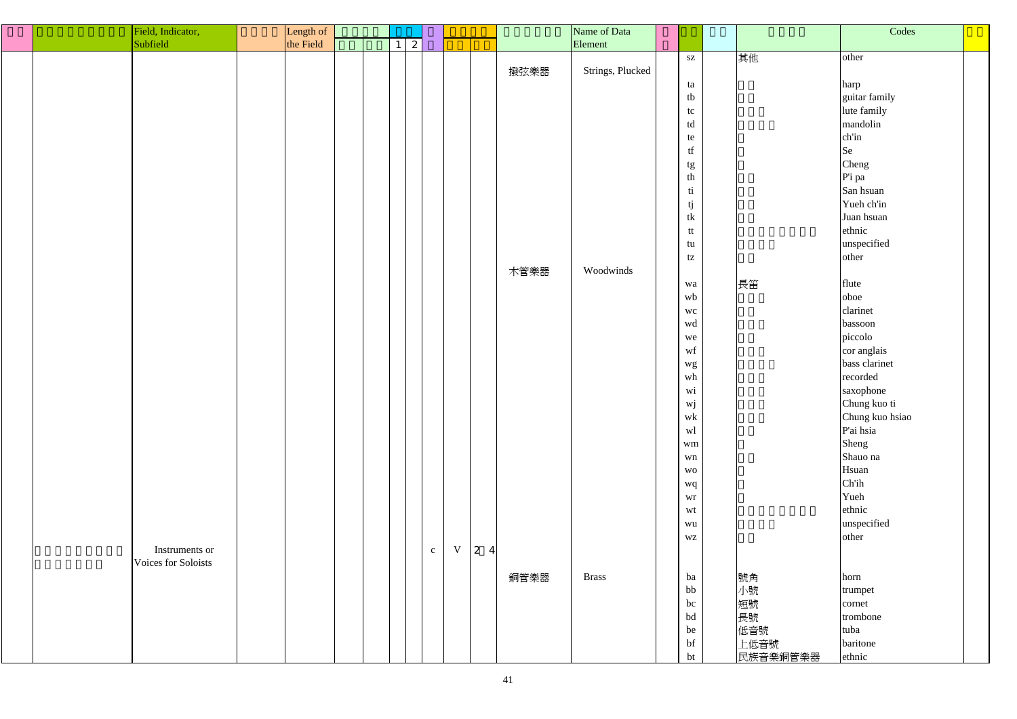| Field, Indicator,   | Length of |              |           |              |   |    |      | Name of Data     |                                                                         |          | Codes                 |  |
|---------------------|-----------|--------------|-----------|--------------|---|----|------|------------------|-------------------------------------------------------------------------|----------|-----------------------|--|
| Subfield            | the Field | $\mathbf{1}$ | $\vert$ 2 |              |   |    |      | Element          |                                                                         |          |                       |  |
|                     |           |              |           |              |   |    |      |                  | $\mathbf{S}\mathbf{Z}$                                                  | 其他       | other                 |  |
|                     |           |              |           |              |   |    | 撥弦樂器 | Strings, Plucked |                                                                         |          |                       |  |
|                     |           |              |           |              |   |    |      |                  | ta                                                                      |          |                       |  |
|                     |           |              |           |              |   |    |      |                  | tb                                                                      |          | harp<br>guitar family |  |
|                     |           |              |           |              |   |    |      |                  |                                                                         |          |                       |  |
|                     |           |              |           |              |   |    |      |                  | tc                                                                      |          | lute family           |  |
|                     |           |              |           |              |   |    |      |                  | td                                                                      |          | mandolin              |  |
|                     |           |              |           |              |   |    |      |                  | te                                                                      |          | ch'in                 |  |
|                     |           |              |           |              |   |    |      |                  | $\operatorname{tf}$                                                     |          | Se                    |  |
|                     |           |              |           |              |   |    |      |                  | $\begin{array}{c}\n \mathfrak{t}\mathfrak{g} \\ \text{th}\n\end{array}$ |          | Cheng                 |  |
|                     |           |              |           |              |   |    |      |                  |                                                                         |          | P'i pa                |  |
|                     |           |              |           |              |   |    |      |                  | ti                                                                      |          | San hsuan             |  |
|                     |           |              |           |              |   |    |      |                  | $\begin{array}{c} \mbox{tj}\\ \mbox{tk} \end{array}$                    |          | Yueh ch'in            |  |
|                     |           |              |           |              |   |    |      |                  |                                                                         |          | Juan hsuan            |  |
|                     |           |              |           |              |   |    |      |                  | tt                                                                      |          | ethnic                |  |
|                     |           |              |           |              |   |    |      |                  | tu                                                                      |          | unspecified           |  |
|                     |           |              |           |              |   |    |      |                  |                                                                         |          | other                 |  |
|                     |           |              |           |              |   |    |      |                  | tz                                                                      |          |                       |  |
|                     |           |              |           |              |   |    | 木管樂器 | Woodwinds        |                                                                         |          |                       |  |
|                     |           |              |           |              |   |    |      |                  | wa                                                                      | 長笛       | flute                 |  |
|                     |           |              |           |              |   |    |      |                  | wb                                                                      |          | oboe                  |  |
|                     |           |              |           |              |   |    |      |                  | wc                                                                      |          | clarinet              |  |
|                     |           |              |           |              |   |    |      |                  | wd                                                                      |          | bassoon               |  |
|                     |           |              |           |              |   |    |      |                  | we                                                                      |          | piccolo               |  |
|                     |           |              |           |              |   |    |      |                  | wf                                                                      |          | cor anglais           |  |
|                     |           |              |           |              |   |    |      |                  |                                                                         |          | bass clarinet         |  |
|                     |           |              |           |              |   |    |      |                  | $_{\rm wh}^{\rm wg}$                                                    |          | recorded              |  |
|                     |           |              |           |              |   |    |      |                  | Wi                                                                      |          | saxophone             |  |
|                     |           |              |           |              |   |    |      |                  | $\ensuremath{\text{w}}\xspace\ensuremath{\text{j}}\xspace$              |          | Chung kuo ti          |  |
|                     |           |              |           |              |   |    |      |                  | $\operatorname{wk}$                                                     |          | Chung kuo hsiao       |  |
|                     |           |              |           |              |   |    |      |                  |                                                                         |          | P'ai hsia             |  |
|                     |           |              |           |              |   |    |      |                  | wl                                                                      |          |                       |  |
|                     |           |              |           |              |   |    |      |                  | wm                                                                      |          | Sheng                 |  |
|                     |           |              |           |              |   |    |      |                  | wn                                                                      |          | Shauo na              |  |
|                     |           |              |           |              |   |    |      |                  | <b>WO</b>                                                               |          | Hsuan                 |  |
|                     |           |              |           |              |   |    |      |                  | wq                                                                      |          | Ch'ih                 |  |
|                     |           |              |           |              |   |    |      |                  | wr                                                                      |          | Yueh                  |  |
|                     |           |              |           |              |   |    |      |                  | wt                                                                      |          | ethnic                |  |
|                     |           |              |           |              |   |    |      |                  | wu                                                                      |          | unspecified           |  |
|                     |           |              |           |              |   |    |      |                  | $\mathbf{W}\mathbf{Z}$                                                  |          | other                 |  |
| Instruments or      |           |              |           | $\mathbf{c}$ | V | 24 |      |                  |                                                                         |          |                       |  |
| Voices for Soloists |           |              |           |              |   |    |      |                  |                                                                         |          |                       |  |
|                     |           |              |           |              |   |    | 銅管樂器 | <b>Brass</b>     | ba                                                                      | 號角       | horn                  |  |
|                     |           |              |           |              |   |    |      |                  | bb                                                                      | 小號       |                       |  |
|                     |           |              |           |              |   |    |      |                  |                                                                         |          | trumpet               |  |
|                     |           |              |           |              |   |    |      |                  | bc                                                                      | 短號       | cornet                |  |
|                     |           |              |           |              |   |    |      |                  | bd                                                                      | 長號       | trombone              |  |
|                     |           |              |           |              |   |    |      |                  | be                                                                      | 低音號      | tuba                  |  |
|                     |           |              |           |              |   |    |      |                  | bf                                                                      | 上低音號     | baritone              |  |
|                     |           |              |           |              |   |    |      |                  | bt                                                                      | 民族音樂銅管樂器 | ethnic                |  |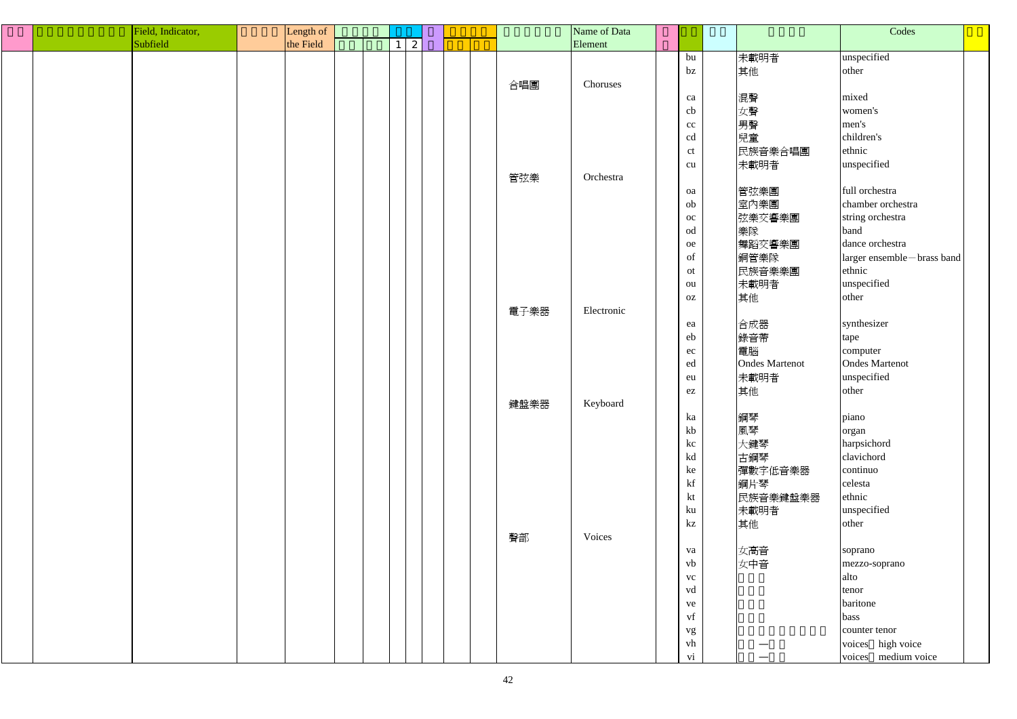|  | Field, Indicator, | Length of |                              |  |      | Name of Data |                           |                       | Codes                      |  |
|--|-------------------|-----------|------------------------------|--|------|--------------|---------------------------|-----------------------|----------------------------|--|
|  | Subfield          | the Field | $\mathbf{2}$<br>$\mathbf{1}$ |  |      | Element      |                           |                       |                            |  |
|  |                   |           |                              |  |      |              | bu                        | 未載明者                  | unspecified                |  |
|  |                   |           |                              |  |      |              | $bz$                      | 其他                    | other                      |  |
|  |                   |           |                              |  | 合唱團  | Choruses     |                           |                       |                            |  |
|  |                   |           |                              |  |      |              | ca                        | 混聲                    | mixed                      |  |
|  |                   |           |                              |  |      |              | cb                        | 女聲                    | women's                    |  |
|  |                   |           |                              |  |      |              | cc                        | 男聲                    | men's                      |  |
|  |                   |           |                              |  |      |              | cd                        | 兒童                    | children's                 |  |
|  |                   |           |                              |  |      |              | ct                        | 民族音樂合唱團               | ethnic                     |  |
|  |                   |           |                              |  |      |              | cu                        | 未載明者                  | unspecified                |  |
|  |                   |           |                              |  |      | Orchestra    |                           |                       |                            |  |
|  |                   |           |                              |  | 管弦樂  |              |                           |                       | full orchestra             |  |
|  |                   |           |                              |  |      |              | oa                        | 管弦樂團                  |                            |  |
|  |                   |           |                              |  |      |              | ob                        | 室內樂團                  | chamber orchestra          |  |
|  |                   |           |                              |  |      |              | oc                        | 弦樂交響樂團                | string orchestra           |  |
|  |                   |           |                              |  |      |              | od                        | 樂隊                    | band                       |  |
|  |                   |           |                              |  |      |              | oe                        | 舞蹈交響樂團                | dance orchestra            |  |
|  |                   |           |                              |  |      |              | of                        | 銅管樂隊                  | larger ensemble-brass band |  |
|  |                   |           |                              |  |      |              | ot                        | 民族音樂樂團                | ethnic                     |  |
|  |                   |           |                              |  |      |              | ou                        | 未載明者                  | unspecified                |  |
|  |                   |           |                              |  |      |              | OZ                        | 其他                    | other                      |  |
|  |                   |           |                              |  | 電子樂器 | Electronic   |                           |                       |                            |  |
|  |                   |           |                              |  |      |              | ea                        | 合成器                   | synthesizer                |  |
|  |                   |           |                              |  |      |              | eb                        | 錄音帶                   | tape                       |  |
|  |                   |           |                              |  |      |              | ec                        | 電腦                    | computer                   |  |
|  |                   |           |                              |  |      |              | ed                        | <b>Ondes Martenot</b> | <b>Ondes Martenot</b>      |  |
|  |                   |           |                              |  |      |              | eu                        | 未載明者                  | unspecified                |  |
|  |                   |           |                              |  |      |              | $\mathop{\rm e}\nolimits$ | 其他                    | other                      |  |
|  |                   |           |                              |  | 鍵盤樂器 | Keyboard     |                           |                       |                            |  |
|  |                   |           |                              |  |      |              | ka                        | 鋼琴                    | piano                      |  |
|  |                   |           |                              |  |      |              | kb                        | 風琴                    | organ                      |  |
|  |                   |           |                              |  |      |              | kc                        | 大鍵琴                   | harpsichord                |  |
|  |                   |           |                              |  |      |              | kd                        | 古鋼琴                   | clavichord                 |  |
|  |                   |           |                              |  |      |              | ke                        | 彈數字低音樂器               | continuo                   |  |
|  |                   |           |                              |  |      |              | kf                        | 鋼片琴                   | celesta                    |  |
|  |                   |           |                              |  |      |              | kt                        |                       | ethnic                     |  |
|  |                   |           |                              |  |      |              |                           | 民族音樂鍵盤樂器              | unspecified                |  |
|  |                   |           |                              |  |      |              | ku                        | 未載明者                  |                            |  |
|  |                   |           |                              |  |      |              | kz                        | 其他                    | other                      |  |
|  |                   |           |                              |  | 聲部   | Voices       |                           |                       |                            |  |
|  |                   |           |                              |  |      |              | va                        | 女高音                   | soprano                    |  |
|  |                   |           |                              |  |      |              | vb                        | 女中音                   | mezzo-soprano              |  |
|  |                   |           |                              |  |      |              | <b>VC</b>                 |                       | alto                       |  |
|  |                   |           |                              |  |      |              | vd                        |                       | tenor                      |  |
|  |                   |           |                              |  |      |              | ve                        |                       | baritone                   |  |
|  |                   |           |                              |  |      |              | vf                        |                       | bass                       |  |
|  |                   |           |                              |  |      |              | vg                        |                       | counter tenor              |  |
|  |                   |           |                              |  |      |              | vh                        |                       | voices high voice          |  |
|  |                   |           |                              |  |      |              | $\overline{\mathbf{vi}}$  |                       | voices medium voice        |  |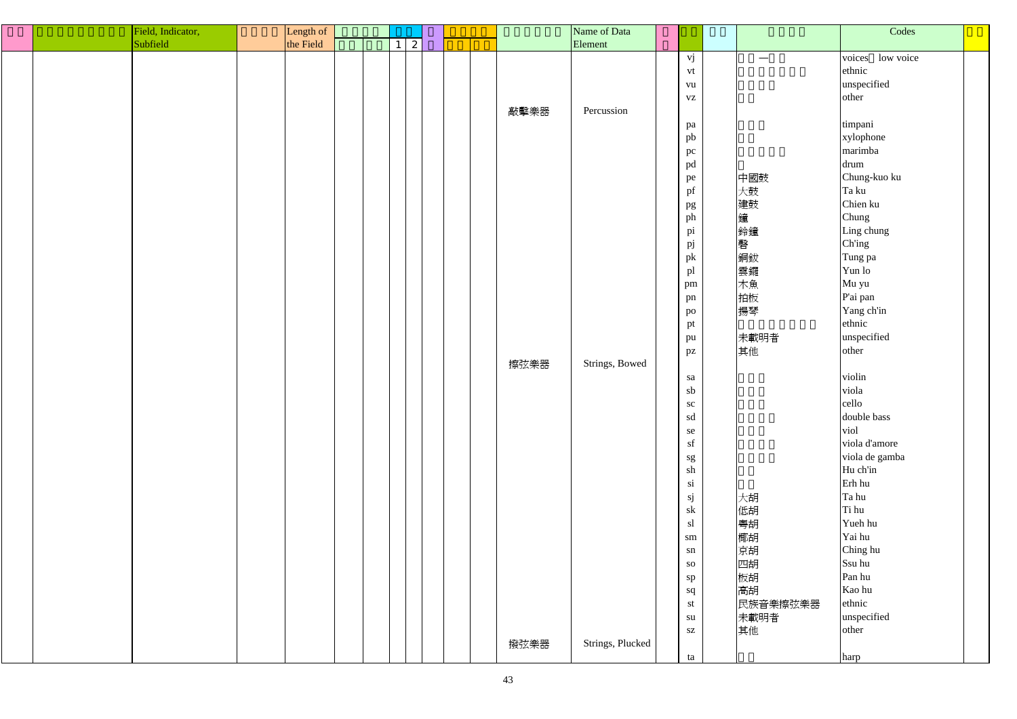|  | Field, Indicator, | Length of |  |   |  |      | Name of Data     |                        |                   | Codes            |
|--|-------------------|-----------|--|---|--|------|------------------|------------------------|-------------------|------------------|
|  | Subfield          | the Field |  | 2 |  |      | Element          |                        |                   |                  |
|  |                   |           |  |   |  |      |                  | vj                     | $\hspace{0.05cm}$ | voices low voice |
|  |                   |           |  |   |  |      |                  | vt                     |                   | ethnic           |
|  |                   |           |  |   |  |      |                  | vu                     |                   | unspecified      |
|  |                   |           |  |   |  |      |                  |                        |                   |                  |
|  |                   |           |  |   |  |      |                  | <b>VZ</b>              |                   | other            |
|  |                   |           |  |   |  | 敲擊樂器 | Percussion       |                        |                   |                  |
|  |                   |           |  |   |  |      |                  | pa                     |                   | timpani          |
|  |                   |           |  |   |  |      |                  | pb                     |                   | xylophone        |
|  |                   |           |  |   |  |      |                  | pc                     |                   | marimba          |
|  |                   |           |  |   |  |      |                  | pd                     |                   | drum             |
|  |                   |           |  |   |  |      |                  | pe                     | 中國鼓               | Chung-kuo ku     |
|  |                   |           |  |   |  |      |                  | pf                     | 大鼓                | Ta ku            |
|  |                   |           |  |   |  |      |                  | pg                     | 建鼓                | Chien ku         |
|  |                   |           |  |   |  |      |                  | ph                     | 鐘                 | Chung            |
|  |                   |           |  |   |  |      |                  | pi                     | 鈴鐘                | Ling chung       |
|  |                   |           |  |   |  |      |                  | pj                     | 磬                 | Ch'ing           |
|  |                   |           |  |   |  |      |                  | pk                     |                   | Tung pa          |
|  |                   |           |  |   |  |      |                  | pl                     | 「銅雲木拍」            | Yun lo           |
|  |                   |           |  |   |  |      |                  |                        |                   |                  |
|  |                   |           |  |   |  |      |                  | pm                     |                   | Mu yu            |
|  |                   |           |  |   |  |      |                  | pn                     |                   | P'ai pan         |
|  |                   |           |  |   |  |      |                  | po                     | 揚琴                | Yang ch'in       |
|  |                   |           |  |   |  |      |                  | pt                     |                   | ethnic           |
|  |                   |           |  |   |  |      |                  | pu                     | 未載明者              | unspecified      |
|  |                   |           |  |   |  |      |                  | pz                     | 其他                | other            |
|  |                   |           |  |   |  | 擦弦樂器 | Strings, Bowed   |                        |                   |                  |
|  |                   |           |  |   |  |      |                  | sa                     |                   | violin           |
|  |                   |           |  |   |  |      |                  | sb                     |                   | viola            |
|  |                   |           |  |   |  |      |                  | sc                     |                   | cello            |
|  |                   |           |  |   |  |      |                  | sd                     |                   | double bass      |
|  |                   |           |  |   |  |      |                  | se                     |                   | viol             |
|  |                   |           |  |   |  |      |                  | sf                     |                   | viola d'amore    |
|  |                   |           |  |   |  |      |                  | sg                     |                   | viola de gamba   |
|  |                   |           |  |   |  |      |                  | sh                     |                   | Hu ch'in         |
|  |                   |           |  |   |  |      |                  | si                     |                   | Erh hu           |
|  |                   |           |  |   |  |      |                  |                        |                   | Ta hu            |
|  |                   |           |  |   |  |      |                  | sj                     | 大胡                | Ti hu            |
|  |                   |           |  |   |  |      |                  | sk                     | 低胡                |                  |
|  |                   |           |  |   |  |      |                  | sl                     | 粵胡<br>椰胡          | Yueh hu          |
|  |                   |           |  |   |  |      |                  | $\rm sm$               |                   | Yai hu           |
|  |                   |           |  |   |  |      |                  | sn                     | 京胡                | Ching hu         |
|  |                   |           |  |   |  |      |                  | <b>SO</b>              | 四胡胡椒              | Ssu hu           |
|  |                   |           |  |   |  |      |                  | sp                     |                   | Pan hu           |
|  |                   |           |  |   |  |      |                  | sq                     | 高胡                | Kao hu           |
|  |                   |           |  |   |  |      |                  | st                     | 民族音樂擦弦樂器          | ethnic           |
|  |                   |           |  |   |  |      |                  | su                     | 未載明者              | unspecified      |
|  |                   |           |  |   |  |      |                  | $\mathbf{S}\mathbf{Z}$ | 其他                | other            |
|  |                   |           |  |   |  | 撥弦樂器 | Strings, Plucked |                        |                   |                  |
|  |                   |           |  |   |  |      |                  | ta                     |                   | harp             |
|  |                   |           |  |   |  |      |                  |                        |                   |                  |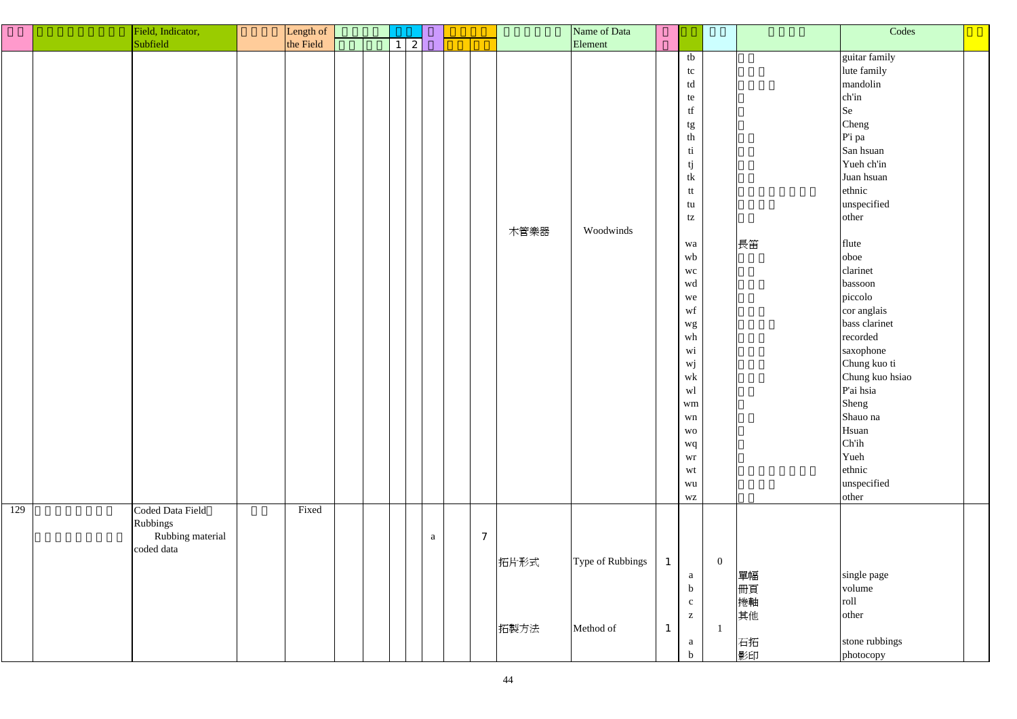|     | Field, Indicator,              | Length of |  |   |   |              |      | Name of Data     |              |                                                                                                                                                                                                                                                                  |                |                      | Codes                                                                                                                                                                                                                                                                                                                                                                                     |  |
|-----|--------------------------------|-----------|--|---|---|--------------|------|------------------|--------------|------------------------------------------------------------------------------------------------------------------------------------------------------------------------------------------------------------------------------------------------------------------|----------------|----------------------|-------------------------------------------------------------------------------------------------------------------------------------------------------------------------------------------------------------------------------------------------------------------------------------------------------------------------------------------------------------------------------------------|--|
|     | Subfield                       | the Field |  |   |   |              |      | Element          |              |                                                                                                                                                                                                                                                                  |                |                      |                                                                                                                                                                                                                                                                                                                                                                                           |  |
|     |                                |           |  | 2 |   |              | 木管樂器 | Woodwinds        |              | tb<br>tc<br>td<br>te<br>$\operatorname{tf}$<br>tg<br>th<br>ti<br>tj<br>tk<br>tt<br>tu<br>tz<br>wa<br>wb<br><b>WC</b><br>wd<br>we<br>wf<br>wg<br>wh<br>wi<br>$\mathbf{w}\mathbf{j}$<br>$\operatorname{wk}$<br>wl<br>wm<br>wn<br><b>WO</b><br>wq<br>wr<br>wt<br>wu |                | 長笛                   | guitar family<br>lute family<br>mandolin<br>ch'in<br>Se<br>Cheng<br>P'i pa<br>San hsuan<br>Yueh ch'in<br>Juan hsuan<br>ethnic<br>unspecified<br>other<br>flute<br>oboe<br>clarinet<br>bassoon<br>piccolo<br>cor anglais<br>bass clarinet<br>recorded<br>saxophone<br>Chung kuo ti<br>Chung kuo hsiao<br>P'ai hsia<br>Sheng<br>Shauo na<br>Hsuan<br>Ch'ih<br>Yueh<br>ethnic<br>unspecified |  |
| 129 | Coded Data Field<br>Rubbings   | Fixed     |  |   |   |              |      |                  |              | WZ                                                                                                                                                                                                                                                               |                |                      | other                                                                                                                                                                                                                                                                                                                                                                                     |  |
|     | Rubbing material<br>coded data |           |  |   | a | $\mathcal I$ | 拓片形式 | Type of Rubbings |              | a<br>$\mathbf b$<br>$\mathbf{c}$<br>$\mathbf{Z}$                                                                                                                                                                                                                 | $\overline{0}$ | 單幅<br>冊頁<br>捲軸<br>其他 | single page<br>volume<br>roll<br>other                                                                                                                                                                                                                                                                                                                                                    |  |
|     |                                |           |  |   |   |              | 拓製方法 | Method of        | $\mathbf{1}$ | a<br>$\mathbf b$                                                                                                                                                                                                                                                 |                | 石拓<br>影印             | stone rubbings<br>photocopy                                                                                                                                                                                                                                                                                                                                                               |  |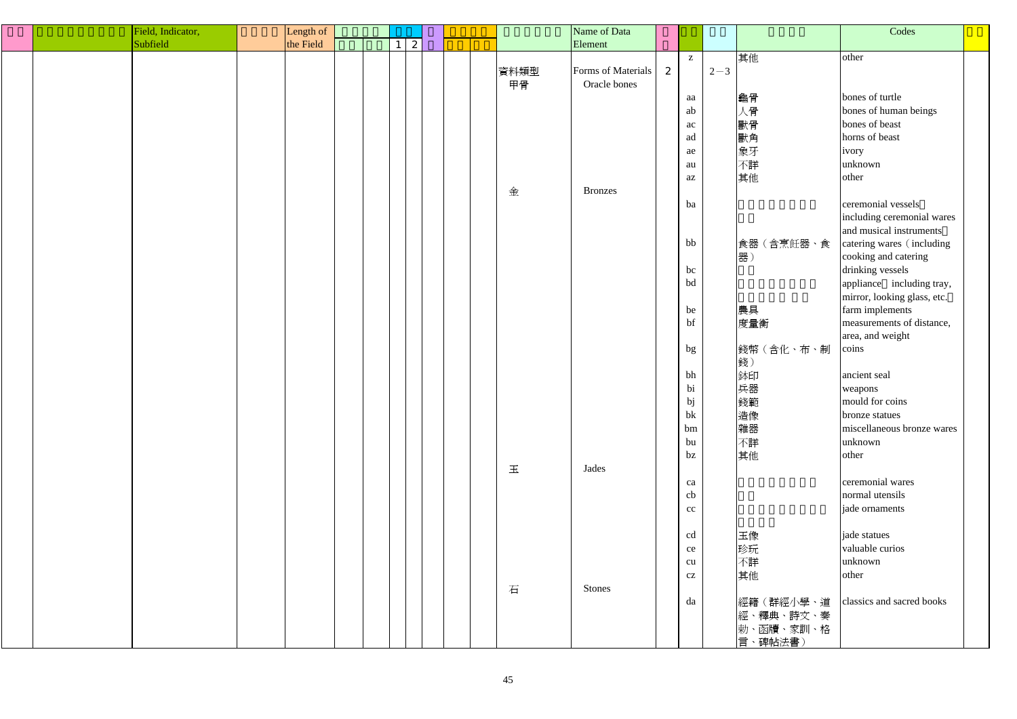| Field, Indicator, | Length of |  |              |  |      | Name of Data       |   |                        |         |            | Codes                       |  |
|-------------------|-----------|--|--------------|--|------|--------------------|---|------------------------|---------|------------|-----------------------------|--|
| Subfield          | the Field |  | $\mathbf{2}$ |  |      | Element            |   |                        |         |            |                             |  |
|                   |           |  |              |  |      |                    |   | $\mathbf{Z}$           |         | 其他         | other                       |  |
|                   |           |  |              |  | 資料類型 | Forms of Materials | 2 |                        | $2 - 3$ |            |                             |  |
|                   |           |  |              |  |      | Oracle bones       |   |                        |         |            |                             |  |
|                   |           |  |              |  | 甲骨   |                    |   |                        |         |            |                             |  |
|                   |           |  |              |  |      |                    |   | aa                     |         | 龜骨         | bones of turtle             |  |
|                   |           |  |              |  |      |                    |   | ab                     |         | 人骨         | bones of human beings       |  |
|                   |           |  |              |  |      |                    |   | ac                     |         | 獸骨         | bones of beast              |  |
|                   |           |  |              |  |      |                    |   | ad                     |         | 獸角         | horns of beast              |  |
|                   |           |  |              |  |      |                    |   | ae                     |         | 象牙         | ivory                       |  |
|                   |           |  |              |  |      |                    |   | au                     |         | 不詳         | unknown                     |  |
|                   |           |  |              |  |      |                    |   | $\rm az$               |         | 其他         | other                       |  |
|                   |           |  |              |  | 金    | <b>Bronzes</b>     |   |                        |         |            |                             |  |
|                   |           |  |              |  |      |                    |   |                        |         |            |                             |  |
|                   |           |  |              |  |      |                    |   | ba                     |         |            | ceremonial vessels          |  |
|                   |           |  |              |  |      |                    |   |                        |         |            | including ceremonial wares  |  |
|                   |           |  |              |  |      |                    |   |                        |         |            | and musical instruments     |  |
|                   |           |  |              |  |      |                    |   | bb                     |         | 食器(含烹飪器、食  | catering wares (including   |  |
|                   |           |  |              |  |      |                    |   |                        |         | 器)         | cooking and catering        |  |
|                   |           |  |              |  |      |                    |   | bc                     |         |            | drinking vessels            |  |
|                   |           |  |              |  |      |                    |   | bd                     |         |            | appliance including tray,   |  |
|                   |           |  |              |  |      |                    |   |                        |         |            | mirror, looking glass, etc. |  |
|                   |           |  |              |  |      |                    |   | be                     |         | 農具         | farm implements             |  |
|                   |           |  |              |  |      |                    |   | bf                     |         |            | measurements of distance,   |  |
|                   |           |  |              |  |      |                    |   |                        |         | 度量衡        |                             |  |
|                   |           |  |              |  |      |                    |   |                        |         |            | area, and weight            |  |
|                   |           |  |              |  |      |                    |   | bg                     |         | 錢幣(含化、布、制  | coins                       |  |
|                   |           |  |              |  |      |                    |   |                        |         | 錢)         |                             |  |
|                   |           |  |              |  |      |                    |   | bh                     |         | 鉢印         | ancient seal                |  |
|                   |           |  |              |  |      |                    |   | bi                     |         | 兵器         | weapons                     |  |
|                   |           |  |              |  |      |                    |   | $\mathit{bj}$          |         | 錢範         | mould for coins             |  |
|                   |           |  |              |  |      |                    |   | bk                     |         | 造像         | bronze statues              |  |
|                   |           |  |              |  |      |                    |   | bm                     |         | 雜器         | miscellaneous bronze wares  |  |
|                   |           |  |              |  |      |                    |   | bu                     |         | 不詳         | unknown                     |  |
|                   |           |  |              |  |      |                    |   | bz                     |         | 其他         | other                       |  |
|                   |           |  |              |  |      |                    |   |                        |         |            |                             |  |
|                   |           |  |              |  | 玉    | Jades              |   |                        |         |            |                             |  |
|                   |           |  |              |  |      |                    |   | ca                     |         |            | ceremonial wares            |  |
|                   |           |  |              |  |      |                    |   | cb                     |         |            | normal utensils             |  |
|                   |           |  |              |  |      |                    |   | cc                     |         |            | jade ornaments              |  |
|                   |           |  |              |  |      |                    |   |                        |         |            |                             |  |
|                   |           |  |              |  |      |                    |   | cd                     |         | 玉像         | jade statues                |  |
|                   |           |  |              |  |      |                    |   | ce                     |         | 珍玩         | valuable curios             |  |
|                   |           |  |              |  |      |                    |   | cu                     |         | 不詳         | unknown                     |  |
|                   |           |  |              |  |      |                    |   | $\mathbf{C}\mathbf{Z}$ |         | 其他         | other                       |  |
|                   |           |  |              |  |      | <b>Stones</b>      |   |                        |         |            |                             |  |
|                   |           |  |              |  | 石    |                    |   |                        |         |            |                             |  |
|                   |           |  |              |  |      |                    |   | da                     |         | 經籍 (群經小學、道 | classics and sacred books   |  |
|                   |           |  |              |  |      |                    |   |                        |         | 經、釋典、詩文、奏  |                             |  |
|                   |           |  |              |  |      |                    |   |                        |         | 勅、函牘、家訓、格  |                             |  |
|                   |           |  |              |  |      |                    |   |                        |         | 言、碑帖法書)    |                             |  |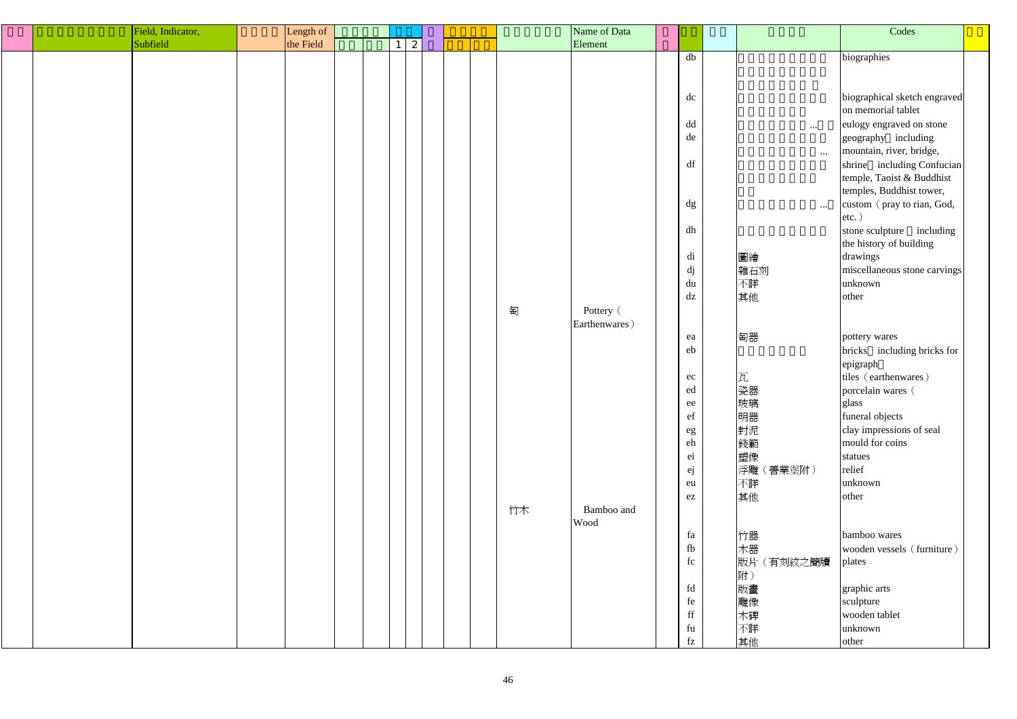| Field, Indicator, | Length of |                              |  |    | Name of Data  |                           |            | Codes                        |  |
|-------------------|-----------|------------------------------|--|----|---------------|---------------------------|------------|------------------------------|--|
| Subfield          | the Field | $\mathbf{z}$<br>$\mathbf{1}$ |  |    | Element       |                           |            |                              |  |
|                   |           |                              |  |    |               | db                        |            | biographies                  |  |
|                   |           |                              |  |    |               |                           |            |                              |  |
|                   |           |                              |  |    |               |                           |            |                              |  |
|                   |           |                              |  |    |               | dc                        |            | biographical sketch engraved |  |
|                   |           |                              |  |    |               |                           |            | on memorial tablet           |  |
|                   |           |                              |  |    |               |                           |            |                              |  |
|                   |           |                              |  |    |               | dd                        | $\cdots$   | eulogy engraved on stone     |  |
|                   |           |                              |  |    |               | de                        |            | geography including          |  |
|                   |           |                              |  |    |               |                           | $\cdots$   | mountain, river, bridge,     |  |
|                   |           |                              |  |    |               | df                        |            | shrine including Confucian   |  |
|                   |           |                              |  |    |               |                           |            | temple, Taoist & Buddhist    |  |
|                   |           |                              |  |    |               |                           |            | temples, Buddhist tower,     |  |
|                   |           |                              |  |    |               | dg                        | $\cdots$   | custom (pray to rian, God,   |  |
|                   |           |                              |  |    |               |                           |            | $etc.$ )                     |  |
|                   |           |                              |  |    |               | dh                        |            | stone sculpture including    |  |
|                   |           |                              |  |    |               |                           |            | the history of building      |  |
|                   |           |                              |  |    |               |                           |            |                              |  |
|                   |           |                              |  |    |               | di                        | 圖繪         | drawings                     |  |
|                   |           |                              |  |    |               | dj                        | 雜石刻        | miscellaneous stone carvings |  |
|                   |           |                              |  |    |               | du                        | 不詳         | unknown                      |  |
|                   |           |                              |  |    |               | dz                        | 其他         | other                        |  |
|                   |           |                              |  | 匋  | Pottery (     |                           |            |                              |  |
|                   |           |                              |  |    | Earthenwares) |                           |            |                              |  |
|                   |           |                              |  |    |               | ea                        | 匋器         | pottery wares                |  |
|                   |           |                              |  |    |               | eb                        |            | bricks including bricks for  |  |
|                   |           |                              |  |    |               |                           |            | epigraph                     |  |
|                   |           |                              |  |    |               | ec                        | 瓦          | tiles (earthenwares)         |  |
|                   |           |                              |  |    |               | ed                        | 瓷器         | porcelain wares (            |  |
|                   |           |                              |  |    |               |                           |            |                              |  |
|                   |           |                              |  |    |               | $\rm ee$                  | 玻璃         | glass                        |  |
|                   |           |                              |  |    |               | ef                        | 明器         | funeral objects              |  |
|                   |           |                              |  |    |               | $\rm eg$                  | 封泥         | clay impressions of seal     |  |
|                   |           |                              |  |    |               | eh                        | 錢範         | mould for coins              |  |
|                   |           |                              |  |    |               | ei                        | 塑像         | statues                      |  |
|                   |           |                              |  |    |               | ej                        | 浮雕(善業埿附)   | relief                       |  |
|                   |           |                              |  |    |               | eu                        | 不詳         | unknown                      |  |
|                   |           |                              |  |    |               | $\mathop{\rm e}\nolimits$ | 其他         | other                        |  |
|                   |           |                              |  | 竹木 | Bamboo and    |                           |            |                              |  |
|                   |           |                              |  |    | Wood          |                           |            |                              |  |
|                   |           |                              |  |    |               | fa                        | 竹器         | bamboo wares                 |  |
|                   |           |                              |  |    |               | fb                        | 木器         | wooden vessels (furniture)   |  |
|                   |           |                              |  |    |               | fc                        | 版片 (有刻紋之簡牘 | plates                       |  |
|                   |           |                              |  |    |               |                           | 附)         |                              |  |
|                   |           |                              |  |    |               | fd                        |            |                              |  |
|                   |           |                              |  |    |               |                           | 版畫         | graphic arts                 |  |
|                   |           |                              |  |    |               | fe                        | 雕像         | sculpture                    |  |
|                   |           |                              |  |    |               | $\operatorname{ff}$       | 木碑         | wooden tablet                |  |
|                   |           |                              |  |    |               | fu                        | 不詳         | unknown                      |  |
|                   |           |                              |  |    |               | $f_Z$                     | 其他         | other                        |  |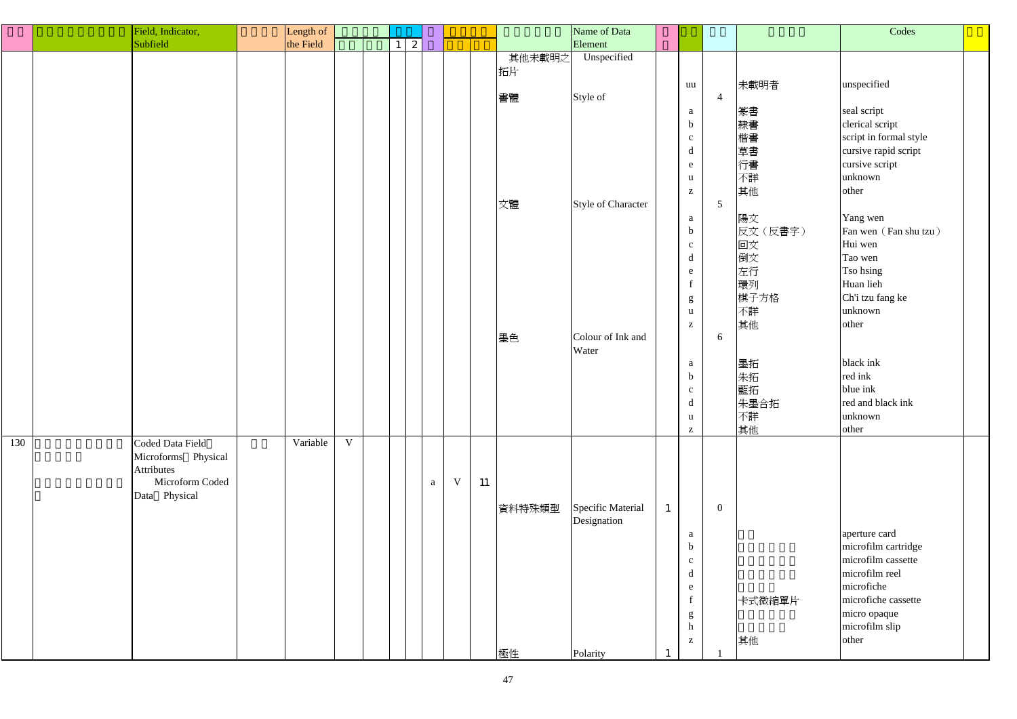|     | Field, Indicator,   | Length of |   |                 |              |             |    |              | Name of Data              |                                |                 |          | Codes                  |  |
|-----|---------------------|-----------|---|-----------------|--------------|-------------|----|--------------|---------------------------|--------------------------------|-----------------|----------|------------------------|--|
|     | Subfield            | the Field |   | $1 \mid 2 \mid$ |              |             |    |              | Element                   |                                |                 |          |                        |  |
|     |                     |           |   |                 |              |             |    |              | Unspecified               |                                |                 |          |                        |  |
|     |                     |           |   |                 |              |             |    | 其他未載明之<br>拓片 |                           | uu                             |                 | 未載明者     | unspecified            |  |
|     |                     |           |   |                 |              |             |    | 書體           | Style of                  |                                | $\overline{4}$  |          | seal script            |  |
|     |                     |           |   |                 |              |             |    |              |                           | a                              |                 | 篆書       |                        |  |
|     |                     |           |   |                 |              |             |    |              |                           | $\mathbf b$                    |                 | 隸書       | clerical script        |  |
|     |                     |           |   |                 |              |             |    |              |                           | $\mathbf{C}$                   |                 | 楷書       | script in formal style |  |
|     |                     |           |   |                 |              |             |    |              |                           | $\mathbf d$                    |                 | 草書       | cursive rapid script   |  |
|     |                     |           |   |                 |              |             |    |              |                           | e                              |                 | 行書       | cursive script         |  |
|     |                     |           |   |                 |              |             |    |              |                           | $\mathbf u$                    |                 | 不詳       | unknown                |  |
|     |                     |           |   |                 |              |             |    |              |                           | $\mathbf{Z}$                   |                 | 其他       | other                  |  |
|     |                     |           |   |                 |              |             |    | 文體           | <b>Style of Character</b> |                                | $5\overline{)}$ |          |                        |  |
|     |                     |           |   |                 |              |             |    |              |                           | a                              |                 | 陽文       | Yang wen               |  |
|     |                     |           |   |                 |              |             |    |              |                           | $\mathbf b$                    |                 | 反文(反書字)  | Fan wen (Fan shu tzu)  |  |
|     |                     |           |   |                 |              |             |    |              |                           | $\mathbf{c}$                   |                 | 回文       | Hui wen                |  |
|     |                     |           |   |                 |              |             |    |              |                           | $\mathbf d$                    |                 | 倒文       | Tao wen                |  |
|     |                     |           |   |                 |              |             |    |              |                           | e                              |                 | 左行       | Tso hsing              |  |
|     |                     |           |   |                 |              |             |    |              |                           | $\mathbf f$                    |                 | 環列       | Huan lieh              |  |
|     |                     |           |   |                 |              |             |    |              |                           | g                              |                 | 棋子方格     | Ch'i tzu fang ke       |  |
|     |                     |           |   |                 |              |             |    |              |                           | $\mathbf u$                    |                 | 不詳       | unknown                |  |
|     |                     |           |   |                 |              |             |    |              |                           | $\mathbf{Z}$                   |                 | 其他       | other                  |  |
|     |                     |           |   |                 |              |             |    | 墨色           | Colour of Ink and         |                                | 6               |          |                        |  |
|     |                     |           |   |                 |              |             |    |              | Water                     |                                |                 |          | black ink              |  |
|     |                     |           |   |                 |              |             |    |              |                           | $\mathbf{a}$<br>$\mathbf b$    |                 | 墨拓       | red ink                |  |
|     |                     |           |   |                 |              |             |    |              |                           |                                |                 | 朱拓<br>藍拓 | blue ink               |  |
|     |                     |           |   |                 |              |             |    |              |                           | $\mathbf{C}$<br>$\blacksquare$ |                 |          | red and black ink      |  |
|     |                     |           |   |                 |              |             |    |              |                           | $\alpha$                       |                 | 朱墨合拓     |                        |  |
|     |                     |           |   |                 |              |             |    |              |                           | $\mathbf u$                    |                 | 不詳       | unknown                |  |
| 130 | Coded Data Field    | Variable  | V |                 |              |             |    |              |                           | $\mathbf{Z}$                   |                 | 其他       | other                  |  |
|     | Microforms Physical |           |   |                 |              |             |    |              |                           |                                |                 |          |                        |  |
|     | Attributes          |           |   |                 |              |             |    |              |                           |                                |                 |          |                        |  |
|     | Microform Coded     |           |   |                 | $\mathbf{a}$ | $\mathbf V$ | 11 |              |                           |                                |                 |          |                        |  |
|     | Data Physical       |           |   |                 |              |             |    |              |                           |                                |                 |          |                        |  |
|     |                     |           |   |                 |              |             |    | 資料特殊類型       | Specific Material         |                                | $\overline{0}$  |          |                        |  |
|     |                     |           |   |                 |              |             |    |              | Designation               |                                |                 |          |                        |  |
|     |                     |           |   |                 |              |             |    |              |                           | a                              |                 |          | aperture card          |  |
|     |                     |           |   |                 |              |             |    |              |                           | $\mathbf b$                    |                 |          | microfilm cartridge    |  |
|     |                     |           |   |                 |              |             |    |              |                           | $\mathbf{C}$                   |                 |          | microfilm cassette     |  |
|     |                     |           |   |                 |              |             |    |              |                           | d                              |                 |          | microfilm reel         |  |
|     |                     |           |   |                 |              |             |    |              |                           | e                              |                 |          | microfiche             |  |
|     |                     |           |   |                 |              |             |    |              |                           | $\mathbf f$                    |                 | 卡式微縮單片   | microfiche cassette    |  |
|     |                     |           |   |                 |              |             |    |              |                           | g                              |                 |          | micro opaque           |  |
|     |                     |           |   |                 |              |             |    |              |                           | $\boldsymbol{h}$               |                 |          | microfilm slip         |  |
|     |                     |           |   |                 |              |             |    |              |                           | $\mathbf{Z}$                   |                 | 其他       | other                  |  |
|     |                     |           |   |                 |              |             |    | 極性           | Polarity                  |                                |                 |          |                        |  |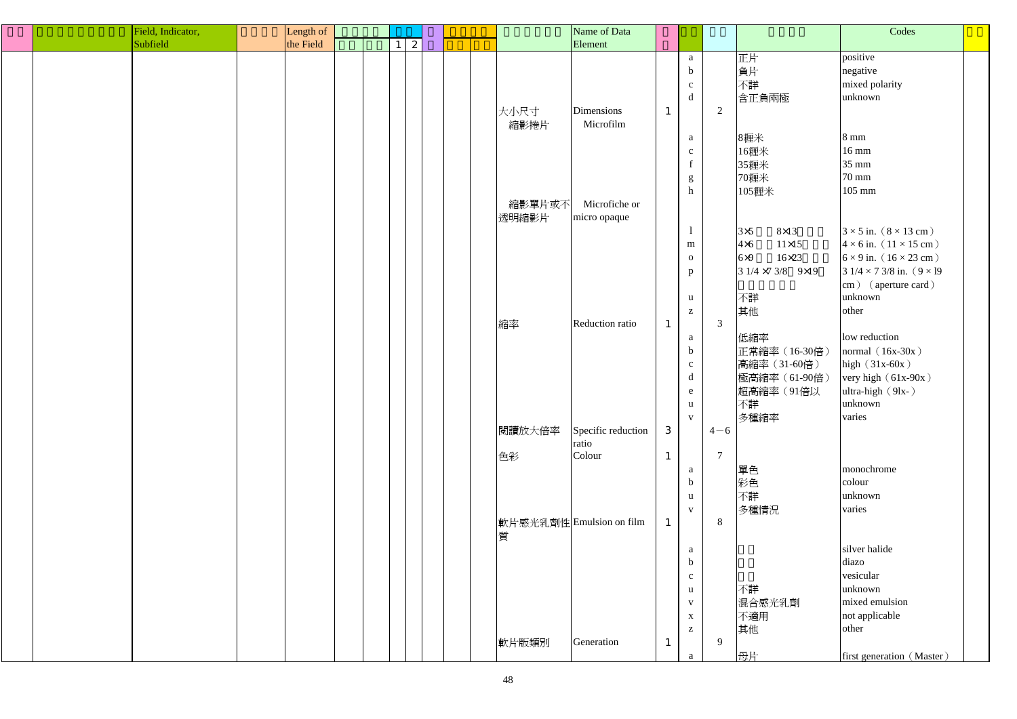| Field, Indicator, | Length of |                 |  |        | Name of Data             |              |                           |                |                             | Codes                                  |  |
|-------------------|-----------|-----------------|--|--------|--------------------------|--------------|---------------------------|----------------|-----------------------------|----------------------------------------|--|
| Subfield          | the Field | $\vert 2 \vert$ |  |        | Element                  |              |                           |                |                             |                                        |  |
|                   |           |                 |  |        |                          |              | a                         |                | 正片                          | positive                               |  |
|                   |           |                 |  |        |                          |              | $\mathbf b$               |                | 負片                          | negative                               |  |
|                   |           |                 |  |        |                          |              | $\mathbf{c}$              |                | 不詳                          | mixed polarity                         |  |
|                   |           |                 |  |        |                          |              | d                         |                | 含正負兩極                       | unknown                                |  |
|                   |           |                 |  |        |                          |              |                           |                |                             |                                        |  |
|                   |           |                 |  | 大小尺寸   | Dimensions               | $\mathbf{1}$ |                           | 2              |                             |                                        |  |
|                   |           |                 |  | 縮影捲片   | Microfilm                |              |                           |                |                             |                                        |  |
|                   |           |                 |  |        |                          |              | a                         |                | 8糎米                         | $8 \text{ mm}$                         |  |
|                   |           |                 |  |        |                          |              | $\mathbf{C}$              |                | 16糎米                        | $16 \text{ mm}$                        |  |
|                   |           |                 |  |        |                          |              | $\mathbf f$               |                | 35糎米                        | 35 mm                                  |  |
|                   |           |                 |  |        |                          |              | g                         |                | 70糎米                        | 70 mm                                  |  |
|                   |           |                 |  |        |                          |              | $\boldsymbol{\textbf{h}}$ |                | 105糎米                       | 105 mm                                 |  |
|                   |           |                 |  | 縮影單片或不 | Microfiche or            |              |                           |                |                             |                                        |  |
|                   |           |                 |  | 透明縮影片  | micro opaque             |              |                           |                |                             |                                        |  |
|                   |           |                 |  |        |                          |              |                           |                | $3\times5$<br>$8\times13$   | $3 \times 5$ in. $(8 \times 13$ cm)    |  |
|                   |           |                 |  |        |                          |              | m                         |                | $4\times 6$<br>$11\times15$ | $4 \times 6$ in. $(11 \times 15$ cm)   |  |
|                   |           |                 |  |        |                          |              | $\mathbf{O}$              |                | 6x9<br>$16\times23$         | $6 \times 9$ in. $(16 \times 23$ cm)   |  |
|                   |           |                 |  |        |                          |              | $\mathbf{p}$              |                | $31/4 \times 73/8$ 9×19     | $31/4 \times 73/8$ in. $(9 \times 19)$ |  |
|                   |           |                 |  |        |                          |              |                           |                |                             | cm) (aperture card)                    |  |
|                   |           |                 |  |        |                          |              | $\mathbf u$               |                | 不詳                          | unknown                                |  |
|                   |           |                 |  |        |                          |              |                           |                |                             |                                        |  |
|                   |           |                 |  |        |                          |              | $\mathbf{Z}$              |                | 其他                          | other                                  |  |
|                   |           |                 |  | 縮率     | Reduction ratio          | $\mathbf{1}$ |                           | $\mathfrak{Z}$ |                             |                                        |  |
|                   |           |                 |  |        |                          |              | a                         |                | 低縮率                         | low reduction                          |  |
|                   |           |                 |  |        |                          |              | $\mathbf b$               |                | 正常縮率 (16-30倍)               | normal $(16x-30x)$                     |  |
|                   |           |                 |  |        |                          |              | $\mathbf{C}$              |                | 高縮率 (31-60倍)                | high $(31x-60x)$                       |  |
|                   |           |                 |  |        |                          |              | $\mathbf d$               |                | 極高縮率 (61-90倍)               | very high $(61x-90x)$                  |  |
|                   |           |                 |  |        |                          |              | $\mathbf{e}$              |                | 超高縮率 (91倍以                  | ultra-high (9lx-)                      |  |
|                   |           |                 |  |        |                          |              | $\mathbf{u}$              |                | 不詳                          | unknown                                |  |
|                   |           |                 |  |        |                          |              | $\mathbf{V}$              |                | 多種縮率                        | varies                                 |  |
|                   |           |                 |  | 閱讀放大倍率 | Specific reduction       | 3            |                           | $4 - 6$        |                             |                                        |  |
|                   |           |                 |  |        | ratio                    |              |                           |                |                             |                                        |  |
|                   |           |                 |  | 色彩     | Colour                   | $\mathbf{1}$ |                           | $\overline{7}$ |                             |                                        |  |
|                   |           |                 |  |        |                          |              | a                         |                | 單色                          | monochrome                             |  |
|                   |           |                 |  |        |                          |              | $\boldsymbol{b}$          |                | 彩色                          | colour                                 |  |
|                   |           |                 |  |        |                          |              | $\mathbf u$               |                | 不詳                          | unknown                                |  |
|                   |           |                 |  |        |                          |              | $\mathbf{V}$              |                | 多種情況                        | varies                                 |  |
|                   |           |                 |  |        | 軟片感光乳劑性 Emulsion on film | $\mathbf{1}$ |                           | 8              |                             |                                        |  |
|                   |           |                 |  |        |                          |              |                           |                |                             |                                        |  |
|                   |           |                 |  | 質      |                          |              |                           |                |                             |                                        |  |
|                   |           |                 |  |        |                          |              | a                         |                |                             | silver halide                          |  |
|                   |           |                 |  |        |                          |              | $\mathbf b$               |                |                             | diazo                                  |  |
|                   |           |                 |  |        |                          |              | $\mathbf{C}$              |                |                             | vesicular                              |  |
|                   |           |                 |  |        |                          |              | $\mathbf u$               |                | 不詳                          | unknown                                |  |
|                   |           |                 |  |        |                          |              | $\mathbf{V}$              |                | 混合感光乳劑                      | mixed emulsion                         |  |
|                   |           |                 |  |        |                          |              | $\mathbf X$               |                | 不適用                         | not applicable                         |  |
|                   |           |                 |  |        |                          |              | $\mathbf{Z}$              |                | 其他                          | other                                  |  |
|                   |           |                 |  | 軟片版類別  | Generation               | $\mathbf{1}$ |                           | 9              |                             |                                        |  |
|                   |           |                 |  |        |                          |              | $\mathbf{a}$              |                | 母片                          | first generation (Master)              |  |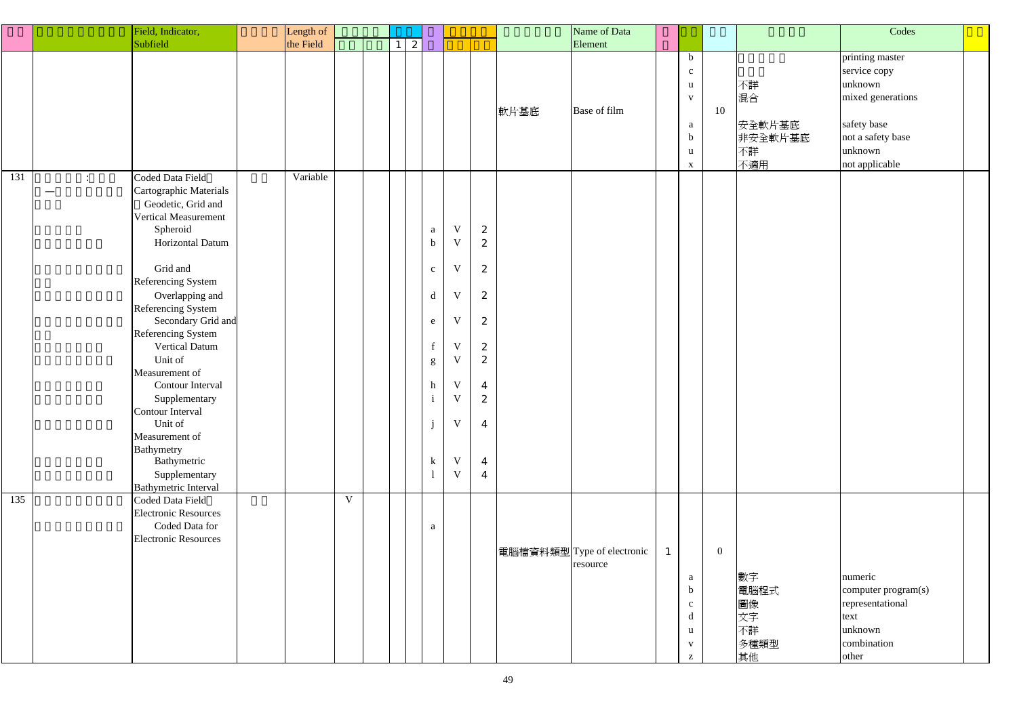|     |                                   | Field, Indicator,                                                                                                                                                                                                                                                                                                                                                                                                                                                        | Length of |             |    |                                                                                                                                 |                                                                                                                                                               |                                                                                                                                                                              |      | Name of Data                           |              |                                                                                                     |                |                                            | Codes                                                                                                                            |  |
|-----|-----------------------------------|--------------------------------------------------------------------------------------------------------------------------------------------------------------------------------------------------------------------------------------------------------------------------------------------------------------------------------------------------------------------------------------------------------------------------------------------------------------------------|-----------|-------------|----|---------------------------------------------------------------------------------------------------------------------------------|---------------------------------------------------------------------------------------------------------------------------------------------------------------|------------------------------------------------------------------------------------------------------------------------------------------------------------------------------|------|----------------------------------------|--------------|-----------------------------------------------------------------------------------------------------|----------------|--------------------------------------------|----------------------------------------------------------------------------------------------------------------------------------|--|
|     | Subfield                          |                                                                                                                                                                                                                                                                                                                                                                                                                                                                          | the Field |             | -1 | 2                                                                                                                               |                                                                                                                                                               |                                                                                                                                                                              |      | Element                                |              |                                                                                                     |                |                                            |                                                                                                                                  |  |
|     |                                   |                                                                                                                                                                                                                                                                                                                                                                                                                                                                          |           |             |    |                                                                                                                                 |                                                                                                                                                               |                                                                                                                                                                              | 軟片基底 | Base of film                           |              | $\mathbf b$<br>$\mathbf{c}$<br>$\mathbf{u}$<br>$\mathbf V$<br>a<br>$\mathbf b$<br>u<br>$\mathbf{X}$ | 10             | 不詳<br>混合<br>安全軟片基底<br>非安全軟片基底<br>不詳<br>不適用 | printing master<br>service copy<br>unknown<br>mixed generations<br>safety base<br>not a safety base<br>unknown<br>not applicable |  |
| 131 | $\ddot{\cdot}$<br>—<br>Bathymetry | Coded Data Field<br>Cartographic Materials<br>Geodetic, Grid and<br><b>Vertical Measurement</b><br>Spheroid<br>Horizontal Datum<br>Grid and<br>Referencing System<br>Overlapping and<br><b>Referencing System</b><br>Secondary Grid and<br>Referencing System<br><b>Vertical Datum</b><br>Unit of<br>Measurement of<br>Contour Interval<br>Supplementary<br>Contour Interval<br>Unit of<br>Measurement of<br>Bathymetric<br>Supplementary<br><b>Bathymetric Interval</b> | Variable  |             |    | $\mathbf{a}$<br>$\mathbf b$<br>$\mathbf{c}$<br>$\rm d$<br>$\mathbf{e}$<br>$\mathbf f$<br>g<br>h<br>$\mathbf{i}$<br>j<br>$\bf k$ | $\mathbf V$<br>$\mathbf V$<br>V<br>$\mathbf V$<br>V<br>$\mathbf V$<br>$\mathbf V$<br>$\mathbf V$<br>$\mathbf{V}$<br>$\mathbf V$<br>$\mathbf V$<br>$\mathbf V$ | $\boldsymbol{2}$<br>$\boldsymbol{2}$<br>$\boldsymbol{z}$<br>2<br>2<br>$\boldsymbol{2}$<br>2<br>$\overline{4}$<br>2<br>$\overline{4}$<br>$\boldsymbol{4}$<br>$\boldsymbol{4}$ |      |                                        |              |                                                                                                     |                |                                            |                                                                                                                                  |  |
| 135 |                                   | Coded Data Field<br><b>Electronic Resources</b><br>Coded Data for<br><b>Electronic Resources</b>                                                                                                                                                                                                                                                                                                                                                                         |           | $\mathbf V$ |    | $\mathbf{a}$                                                                                                                    |                                                                                                                                                               |                                                                                                                                                                              |      | 電腦檔資料類型 Type of electronic<br>resource | $\mathbf{1}$ | a<br>$\mathbf b$<br>$\mathbf{c}$<br>d<br>u<br>$\mathbf{V}$<br>$\mathbf{Z}$                          | $\overline{0}$ | 數字<br>電腦程式<br>圖像<br>文字<br>不詳<br>多種類型<br>其他 | numeric<br>computer program(s)<br>representational<br>text<br>unknown<br>combination<br>other                                    |  |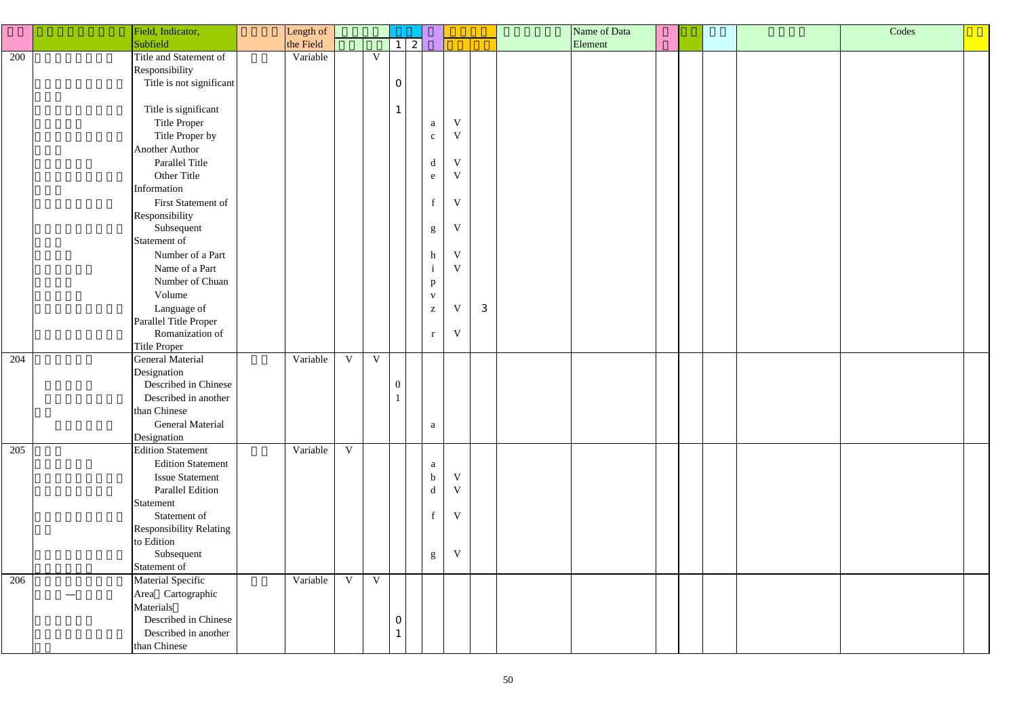|     | Field, Indicator,              | Length of |             |              |                  |                           |                         |   |  | Name of Data |  |  | Codes |  |
|-----|--------------------------------|-----------|-------------|--------------|------------------|---------------------------|-------------------------|---|--|--------------|--|--|-------|--|
|     | Subfield                       | the Field |             |              | $1 \mid 2$       |                           |                         |   |  | Element      |  |  |       |  |
| 200 | Title and Statement of         | Variable  |             | $\mathbf{V}$ |                  |                           |                         |   |  |              |  |  |       |  |
|     | Responsibility                 |           |             |              |                  |                           |                         |   |  |              |  |  |       |  |
|     | Title is not significant       |           |             |              | $\mathbf{O}$     |                           |                         |   |  |              |  |  |       |  |
|     |                                |           |             |              |                  |                           |                         |   |  |              |  |  |       |  |
|     | Title is significant           |           |             |              |                  |                           |                         |   |  |              |  |  |       |  |
|     | Title Proper                   |           |             |              |                  | a                         | $\ensuremath{\text{V}}$ |   |  |              |  |  |       |  |
|     | Title Proper by                |           |             |              |                  | $\mathbf{c}$              | V                       |   |  |              |  |  |       |  |
|     | <b>Another Author</b>          |           |             |              |                  |                           |                         |   |  |              |  |  |       |  |
|     | Parallel Title                 |           |             |              |                  | $\mathbf d$               | V                       |   |  |              |  |  |       |  |
|     | Other Title                    |           |             |              |                  |                           | $\mathbf{V}$            |   |  |              |  |  |       |  |
|     | Information                    |           |             |              |                  | e                         |                         |   |  |              |  |  |       |  |
|     |                                |           |             |              |                  |                           | V                       |   |  |              |  |  |       |  |
|     | First Statement of             |           |             |              |                  | $\mathbf f$               |                         |   |  |              |  |  |       |  |
|     | Responsibility                 |           |             |              |                  |                           |                         |   |  |              |  |  |       |  |
|     | Subsequent                     |           |             |              |                  | ${\bf g}$                 | $\mathbf V$             |   |  |              |  |  |       |  |
|     | Statement of                   |           |             |              |                  |                           |                         |   |  |              |  |  |       |  |
|     | Number of a Part               |           |             |              |                  | $\boldsymbol{\textbf{h}}$ | V                       |   |  |              |  |  |       |  |
|     | Name of a Part                 |           |             |              |                  | $\mathbf{i}$              | V                       |   |  |              |  |  |       |  |
|     | Number of Chuan                |           |             |              |                  | p                         |                         |   |  |              |  |  |       |  |
|     | Volume                         |           |             |              |                  | $\mathbf{V}$              |                         |   |  |              |  |  |       |  |
|     | Language of                    |           |             |              |                  | $\mathbf{Z}$              | V                       | 3 |  |              |  |  |       |  |
|     | Parallel Title Proper          |           |             |              |                  |                           |                         |   |  |              |  |  |       |  |
|     | Romanization of                |           |             |              |                  | $\bf r$                   | V                       |   |  |              |  |  |       |  |
|     | Title Proper                   |           |             |              |                  |                           |                         |   |  |              |  |  |       |  |
| 204 | <b>General Material</b>        | Variable  | $\mathbf V$ | $\mathbf V$  |                  |                           |                         |   |  |              |  |  |       |  |
|     | Designation                    |           |             |              |                  |                           |                         |   |  |              |  |  |       |  |
|     | Described in Chinese           |           |             |              | $\boldsymbol{0}$ |                           |                         |   |  |              |  |  |       |  |
|     | Described in another           |           |             |              |                  |                           |                         |   |  |              |  |  |       |  |
|     | than Chinese                   |           |             |              |                  |                           |                         |   |  |              |  |  |       |  |
|     | <b>General Material</b>        |           |             |              |                  | $\mathbf{a}$              |                         |   |  |              |  |  |       |  |
|     | Designation                    |           |             |              |                  |                           |                         |   |  |              |  |  |       |  |
| 205 | <b>Edition Statement</b>       | Variable  | V           |              |                  |                           |                         |   |  |              |  |  |       |  |
|     | <b>Edition Statement</b>       |           |             |              |                  | $\mathbf{a}$              |                         |   |  |              |  |  |       |  |
|     | <b>Issue Statement</b>         |           |             |              |                  | $\mathbf b$               | $\mathbf V$             |   |  |              |  |  |       |  |
|     | Parallel Edition               |           |             |              |                  | $\mathbf d$               | V                       |   |  |              |  |  |       |  |
|     | Statement                      |           |             |              |                  |                           |                         |   |  |              |  |  |       |  |
|     | Statement of                   |           |             |              |                  | $\mathbf f$               | V                       |   |  |              |  |  |       |  |
|     | <b>Responsibility Relating</b> |           |             |              |                  |                           |                         |   |  |              |  |  |       |  |
|     | to Edition                     |           |             |              |                  |                           |                         |   |  |              |  |  |       |  |
|     | Subsequent                     |           |             |              |                  | $g_{\rm}$                 | $\ensuremath{\text{V}}$ |   |  |              |  |  |       |  |
|     | Statement of                   |           |             |              |                  |                           |                         |   |  |              |  |  |       |  |
| 206 | Material Specific              | Variable  | V           | $\mathbf V$  |                  |                           |                         |   |  |              |  |  |       |  |
|     | Area Cartographic              |           |             |              |                  |                           |                         |   |  |              |  |  |       |  |
|     | Materials                      |           |             |              |                  |                           |                         |   |  |              |  |  |       |  |
|     | Described in Chinese           |           |             |              | $\overline{0}$   |                           |                         |   |  |              |  |  |       |  |
|     | Described in another           |           |             |              |                  |                           |                         |   |  |              |  |  |       |  |
|     | than Chinese                   |           |             |              |                  |                           |                         |   |  |              |  |  |       |  |
|     |                                |           |             |              |                  |                           |                         |   |  |              |  |  |       |  |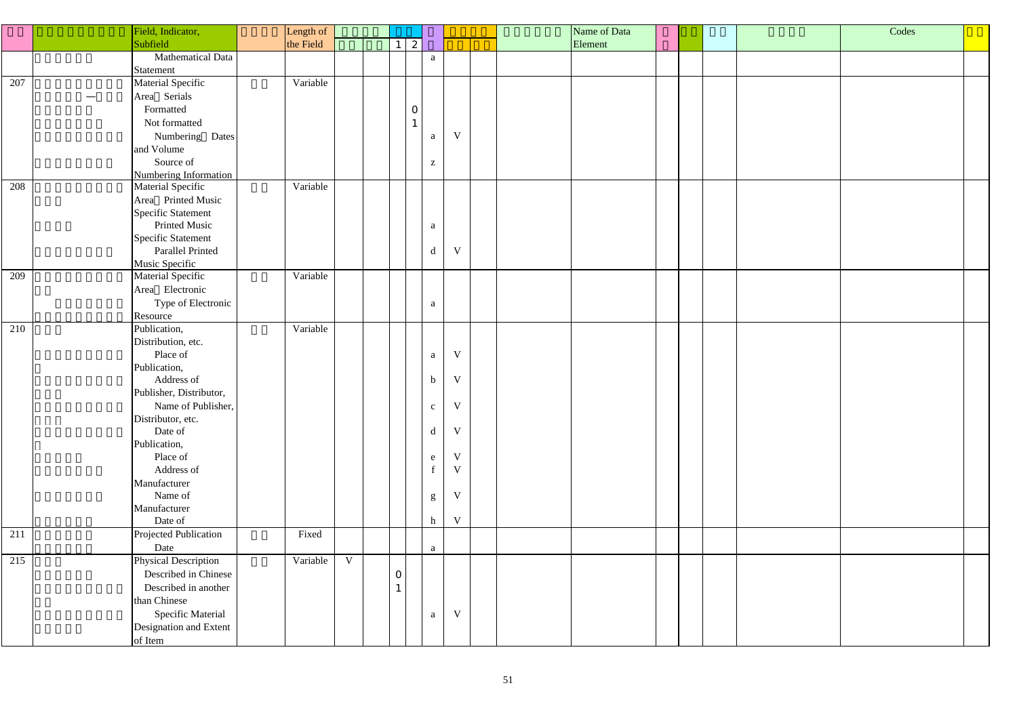|     | Field, Indicator,        | Length of |             |                |              |                                                       |             |  | Name of Data |  |  | Codes |
|-----|--------------------------|-----------|-------------|----------------|--------------|-------------------------------------------------------|-------------|--|--------------|--|--|-------|
|     | Subfield                 | the Field |             | 1 <sup>1</sup> | 2            |                                                       |             |  | Element      |  |  |       |
|     | Mathematical Data        |           |             |                |              | $\mathbf{a}$                                          |             |  |              |  |  |       |
|     | Statement                |           |             |                |              |                                                       |             |  |              |  |  |       |
| 207 | Material Specific        | Variable  |             |                |              |                                                       |             |  |              |  |  |       |
|     | Area Serials             |           |             |                |              |                                                       |             |  |              |  |  |       |
|     | Formatted                |           |             |                | $\mathbf{O}$ |                                                       |             |  |              |  |  |       |
|     | Not formatted            |           |             |                |              |                                                       |             |  |              |  |  |       |
|     | Numbering Dates          |           |             |                |              | V                                                     |             |  |              |  |  |       |
|     | and Volume               |           |             |                |              | a                                                     |             |  |              |  |  |       |
|     | Source of                |           |             |                |              |                                                       |             |  |              |  |  |       |
|     | Numbering Information    |           |             |                |              | $\mathbf{Z}% ^{T}=\mathbf{Z}^{T}\times\mathbf{Z}^{T}$ |             |  |              |  |  |       |
| 208 | Material Specific        | Variable  |             |                |              |                                                       |             |  |              |  |  |       |
|     | Area Printed Music       |           |             |                |              |                                                       |             |  |              |  |  |       |
|     | Specific Statement       |           |             |                |              |                                                       |             |  |              |  |  |       |
|     | Printed Music            |           |             |                |              | a                                                     |             |  |              |  |  |       |
|     | Specific Statement       |           |             |                |              |                                                       |             |  |              |  |  |       |
|     | Parallel Printed         |           |             |                |              | $\mathbf d$                                           | $\mathbf V$ |  |              |  |  |       |
|     | Music Specific           |           |             |                |              |                                                       |             |  |              |  |  |       |
| 209 | Material Specific        | Variable  |             |                |              |                                                       |             |  |              |  |  |       |
|     | Area Electronic          |           |             |                |              |                                                       |             |  |              |  |  |       |
|     | Type of Electronic       |           |             |                |              | a                                                     |             |  |              |  |  |       |
|     | Resource                 |           |             |                |              |                                                       |             |  |              |  |  |       |
| 210 | Publication,             | Variable  |             |                |              |                                                       |             |  |              |  |  |       |
|     | Distribution, etc.       |           |             |                |              |                                                       |             |  |              |  |  |       |
|     | Place of                 |           |             |                |              | $\mathbf V$<br>$\mathbf{a}$                           |             |  |              |  |  |       |
|     | Publication,             |           |             |                |              |                                                       |             |  |              |  |  |       |
|     | Address of               |           |             |                |              | $\mathbf V$<br>$\mathbf b$                            |             |  |              |  |  |       |
|     | Publisher, Distributor,  |           |             |                |              |                                                       |             |  |              |  |  |       |
|     | Name of Publisher,       |           |             |                |              | <sup>V</sup><br>$\mathbf{C}$                          |             |  |              |  |  |       |
|     | Distributor, etc.        |           |             |                |              |                                                       |             |  |              |  |  |       |
|     | Date of                  |           |             |                |              | $\mathbf V$<br>$\mathbf d$                            |             |  |              |  |  |       |
|     | Publication,             |           |             |                |              |                                                       |             |  |              |  |  |       |
|     | Place of                 |           |             |                |              | $\mathbf V$<br>e                                      |             |  |              |  |  |       |
|     | Address of               |           |             |                |              | f                                                     | $\mathbf V$ |  |              |  |  |       |
|     | Manufacturer             |           |             |                |              |                                                       |             |  |              |  |  |       |
|     | Name of                  |           |             |                |              | $\mathbf V$<br>${\bf g}$                              |             |  |              |  |  |       |
|     | Manufacturer             |           |             |                |              |                                                       |             |  |              |  |  |       |
|     | Date of                  |           |             |                |              | $\mathbf h$                                           | $\mathbf V$ |  |              |  |  |       |
| 211 | Projected Publication    | Fixed     |             |                |              |                                                       |             |  |              |  |  |       |
|     | Date                     |           |             |                |              | a                                                     |             |  |              |  |  |       |
| 215 | Physical Description     | Variable  | $\mathbf V$ |                |              |                                                       |             |  |              |  |  |       |
|     | Described in Chinese     |           |             | $\overline{O}$ |              |                                                       |             |  |              |  |  |       |
|     | Described in another     |           |             |                |              |                                                       |             |  |              |  |  |       |
|     | than Chinese             |           |             |                |              |                                                       |             |  |              |  |  |       |
|     | <b>Specific Material</b> |           |             |                |              | a                                                     | $\mathbf V$ |  |              |  |  |       |
|     | Designation and Extent   |           |             |                |              |                                                       |             |  |              |  |  |       |
|     | of Item                  |           |             |                |              |                                                       |             |  |              |  |  |       |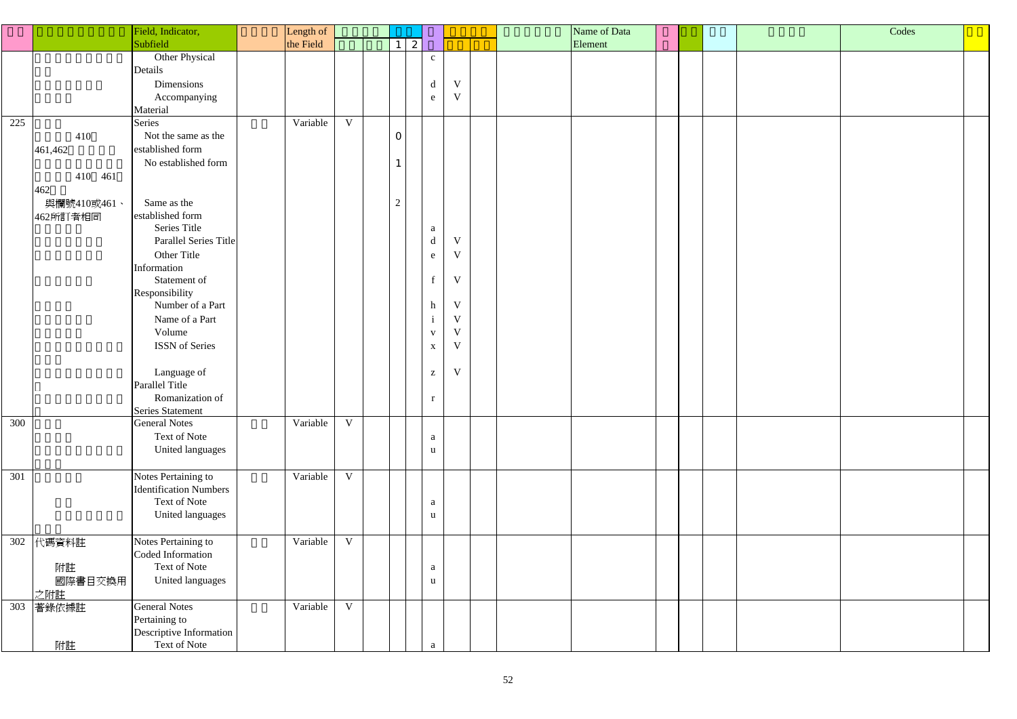|     |                                                             | Field, Indicator,                                                                                                                                                                                                                                                                                                                                              | Length of |                |                                  |                                                                                                                    |                                                                                                              |  | Name of Data |  |  | Codes |  |
|-----|-------------------------------------------------------------|----------------------------------------------------------------------------------------------------------------------------------------------------------------------------------------------------------------------------------------------------------------------------------------------------------------------------------------------------------------|-----------|----------------|----------------------------------|--------------------------------------------------------------------------------------------------------------------|--------------------------------------------------------------------------------------------------------------|--|--------------|--|--|-------|--|
|     |                                                             | Subfield                                                                                                                                                                                                                                                                                                                                                       | the Field |                | $1 \mid 2 \mid$                  |                                                                                                                    |                                                                                                              |  | Element      |  |  |       |  |
|     |                                                             | Other Physical<br>Details<br>Dimensions<br>Accompanying<br>Material                                                                                                                                                                                                                                                                                            |           |                |                                  | $\mathbf{C}^-$<br>$\mathbf d$<br>e                                                                                 | $\mathbf V$<br>$\mathbf{V}$                                                                                  |  |              |  |  |       |  |
| 225 | 410<br>461,462<br>410 461<br>462<br>與欄號410或461、<br>462所訂者相同 | Series<br>Not the same as the<br>established form<br>No established form<br>Same as the<br>established form<br>Series Title<br>Parallel Series Title<br>Other Title<br>Information<br>Statement of<br>Responsibility<br>Number of a Part<br>Name of a Part<br>Volume<br>ISSN of Series<br>Language of<br>Parallel Title<br>Romanization of<br>Series Statement | Variable  | $\mathbf V$    | $\overline{0}$<br>$\overline{2}$ | a<br>$\mathbf d$<br>e<br>f<br>$\boldsymbol{h}$<br>$\mathbf{i}$<br>$\mathbf{V}$<br>$\mathbf X$<br>$\mathbf{Z}$<br>r | V<br>$\mathbf V$<br>$\mathbf V$<br>$\mathbf V$<br>$\mathbf{V}$<br>$\mathbf{V}$<br>$\mathbf V$<br>$\mathbf V$ |  |              |  |  |       |  |
| 300 |                                                             | <b>General Notes</b><br>Text of Note<br>United languages                                                                                                                                                                                                                                                                                                       | Variable  | $\mathbf V$    |                                  | a<br>u                                                                                                             |                                                                                                              |  |              |  |  |       |  |
| 301 |                                                             | Notes Pertaining to<br><b>Identification Numbers</b><br>Text of Note<br>United languages                                                                                                                                                                                                                                                                       | Variable  | $\mathbf V$    |                                  | a<br>u                                                                                                             |                                                                                                              |  |              |  |  |       |  |
| 302 | 代碼資料註<br>附註<br>國際書目交換用<br>之附註                               | Notes Pertaining to<br>Coded Information<br>Text of Note<br>United languages                                                                                                                                                                                                                                                                                   | Variable  | $\mathbf V$    |                                  | a<br>u                                                                                                             |                                                                                                              |  |              |  |  |       |  |
| 303 | 著錄依據註<br>附註                                                 | <b>General Notes</b><br>Pertaining to<br>Descriptive Information<br>Text of Note                                                                                                                                                                                                                                                                               | Variable  | $\overline{V}$ |                                  | a                                                                                                                  |                                                                                                              |  |              |  |  |       |  |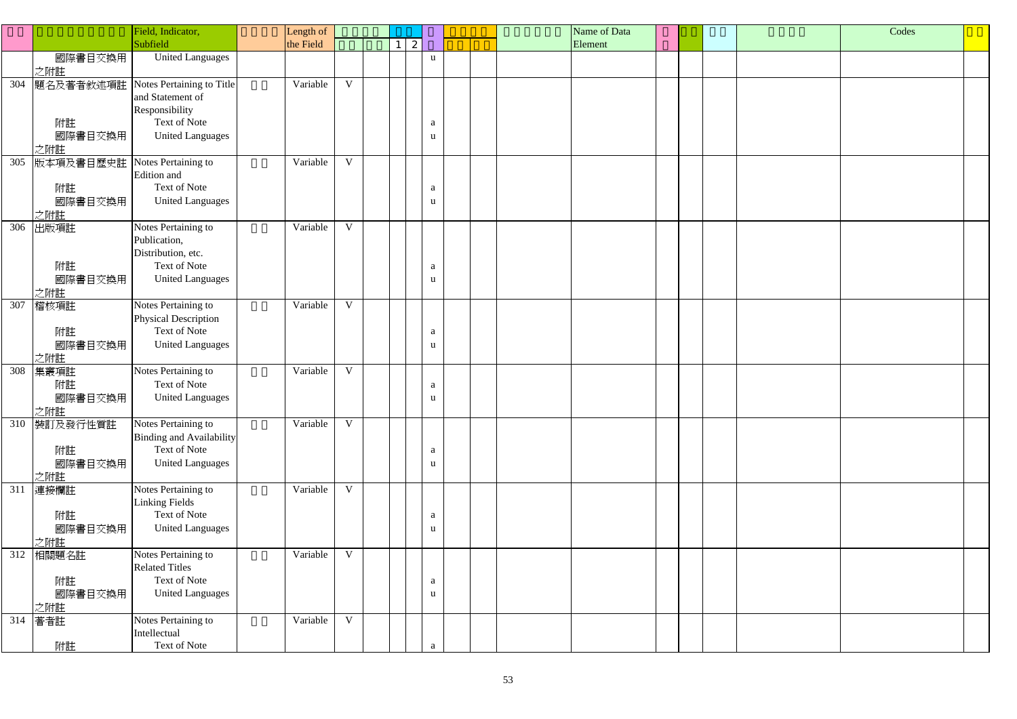|     |                                  | Field, Indicator,                                                                                          | Length of |              |                 |        |  | Name of Data |  |  | Codes |  |
|-----|----------------------------------|------------------------------------------------------------------------------------------------------------|-----------|--------------|-----------------|--------|--|--------------|--|--|-------|--|
|     |                                  | Subfield                                                                                                   | the Field |              | $1 \mid 2 \mid$ |        |  | Element      |  |  |       |  |
|     | 國際書目交換用<br>之附註                   | <b>United Languages</b>                                                                                    |           |              |                 | u      |  |              |  |  |       |  |
| 304 | 題名及著者敘述項註<br>附註<br>國際書目交換用       | Notes Pertaining to Title<br>and Statement of<br>Responsibility<br>Text of Note<br><b>United Languages</b> | Variable  | $\mathbf{V}$ |                 | a<br>u |  |              |  |  |       |  |
| 305 | 之附註<br>版本項及書目歷史註                 | Notes Pertaining to                                                                                        | Variable  | $\mathbf{V}$ |                 |        |  |              |  |  |       |  |
|     | 附註<br>國際書目交換用<br>之附註             | Edition and<br>Text of Note<br><b>United Languages</b>                                                     |           |              |                 | a<br>u |  |              |  |  |       |  |
| 306 | 出版項註<br>附註<br>國際書目交換用<br>之附註     | Notes Pertaining to<br>Publication,<br>Distribution, etc.<br>Text of Note<br><b>United Languages</b>       | Variable  | $\mathbf{V}$ |                 | a<br>u |  |              |  |  |       |  |
| 307 | 稽核項註<br>附註<br>國際書目交換用<br>之附註     | Notes Pertaining to<br>Physical Description<br>Text of Note<br><b>United Languages</b>                     | Variable  | $\mathbf{V}$ |                 | a<br>u |  |              |  |  |       |  |
| 308 | 集叢項註<br>附註<br>國際書目交換用<br>之附註     | Notes Pertaining to<br>Text of Note<br><b>United Languages</b>                                             | Variable  | $\mathbf{V}$ |                 | a<br>u |  |              |  |  |       |  |
| 310 | 裝訂及發行性質註<br>附註<br>國際書目交換用<br>之附註 | Notes Pertaining to<br><b>Binding and Availability</b><br>Text of Note<br><b>United Languages</b>          | Variable  | $\mathbf{V}$ |                 | a<br>u |  |              |  |  |       |  |
| 311 | 連接欄註<br>附註<br>國際書目交換用<br>之附註     | Notes Pertaining to<br><b>Linking Fields</b><br>Text of Note<br><b>United Languages</b>                    | Variable  | $\mathbf V$  |                 | a<br>u |  |              |  |  |       |  |
| 312 | 相關題名註<br>附註<br>國際書目交換用<br>之附註    | Notes Pertaining to<br><b>Related Titles</b><br>Text of Note<br><b>United Languages</b>                    | Variable  | $\mathbf V$  |                 | a<br>u |  |              |  |  |       |  |
| 314 | 著者註<br>附註                        | Notes Pertaining to<br>Intellectual<br>Text of Note                                                        | Variable  | $\mathbf{V}$ |                 | a      |  |              |  |  |       |  |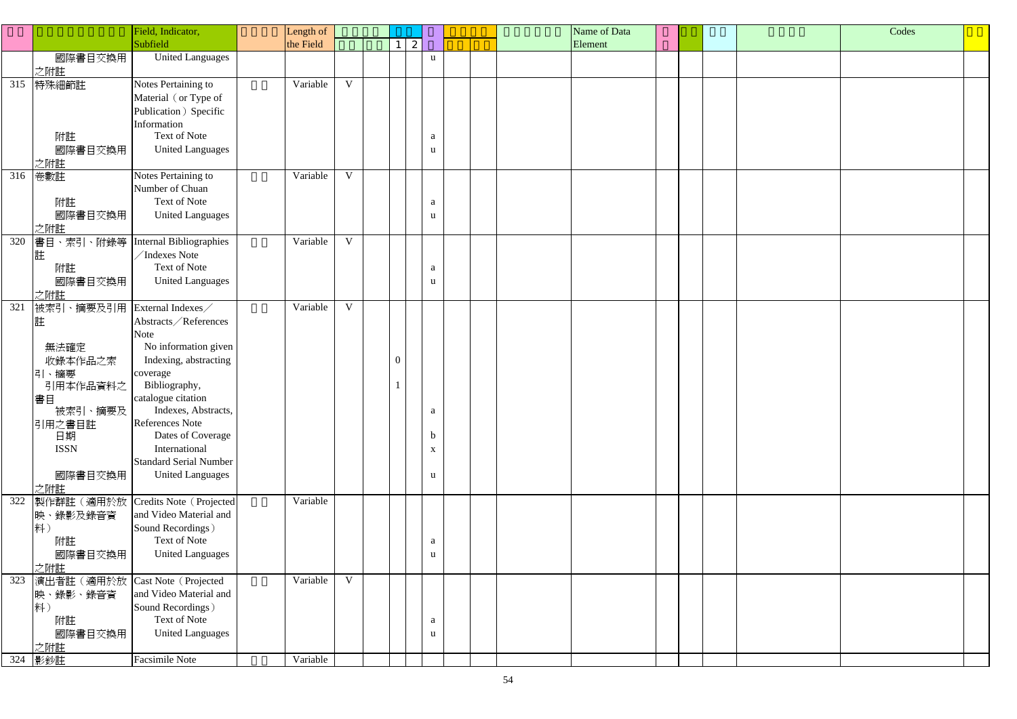|     |                                | Field, Indicator,             | Length of |              |              |                           |  | Name of Data |  |  | Codes |  |
|-----|--------------------------------|-------------------------------|-----------|--------------|--------------|---------------------------|--|--------------|--|--|-------|--|
|     |                                | Subfield                      | the Field |              | $1 \vert 2$  |                           |  | Element      |  |  |       |  |
|     | 國際書目交換用                        | <b>United Languages</b>       |           |              |              | u                         |  |              |  |  |       |  |
|     | 之附註                            |                               |           |              |              |                           |  |              |  |  |       |  |
| 315 | 特殊細節註                          | Notes Pertaining to           | Variable  | $\mathbf{V}$ |              |                           |  |              |  |  |       |  |
|     |                                | Material (or Type of          |           |              |              |                           |  |              |  |  |       |  |
|     |                                | Publication ) Specific        |           |              |              |                           |  |              |  |  |       |  |
|     |                                | Information                   |           |              |              |                           |  |              |  |  |       |  |
|     | 附註                             | Text of Note                  |           |              |              | a                         |  |              |  |  |       |  |
|     | 國際書目交換用                        | <b>United Languages</b>       |           |              |              | u                         |  |              |  |  |       |  |
|     | 之附註                            |                               |           |              |              |                           |  |              |  |  |       |  |
| 316 | 卷數註                            | Notes Pertaining to           | Variable  | $\mathbf{V}$ |              |                           |  |              |  |  |       |  |
|     |                                | Number of Chuan               |           |              |              |                           |  |              |  |  |       |  |
|     | 附註                             | Text of Note                  |           |              |              | a                         |  |              |  |  |       |  |
|     | 國際書目交換用                        | <b>United Languages</b>       |           |              |              | u                         |  |              |  |  |       |  |
|     | 之附註                            |                               |           |              |              |                           |  |              |  |  |       |  |
| 320 | 書目、索引、附錄等                      | Internal Bibliographies       | Variable  | V            |              |                           |  |              |  |  |       |  |
|     | 註                              | /Indexes Note                 |           |              |              |                           |  |              |  |  |       |  |
|     | 附註                             | <b>Text of Note</b>           |           |              |              | a                         |  |              |  |  |       |  |
|     | 國際書目交換用                        | <b>United Languages</b>       |           |              |              | u                         |  |              |  |  |       |  |
|     | 之附註                            |                               |           |              |              |                           |  |              |  |  |       |  |
| 321 | 被索引、摘要及引用                      | External Indexes              | Variable  | $\mathbf V$  |              |                           |  |              |  |  |       |  |
|     | 註                              | Abstracts / References        |           |              |              |                           |  |              |  |  |       |  |
|     |                                | <b>Note</b>                   |           |              |              |                           |  |              |  |  |       |  |
|     | 無法確定                           | No information given          |           |              |              |                           |  |              |  |  |       |  |
|     | 收錄本作品之索                        | Indexing, abstracting         |           |              | $\mathbf{0}$ |                           |  |              |  |  |       |  |
|     | 引、摘要                           | coverage                      |           |              |              |                           |  |              |  |  |       |  |
|     | 引用本作品資料之                       | Bibliography,                 |           |              |              |                           |  |              |  |  |       |  |
|     | 書目                             | catalogue citation            |           |              |              |                           |  |              |  |  |       |  |
|     | 被索引、摘要及                        | Indexes, Abstracts,           |           |              |              | $\mathbf{a}$              |  |              |  |  |       |  |
|     | 引用之書目註                         | References Note               |           |              |              |                           |  |              |  |  |       |  |
|     | 日期                             | Dates of Coverage             |           |              |              | D                         |  |              |  |  |       |  |
|     | <b>ISSN</b>                    | International                 |           |              |              | $\boldsymbol{\mathrm{X}}$ |  |              |  |  |       |  |
|     |                                | <b>Standard Serial Number</b> |           |              |              |                           |  |              |  |  |       |  |
|     | 國際書目交換用                        | <b>United Languages</b>       |           |              |              | u                         |  |              |  |  |       |  |
|     | 之附註                            |                               |           |              |              |                           |  |              |  |  |       |  |
| 322 | 製作群註(適用於放                      | Credits Note (Projected       | Variable  |              |              |                           |  |              |  |  |       |  |
|     | 映、錄影及錄音資                       | and Video Material and        |           |              |              |                           |  |              |  |  |       |  |
|     | 料                              | Sound Recordings)             |           |              |              |                           |  |              |  |  |       |  |
|     | 附註                             | Text of Note                  |           |              |              | a                         |  |              |  |  |       |  |
|     | 國際書目交換用                        | <b>United Languages</b>       |           |              |              | u                         |  |              |  |  |       |  |
|     | 之附註                            |                               |           |              |              |                           |  |              |  |  |       |  |
| 323 | 演出者註(適用於放 Cast Note (Projected |                               | Variable  | $\mathbf{V}$ |              |                           |  |              |  |  |       |  |
|     | 映、錄影、錄音資                       | and Video Material and        |           |              |              |                           |  |              |  |  |       |  |
|     | 料                              | Sound Recordings)             |           |              |              |                           |  |              |  |  |       |  |
|     | 附註                             | Text of Note                  |           |              |              | a                         |  |              |  |  |       |  |
|     | 國際書目交換用                        | <b>United Languages</b>       |           |              |              | u                         |  |              |  |  |       |  |
|     | 之附註                            |                               |           |              |              |                           |  |              |  |  |       |  |
|     | 324 影鈔註                        | Facsimile Note                | Variable  |              |              |                           |  |              |  |  |       |  |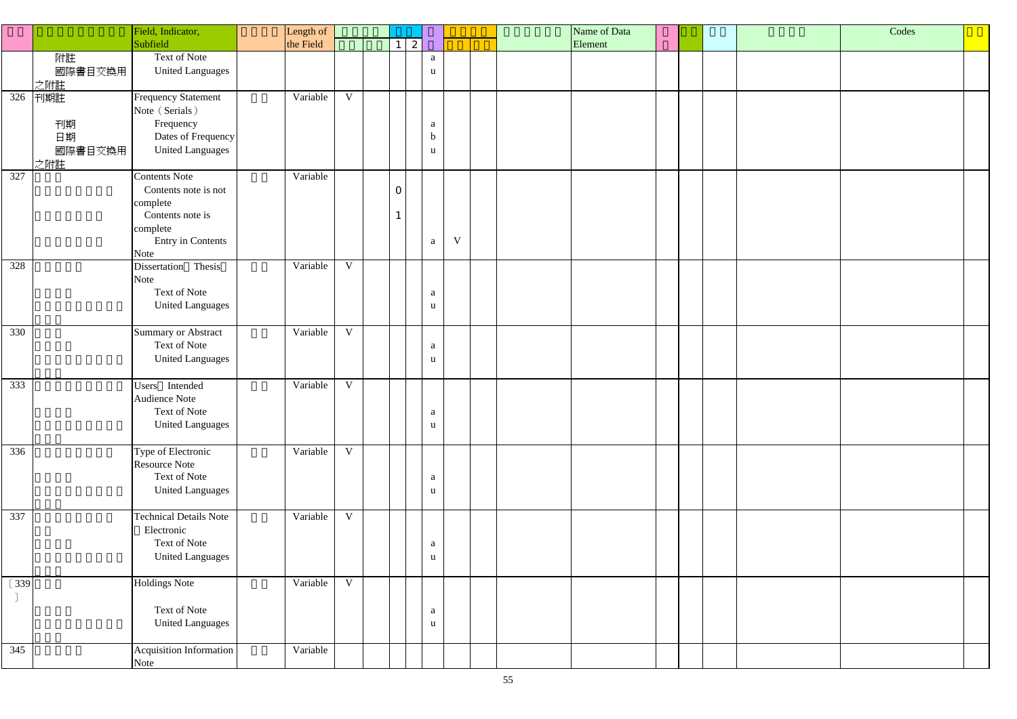|        |                                   | Field, Indicator,                                                                                                            | Length of |             |                |   |                                  |   | Name of Data |  | Codes |  |
|--------|-----------------------------------|------------------------------------------------------------------------------------------------------------------------------|-----------|-------------|----------------|---|----------------------------------|---|--------------|--|-------|--|
|        |                                   | Subfield                                                                                                                     | the Field |             |                | 2 |                                  |   | Element      |  |       |  |
|        | 附註<br>國際書目交換用<br>之附註              | Text of Note<br><b>United Languages</b>                                                                                      |           |             |                |   | $\mathbf{a}$<br>$\mathbf u$      |   |              |  |       |  |
| 326    | 刊期註<br>刊期<br>日期<br>國際書目交換用<br>之附註 | <b>Frequency Statement</b><br>Note (Serials)<br>Frequency<br>Dates of Frequency<br><b>United Languages</b>                   | Variable  | V           |                |   | a<br>$\mathbf b$<br>$\mathbf{u}$ |   |              |  |       |  |
| 327    |                                   | <b>Contents Note</b><br>Contents note is not<br>complete<br>Contents note is<br>complete<br><b>Entry in Contents</b><br>Note | Variable  |             | $\overline{O}$ |   | $\mathbf{a}$                     | V |              |  |       |  |
| 328    |                                   | Dissertation Thesis<br>Note<br>Text of Note<br><b>United Languages</b>                                                       | Variable  | V           |                |   | a<br>$\mathbf{u}$                |   |              |  |       |  |
| 330    |                                   | <b>Summary or Abstract</b><br>Text of Note<br><b>United Languages</b>                                                        | Variable  | V           |                |   | $\mathbf{a}$<br>$\mathbf{u}$     |   |              |  |       |  |
| 333    |                                   | Users Intended<br>Audience Note<br>Text of Note<br><b>United Languages</b>                                                   | Variable  | $\mathbf V$ |                |   | a<br>$\mathbf{u}$                |   |              |  |       |  |
| 336    |                                   | Type of Electronic<br><b>Resource Note</b><br>Text of Note<br><b>United Languages</b>                                        | Variable  | $\mathbf V$ |                |   | a<br>$\mathbf{u}$                |   |              |  |       |  |
| 337    |                                   | <b>Technical Details Note</b><br>Electronic<br>Text of Note<br><b>United Languages</b>                                       | Variable  | V           |                |   | a<br>$\mathbf{u}$                |   |              |  |       |  |
| $(339$ |                                   | <b>Holdings Note</b><br>Text of Note<br><b>United Languages</b>                                                              | Variable  | V           |                |   | a<br>$\mathbf{u}$                |   |              |  |       |  |
| 345    |                                   | Acquisition Information<br>Note                                                                                              | Variable  |             |                |   |                                  |   |              |  |       |  |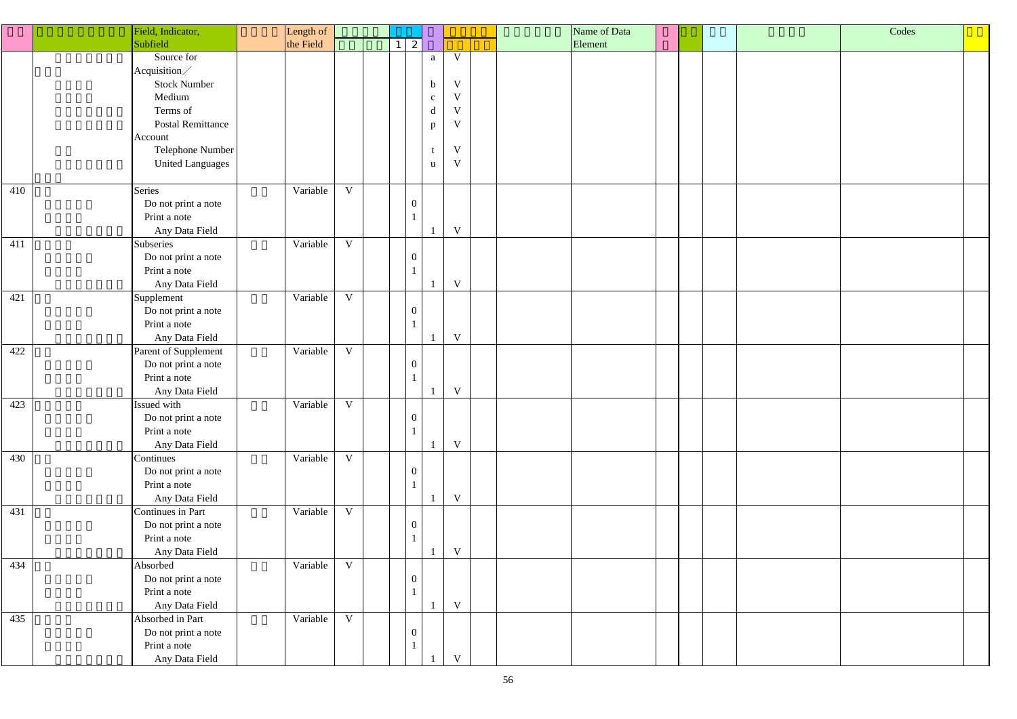|     | Field, Indicator,        | Length of  |                |                  |                                                   |             | Name of Data |  | Codes |
|-----|--------------------------|------------|----------------|------------------|---------------------------------------------------|-------------|--------------|--|-------|
|     | Subfield                 | the Field  |                | $1 \mid 2 \mid$  |                                                   |             | Element      |  |       |
|     | Source for               |            |                |                  | $\mathbf{a}$                                      | V           |              |  |       |
|     | Acquisition/             |            |                |                  |                                                   |             |              |  |       |
|     | <b>Stock Number</b>      |            |                |                  | $\mathbf b$                                       | $\mathbf V$ |              |  |       |
|     | Medium                   |            |                |                  | $\mathbf{C}$                                      | $\mathbf V$ |              |  |       |
|     | Terms of                 |            |                |                  | $\mathrm{d}% \left\  \mathbf{r}_{i}\right\  ^{2}$ | $\mathbf V$ |              |  |       |
|     | <b>Postal Remittance</b> |            |                |                  |                                                   | $\mathbf V$ |              |  |       |
|     | Account                  |            |                |                  | $\mathbf{p}$                                      |             |              |  |       |
|     | Telephone Number         |            |                |                  |                                                   | $\mathbf V$ |              |  |       |
|     | <b>United Languages</b>  |            |                |                  | u                                                 | $\mathbf V$ |              |  |       |
|     |                          |            |                |                  |                                                   |             |              |  |       |
| 410 | Series                   | Variable   | $\mathbf V$    |                  |                                                   |             |              |  |       |
|     | Do not print a note      |            |                | $\boldsymbol{0}$ |                                                   |             |              |  |       |
|     | Print a note             |            |                |                  |                                                   |             |              |  |       |
|     | Any Data Field           |            |                |                  |                                                   | $\mathbf V$ |              |  |       |
| 411 | Subseries                | Variable   | V              |                  |                                                   |             |              |  |       |
|     | Do not print a note      |            |                | $\boldsymbol{0}$ |                                                   |             |              |  |       |
|     | Print a note             |            |                |                  |                                                   |             |              |  |       |
|     | Any Data Field           |            |                |                  |                                                   | $\mathbf V$ |              |  |       |
| 421 |                          | Variable   | $\mathbf V$    |                  |                                                   |             |              |  |       |
|     | Supplement               |            |                | $\boldsymbol{0}$ |                                                   |             |              |  |       |
|     | Do not print a note      |            |                |                  |                                                   |             |              |  |       |
|     | Print a note             |            |                |                  |                                                   |             |              |  |       |
|     | Any Data Field           |            |                |                  |                                                   | $\mathbf V$ |              |  |       |
| 422 | Parent of Supplement     | Variable   | $\mathbf{V}$   |                  |                                                   |             |              |  |       |
|     | Do not print a note      |            |                | $\boldsymbol{0}$ |                                                   |             |              |  |       |
|     | Print a note             |            |                |                  |                                                   |             |              |  |       |
|     | Any Data Field           |            |                |                  |                                                   | $\mathbf V$ |              |  |       |
| 423 | Issued with              | Variable V |                |                  |                                                   |             |              |  |       |
|     | Do not print a note      |            |                | $\boldsymbol{0}$ |                                                   |             |              |  |       |
|     | Print a note             |            |                |                  |                                                   |             |              |  |       |
|     | Any Data Field           |            |                |                  |                                                   | $\mathbf V$ |              |  |       |
| 430 | Continues                | Variable   | $\mathbf{V}$   |                  |                                                   |             |              |  |       |
|     | Do not print a note      |            |                | $\boldsymbol{0}$ |                                                   |             |              |  |       |
|     | Print a note             |            |                |                  |                                                   |             |              |  |       |
|     | Any Data Field           |            |                |                  |                                                   | $\mathbf V$ |              |  |       |
| 431 | Continues in Part        | Variable   | $\overline{V}$ |                  |                                                   |             |              |  |       |
|     | Do not print a note      |            |                | $\boldsymbol{0}$ |                                                   |             |              |  |       |
|     | Print a note             |            |                |                  |                                                   |             |              |  |       |
|     | Any Data Field           |            |                |                  |                                                   | $\mathbf V$ |              |  |       |
| 434 | Absorbed                 | Variable   | $\mathbf{V}$   |                  |                                                   |             |              |  |       |
|     | Do not print a note      |            |                | $\boldsymbol{0}$ |                                                   |             |              |  |       |
|     | Print a note             |            |                |                  |                                                   |             |              |  |       |
|     | Any Data Field           |            |                |                  |                                                   | $\mathbf V$ |              |  |       |
| 435 | Absorbed in Part         | Variable   | $\mathbf{V}$   |                  |                                                   |             |              |  |       |
|     | Do not print a note      |            |                | $\boldsymbol{0}$ |                                                   |             |              |  |       |
|     | Print a note             |            |                |                  |                                                   |             |              |  |       |
|     | Any Data Field           |            |                |                  |                                                   | V           |              |  |       |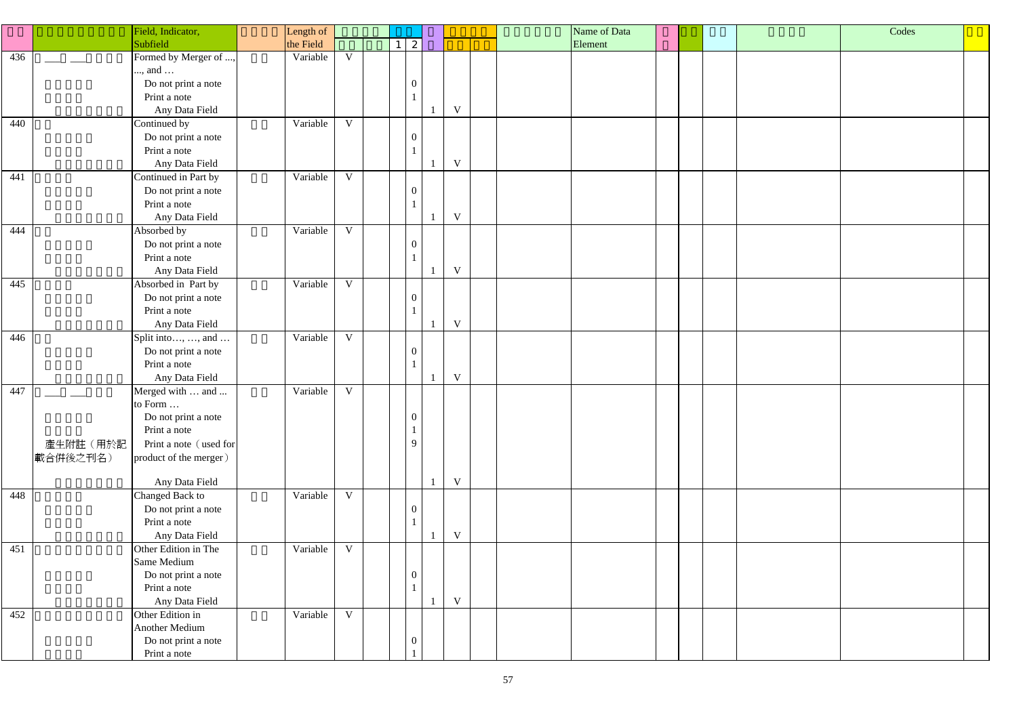|     | Field, Indicator,                  | Length of |              |  |                  |                         |  | Name of Data |  | Codes |  |
|-----|------------------------------------|-----------|--------------|--|------------------|-------------------------|--|--------------|--|-------|--|
|     | Subfield                           | the Field |              |  |                  |                         |  | Element      |  |       |  |
| 436 | Formed by Merger of ,              | Variable  | $\mathbf V$  |  |                  |                         |  |              |  |       |  |
|     | , and                              |           |              |  |                  |                         |  |              |  |       |  |
|     | Do not print a note                |           |              |  | $\mathbf{0}$     |                         |  |              |  |       |  |
|     | Print a note                       |           |              |  |                  |                         |  |              |  |       |  |
|     | Any Data Field                     |           |              |  |                  | $\mathbf V$             |  |              |  |       |  |
| 440 | Continued by                       | Variable  | $\mathbf{V}$ |  |                  |                         |  |              |  |       |  |
|     | Do not print a note                |           |              |  | $\overline{0}$   |                         |  |              |  |       |  |
|     | Print a note                       |           |              |  |                  |                         |  |              |  |       |  |
|     | Any Data Field                     |           |              |  |                  | $\ensuremath{\text{V}}$ |  |              |  |       |  |
| 441 | Continued in Part by               | Variable  | V            |  |                  |                         |  |              |  |       |  |
|     | Do not print a note                |           |              |  | $\overline{0}$   |                         |  |              |  |       |  |
|     | Print a note                       |           |              |  |                  |                         |  |              |  |       |  |
|     | Any Data Field                     |           |              |  |                  | $\ensuremath{\text{V}}$ |  |              |  |       |  |
|     |                                    |           | V            |  |                  |                         |  |              |  |       |  |
| 444 | Absorbed by                        | Variable  |              |  |                  |                         |  |              |  |       |  |
|     | Do not print a note                |           |              |  | $\overline{0}$   |                         |  |              |  |       |  |
|     | Print a note                       |           |              |  |                  |                         |  |              |  |       |  |
|     | Any Data Field                     |           |              |  |                  | $\mathbf V$             |  |              |  |       |  |
| 445 | Absorbed in Part by                | Variable  | $\mathbf V$  |  |                  |                         |  |              |  |       |  |
|     | Do not print a note                |           |              |  | $\overline{0}$   |                         |  |              |  |       |  |
|     | Print a note                       |           |              |  |                  |                         |  |              |  |       |  |
|     | Any Data Field                     |           |              |  |                  | $\ensuremath{\text{V}}$ |  |              |  |       |  |
| 446 | Split into, , and                  | Variable  | $\mathbf V$  |  |                  |                         |  |              |  |       |  |
|     | Do not print a note                |           |              |  | $\overline{0}$   |                         |  |              |  |       |  |
|     | Print a note                       |           |              |  |                  |                         |  |              |  |       |  |
|     | Any Data Field                     |           |              |  |                  | $\ensuremath{\text{V}}$ |  |              |  |       |  |
| 447 | Merged with  and                   | Variable  | $\mathbf V$  |  |                  |                         |  |              |  |       |  |
|     | to Form                            |           |              |  |                  |                         |  |              |  |       |  |
|     | Do not print a note                |           |              |  | $\overline{0}$   |                         |  |              |  |       |  |
|     | Print a note                       |           |              |  |                  |                         |  |              |  |       |  |
|     | 產生附註(用於記<br>Print a note (used for |           |              |  | 9                |                         |  |              |  |       |  |
|     | 載合併後之刊名)<br>product of the merger) |           |              |  |                  |                         |  |              |  |       |  |
|     |                                    |           |              |  |                  |                         |  |              |  |       |  |
|     | Any Data Field                     |           |              |  |                  | $\ensuremath{\text{V}}$ |  |              |  |       |  |
| 448 | Changed Back to                    | Variable  | $\mathbf V$  |  |                  |                         |  |              |  |       |  |
|     | Do not print a note                |           |              |  | $\overline{0}$   |                         |  |              |  |       |  |
|     | Print a note                       |           |              |  |                  |                         |  |              |  |       |  |
|     | Any Data Field                     |           |              |  |                  | $\mathbf V$             |  |              |  |       |  |
| 451 | Other Edition in The               | Variable  | $\mathbf V$  |  |                  |                         |  |              |  |       |  |
|     | Same Medium                        |           |              |  |                  |                         |  |              |  |       |  |
|     | Do not print a note                |           |              |  | $\overline{0}$   |                         |  |              |  |       |  |
|     | Print a note                       |           |              |  |                  |                         |  |              |  |       |  |
|     | Any Data Field                     |           |              |  |                  | $\ensuremath{\text{V}}$ |  |              |  |       |  |
| 452 | Other Edition in                   | Variable  | V            |  |                  |                         |  |              |  |       |  |
|     | <b>Another Medium</b>              |           |              |  |                  |                         |  |              |  |       |  |
|     | Do not print a note                |           |              |  | $\boldsymbol{0}$ |                         |  |              |  |       |  |
|     |                                    |           |              |  |                  |                         |  |              |  |       |  |
|     | Print a note                       |           |              |  |                  |                         |  |              |  |       |  |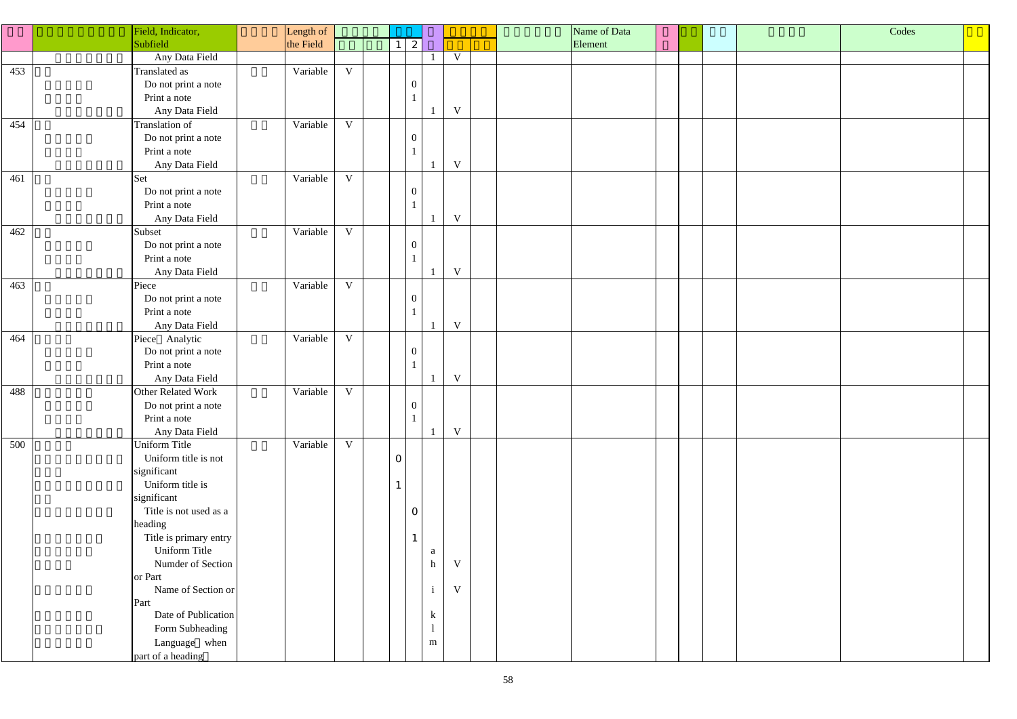|     | Field, Indicator,      | Length of |              |                 |                |              |                         |  | Name of Data |  | Codes |  |
|-----|------------------------|-----------|--------------|-----------------|----------------|--------------|-------------------------|--|--------------|--|-------|--|
|     | Subfield               | the Field |              | $1 \mid 2 \mid$ |                |              |                         |  | Element      |  |       |  |
|     | Any Data Field         |           |              |                 |                |              | $\mathbf V$             |  |              |  |       |  |
| 453 | Translated as          | Variable  | $\mathbf V$  |                 |                |              |                         |  |              |  |       |  |
|     | Do not print a note    |           |              |                 | $\overline{0}$ |              |                         |  |              |  |       |  |
|     | Print a note           |           |              |                 |                |              |                         |  |              |  |       |  |
|     | Any Data Field         |           |              |                 |                |              | $\ensuremath{\text{V}}$ |  |              |  |       |  |
| 454 | Translation of         | Variable  | $\mathbf{V}$ |                 |                |              |                         |  |              |  |       |  |
|     | Do not print a note    |           |              |                 | $\overline{0}$ |              |                         |  |              |  |       |  |
|     | Print a note           |           |              |                 |                |              |                         |  |              |  |       |  |
|     | Any Data Field         |           |              |                 |                |              | $\ensuremath{\text{V}}$ |  |              |  |       |  |
|     |                        |           | V            |                 |                |              |                         |  |              |  |       |  |
| 461 | Set                    | Variable  |              |                 |                |              |                         |  |              |  |       |  |
|     | Do not print a note    |           |              |                 | $\overline{0}$ |              |                         |  |              |  |       |  |
|     | Print a note           |           |              |                 |                |              |                         |  |              |  |       |  |
|     | Any Data Field         |           |              |                 |                |              | $\ensuremath{\text{V}}$ |  |              |  |       |  |
| 462 | Subset                 | Variable  | V            |                 |                |              |                         |  |              |  |       |  |
|     | Do not print a note    |           |              |                 | $\overline{0}$ |              |                         |  |              |  |       |  |
|     | Print a note           |           |              |                 |                |              |                         |  |              |  |       |  |
|     | Any Data Field         |           |              |                 |                |              | $\mathbf V$             |  |              |  |       |  |
| 463 | Piece                  | Variable  | V            |                 |                |              |                         |  |              |  |       |  |
|     | Do not print a note    |           |              |                 | $\overline{0}$ |              |                         |  |              |  |       |  |
|     | Print a note           |           |              |                 |                |              |                         |  |              |  |       |  |
|     | Any Data Field         |           |              |                 |                |              | $\mathbf V$             |  |              |  |       |  |
| 464 | Piece Analytic         | Variable  | $\mathbf V$  |                 |                |              |                         |  |              |  |       |  |
|     | Do not print a note    |           |              |                 | $\overline{0}$ |              |                         |  |              |  |       |  |
|     | Print a note           |           |              |                 |                |              |                         |  |              |  |       |  |
|     | Any Data Field         |           |              |                 |                |              | $\ensuremath{\text{V}}$ |  |              |  |       |  |
| 488 | Other Related Work     | Variable  | $\mathbf V$  |                 |                |              |                         |  |              |  |       |  |
|     | Do not print a note    |           |              |                 | $\mathbf{U}$   |              |                         |  |              |  |       |  |
|     | Print a note           |           |              |                 |                |              |                         |  |              |  |       |  |
|     | Any Data Field         |           |              |                 |                |              | $\mathbf V$             |  |              |  |       |  |
| 500 | Uniform Title          | Variable  | V            |                 |                |              |                         |  |              |  |       |  |
|     | Uniform title is not   |           |              | $\overline{O}$  |                |              |                         |  |              |  |       |  |
|     | significant            |           |              |                 |                |              |                         |  |              |  |       |  |
|     |                        |           |              |                 |                |              |                         |  |              |  |       |  |
|     | Uniform title is       |           |              | $\mathbf{1}$    |                |              |                         |  |              |  |       |  |
|     | significant            |           |              |                 |                |              |                         |  |              |  |       |  |
|     | Title is not used as a |           |              |                 | $\overline{O}$ |              |                         |  |              |  |       |  |
|     | heading                |           |              |                 |                |              |                         |  |              |  |       |  |
|     | Title is primary entry |           |              |                 | $\mathbf{1}$   |              |                         |  |              |  |       |  |
|     | Uniform Title          |           |              |                 |                | $\mathbf{a}$ |                         |  |              |  |       |  |
|     | Numder of Section      |           |              |                 |                | $\mathbf h$  | $\mathbf V$             |  |              |  |       |  |
|     | or Part                |           |              |                 |                |              |                         |  |              |  |       |  |
|     | Name of Section or     |           |              |                 |                | $\mathbf{i}$ | $\ensuremath{\text{V}}$ |  |              |  |       |  |
|     | Part                   |           |              |                 |                |              |                         |  |              |  |       |  |
|     | Date of Publication    |           |              |                 |                | $\bf k$      |                         |  |              |  |       |  |
|     | Form Subheading        |           |              |                 |                |              |                         |  |              |  |       |  |
|     | Language when          |           |              |                 |                | ${\bf m}$    |                         |  |              |  |       |  |
|     | part of a heading      |           |              |                 |                |              |                         |  |              |  |       |  |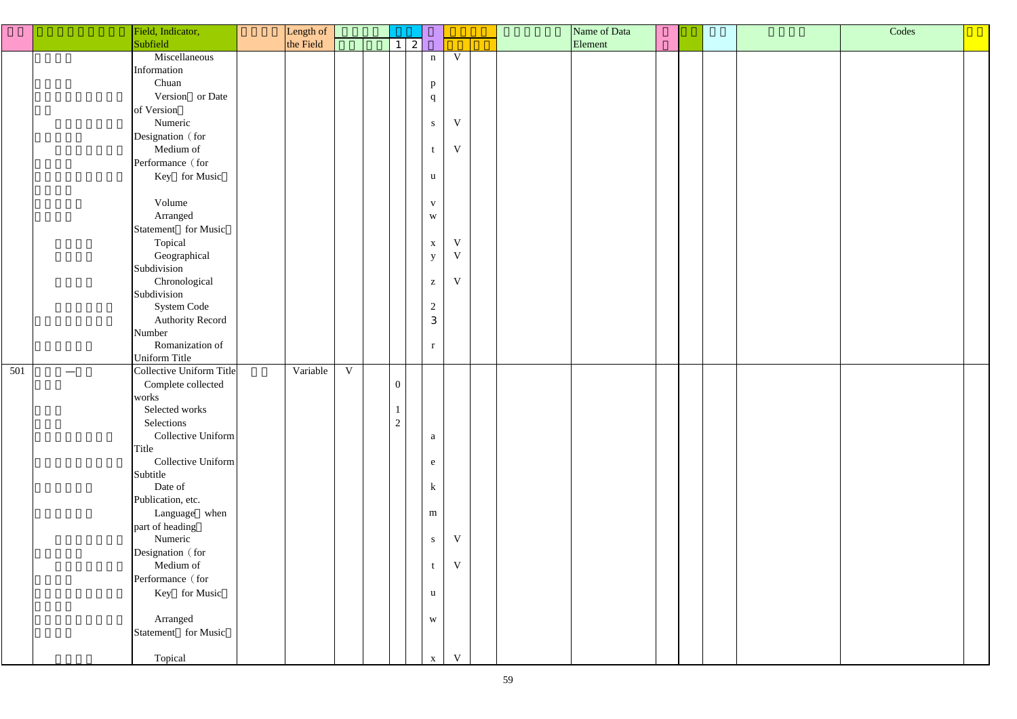|     | Field, Indicator,        | Length of |             |                |             |                         |                         |  | Name of Data |  | Codes |  |
|-----|--------------------------|-----------|-------------|----------------|-------------|-------------------------|-------------------------|--|--------------|--|-------|--|
|     | Subfield                 | the Field |             |                | $1 \quad 2$ |                         |                         |  | Element      |  |       |  |
|     | Miscellaneous            |           |             |                |             | $\mathbf n$             | V                       |  |              |  |       |  |
|     | Information              |           |             |                |             |                         |                         |  |              |  |       |  |
|     | Chuan                    |           |             |                |             | $\, {\bf p}$            |                         |  |              |  |       |  |
|     | Version or Date          |           |             |                |             | q                       |                         |  |              |  |       |  |
|     | of Version               |           |             |                |             |                         |                         |  |              |  |       |  |
|     | Numeric                  |           |             |                |             | ${\bf S}$               | V                       |  |              |  |       |  |
|     | Designation (for         |           |             |                |             |                         |                         |  |              |  |       |  |
|     | Medium of                |           |             |                |             | t                       | $\mathbf V$             |  |              |  |       |  |
|     | Performance (for         |           |             |                |             |                         |                         |  |              |  |       |  |
|     | Key for Music            |           |             |                |             | $\mathbf{u}$            |                         |  |              |  |       |  |
|     |                          |           |             |                |             |                         |                         |  |              |  |       |  |
|     | Volume                   |           |             |                |             | $\mathbf V$             |                         |  |              |  |       |  |
|     | Arranged                 |           |             |                |             | $\ensuremath{\text{W}}$ |                         |  |              |  |       |  |
|     | Statement for Music      |           |             |                |             |                         |                         |  |              |  |       |  |
|     | Topical                  |           |             |                |             | $\mathbf X$             | $\mathbf V$             |  |              |  |       |  |
|     | Geographical             |           |             |                |             | $\mathbf{y}$            | V                       |  |              |  |       |  |
|     | Subdivision              |           |             |                |             |                         |                         |  |              |  |       |  |
|     | Chronological            |           |             |                |             | $\mathbf{Z}$            | V                       |  |              |  |       |  |
|     | Subdivision              |           |             |                |             |                         |                         |  |              |  |       |  |
|     | System Code              |           |             |                |             | $\overline{c}$          |                         |  |              |  |       |  |
|     | <b>Authority Record</b>  |           |             |                |             | $\sqrt{3}$              |                         |  |              |  |       |  |
|     | Number                   |           |             |                |             |                         |                         |  |              |  |       |  |
|     | Romanization of          |           |             |                |             | $\mathbf r$             |                         |  |              |  |       |  |
|     | Uniform Title            |           |             |                |             |                         |                         |  |              |  |       |  |
| 501 | Collective Uniform Title | Variable  | $\mathbf V$ |                |             |                         |                         |  |              |  |       |  |
|     | Complete collected       |           |             | $\overline{0}$ |             |                         |                         |  |              |  |       |  |
|     | works                    |           |             |                |             |                         |                         |  |              |  |       |  |
|     | Selected works           |           |             |                |             |                         |                         |  |              |  |       |  |
|     | Selections               |           |             | $\overline{2}$ |             |                         |                         |  |              |  |       |  |
|     | Collective Uniform       |           |             |                |             | $\mathbf{a}$            |                         |  |              |  |       |  |
|     | Title                    |           |             |                |             |                         |                         |  |              |  |       |  |
|     | Collective Uniform       |           |             |                |             | e                       |                         |  |              |  |       |  |
|     | Subtitle                 |           |             |                |             |                         |                         |  |              |  |       |  |
|     | Date of                  |           |             |                |             | ${\bf k}$               |                         |  |              |  |       |  |
|     | Publication, etc.        |           |             |                |             |                         |                         |  |              |  |       |  |
|     | Language when            |           |             |                |             | ${\bf m}$               |                         |  |              |  |       |  |
|     | part of heading          |           |             |                |             |                         |                         |  |              |  |       |  |
|     | Numeric                  |           |             |                |             | ${\bf S}$               | V                       |  |              |  |       |  |
|     | Designation (for         |           |             |                |             |                         |                         |  |              |  |       |  |
|     | Medium of                |           |             |                |             | t                       | $\ensuremath{\text{V}}$ |  |              |  |       |  |
|     | Performance (for         |           |             |                |             |                         |                         |  |              |  |       |  |
|     | Key for Music            |           |             |                |             | $\mathbf u$             |                         |  |              |  |       |  |
|     |                          |           |             |                |             |                         |                         |  |              |  |       |  |
|     | Arranged                 |           |             |                |             | $\ensuremath{\text{W}}$ |                         |  |              |  |       |  |
|     | Statement for Music      |           |             |                |             |                         |                         |  |              |  |       |  |
|     |                          |           |             |                |             |                         |                         |  |              |  |       |  |
|     | Topical                  |           |             |                |             | $\mathbf X$             | V                       |  |              |  |       |  |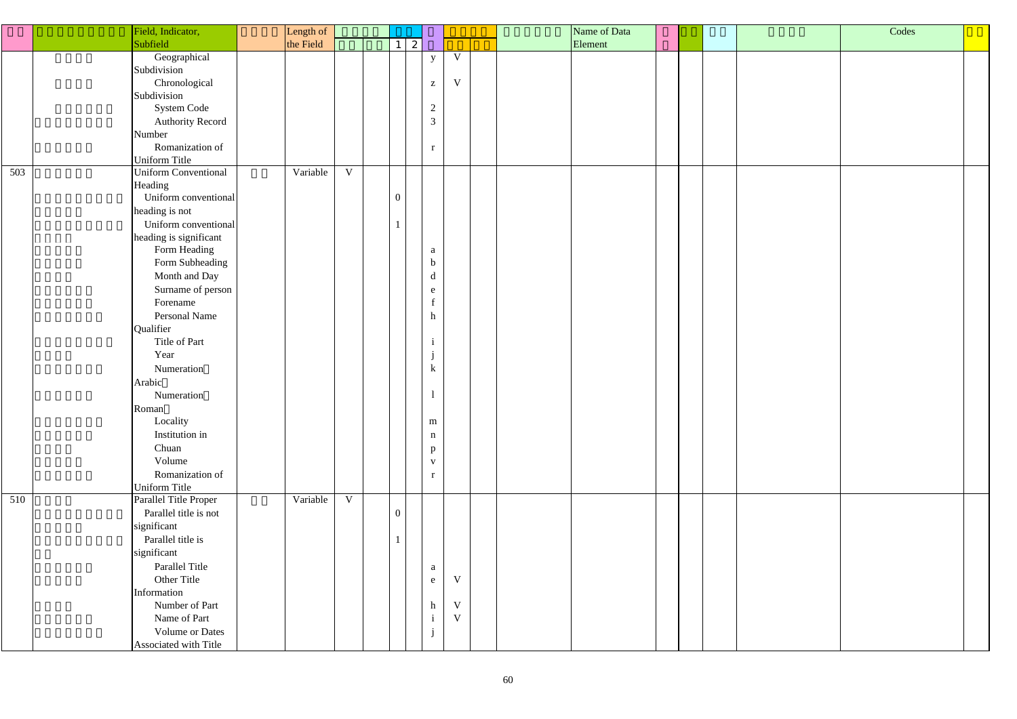| Codes |  |
|-------|--|
|       |  |
|       |  |
|       |  |
|       |  |
|       |  |
|       |  |
|       |  |
|       |  |
|       |  |
|       |  |
|       |  |
|       |  |
|       |  |
|       |  |
|       |  |
|       |  |
|       |  |
|       |  |
|       |  |
|       |  |
|       |  |
|       |  |

|     | Field, Indicator,           | Length of |             |                  |              |                                                       |              |  | Name of Data |  |  |
|-----|-----------------------------|-----------|-------------|------------------|--------------|-------------------------------------------------------|--------------|--|--------------|--|--|
|     | Subfield                    | the Field |             | $1\vert$         | $\mathbf{2}$ |                                                       |              |  | Element      |  |  |
|     | Geographical                |           |             |                  |              | $\mathbf{y}$                                          | $\mathbf V$  |  |              |  |  |
|     | Subdivision                 |           |             |                  |              |                                                       |              |  |              |  |  |
|     | Chronological               |           |             |                  |              | $\mathbf{Z}% ^{T}=\mathbf{Z}^{T}\times\mathbf{Z}^{T}$ | $\mathbf V$  |  |              |  |  |
|     | Subdivision                 |           |             |                  |              |                                                       |              |  |              |  |  |
|     | System Code                 |           |             |                  |              | $\overline{2}$                                        |              |  |              |  |  |
|     | <b>Authority Record</b>     |           |             |                  |              | $\mathfrak{Z}$                                        |              |  |              |  |  |
|     | Number                      |           |             |                  |              |                                                       |              |  |              |  |  |
|     | Romanization of             |           |             |                  |              | r                                                     |              |  |              |  |  |
|     | Uniform Title               |           |             |                  |              |                                                       |              |  |              |  |  |
| 503 | <b>Uniform Conventional</b> | Variable  | $\mathbf V$ |                  |              |                                                       |              |  |              |  |  |
|     | Heading                     |           |             |                  |              |                                                       |              |  |              |  |  |
|     | Uniform conventional        |           |             | $\boldsymbol{0}$ |              |                                                       |              |  |              |  |  |
|     | heading is not              |           |             |                  |              |                                                       |              |  |              |  |  |
|     | Uniform conventional        |           |             |                  |              |                                                       |              |  |              |  |  |
|     | heading is significant      |           |             |                  |              |                                                       |              |  |              |  |  |
|     | Form Heading                |           |             |                  |              | a                                                     |              |  |              |  |  |
|     | Form Subheading             |           |             |                  |              | $\mathbf b$                                           |              |  |              |  |  |
|     | Month and Day               |           |             |                  |              | d                                                     |              |  |              |  |  |
|     | Surname of person           |           |             |                  |              | e                                                     |              |  |              |  |  |
|     | Forename                    |           |             |                  |              | $\mathbf f$                                           |              |  |              |  |  |
|     | Personal Name               |           |             |                  |              | $\mathbf n$                                           |              |  |              |  |  |
|     | Qualifier                   |           |             |                  |              |                                                       |              |  |              |  |  |
|     | Title of Part               |           |             |                  |              | $\mathbf{1}$                                          |              |  |              |  |  |
|     | Year                        |           |             |                  |              | $\mathbf{J}$                                          |              |  |              |  |  |
|     | Numeration                  |           |             |                  |              | k                                                     |              |  |              |  |  |
|     | Arabic                      |           |             |                  |              |                                                       |              |  |              |  |  |
|     | Numeration                  |           |             |                  |              | $\mathbf{I}$                                          |              |  |              |  |  |
|     | Roman                       |           |             |                  |              |                                                       |              |  |              |  |  |
|     | Locality                    |           |             |                  |              | ${\bf m}$                                             |              |  |              |  |  |
|     | Institution in              |           |             |                  |              | $\mathbf n$                                           |              |  |              |  |  |
|     | Chuan                       |           |             |                  |              | $\mathbf{p}$                                          |              |  |              |  |  |
|     | Volume                      |           |             |                  |              | $\mathbf{V}$                                          |              |  |              |  |  |
|     | Romanization of             |           |             |                  |              | $\mathbf{r}$                                          |              |  |              |  |  |
|     | Uniform Title               |           |             |                  |              |                                                       |              |  |              |  |  |
| 510 | Parallel Title Proper       | Variable  | V           |                  |              |                                                       |              |  |              |  |  |
|     | Parallel title is not       |           |             | $\overline{0}$   |              |                                                       |              |  |              |  |  |
|     | significant                 |           |             |                  |              |                                                       |              |  |              |  |  |
|     | Parallel title is           |           |             |                  |              |                                                       |              |  |              |  |  |
|     | significant                 |           |             |                  |              |                                                       |              |  |              |  |  |
|     | Parallel Title              |           |             |                  |              | a                                                     |              |  |              |  |  |
|     | Other Title                 |           |             |                  |              | e                                                     | $\mathbf V$  |  |              |  |  |
|     | Information                 |           |             |                  |              |                                                       |              |  |              |  |  |
|     | Number of Part              |           |             |                  |              | $\mathbf{h}$                                          | $\mathbf V$  |  |              |  |  |
|     | Name of Part                |           |             |                  |              | $\mathbf{i}$                                          | $\mathbf{V}$ |  |              |  |  |
|     | Volume or Dates             |           |             |                  |              |                                                       |              |  |              |  |  |
|     | Associated with Title       |           |             |                  |              |                                                       |              |  |              |  |  |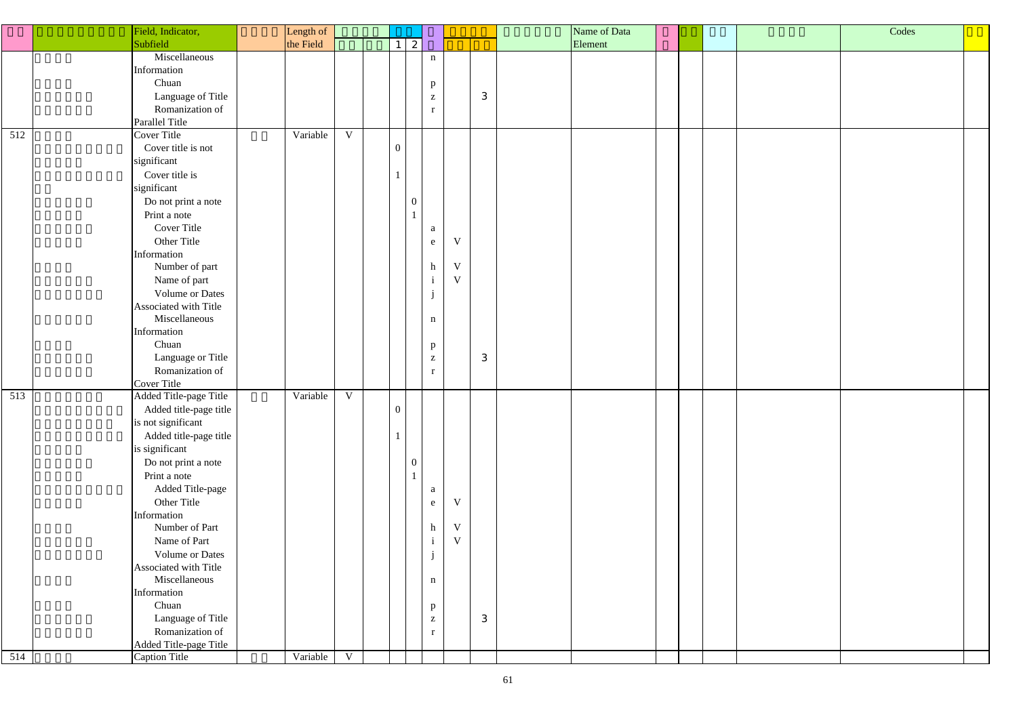|     | Field, Indicator,      | Length of |             |                  |                              |             |   | Name of Data |  | Codes |
|-----|------------------------|-----------|-------------|------------------|------------------------------|-------------|---|--------------|--|-------|
|     | Subfield               | the Field |             | 2 <br>$1\vert$   |                              |             |   | Element      |  |       |
|     | Miscellaneous          |           |             |                  | $\mathbf n$                  |             |   |              |  |       |
|     | Information            |           |             |                  |                              |             |   |              |  |       |
|     | Chuan                  |           |             |                  |                              |             |   |              |  |       |
|     | Language of Title      |           |             |                  | $\mathbf{p}$<br>$\mathbf{Z}$ |             | 3 |              |  |       |
|     | Romanization of        |           |             |                  |                              |             |   |              |  |       |
|     |                        |           |             |                  | r                            |             |   |              |  |       |
| 512 | Parallel Title         |           | $\mathbf V$ |                  |                              |             |   |              |  |       |
|     | Cover Title            | Variable  |             |                  |                              |             |   |              |  |       |
|     | Cover title is not     |           |             | $\overline{0}$   |                              |             |   |              |  |       |
|     | significant            |           |             |                  |                              |             |   |              |  |       |
|     | Cover title is         |           |             |                  |                              |             |   |              |  |       |
|     | significant            |           |             |                  |                              |             |   |              |  |       |
|     | Do not print a note    |           |             | $\boldsymbol{0}$ |                              |             |   |              |  |       |
|     | Print a note           |           |             | $\mathbf{1}$     |                              |             |   |              |  |       |
|     | <b>Cover Title</b>     |           |             |                  | a                            |             |   |              |  |       |
|     | Other Title            |           |             |                  | ${\bf e}$                    | $\mathbf V$ |   |              |  |       |
|     | Information            |           |             |                  |                              |             |   |              |  |       |
|     | Number of part         |           |             |                  | $\boldsymbol{\textbf{h}}$    | $\mathbf V$ |   |              |  |       |
|     | Name of part           |           |             |                  | $\mathbf{i}$                 | $\mathbf V$ |   |              |  |       |
|     | <b>Volume or Dates</b> |           |             |                  | j                            |             |   |              |  |       |
|     | Associated with Title  |           |             |                  |                              |             |   |              |  |       |
|     | Miscellaneous          |           |             |                  | $\mathbf n$                  |             |   |              |  |       |
|     | Information            |           |             |                  |                              |             |   |              |  |       |
|     | Chuan                  |           |             |                  | $\mathbf{p}$                 |             |   |              |  |       |
|     | Language or Title      |           |             |                  | $\mathbf{Z}$                 |             | 3 |              |  |       |
|     | Romanization of        |           |             |                  | r                            |             |   |              |  |       |
|     | Cover Title            |           |             |                  |                              |             |   |              |  |       |
| 513 | Added Title-page Title | Variable  | $\mathbf V$ |                  |                              |             |   |              |  |       |
|     | Added title-page title |           |             | $\overline{0}$   |                              |             |   |              |  |       |
|     | is not significant     |           |             |                  |                              |             |   |              |  |       |
|     | Added title-page title |           |             |                  |                              |             |   |              |  |       |
|     |                        |           |             |                  |                              |             |   |              |  |       |
|     | is significant         |           |             |                  |                              |             |   |              |  |       |
|     | Do not print a note    |           |             | $\boldsymbol{0}$ |                              |             |   |              |  |       |
|     | Print a note           |           |             | $\mathbf{1}$     |                              |             |   |              |  |       |
|     | Added Title-page       |           |             |                  | a                            |             |   |              |  |       |
|     | Other Title            |           |             |                  | e                            | $\mathbf V$ |   |              |  |       |
|     | Information            |           |             |                  |                              |             |   |              |  |       |
|     | Number of Part         |           |             |                  | $\boldsymbol{\textbf{h}}$    | $\mathbf V$ |   |              |  |       |
|     | Name of Part           |           |             |                  | $\,$ i                       | $\mathbf V$ |   |              |  |       |
|     | <b>Volume or Dates</b> |           |             |                  | j                            |             |   |              |  |       |
|     | Associated with Title  |           |             |                  |                              |             |   |              |  |       |
|     | Miscellaneous          |           |             |                  | $\mathbf n$                  |             |   |              |  |       |
|     | Information            |           |             |                  |                              |             |   |              |  |       |
|     | Chuan                  |           |             |                  | $\mathbf{p}$                 |             |   |              |  |       |
|     | Language of Title      |           |             |                  | $\mathbf{Z}$                 |             | 3 |              |  |       |
|     | Romanization of        |           |             |                  | $\mathbf{r}$                 |             |   |              |  |       |
|     | Added Title-page Title |           |             |                  |                              |             |   |              |  |       |
| 514 | Caption Title          | Variable  | $\mathbf V$ |                  |                              |             |   |              |  |       |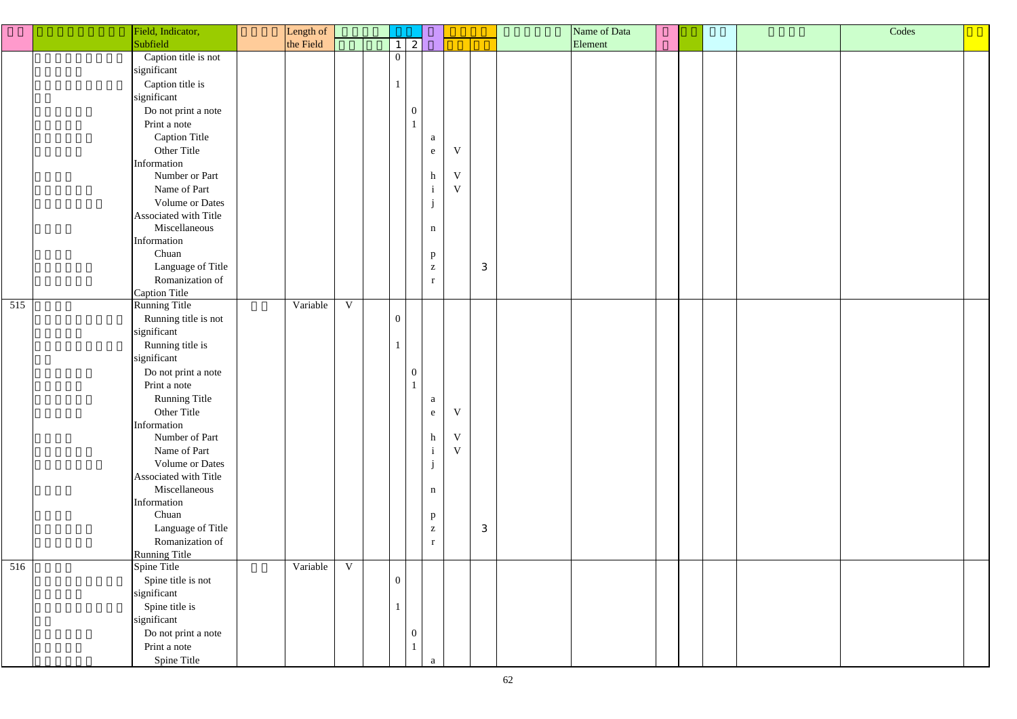| Codes |  |
|-------|--|
|       |  |
|       |  |
|       |  |
|       |  |
|       |  |
|       |  |
|       |  |
|       |  |
|       |  |
|       |  |
|       |  |
|       |  |
|       |  |
|       |  |
|       |  |
|       |  |
|       |  |
|       |  |
|       |  |
|       |  |
|       |  |
|       |  |
|       |  |
|       |  |

|     | Field, Indicator,                    | Length of |             |                  |                  |              |             |   | Name of Data |  |  |
|-----|--------------------------------------|-----------|-------------|------------------|------------------|--------------|-------------|---|--------------|--|--|
|     | Subfield                             | the Field |             | $\mathbf{1}$     | $\mathbf{2}$     |              |             |   | Element      |  |  |
|     | Caption title is not                 |           |             | $\overline{0}$   |                  |              |             |   |              |  |  |
|     | significant                          |           |             |                  |                  |              |             |   |              |  |  |
|     | Caption title is                     |           |             |                  |                  |              |             |   |              |  |  |
|     | significant                          |           |             |                  |                  |              |             |   |              |  |  |
|     | Do not print a note                  |           |             |                  | $\boldsymbol{0}$ |              |             |   |              |  |  |
|     | Print a note                         |           |             |                  |                  |              |             |   |              |  |  |
|     | <b>Caption Title</b>                 |           |             |                  |                  | a            |             |   |              |  |  |
|     | Other Title                          |           |             |                  |                  | e            | V           |   |              |  |  |
|     | Information                          |           |             |                  |                  |              |             |   |              |  |  |
|     | Number or Part                       |           |             |                  |                  | h            | V           |   |              |  |  |
|     | Name of Part                         |           |             |                  |                  | $\mathbf{i}$ | $\mathbf V$ |   |              |  |  |
|     | Volume or Dates                      |           |             |                  |                  |              |             |   |              |  |  |
|     | Associated with Title                |           |             |                  |                  |              |             |   |              |  |  |
|     | Miscellaneous                        |           |             |                  |                  | $\mathbf n$  |             |   |              |  |  |
|     | Information                          |           |             |                  |                  |              |             |   |              |  |  |
|     | Chuan                                |           |             |                  |                  | $\mathbf{p}$ |             |   |              |  |  |
|     | Language of Title                    |           |             |                  |                  | $\mathbf{Z}$ |             | 3 |              |  |  |
|     | Romanization of                      |           |             |                  |                  | $\mathbf r$  |             |   |              |  |  |
|     | <b>Caption Title</b>                 |           |             |                  |                  |              |             |   |              |  |  |
| 515 | Running Title                        | Variable  | $\mathbf V$ |                  |                  |              |             |   |              |  |  |
|     | Running title is not                 |           |             | $\boldsymbol{0}$ |                  |              |             |   |              |  |  |
|     | significant                          |           |             |                  |                  |              |             |   |              |  |  |
|     | Running title is                     |           |             |                  |                  |              |             |   |              |  |  |
|     | significant                          |           |             |                  |                  |              |             |   |              |  |  |
|     | Do not print a note                  |           |             |                  | $\boldsymbol{0}$ |              |             |   |              |  |  |
|     | Print a note                         |           |             |                  |                  |              |             |   |              |  |  |
|     | <b>Running Title</b>                 |           |             |                  |                  | a            |             |   |              |  |  |
|     | Other Title                          |           |             |                  |                  | ${\bf e}$    | V           |   |              |  |  |
|     | Information                          |           |             |                  |                  |              |             |   |              |  |  |
|     | Number of Part                       |           |             |                  |                  | h            | V           |   |              |  |  |
|     | Name of Part                         |           |             |                  |                  | $\mathbf{1}$ | $\mathbf V$ |   |              |  |  |
|     | <b>Volume or Dates</b>               |           |             |                  |                  | $\mathbf{J}$ |             |   |              |  |  |
|     | Associated with Title                |           |             |                  |                  |              |             |   |              |  |  |
|     | Miscellaneous                        |           |             |                  |                  | $\mathbf n$  |             |   |              |  |  |
|     | Information<br>Chuan                 |           |             |                  |                  |              |             |   |              |  |  |
|     |                                      |           |             |                  |                  | $\mathbf{p}$ |             |   |              |  |  |
|     | Language of Title<br>Romanization of |           |             |                  |                  | Z            |             | 3 |              |  |  |
|     |                                      |           |             |                  |                  | r            |             |   |              |  |  |
| 516 | <b>Running Title</b><br>Spine Title  | Variable  | $\mathbf V$ |                  |                  |              |             |   |              |  |  |
|     | Spine title is not                   |           |             | $\overline{0}$   |                  |              |             |   |              |  |  |
|     | significant                          |           |             |                  |                  |              |             |   |              |  |  |
|     | Spine title is                       |           |             |                  |                  |              |             |   |              |  |  |
|     | significant                          |           |             |                  |                  |              |             |   |              |  |  |
|     | Do not print a note                  |           |             |                  | $\boldsymbol{0}$ |              |             |   |              |  |  |
|     | Print a note                         |           |             |                  |                  |              |             |   |              |  |  |
|     | Spine Title                          |           |             |                  |                  |              |             |   |              |  |  |
|     |                                      |           |             |                  |                  |              |             |   |              |  |  |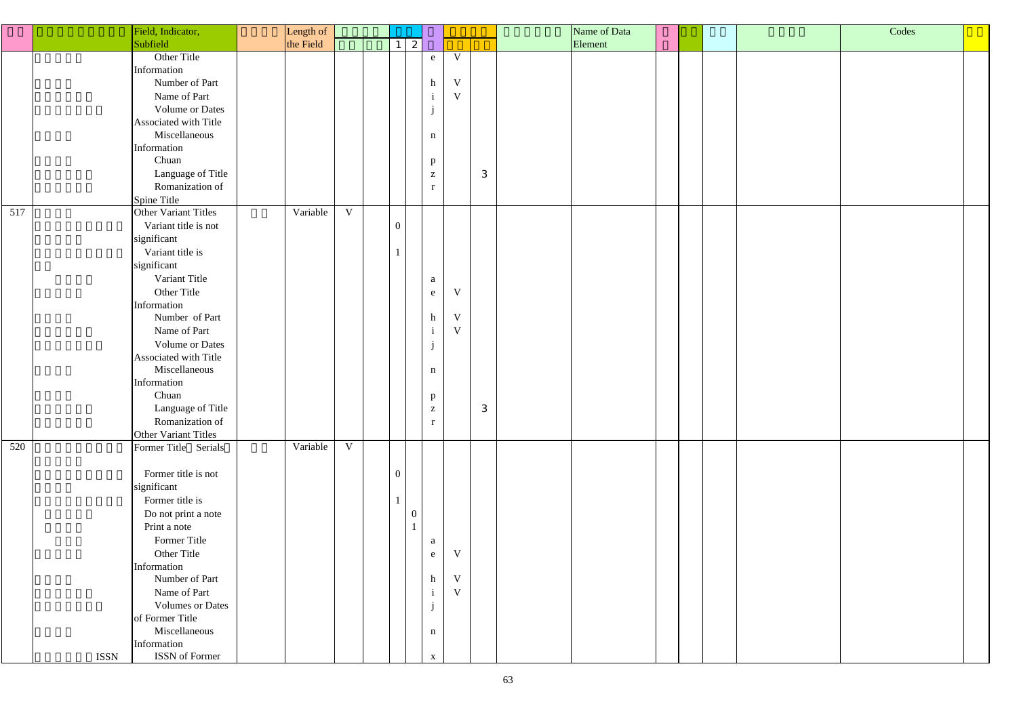|     | Field, Indicator,       | Length of |             |                 |                |                                                       |              |   | Name of Data |  | Codes |  |
|-----|-------------------------|-----------|-------------|-----------------|----------------|-------------------------------------------------------|--------------|---|--------------|--|-------|--|
|     | Subfield                | the Field |             | $1 \mid 2 \mid$ |                |                                                       |              |   | Element      |  |       |  |
|     | Other Title             |           |             |                 |                | ${\bf e}$                                             | V            |   |              |  |       |  |
|     | Information             |           |             |                 |                |                                                       |              |   |              |  |       |  |
|     | Number of Part          |           |             |                 |                | $\,h$                                                 | $\mathbf V$  |   |              |  |       |  |
|     | Name of Part            |           |             |                 |                | $\mathbf{i}$                                          | $\mathbf V$  |   |              |  |       |  |
|     |                         |           |             |                 |                |                                                       |              |   |              |  |       |  |
|     | Volume or Dates         |           |             |                 |                | j                                                     |              |   |              |  |       |  |
|     | Associated with Title   |           |             |                 |                |                                                       |              |   |              |  |       |  |
|     | Miscellaneous           |           |             |                 |                | $\mathbf n$                                           |              |   |              |  |       |  |
|     | Information             |           |             |                 |                |                                                       |              |   |              |  |       |  |
|     | Chuan                   |           |             |                 |                | $\mathbf{p}$                                          |              |   |              |  |       |  |
|     | Language of Title       |           |             |                 |                | $\mathbf{Z}$                                          |              | 3 |              |  |       |  |
|     | Romanization of         |           |             |                 |                | $\mathbf{r}$                                          |              |   |              |  |       |  |
|     | Spine Title             |           |             |                 |                |                                                       |              |   |              |  |       |  |
| 517 | Other Variant Titles    | Variable  | $\mathbf V$ |                 |                |                                                       |              |   |              |  |       |  |
|     | Variant title is not    |           |             | $\overline{0}$  |                |                                                       |              |   |              |  |       |  |
|     | significant             |           |             |                 |                |                                                       |              |   |              |  |       |  |
|     | Variant title is        |           |             |                 |                |                                                       |              |   |              |  |       |  |
|     | significant             |           |             |                 |                |                                                       |              |   |              |  |       |  |
|     | Variant Title           |           |             |                 |                | a                                                     |              |   |              |  |       |  |
|     | Other Title             |           |             |                 |                | e                                                     | $\mathbf{V}$ |   |              |  |       |  |
|     | Information             |           |             |                 |                |                                                       |              |   |              |  |       |  |
|     | Number of Part          |           |             |                 |                | $\mathbf h$                                           | $\mathbf V$  |   |              |  |       |  |
|     | Name of Part            |           |             |                 |                | $\mathbf{i}$                                          | $\mathbf V$  |   |              |  |       |  |
|     | Volume or Dates         |           |             |                 |                | $\mathbf{i}$                                          |              |   |              |  |       |  |
|     | Associated with Title   |           |             |                 |                |                                                       |              |   |              |  |       |  |
|     | Miscellaneous           |           |             |                 |                |                                                       |              |   |              |  |       |  |
|     | Information             |           |             |                 |                | $\mathbf n$                                           |              |   |              |  |       |  |
|     | Chuan                   |           |             |                 |                |                                                       |              |   |              |  |       |  |
|     |                         |           |             |                 |                | p                                                     |              |   |              |  |       |  |
|     | Language of Title       |           |             |                 |                | $\mathbf{Z}% ^{T}=\mathbf{Z}^{T}\times\mathbf{Z}^{T}$ |              | 3 |              |  |       |  |
|     | Romanization of         |           |             |                 |                | $\mathbf{r}$                                          |              |   |              |  |       |  |
|     | Other Variant Titles    |           |             |                 |                |                                                       |              |   |              |  |       |  |
| 520 | Former Title Serials    | Variable  | $\mathbf V$ |                 |                |                                                       |              |   |              |  |       |  |
|     |                         |           |             |                 |                |                                                       |              |   |              |  |       |  |
|     | Former title is not     |           |             | $\overline{0}$  |                |                                                       |              |   |              |  |       |  |
|     | significant             |           |             |                 |                |                                                       |              |   |              |  |       |  |
|     | Former title is         |           |             |                 |                |                                                       |              |   |              |  |       |  |
|     | Do not print a note     |           |             |                 | $\overline{0}$ |                                                       |              |   |              |  |       |  |
|     | Print a note            |           |             |                 | $\mathbf{1}$   |                                                       |              |   |              |  |       |  |
|     | Former Title            |           |             |                 |                | a                                                     |              |   |              |  |       |  |
|     | Other Title             |           |             |                 |                | e                                                     | $\mathbf V$  |   |              |  |       |  |
|     | Information             |           |             |                 |                |                                                       |              |   |              |  |       |  |
|     | Number of Part          |           |             |                 |                | $\,h$                                                 | $\mathbf V$  |   |              |  |       |  |
|     | Name of Part            |           |             |                 |                | $\mathbf{i}$                                          | $\mathbf V$  |   |              |  |       |  |
|     | <b>Volumes or Dates</b> |           |             |                 |                | j                                                     |              |   |              |  |       |  |
|     | of Former Title         |           |             |                 |                |                                                       |              |   |              |  |       |  |
|     | Miscellaneous           |           |             |                 |                | $\mathbf n$                                           |              |   |              |  |       |  |
|     | Information             |           |             |                 |                |                                                       |              |   |              |  |       |  |
|     | ISSN of Former<br>ISSN  |           |             |                 |                | $\mathbf X$                                           |              |   |              |  |       |  |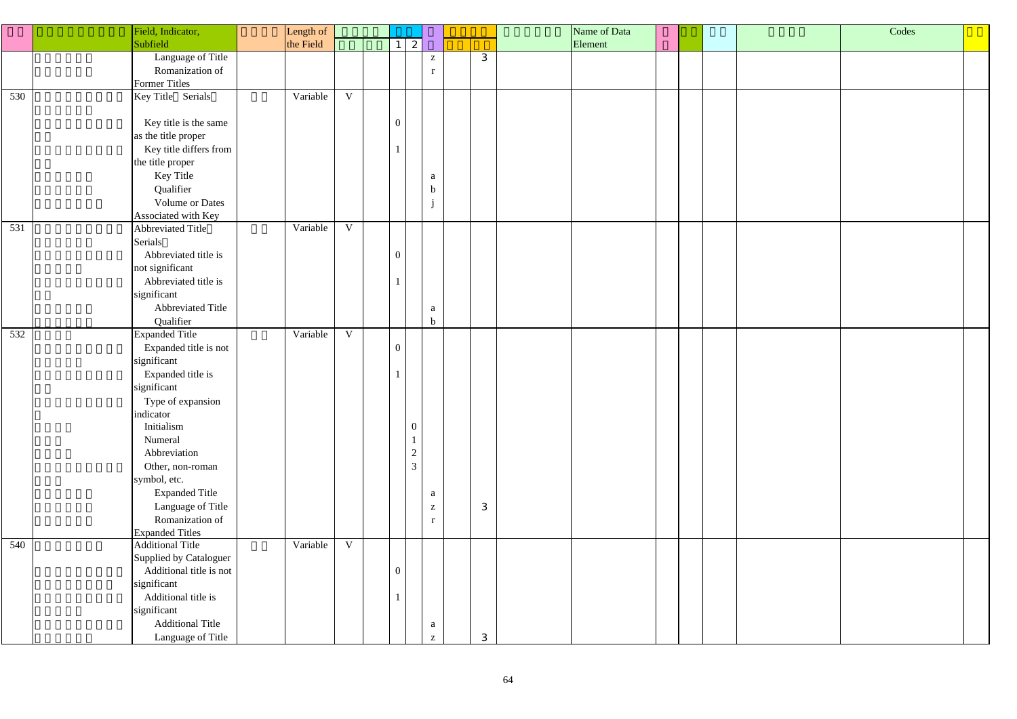|     | Field, Indicator,                    | Length of |              |                |                                  |                                                       |              | Name of Data |  | Codes |  |
|-----|--------------------------------------|-----------|--------------|----------------|----------------------------------|-------------------------------------------------------|--------------|--------------|--|-------|--|
|     | Subfield                             | the Field |              | 1 <sup>1</sup> | 2                                |                                                       |              | Element      |  |       |  |
|     | Language of Title                    |           |              |                |                                  | $\mathbf{Z}$                                          | 3            |              |  |       |  |
|     | Romanization of                      |           |              |                |                                  | r                                                     |              |              |  |       |  |
|     | <b>Former Titles</b>                 |           |              |                |                                  |                                                       |              |              |  |       |  |
| 530 | Key Title Serials                    | Variable  | $\mathbf{V}$ |                |                                  |                                                       |              |              |  |       |  |
|     |                                      |           |              |                |                                  |                                                       |              |              |  |       |  |
|     | Key title is the same                |           |              | $\overline{0}$ |                                  |                                                       |              |              |  |       |  |
|     | as the title proper                  |           |              |                |                                  |                                                       |              |              |  |       |  |
|     | Key title differs from               |           |              |                |                                  |                                                       |              |              |  |       |  |
|     | the title proper                     |           |              |                |                                  |                                                       |              |              |  |       |  |
|     | Key Title                            |           |              |                |                                  | a                                                     |              |              |  |       |  |
|     | Qualifier                            |           |              |                |                                  | $\mathbf b$                                           |              |              |  |       |  |
|     | <b>Volume or Dates</b>               |           |              |                |                                  | $\mathbf{j}$                                          |              |              |  |       |  |
|     | Associated with Key                  |           |              |                |                                  |                                                       |              |              |  |       |  |
| 531 | Abbreviated Title                    | Variable  | $\mathbf V$  |                |                                  |                                                       |              |              |  |       |  |
|     | Serials                              |           |              |                |                                  |                                                       |              |              |  |       |  |
|     | Abbreviated title is                 |           |              | $\overline{0}$ |                                  |                                                       |              |              |  |       |  |
|     | not significant                      |           |              |                |                                  |                                                       |              |              |  |       |  |
|     | Abbreviated title is                 |           |              |                |                                  |                                                       |              |              |  |       |  |
|     | significant                          |           |              |                |                                  |                                                       |              |              |  |       |  |
|     | Abbreviated Title                    |           |              |                |                                  | $\mathbf{a}$                                          |              |              |  |       |  |
|     | Qualifier                            |           |              |                |                                  | $\mathbf b$                                           |              |              |  |       |  |
| 532 | <b>Expanded Title</b>                | Variable  | $\mathbf{V}$ |                |                                  |                                                       |              |              |  |       |  |
|     | Expanded title is not                |           |              | $\overline{0}$ |                                  |                                                       |              |              |  |       |  |
|     | significant                          |           |              |                |                                  |                                                       |              |              |  |       |  |
|     | Expanded title is                    |           |              |                |                                  |                                                       |              |              |  |       |  |
|     | significant                          |           |              |                |                                  |                                                       |              |              |  |       |  |
|     | Type of expansion                    |           |              |                |                                  |                                                       |              |              |  |       |  |
|     | indicator                            |           |              |                |                                  |                                                       |              |              |  |       |  |
|     | Initialism                           |           |              |                | $\overline{0}$                   |                                                       |              |              |  |       |  |
|     | Numeral                              |           |              |                |                                  |                                                       |              |              |  |       |  |
|     | Abbreviation                         |           |              |                | $\overline{2}$<br>$\overline{3}$ |                                                       |              |              |  |       |  |
|     | Other, non-roman                     |           |              |                |                                  |                                                       |              |              |  |       |  |
|     | symbol, etc.                         |           |              |                |                                  |                                                       |              |              |  |       |  |
|     | <b>Expanded Title</b>                |           |              |                |                                  | a                                                     |              |              |  |       |  |
|     | Language of Title<br>Romanization of |           |              |                |                                  | $\mathbf{Z}$                                          | $\mathbf{3}$ |              |  |       |  |
|     | <b>Expanded Titles</b>               |           |              |                |                                  | $\mathbf{r}$                                          |              |              |  |       |  |
| 540 | <b>Additional Title</b>              | Variable  | $\mathbf V$  |                |                                  |                                                       |              |              |  |       |  |
|     | Supplied by Cataloguer               |           |              |                |                                  |                                                       |              |              |  |       |  |
|     | Additional title is not              |           |              | $\overline{0}$ |                                  |                                                       |              |              |  |       |  |
|     | significant                          |           |              |                |                                  |                                                       |              |              |  |       |  |
|     | Additional title is                  |           |              |                |                                  |                                                       |              |              |  |       |  |
|     | significant                          |           |              |                |                                  |                                                       |              |              |  |       |  |
|     | <b>Additional Title</b>              |           |              |                |                                  | a                                                     |              |              |  |       |  |
|     | Language of Title                    |           |              |                |                                  | $\mathbf{Z}% ^{T}=\mathbf{Z}^{T}\times\mathbf{Z}^{T}$ | 3            |              |  |       |  |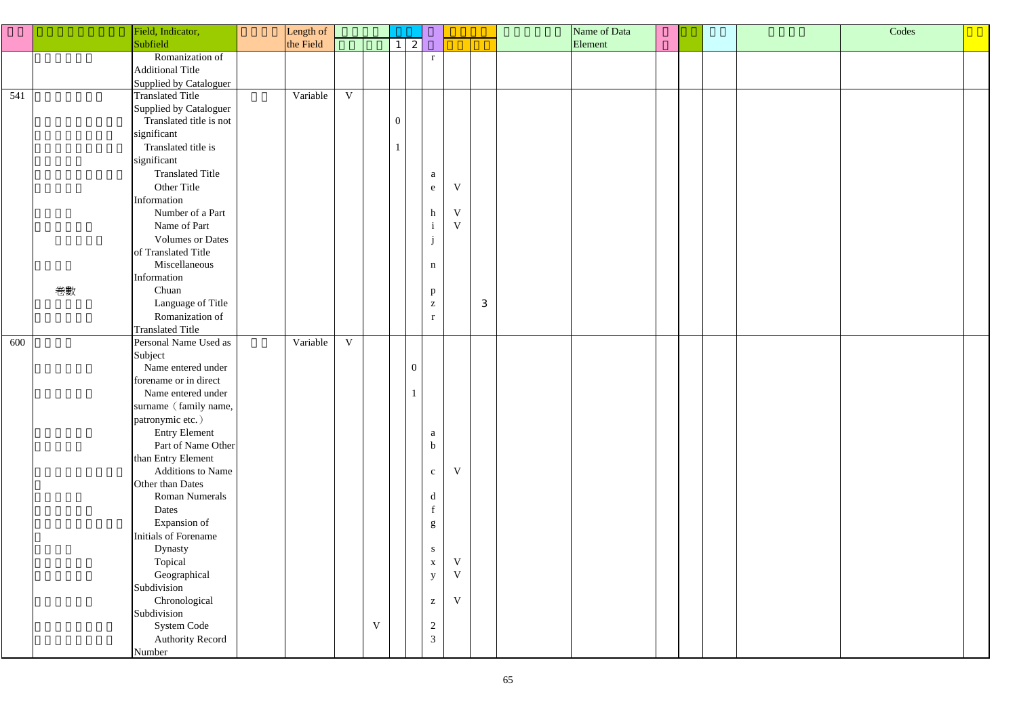|                  |    | Field, Indicator,                        | Length of |              |              |                |                                                       |                         |                | Name of Data |  |  | Codes |  |
|------------------|----|------------------------------------------|-----------|--------------|--------------|----------------|-------------------------------------------------------|-------------------------|----------------|--------------|--|--|-------|--|
|                  |    | Subfield                                 | the Field |              |              | $\mathbf{2}$   |                                                       |                         |                | Element      |  |  |       |  |
|                  |    | Romanization of                          |           |              |              |                | $\mathbf{r}$                                          |                         |                |              |  |  |       |  |
|                  |    | <b>Additional Title</b>                  |           |              |              |                |                                                       |                         |                |              |  |  |       |  |
|                  |    | <b>Supplied by Cataloguer</b>            |           |              |              |                |                                                       |                         |                |              |  |  |       |  |
| $\overline{541}$ |    | <b>Translated Title</b>                  | Variable  | $\mathbf V$  |              |                |                                                       |                         |                |              |  |  |       |  |
|                  |    | Supplied by Cataloguer                   |           |              |              |                |                                                       |                         |                |              |  |  |       |  |
|                  |    | Translated title is not                  |           |              |              | $\theta$       |                                                       |                         |                |              |  |  |       |  |
|                  |    | significant                              |           |              |              |                |                                                       |                         |                |              |  |  |       |  |
|                  |    | Translated title is                      |           |              |              |                |                                                       |                         |                |              |  |  |       |  |
|                  |    | significant                              |           |              |              |                |                                                       |                         |                |              |  |  |       |  |
|                  |    | <b>Translated Title</b>                  |           |              |              |                | $\mathbf{a}$                                          |                         |                |              |  |  |       |  |
|                  |    | Other Title                              |           |              |              |                | $\mathbf{e}$                                          | $\ensuremath{\text{V}}$ |                |              |  |  |       |  |
|                  |    | Information                              |           |              |              |                |                                                       |                         |                |              |  |  |       |  |
|                  |    | Number of a Part                         |           |              |              |                | h                                                     | $\mathbf V$             |                |              |  |  |       |  |
|                  |    | Name of Part                             |           |              |              |                | $\mathbf{i}$                                          | $\ensuremath{\text{V}}$ |                |              |  |  |       |  |
|                  |    | <b>Volumes or Dates</b>                  |           |              |              |                |                                                       |                         |                |              |  |  |       |  |
|                  |    | of Translated Title                      |           |              |              |                |                                                       |                         |                |              |  |  |       |  |
|                  |    | Miscellaneous                            |           |              |              |                | $\,$ n                                                |                         |                |              |  |  |       |  |
|                  |    | Information                              |           |              |              |                |                                                       |                         |                |              |  |  |       |  |
|                  | 卷數 | Chuan                                    |           |              |              |                | $\mathbf{p}$                                          |                         |                |              |  |  |       |  |
|                  |    | Language of Title                        |           |              |              |                | $\mathbf{Z}$                                          |                         | $\mathfrak{S}$ |              |  |  |       |  |
|                  |    | Romanization of                          |           |              |              |                | r                                                     |                         |                |              |  |  |       |  |
|                  |    | <b>Translated Title</b>                  |           |              |              |                |                                                       |                         |                |              |  |  |       |  |
| 600              |    | Personal Name Used as                    | Variable  | $\mathbf{V}$ |              |                |                                                       |                         |                |              |  |  |       |  |
|                  |    | Subject                                  |           |              |              |                |                                                       |                         |                |              |  |  |       |  |
|                  |    | Name entered under                       |           |              |              | $\overline{0}$ |                                                       |                         |                |              |  |  |       |  |
|                  |    | forename or in direct                    |           |              |              |                |                                                       |                         |                |              |  |  |       |  |
|                  |    | Name entered under                       |           |              |              |                |                                                       |                         |                |              |  |  |       |  |
|                  |    | surname (family name,                    |           |              |              |                |                                                       |                         |                |              |  |  |       |  |
|                  |    | patronymic etc.)<br><b>Entry Element</b> |           |              |              |                |                                                       |                         |                |              |  |  |       |  |
|                  |    | Part of Name Other                       |           |              |              |                | $\mathbf{a}$<br>$\mathbf b$                           |                         |                |              |  |  |       |  |
|                  |    | than Entry Element                       |           |              |              |                |                                                       |                         |                |              |  |  |       |  |
|                  |    | Additions to Name                        |           |              |              |                | $\mathbf{c}$                                          | $\ensuremath{\text{V}}$ |                |              |  |  |       |  |
|                  |    | Other than Dates                         |           |              |              |                |                                                       |                         |                |              |  |  |       |  |
|                  |    | <b>Roman Numerals</b>                    |           |              |              |                | $\mathbf d$                                           |                         |                |              |  |  |       |  |
|                  |    | Dates                                    |           |              |              |                |                                                       |                         |                |              |  |  |       |  |
|                  |    | Expansion of                             |           |              |              |                | g                                                     |                         |                |              |  |  |       |  |
|                  |    | Initials of Forename                     |           |              |              |                |                                                       |                         |                |              |  |  |       |  |
|                  |    | Dynasty                                  |           |              |              |                | ${\bf S}$                                             |                         |                |              |  |  |       |  |
|                  |    | Topical                                  |           |              |              |                | $\mathbf X$                                           | $\ensuremath{\text{V}}$ |                |              |  |  |       |  |
|                  |    | Geographical                             |           |              |              |                | $\mathbf y$                                           | $\mathbf V$             |                |              |  |  |       |  |
|                  |    | Subdivision                              |           |              |              |                |                                                       |                         |                |              |  |  |       |  |
|                  |    | Chronological                            |           |              |              |                | $\mathbf{Z}% ^{T}=\mathbf{Z}^{T}\times\mathbf{Z}^{T}$ | $\ensuremath{\text{V}}$ |                |              |  |  |       |  |
|                  |    | Subdivision                              |           |              |              |                |                                                       |                         |                |              |  |  |       |  |
|                  |    | System Code                              |           |              | $\mathbf{V}$ |                | $\overline{2}$                                        |                         |                |              |  |  |       |  |
|                  |    | <b>Authority Record</b>                  |           |              |              |                | $\mathfrak{Z}$                                        |                         |                |              |  |  |       |  |
|                  |    | Number                                   |           |              |              |                |                                                       |                         |                |              |  |  |       |  |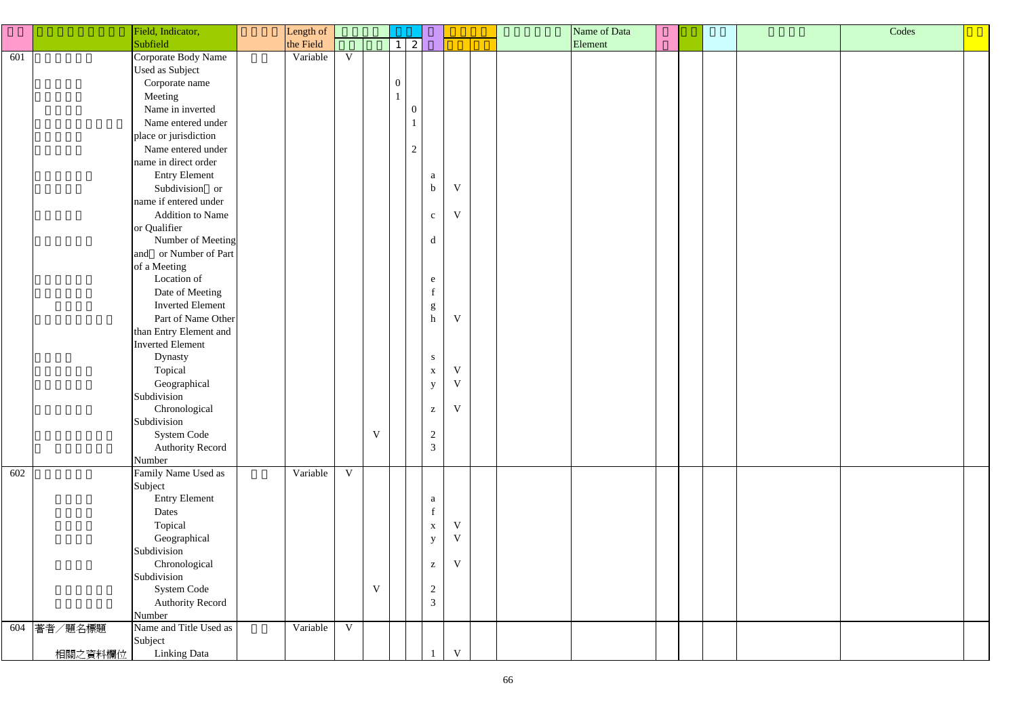|     | Field, Indicator,                 | Length of |             |   |                  |                                                       |              | Name of Data |  | Codes |  |
|-----|-----------------------------------|-----------|-------------|---|------------------|-------------------------------------------------------|--------------|--------------|--|-------|--|
|     | Subfield                          | the Field |             |   | $1 \mid 2 \mid$  |                                                       |              | Element      |  |       |  |
| 601 | Corporate Body Name               | Variable  | $\mathbf V$ |   |                  |                                                       |              |              |  |       |  |
|     | Used as Subject                   |           |             |   |                  |                                                       |              |              |  |       |  |
|     | Corporate name                    |           |             |   | $\boldsymbol{0}$ |                                                       |              |              |  |       |  |
|     | Meeting                           |           |             |   |                  |                                                       |              |              |  |       |  |
|     | Name in inverted                  |           |             |   | $\boldsymbol{0}$ |                                                       |              |              |  |       |  |
|     | Name entered under                |           |             |   |                  |                                                       |              |              |  |       |  |
|     |                                   |           |             |   |                  |                                                       |              |              |  |       |  |
|     | place or jurisdiction             |           |             |   |                  |                                                       |              |              |  |       |  |
|     | Name entered under                |           |             |   | $\overline{2}$   |                                                       |              |              |  |       |  |
|     | name in direct order              |           |             |   |                  |                                                       |              |              |  |       |  |
|     | <b>Entry Element</b>              |           |             |   |                  | a                                                     |              |              |  |       |  |
|     | Subdivision or                    |           |             |   |                  | $\mathbf b$                                           | V            |              |  |       |  |
|     | name if entered under             |           |             |   |                  |                                                       |              |              |  |       |  |
|     | <b>Addition to Name</b>           |           |             |   |                  | $\mathbf{C}$                                          | V            |              |  |       |  |
|     | or Qualifier                      |           |             |   |                  |                                                       |              |              |  |       |  |
|     | Number of Meeting                 |           |             |   |                  | $\mathbf d$                                           |              |              |  |       |  |
|     | and or Number of Part             |           |             |   |                  |                                                       |              |              |  |       |  |
|     | of a Meeting                      |           |             |   |                  |                                                       |              |              |  |       |  |
|     | Location of                       |           |             |   |                  | e                                                     |              |              |  |       |  |
|     | Date of Meeting                   |           |             |   |                  | $\mathbf{f}$                                          |              |              |  |       |  |
|     | <b>Inverted Element</b>           |           |             |   |                  | $\mathbf{g}% _{0}\left( \mathbf{r},\mathbf{r}\right)$ |              |              |  |       |  |
|     | Part of Name Other                |           |             |   |                  | $\mathbf h$                                           | V            |              |  |       |  |
|     | than Entry Element and            |           |             |   |                  |                                                       |              |              |  |       |  |
|     | <b>Inverted Element</b>           |           |             |   |                  |                                                       |              |              |  |       |  |
|     | Dynasty                           |           |             |   |                  | ${\bf S}$                                             |              |              |  |       |  |
|     | Topical                           |           |             |   |                  | $\mathbf X$                                           | V            |              |  |       |  |
|     | Geographical                      |           |             |   |                  | $\mathbf{y}$                                          | $\mathbf{V}$ |              |  |       |  |
|     | Subdivision                       |           |             |   |                  |                                                       |              |              |  |       |  |
|     | Chronological                     |           |             |   |                  | $\mathbf{Z}% ^{t}\left( \mathbf{Z}_{1}\right)$        | V            |              |  |       |  |
|     | Subdivision                       |           |             |   |                  |                                                       |              |              |  |       |  |
|     | System Code                       |           |             | V |                  | $\overline{2}$                                        |              |              |  |       |  |
|     | <b>Authority Record</b>           |           |             |   |                  | $\mathfrak{Z}$                                        |              |              |  |       |  |
|     | Number                            |           |             |   |                  |                                                       |              |              |  |       |  |
| 602 | Family Name Used as               | Variable  | $\mathbf V$ |   |                  |                                                       |              |              |  |       |  |
|     | Subject                           |           |             |   |                  |                                                       |              |              |  |       |  |
|     | <b>Entry Element</b>              |           |             |   |                  | a                                                     |              |              |  |       |  |
|     | Dates                             |           |             |   |                  | $\mathbf f$                                           |              |              |  |       |  |
|     | Topical                           |           |             |   |                  | $\mathbf X$                                           | V            |              |  |       |  |
|     | Geographical                      |           |             |   |                  | $\mathbf{y}$                                          | $\mathbf V$  |              |  |       |  |
|     | Subdivision                       |           |             |   |                  |                                                       |              |              |  |       |  |
|     | Chronological                     |           |             |   |                  | $\mathbf{Z}% ^{t}\left( \mathbf{Z}_{1}\right)$        | V            |              |  |       |  |
|     | Subdivision                       |           |             |   |                  |                                                       |              |              |  |       |  |
|     | System Code                       |           |             | V |                  | $\overline{2}$                                        |              |              |  |       |  |
|     | <b>Authority Record</b>           |           |             |   |                  | $\mathfrak{Z}$                                        |              |              |  |       |  |
|     | Number                            |           |             |   |                  |                                                       |              |              |  |       |  |
| 604 | Name and Title Used as<br>著者/題名標題 | Variable  | $\mathbf V$ |   |                  |                                                       |              |              |  |       |  |
|     | Subject                           |           |             |   |                  |                                                       |              |              |  |       |  |
|     | Linking Data<br>相關之資料欄位           |           |             |   |                  |                                                       | V            |              |  |       |  |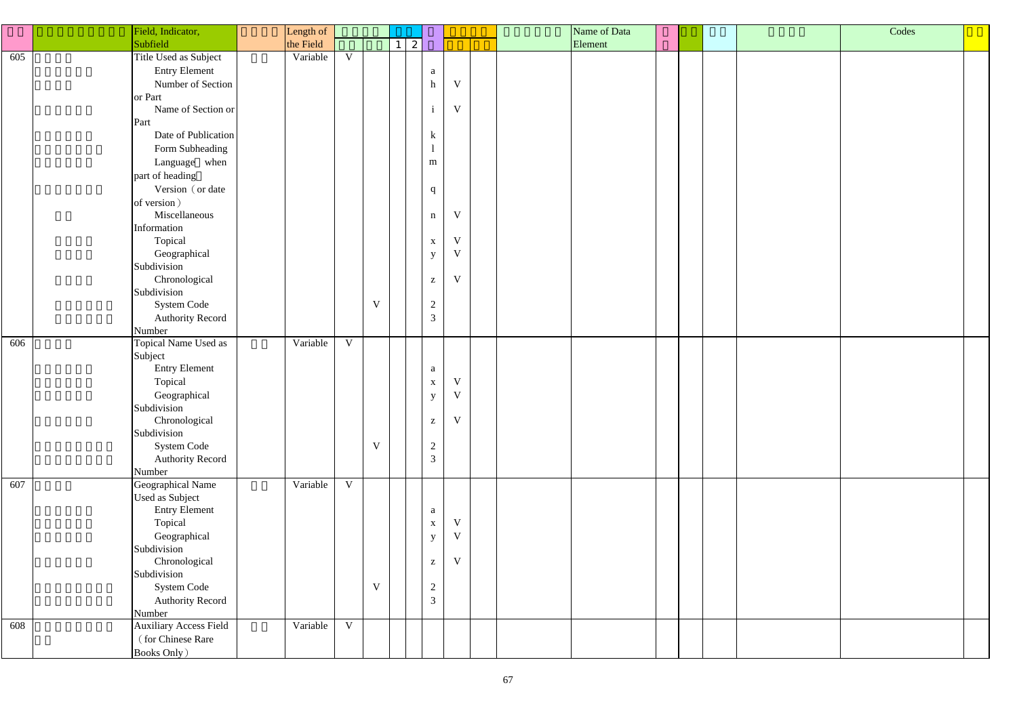|     | Field, Indicator,                 | Length of |             |             |                 |                                  |                         |  | Name of Data |  |  | Codes |  |
|-----|-----------------------------------|-----------|-------------|-------------|-----------------|----------------------------------|-------------------------|--|--------------|--|--|-------|--|
|     | Subfield                          | the Field |             |             | $1 \mid 2 \mid$ |                                  |                         |  | Element      |  |  |       |  |
| 605 | Title Used as Subject             | Variable  | V           |             |                 |                                  |                         |  |              |  |  |       |  |
|     | <b>Entry Element</b>              |           |             |             |                 | a                                |                         |  |              |  |  |       |  |
|     | Number of Section                 |           |             |             |                 | h                                | $\mathbf V$             |  |              |  |  |       |  |
|     | or Part                           |           |             |             |                 |                                  |                         |  |              |  |  |       |  |
|     | Name of Section or                |           |             |             |                 | $\,$ i                           | V                       |  |              |  |  |       |  |
|     | Part                              |           |             |             |                 |                                  |                         |  |              |  |  |       |  |
|     | Date of Publication               |           |             |             |                 | $\bf k$                          |                         |  |              |  |  |       |  |
|     | Form Subheading                   |           |             |             |                 |                                  |                         |  |              |  |  |       |  |
|     | Language when                     |           |             |             |                 | ${\bf m}$                        |                         |  |              |  |  |       |  |
|     |                                   |           |             |             |                 |                                  |                         |  |              |  |  |       |  |
|     | part of heading                   |           |             |             |                 |                                  |                         |  |              |  |  |       |  |
|     | Version (or date                  |           |             |             |                 | $\mathbf{q}$                     |                         |  |              |  |  |       |  |
|     | of version)                       |           |             |             |                 |                                  |                         |  |              |  |  |       |  |
|     | Miscellaneous                     |           |             |             |                 | $\mathbf n$                      | V                       |  |              |  |  |       |  |
|     | Information                       |           |             |             |                 |                                  |                         |  |              |  |  |       |  |
|     | Topical                           |           |             |             |                 | $\mathbf X$                      | V<br>$\mathbf V$        |  |              |  |  |       |  |
|     | Geographical                      |           |             |             |                 | $\mathbf{y}$                     |                         |  |              |  |  |       |  |
|     | Subdivision                       |           |             |             |                 |                                  | $\mathbf V$             |  |              |  |  |       |  |
|     | Chronological                     |           |             |             |                 | $\mathbf{Z}$                     |                         |  |              |  |  |       |  |
|     | Subdivision                       |           |             | $\mathbf V$ |                 |                                  |                         |  |              |  |  |       |  |
|     | System Code                       |           |             |             |                 | $\overline{2}$<br>$\mathfrak{Z}$ |                         |  |              |  |  |       |  |
|     | <b>Authority Record</b>           |           |             |             |                 |                                  |                         |  |              |  |  |       |  |
| 606 | Number<br>Topical Name Used as    | Variable  | V           |             |                 |                                  |                         |  |              |  |  |       |  |
|     |                                   |           |             |             |                 |                                  |                         |  |              |  |  |       |  |
|     | Subject<br><b>Entry Element</b>   |           |             |             |                 |                                  |                         |  |              |  |  |       |  |
|     |                                   |           |             |             |                 | $\rm{a}$                         | $\ensuremath{\text{V}}$ |  |              |  |  |       |  |
|     | Topical                           |           |             |             |                 | $\mathbf X$                      | V                       |  |              |  |  |       |  |
|     | Geographical<br>Subdivision       |           |             |             |                 | $\mathbf{y}$                     |                         |  |              |  |  |       |  |
|     |                                   |           |             |             |                 |                                  | V                       |  |              |  |  |       |  |
|     | Chronological<br>Subdivision      |           |             |             |                 | $\mathbf{Z}$                     |                         |  |              |  |  |       |  |
|     | System Code                       |           |             | V           |                 | $\overline{2}$                   |                         |  |              |  |  |       |  |
|     |                                   |           |             |             |                 | $\mathfrak{Z}$                   |                         |  |              |  |  |       |  |
|     | <b>Authority Record</b><br>Number |           |             |             |                 |                                  |                         |  |              |  |  |       |  |
| 607 | Geographical Name                 | Variable  | $\mathbf V$ |             |                 |                                  |                         |  |              |  |  |       |  |
|     | <b>Used as Subject</b>            |           |             |             |                 |                                  |                         |  |              |  |  |       |  |
|     | <b>Entry Element</b>              |           |             |             |                 | $\mathbf{a}$                     |                         |  |              |  |  |       |  |
|     | Topical                           |           |             |             |                 | $\mathbf X$                      | $\mathbf V$             |  |              |  |  |       |  |
|     | Geographical                      |           |             |             |                 | $\mathbf{y}$                     | $\mathbf V$             |  |              |  |  |       |  |
|     | Subdivision                       |           |             |             |                 |                                  |                         |  |              |  |  |       |  |
|     | Chronological                     |           |             |             |                 | $\mathbf{Z}$                     | V                       |  |              |  |  |       |  |
|     | Subdivision                       |           |             |             |                 |                                  |                         |  |              |  |  |       |  |
|     | System Code                       |           |             | $\mathbf V$ |                 | $\overline{2}$                   |                         |  |              |  |  |       |  |
|     | <b>Authority Record</b>           |           |             |             |                 | $\overline{3}$                   |                         |  |              |  |  |       |  |
|     | Number                            |           |             |             |                 |                                  |                         |  |              |  |  |       |  |
| 608 | <b>Auxiliary Access Field</b>     | Variable  | V           |             |                 |                                  |                         |  |              |  |  |       |  |
|     | (for Chinese Rare                 |           |             |             |                 |                                  |                         |  |              |  |  |       |  |
|     | <b>Books Only</b> )               |           |             |             |                 |                                  |                         |  |              |  |  |       |  |
|     |                                   |           |             |             |                 |                                  |                         |  |              |  |  |       |  |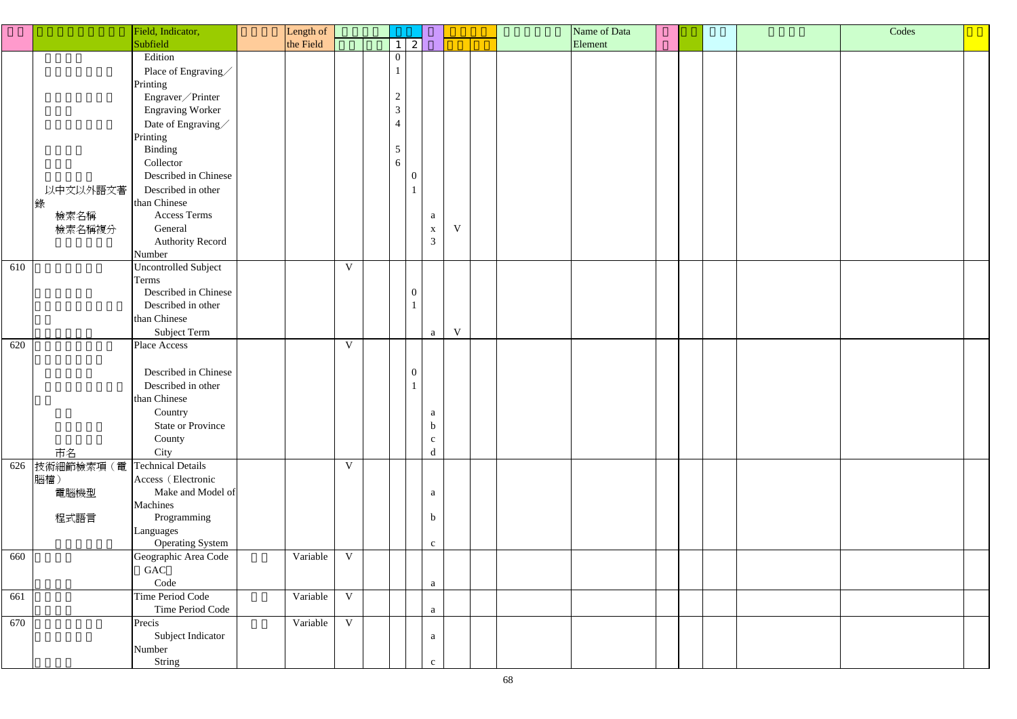|     |           | Field, Indicator,           | Length of |              |                  |                  |             | Name of Data |  | Codes |  |
|-----|-----------|-----------------------------|-----------|--------------|------------------|------------------|-------------|--------------|--|-------|--|
|     |           | Subfield                    | the Field |              |                  | $\boldsymbol{z}$ |             | Element      |  |       |  |
|     |           | Edition                     |           |              | $\overline{0}$   |                  |             |              |  |       |  |
|     |           | Place of Engraving          |           |              |                  |                  |             |              |  |       |  |
|     |           | Printing                    |           |              |                  |                  |             |              |  |       |  |
|     |           |                             |           |              | $\overline{2}$   |                  |             |              |  |       |  |
|     |           | Engraver / Printer          |           |              | 3 <sup>7</sup>   |                  |             |              |  |       |  |
|     |           | <b>Engraving Worker</b>     |           |              |                  |                  |             |              |  |       |  |
|     |           | Date of Engraving $\diagup$ |           |              | $\overline{4}$   |                  |             |              |  |       |  |
|     |           | Printing                    |           |              |                  |                  |             |              |  |       |  |
|     |           | Binding                     |           |              | $5\overline{)}$  |                  |             |              |  |       |  |
|     |           | Collector                   |           |              | 6                |                  |             |              |  |       |  |
|     |           | Described in Chinese        |           |              | $\overline{0}$   |                  |             |              |  |       |  |
|     | 以中文以外語文著  | Described in other          |           |              |                  |                  |             |              |  |       |  |
|     |           | than Chinese                |           |              |                  |                  |             |              |  |       |  |
|     | 檢索名稱      | <b>Access Terms</b>         |           |              |                  | a                |             |              |  |       |  |
|     | 檢索名稱複分    | General                     |           |              |                  | $\mathbf X$      | $\mathbf V$ |              |  |       |  |
|     |           | <b>Authority Record</b>     |           |              |                  | $\mathfrak{Z}$   |             |              |  |       |  |
|     |           | Number                      |           |              |                  |                  |             |              |  |       |  |
| 610 |           | Uncontrolled Subject        |           | $\mathbf{V}$ |                  |                  |             |              |  |       |  |
|     |           | Terms                       |           |              |                  |                  |             |              |  |       |  |
|     |           | Described in Chinese        |           |              | $\boldsymbol{0}$ |                  |             |              |  |       |  |
|     |           | Described in other          |           |              | $\mathbf{1}$     |                  |             |              |  |       |  |
|     |           | than Chinese                |           |              |                  |                  |             |              |  |       |  |
|     |           | Subject Term                |           |              |                  | a                | $\mathbf V$ |              |  |       |  |
| 620 |           | Place Access                |           | $\mathbf{V}$ |                  |                  |             |              |  |       |  |
|     |           |                             |           |              |                  |                  |             |              |  |       |  |
|     |           | Described in Chinese        |           |              | $\boldsymbol{0}$ |                  |             |              |  |       |  |
|     |           | Described in other          |           |              | $\mathbf{1}$     |                  |             |              |  |       |  |
|     |           | than Chinese                |           |              |                  |                  |             |              |  |       |  |
|     |           | Country                     |           |              |                  | $\mathbf{a}$     |             |              |  |       |  |
|     |           | <b>State or Province</b>    |           |              |                  | $\mathbf b$      |             |              |  |       |  |
|     |           | County                      |           |              |                  | $\mathbf{C}$     |             |              |  |       |  |
|     | 市名        | City                        |           |              |                  | d                |             |              |  |       |  |
| 626 | 技術細節檢索項(電 | <b>Technical Details</b>    |           | $\mathbf V$  |                  |                  |             |              |  |       |  |
|     | 腦檔)       | Access (Electronic          |           |              |                  |                  |             |              |  |       |  |
|     | 電腦機型      | Make and Model of           |           |              |                  | a                |             |              |  |       |  |
|     |           | Machines                    |           |              |                  |                  |             |              |  |       |  |
|     | 程式語言      | Programming                 |           |              |                  | $\mathbf b$      |             |              |  |       |  |
|     |           | Languages                   |           |              |                  |                  |             |              |  |       |  |
|     |           | <b>Operating System</b>     |           |              |                  | $\mathbf{c}$     |             |              |  |       |  |
| 660 |           | Geographic Area Code        | Variable  | $\mathbf V$  |                  |                  |             |              |  |       |  |
|     |           | GAC                         |           |              |                  |                  |             |              |  |       |  |
|     |           | Code                        |           |              |                  | a                |             |              |  |       |  |
| 661 |           | Time Period Code            | Variable  | $\mathbf{V}$ |                  |                  |             |              |  |       |  |
|     |           | Time Period Code            |           |              |                  | a                |             |              |  |       |  |
| 670 |           | Precis                      | Variable  | $\mathbf V$  |                  |                  |             |              |  |       |  |
|     |           | Subject Indicator           |           |              |                  | a                |             |              |  |       |  |
|     |           | Number                      |           |              |                  |                  |             |              |  |       |  |
|     |           |                             |           |              |                  |                  |             |              |  |       |  |
|     |           | String                      |           |              |                  | $\mathbf{C}$     |             |              |  |       |  |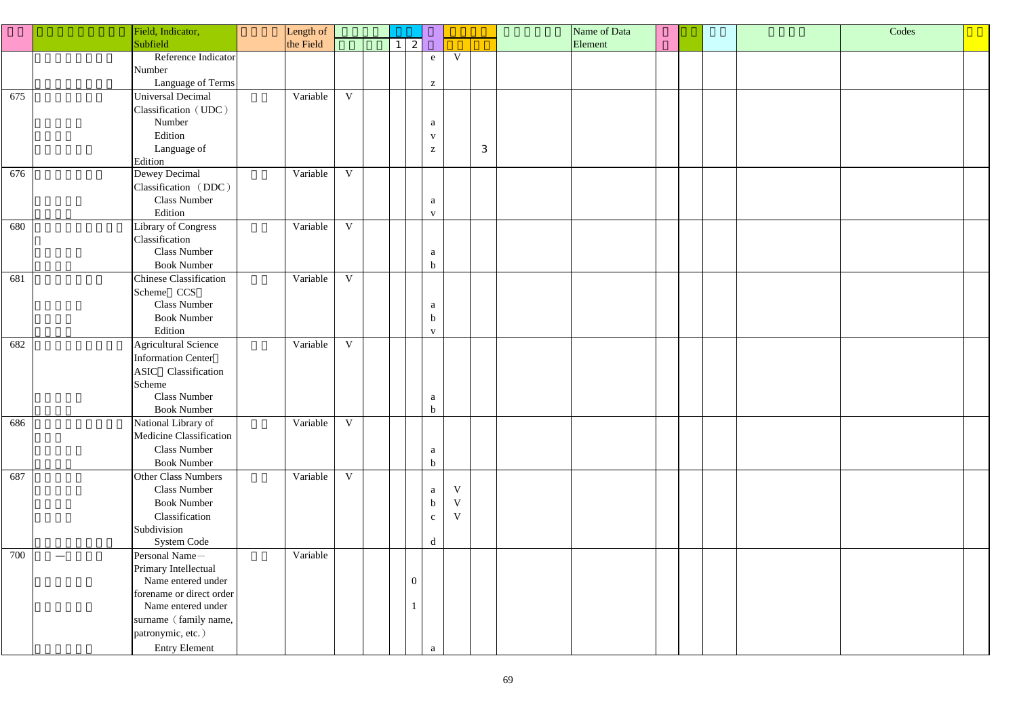|     | Field, Indicator,                   | Length of |              |                 |                |                           |             |   | Name of Data |  |  | Codes |  |
|-----|-------------------------------------|-----------|--------------|-----------------|----------------|---------------------------|-------------|---|--------------|--|--|-------|--|
|     | Subfield                            | the Field |              | $1 \mid 2 \mid$ |                |                           |             |   | Element      |  |  |       |  |
|     | Reference Indicator                 |           |              |                 |                | ${\bf e}$                 | V           |   |              |  |  |       |  |
|     | Number                              |           |              |                 |                |                           |             |   |              |  |  |       |  |
|     | Language of Terms                   |           |              |                 |                | $\mathbf{Z}$              |             |   |              |  |  |       |  |
| 675 | Universal Decimal                   | Variable  | $\mathbf{V}$ |                 |                |                           |             |   |              |  |  |       |  |
|     | Classification (UDC)                |           |              |                 |                |                           |             |   |              |  |  |       |  |
|     | Number                              |           |              |                 |                | a                         |             |   |              |  |  |       |  |
|     | Edition                             |           |              |                 |                | $\mathbf{V}$              |             |   |              |  |  |       |  |
|     | Language of                         |           |              |                 |                | $\mathbf{Z}$              |             | 3 |              |  |  |       |  |
|     | Edition                             |           |              |                 |                |                           |             |   |              |  |  |       |  |
| 676 | Dewey Decimal                       | Variable  | $\mathbf{V}$ |                 |                |                           |             |   |              |  |  |       |  |
|     | Classification (DDC)                |           |              |                 |                |                           |             |   |              |  |  |       |  |
|     | <b>Class Number</b>                 |           |              |                 |                | a                         |             |   |              |  |  |       |  |
|     | Edition                             |           |              |                 |                | $\mathbf{V}$              |             |   |              |  |  |       |  |
| 680 | <b>Library of Congress</b>          | Variable  | V            |                 |                |                           |             |   |              |  |  |       |  |
|     | Classification                      |           |              |                 |                |                           |             |   |              |  |  |       |  |
|     | Class Number                        |           |              |                 |                | a                         |             |   |              |  |  |       |  |
|     | <b>Book Number</b>                  |           |              |                 |                | $\mathbf b$               |             |   |              |  |  |       |  |
| 681 | <b>Chinese Classification</b>       | Variable  | $\mathbf{V}$ |                 |                |                           |             |   |              |  |  |       |  |
|     | Scheme CCS                          |           |              |                 |                |                           |             |   |              |  |  |       |  |
|     | <b>Class Number</b>                 |           |              |                 |                | a                         |             |   |              |  |  |       |  |
|     | <b>Book Number</b>                  |           |              |                 |                | $\mathbf b$               |             |   |              |  |  |       |  |
|     | Edition                             |           |              |                 |                | $\mathbf{V}$              |             |   |              |  |  |       |  |
| 682 | <b>Agricultural Science</b>         | Variable  | $\mathbf V$  |                 |                |                           |             |   |              |  |  |       |  |
|     | <b>Information Center</b>           |           |              |                 |                |                           |             |   |              |  |  |       |  |
|     | ASIC Classification                 |           |              |                 |                |                           |             |   |              |  |  |       |  |
|     | Scheme                              |           |              |                 |                |                           |             |   |              |  |  |       |  |
|     | <b>Class Number</b>                 |           |              |                 |                | a                         |             |   |              |  |  |       |  |
|     | <b>Book Number</b>                  |           |              |                 |                | $\mathbf b$               |             |   |              |  |  |       |  |
| 686 | National Library of                 | Variable  | $\mathbf{V}$ |                 |                |                           |             |   |              |  |  |       |  |
|     | Medicine Classification             |           |              |                 |                |                           |             |   |              |  |  |       |  |
|     | Class Number                        |           |              |                 |                | a                         |             |   |              |  |  |       |  |
|     | <b>Book Number</b>                  |           |              |                 |                | $\mathbf b$               |             |   |              |  |  |       |  |
| 687 | Other Class Numbers                 | Variable  | $\mathbf{V}$ |                 |                |                           |             |   |              |  |  |       |  |
|     | Class Number                        |           |              |                 |                | $\mathbf{a}$              | $\mathbf V$ |   |              |  |  |       |  |
|     | <b>Book Number</b>                  |           |              |                 |                | $\boldsymbol{\mathrm{b}}$ | $\mathbf V$ |   |              |  |  |       |  |
|     | Classification                      |           |              |                 |                | $\mathbf{C}$              | $\mathbf V$ |   |              |  |  |       |  |
|     | Subdivision                         |           |              |                 |                |                           |             |   |              |  |  |       |  |
|     | System Code                         |           |              |                 |                | d                         |             |   |              |  |  |       |  |
| 700 | Personal Name-<br>$\hspace{0.05cm}$ | Variable  |              |                 |                |                           |             |   |              |  |  |       |  |
|     | Primary Intellectual                |           |              |                 |                |                           |             |   |              |  |  |       |  |
|     | Name entered under                  |           |              |                 | $\overline{0}$ |                           |             |   |              |  |  |       |  |
|     | forename or direct order            |           |              |                 |                |                           |             |   |              |  |  |       |  |
|     | Name entered under                  |           |              |                 | $\mathbf{1}$   |                           |             |   |              |  |  |       |  |
|     | surname (family name,               |           |              |                 |                |                           |             |   |              |  |  |       |  |
|     | patronymic, etc.)                   |           |              |                 |                |                           |             |   |              |  |  |       |  |
|     | <b>Entry Element</b>                |           |              |                 |                | a                         |             |   |              |  |  |       |  |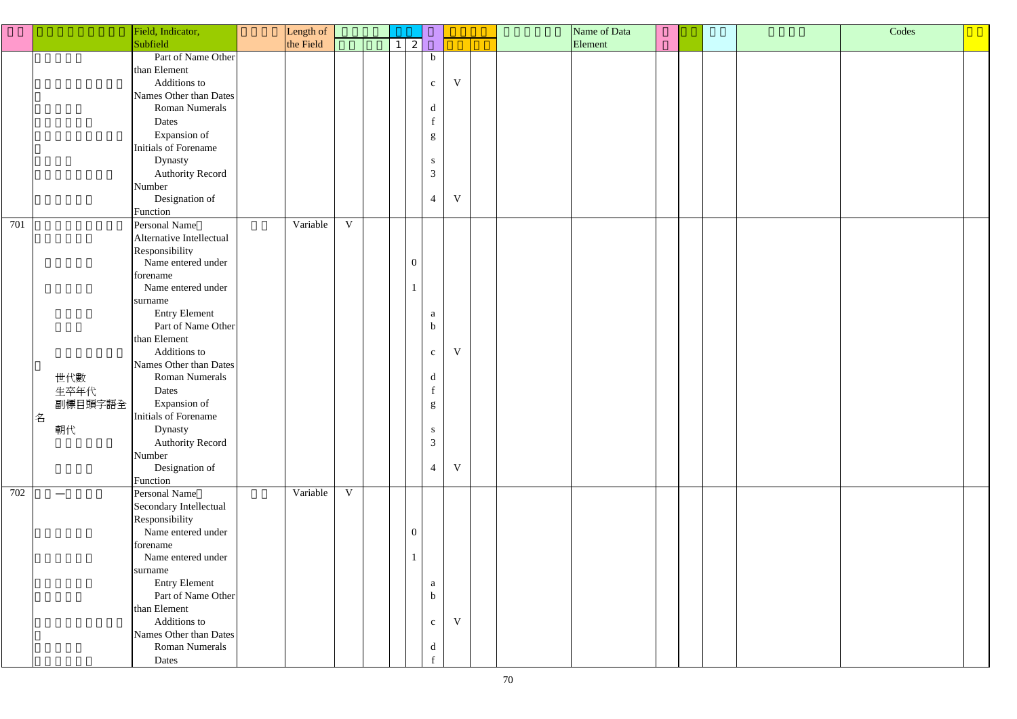|     |         | Field, Indicator,        | Length of |              |                |                |             | Name of Data |  | Codes |  |
|-----|---------|--------------------------|-----------|--------------|----------------|----------------|-------------|--------------|--|-------|--|
|     |         | Subfield                 | the Field |              | 2              |                |             | Element      |  |       |  |
|     |         | Part of Name Other       |           |              |                | $\mathbf b$    |             |              |  |       |  |
|     |         | than Element             |           |              |                |                |             |              |  |       |  |
|     |         | Additions to             |           |              |                | $\mathbf{C}$   | $\mathbf V$ |              |  |       |  |
|     |         | Names Other than Dates   |           |              |                |                |             |              |  |       |  |
|     |         | Roman Numerals           |           |              |                |                |             |              |  |       |  |
|     |         |                          |           |              |                | d              |             |              |  |       |  |
|     |         | Dates                    |           |              |                | f              |             |              |  |       |  |
|     |         | Expansion of             |           |              |                | g              |             |              |  |       |  |
|     |         | Initials of Forename     |           |              |                |                |             |              |  |       |  |
|     |         | Dynasty                  |           |              |                | S              |             |              |  |       |  |
|     |         | <b>Authority Record</b>  |           |              |                | $\mathfrak{Z}$ |             |              |  |       |  |
|     |         | Number                   |           |              |                |                |             |              |  |       |  |
|     |         | Designation of           |           |              |                | $\overline{4}$ | $\mathbf V$ |              |  |       |  |
|     |         | Function                 |           |              |                |                |             |              |  |       |  |
| 701 |         | Personal Name            | Variable  | $\mathbf{V}$ |                |                |             |              |  |       |  |
|     |         | Alternative Intellectual |           |              |                |                |             |              |  |       |  |
|     |         | Responsibility           |           |              |                |                |             |              |  |       |  |
|     |         | Name entered under       |           |              | $\overline{0}$ |                |             |              |  |       |  |
|     |         | forename                 |           |              |                |                |             |              |  |       |  |
|     |         | Name entered under       |           |              |                |                |             |              |  |       |  |
|     |         | surname                  |           |              |                |                |             |              |  |       |  |
|     |         | <b>Entry Element</b>     |           |              |                | a              |             |              |  |       |  |
|     |         | Part of Name Other       |           |              |                | $\mathbf b$    |             |              |  |       |  |
|     |         | than Element             |           |              |                |                |             |              |  |       |  |
|     |         | Additions to             |           |              |                | $\mathbf{C}$   | $\mathbf V$ |              |  |       |  |
|     |         | Names Other than Dates   |           |              |                |                |             |              |  |       |  |
|     | 世代數     | <b>Roman Numerals</b>    |           |              |                | d              |             |              |  |       |  |
|     | 生卒年代    | Dates                    |           |              |                |                |             |              |  |       |  |
|     | 副標目頭字語全 | Expansion of             |           |              |                |                |             |              |  |       |  |
|     | 名       | Initials of Forename     |           |              |                | g              |             |              |  |       |  |
|     | 朝代      | Dynasty                  |           |              |                | S              |             |              |  |       |  |
|     |         |                          |           |              |                | $\mathfrak{Z}$ |             |              |  |       |  |
|     |         | <b>Authority Record</b>  |           |              |                |                |             |              |  |       |  |
|     |         | Number                   |           |              |                | $\overline{4}$ | $\mathbf V$ |              |  |       |  |
|     |         | Designation of           |           |              |                |                |             |              |  |       |  |
| 702 |         | Function                 | Variable  | $\mathbf V$  |                |                |             |              |  |       |  |
|     |         | Personal Name            |           |              |                |                |             |              |  |       |  |
|     |         | Secondary Intellectual   |           |              |                |                |             |              |  |       |  |
|     |         | Responsibility           |           |              |                |                |             |              |  |       |  |
|     |         | Name entered under       |           |              | $\overline{0}$ |                |             |              |  |       |  |
|     |         | forename                 |           |              |                |                |             |              |  |       |  |
|     |         | Name entered under       |           |              |                |                |             |              |  |       |  |
|     |         | surname                  |           |              |                |                |             |              |  |       |  |
|     |         | <b>Entry Element</b>     |           |              |                | a              |             |              |  |       |  |
|     |         | Part of Name Other       |           |              |                | $\mathbf b$    |             |              |  |       |  |
|     |         | than Element             |           |              |                |                |             |              |  |       |  |
|     |         | Additions to             |           |              |                | $\mathbf{c}$   | $\mathbf V$ |              |  |       |  |
|     |         | Names Other than Dates   |           |              |                |                |             |              |  |       |  |
|     |         | <b>Roman Numerals</b>    |           |              |                | d              |             |              |  |       |  |
|     |         | Dates                    |           |              |                |                |             |              |  |       |  |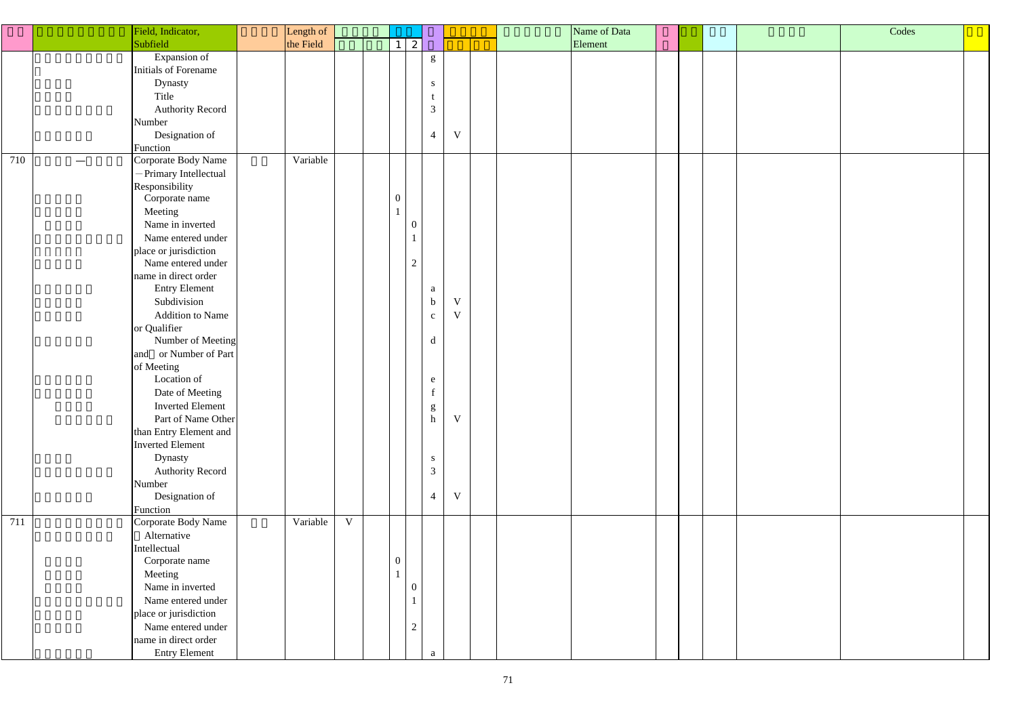|     |                 | Field, Indicator,       | Length of |             |                       |                           |              | Name of Data |         |  | Codes |  |  |
|-----|-----------------|-------------------------|-----------|-------------|-----------------------|---------------------------|--------------|--------------|---------|--|-------|--|--|
|     |                 | Subfield                | the Field |             | $\mathbf{2}^{\prime}$ |                           |              |              | Element |  |       |  |  |
|     |                 | Expansion of            |           |             |                       | $\mathbf{g}% _{0}$        |              |              |         |  |       |  |  |
|     |                 | Initials of Forename    |           |             |                       |                           |              |              |         |  |       |  |  |
|     |                 | Dynasty                 |           |             |                       | S                         |              |              |         |  |       |  |  |
|     |                 | Title                   |           |             |                       | t                         |              |              |         |  |       |  |  |
|     |                 | <b>Authority Record</b> |           |             |                       | $\mathfrak{Z}$            |              |              |         |  |       |  |  |
|     |                 | Number                  |           |             |                       |                           |              |              |         |  |       |  |  |
|     |                 | Designation of          |           |             |                       | $\overline{4}$            | $\mathbf V$  |              |         |  |       |  |  |
|     |                 | Function                |           |             |                       |                           |              |              |         |  |       |  |  |
| 710 | $\qquad \qquad$ | Corporate Body Name     | Variable  |             |                       |                           |              |              |         |  |       |  |  |
|     |                 | - Primary Intellectual  |           |             |                       |                           |              |              |         |  |       |  |  |
|     |                 | Responsibility          |           |             |                       |                           |              |              |         |  |       |  |  |
|     |                 | Corporate name          |           |             | $\overline{0}$        |                           |              |              |         |  |       |  |  |
|     |                 | Meeting                 |           |             |                       |                           |              |              |         |  |       |  |  |
|     |                 | Name in inverted        |           |             | $\boldsymbol{0}$      |                           |              |              |         |  |       |  |  |
|     |                 | Name entered under      |           |             |                       |                           |              |              |         |  |       |  |  |
|     |                 | place or jurisdiction   |           |             |                       |                           |              |              |         |  |       |  |  |
|     |                 | Name entered under      |           |             | $\overline{2}$        |                           |              |              |         |  |       |  |  |
|     |                 | name in direct order    |           |             |                       |                           |              |              |         |  |       |  |  |
|     |                 | <b>Entry Element</b>    |           |             |                       | a                         |              |              |         |  |       |  |  |
|     |                 | Subdivision             |           |             |                       | $\mathbf b$               | $\mathbf V$  |              |         |  |       |  |  |
|     |                 | <b>Addition to Name</b> |           |             |                       | $\mathbf{C}$              | $\mathbf{V}$ |              |         |  |       |  |  |
|     |                 | or Qualifier            |           |             |                       |                           |              |              |         |  |       |  |  |
|     |                 | Number of Meeting       |           |             |                       | d                         |              |              |         |  |       |  |  |
|     |                 | and or Number of Part   |           |             |                       |                           |              |              |         |  |       |  |  |
|     |                 | of Meeting              |           |             |                       |                           |              |              |         |  |       |  |  |
|     |                 | Location of             |           |             |                       | $\mathbf e$               |              |              |         |  |       |  |  |
|     |                 | Date of Meeting         |           |             |                       | $\mathbf f$               |              |              |         |  |       |  |  |
|     |                 | <b>Inverted Element</b> |           |             |                       | g                         |              |              |         |  |       |  |  |
|     |                 | Part of Name Other      |           |             |                       | $\boldsymbol{\textbf{h}}$ | $\mathbf V$  |              |         |  |       |  |  |
|     |                 | than Entry Element and  |           |             |                       |                           |              |              |         |  |       |  |  |
|     |                 | <b>Inverted Element</b> |           |             |                       |                           |              |              |         |  |       |  |  |
|     |                 | Dynasty                 |           |             |                       | ${\bf S}$                 |              |              |         |  |       |  |  |
|     |                 | <b>Authority Record</b> |           |             |                       | $\mathfrak{Z}$            |              |              |         |  |       |  |  |
|     |                 | Number                  |           |             |                       |                           |              |              |         |  |       |  |  |
|     |                 | Designation of          |           |             |                       | $\overline{4}$            | $\mathbf V$  |              |         |  |       |  |  |
|     |                 | Function                |           |             |                       |                           |              |              |         |  |       |  |  |
| 711 |                 | Corporate Body Name     | Variable  | $\mathbf V$ |                       |                           |              |              |         |  |       |  |  |
|     |                 | Alternative             |           |             |                       |                           |              |              |         |  |       |  |  |
|     |                 | Intellectual            |           |             |                       |                           |              |              |         |  |       |  |  |
|     |                 | Corporate name          |           |             | $\overline{0}$        |                           |              |              |         |  |       |  |  |
|     |                 | Meeting                 |           |             |                       |                           |              |              |         |  |       |  |  |
|     |                 | Name in inverted        |           |             | $\boldsymbol{0}$      |                           |              |              |         |  |       |  |  |
|     |                 | Name entered under      |           |             |                       |                           |              |              |         |  |       |  |  |
|     |                 | place or jurisdiction   |           |             |                       |                           |              |              |         |  |       |  |  |
|     |                 | Name entered under      |           |             | $\overline{c}$        |                           |              |              |         |  |       |  |  |
|     |                 | name in direct order    |           |             |                       |                           |              |              |         |  |       |  |  |
|     |                 | <b>Entry Element</b>    |           |             |                       | a                         |              |              |         |  |       |  |  |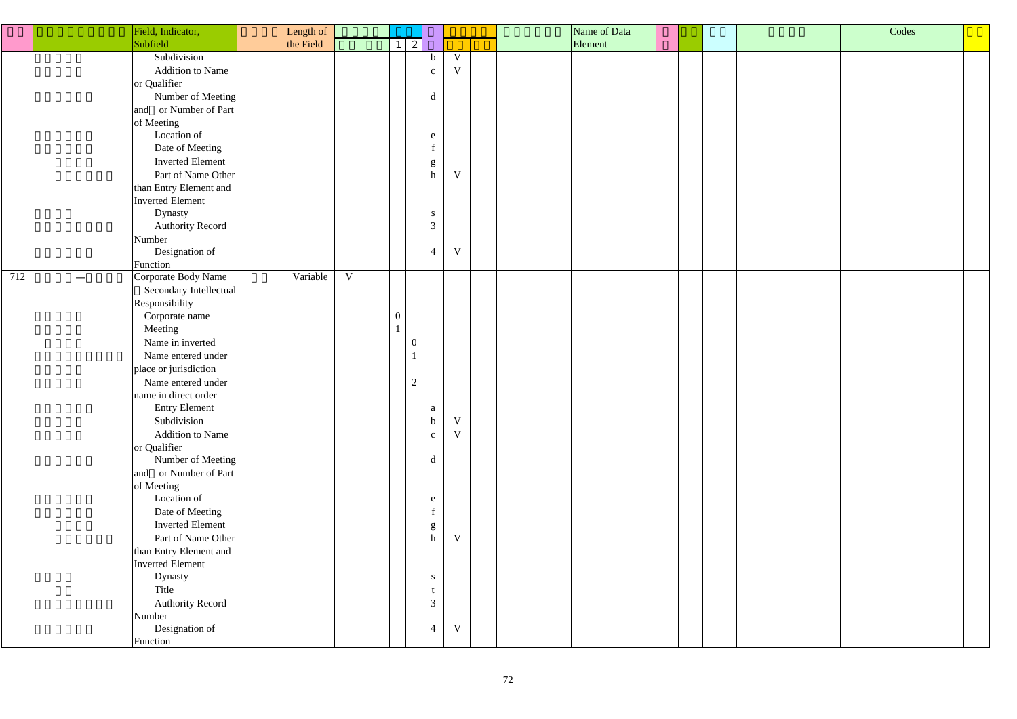|     | Field, Indicator,                        | Length of |   |                  |                |                                                                                                              |             |  | Name of Data |  |  | Codes |
|-----|------------------------------------------|-----------|---|------------------|----------------|--------------------------------------------------------------------------------------------------------------|-------------|--|--------------|--|--|-------|
|     | Subfield                                 | the Field |   | $\mathbf{1}$     | $\vert$ 2      |                                                                                                              |             |  | Element      |  |  |       |
|     | Subdivision                              |           |   |                  |                | $\mathbf b$                                                                                                  | $\mathbf V$ |  |              |  |  |       |
|     | <b>Addition to Name</b>                  |           |   |                  |                |                                                                                                              | $\mathbf V$ |  |              |  |  |       |
|     |                                          |           |   |                  |                | $\mathbf c$                                                                                                  |             |  |              |  |  |       |
|     | or Qualifier                             |           |   |                  |                |                                                                                                              |             |  |              |  |  |       |
|     | Number of Meeting                        |           |   |                  |                | $\mathrm{d}% \left\  \mathbf{r}^{\prime}\right\  _{A}\leq\mathrm{d}\left\  \mathbf{r}^{\prime}\right\  _{A}$ |             |  |              |  |  |       |
|     | and or Number of Part                    |           |   |                  |                |                                                                                                              |             |  |              |  |  |       |
|     | of Meeting                               |           |   |                  |                |                                                                                                              |             |  |              |  |  |       |
|     | Location of                              |           |   |                  |                | $\mathbf e$                                                                                                  |             |  |              |  |  |       |
|     | Date of Meeting                          |           |   |                  |                | $\mathbf f$                                                                                                  |             |  |              |  |  |       |
|     | <b>Inverted Element</b>                  |           |   |                  |                | $\mathbf{g}% _{0}\left( \mathbf{r},\mathbf{r}\right)$                                                        |             |  |              |  |  |       |
|     | Part of Name Other                       |           |   |                  |                | $\boldsymbol{\text{h}}$                                                                                      | $\mathbf V$ |  |              |  |  |       |
|     | than Entry Element and                   |           |   |                  |                |                                                                                                              |             |  |              |  |  |       |
|     | <b>Inverted Element</b>                  |           |   |                  |                |                                                                                                              |             |  |              |  |  |       |
|     | Dynasty                                  |           |   |                  |                | ${\bf S}$                                                                                                    |             |  |              |  |  |       |
|     | <b>Authority Record</b>                  |           |   |                  |                | $\mathfrak{Z}$                                                                                               |             |  |              |  |  |       |
|     | Number                                   |           |   |                  |                |                                                                                                              |             |  |              |  |  |       |
|     | Designation of                           |           |   |                  |                | $\overline{4}$                                                                                               | $\mathbf V$ |  |              |  |  |       |
|     | Function                                 |           |   |                  |                |                                                                                                              |             |  |              |  |  |       |
| 712 | Corporate Body Name<br>$\hspace{0.05cm}$ | Variable  | V |                  |                |                                                                                                              |             |  |              |  |  |       |
|     | Secondary Intellectual                   |           |   |                  |                |                                                                                                              |             |  |              |  |  |       |
|     | Responsibility                           |           |   |                  |                |                                                                                                              |             |  |              |  |  |       |
|     | Corporate name                           |           |   | $\boldsymbol{0}$ |                |                                                                                                              |             |  |              |  |  |       |
|     | Meeting                                  |           |   |                  |                |                                                                                                              |             |  |              |  |  |       |
|     | Name in inverted                         |           |   |                  | $\Omega$       |                                                                                                              |             |  |              |  |  |       |
|     | Name entered under                       |           |   |                  |                |                                                                                                              |             |  |              |  |  |       |
|     | place or jurisdiction                    |           |   |                  |                |                                                                                                              |             |  |              |  |  |       |
|     | Name entered under                       |           |   |                  | $\overline{2}$ |                                                                                                              |             |  |              |  |  |       |
|     | name in direct order                     |           |   |                  |                |                                                                                                              |             |  |              |  |  |       |
|     | <b>Entry Element</b>                     |           |   |                  |                | a                                                                                                            |             |  |              |  |  |       |
|     | Subdivision                              |           |   |                  |                | $\mathbf b$                                                                                                  | $\mathbf V$ |  |              |  |  |       |
|     | <b>Addition to Name</b>                  |           |   |                  |                | $\mathbf{c}$                                                                                                 | $\mathbf V$ |  |              |  |  |       |
|     | or Qualifier                             |           |   |                  |                |                                                                                                              |             |  |              |  |  |       |
|     | Number of Meeting                        |           |   |                  |                | $\mathbf d$                                                                                                  |             |  |              |  |  |       |
|     | and or Number of Part                    |           |   |                  |                |                                                                                                              |             |  |              |  |  |       |
|     | of Meeting                               |           |   |                  |                |                                                                                                              |             |  |              |  |  |       |
|     | Location of                              |           |   |                  |                | e                                                                                                            |             |  |              |  |  |       |
|     | Date of Meeting                          |           |   |                  |                | $\mathbf f$                                                                                                  |             |  |              |  |  |       |
|     | <b>Inverted Element</b>                  |           |   |                  |                |                                                                                                              |             |  |              |  |  |       |
|     | Part of Name Other                       |           |   |                  |                | $\mathop{\mathrm{g}}\nolimits$ h                                                                             | $\mathbf V$ |  |              |  |  |       |
|     | than Entry Element and                   |           |   |                  |                |                                                                                                              |             |  |              |  |  |       |
|     | <b>Inverted Element</b>                  |           |   |                  |                |                                                                                                              |             |  |              |  |  |       |
|     | Dynasty                                  |           |   |                  |                | ${\bf S}$                                                                                                    |             |  |              |  |  |       |
|     | Title                                    |           |   |                  |                | t                                                                                                            |             |  |              |  |  |       |
|     | <b>Authority Record</b>                  |           |   |                  |                | $\mathfrak{Z}$                                                                                               |             |  |              |  |  |       |
|     | Number                                   |           |   |                  |                |                                                                                                              |             |  |              |  |  |       |
|     | Designation of                           |           |   |                  |                | $\overline{4}$                                                                                               | $\mathbf V$ |  |              |  |  |       |
|     |                                          |           |   |                  |                |                                                                                                              |             |  |              |  |  |       |
|     | Function                                 |           |   |                  |                |                                                                                                              |             |  |              |  |  |       |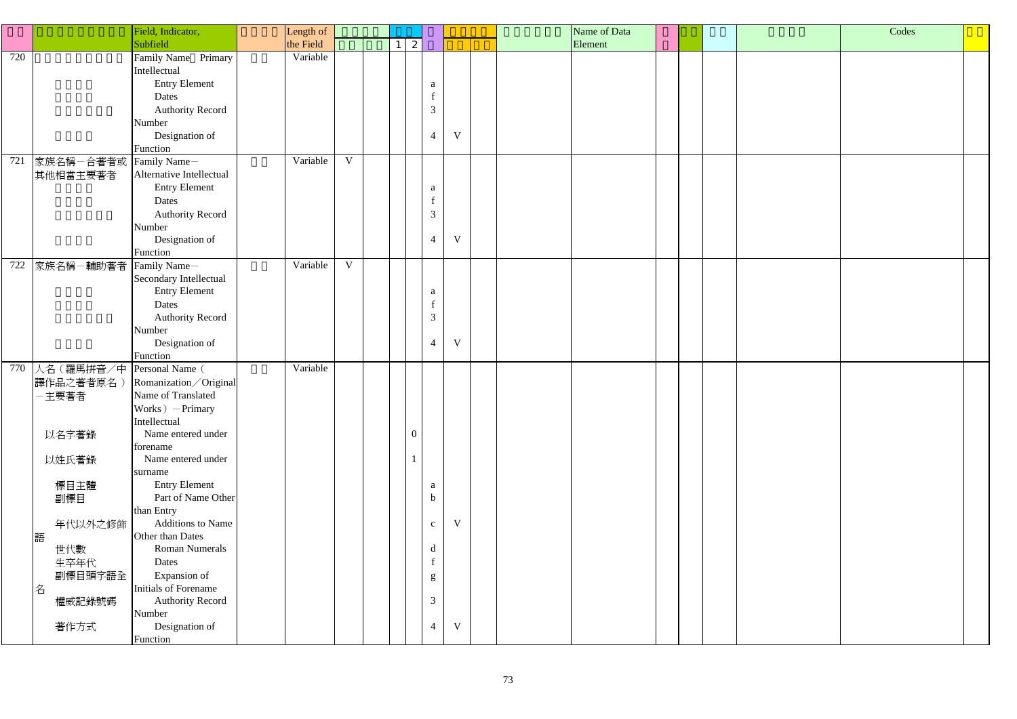|     |                            | Field, Indicator,        | Length of |              |  |                 |                |              |  | Name of Data |  |  |  | Codes |  |  |
|-----|----------------------------|--------------------------|-----------|--------------|--|-----------------|----------------|--------------|--|--------------|--|--|--|-------|--|--|
|     |                            | Subfield                 | the Field |              |  | $1 \mid 2 \mid$ |                |              |  | Element      |  |  |  |       |  |  |
| 720 |                            | Family Name Primary      | Variable  |              |  |                 |                |              |  |              |  |  |  |       |  |  |
|     |                            | Intellectual             |           |              |  |                 |                |              |  |              |  |  |  |       |  |  |
|     |                            | <b>Entry Element</b>     |           |              |  |                 |                |              |  |              |  |  |  |       |  |  |
|     |                            | Dates                    |           |              |  |                 | a              |              |  |              |  |  |  |       |  |  |
|     |                            |                          |           |              |  |                 |                |              |  |              |  |  |  |       |  |  |
|     |                            | <b>Authority Record</b>  |           |              |  |                 | $\overline{3}$ |              |  |              |  |  |  |       |  |  |
|     |                            | Number                   |           |              |  |                 |                |              |  |              |  |  |  |       |  |  |
|     |                            | Designation of           |           |              |  |                 | $\overline{4}$ | $\mathbf{V}$ |  |              |  |  |  |       |  |  |
|     |                            | Function                 |           |              |  |                 |                |              |  |              |  |  |  |       |  |  |
| 721 | 家族名稱一合著者或                  | Family Name-             | Variable  | $\mathbf V$  |  |                 |                |              |  |              |  |  |  |       |  |  |
|     | 其他相當主要著者                   | Alternative Intellectual |           |              |  |                 |                |              |  |              |  |  |  |       |  |  |
|     |                            | <b>Entry Element</b>     |           |              |  |                 | a              |              |  |              |  |  |  |       |  |  |
|     |                            | Dates                    |           |              |  |                 |                |              |  |              |  |  |  |       |  |  |
|     |                            | <b>Authority Record</b>  |           |              |  |                 | $\mathfrak{Z}$ |              |  |              |  |  |  |       |  |  |
|     |                            | Number                   |           |              |  |                 |                |              |  |              |  |  |  |       |  |  |
|     |                            | Designation of           |           |              |  |                 | $\overline{4}$ | V            |  |              |  |  |  |       |  |  |
|     |                            | Function                 |           |              |  |                 |                |              |  |              |  |  |  |       |  |  |
| 722 | 家族名稱–輔助著者 Family Name–     |                          | Variable  | $\mathbf{V}$ |  |                 |                |              |  |              |  |  |  |       |  |  |
|     |                            | Secondary Intellectual   |           |              |  |                 |                |              |  |              |  |  |  |       |  |  |
|     |                            | <b>Entry Element</b>     |           |              |  |                 | a              |              |  |              |  |  |  |       |  |  |
|     |                            | Dates                    |           |              |  |                 |                |              |  |              |  |  |  |       |  |  |
|     |                            | <b>Authority Record</b>  |           |              |  |                 | $\mathfrak{Z}$ |              |  |              |  |  |  |       |  |  |
|     |                            | Number                   |           |              |  |                 |                |              |  |              |  |  |  |       |  |  |
|     |                            | Designation of           |           |              |  |                 | $\overline{4}$ | V            |  |              |  |  |  |       |  |  |
|     |                            | Function                 |           |              |  |                 |                |              |  |              |  |  |  |       |  |  |
| 770 | 人名 (羅馬拼音/中 Personal Name ( |                          | Variable  |              |  |                 |                |              |  |              |  |  |  |       |  |  |
|     | 譯作品之著者原名)                  | Romanization / Original  |           |              |  |                 |                |              |  |              |  |  |  |       |  |  |
|     | 一主要著者                      | Name of Translated       |           |              |  |                 |                |              |  |              |  |  |  |       |  |  |
|     |                            | $Works$ ) $-Primary$     |           |              |  |                 |                |              |  |              |  |  |  |       |  |  |
|     |                            | Intellectual             |           |              |  |                 |                |              |  |              |  |  |  |       |  |  |
|     | 以名字著錄                      | Name entered under       |           |              |  | $\overline{0}$  |                |              |  |              |  |  |  |       |  |  |
|     |                            | forename                 |           |              |  |                 |                |              |  |              |  |  |  |       |  |  |
|     | 以姓氏著錄                      | Name entered under       |           |              |  |                 |                |              |  |              |  |  |  |       |  |  |
|     |                            | surname                  |           |              |  |                 |                |              |  |              |  |  |  |       |  |  |
|     | 標目主體                       | <b>Entry Element</b>     |           |              |  |                 | a              |              |  |              |  |  |  |       |  |  |
|     | 副標目                        | Part of Name Other       |           |              |  |                 | $\mathbf b$    |              |  |              |  |  |  |       |  |  |
|     |                            | than Entry               |           |              |  |                 |                |              |  |              |  |  |  |       |  |  |
|     | 年代以外之修飾                    | Additions to Name        |           |              |  |                 | $\mathbf{C}^-$ | V            |  |              |  |  |  |       |  |  |
|     | 語                          | Other than Dates         |           |              |  |                 |                |              |  |              |  |  |  |       |  |  |
|     | 世代數                        | <b>Roman Numerals</b>    |           |              |  |                 | d              |              |  |              |  |  |  |       |  |  |
|     | 生卒年代                       | Dates                    |           |              |  |                 |                |              |  |              |  |  |  |       |  |  |
|     | 副標目頭字語全                    | Expansion of             |           |              |  |                 |                |              |  |              |  |  |  |       |  |  |
|     | 名                          | Initials of Forename     |           |              |  |                 | g              |              |  |              |  |  |  |       |  |  |
|     | 權威記錄號碼                     | <b>Authority Record</b>  |           |              |  |                 | $\mathfrak{Z}$ |              |  |              |  |  |  |       |  |  |
|     |                            | Number                   |           |              |  |                 |                |              |  |              |  |  |  |       |  |  |
|     | 著作方式                       | Designation of           |           |              |  |                 | $\overline{4}$ | V            |  |              |  |  |  |       |  |  |
|     |                            | Function                 |           |              |  |                 |                |              |  |              |  |  |  |       |  |  |
|     |                            |                          |           |              |  |                 |                |              |  |              |  |  |  |       |  |  |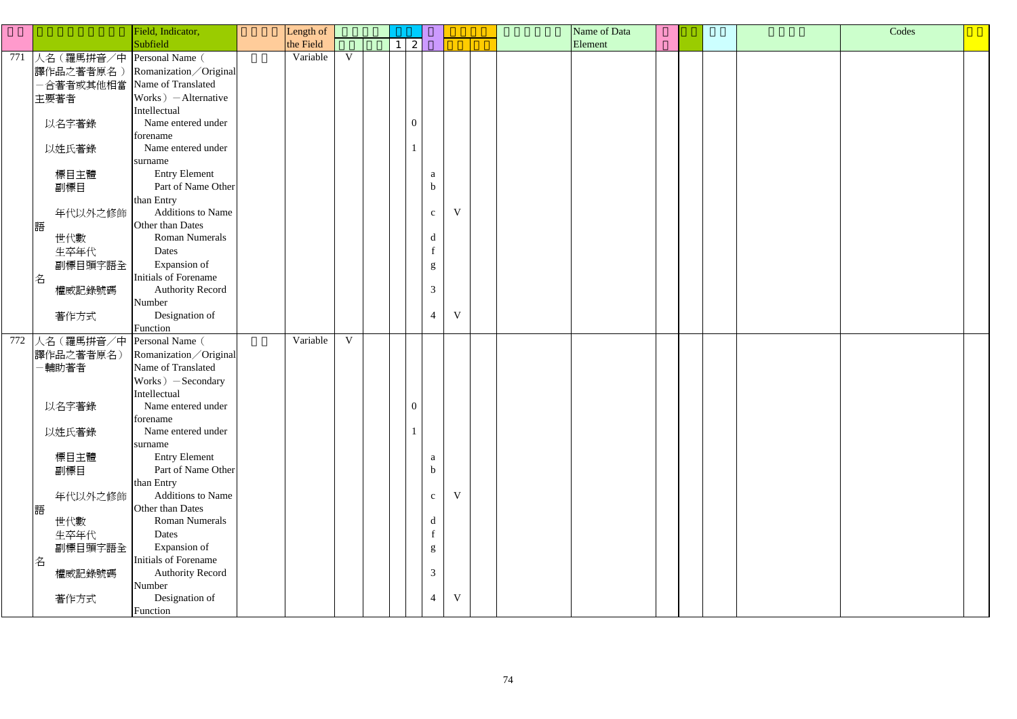|                                | Field, Indicator,                             | Length of |             |                |                |              |  | Name of Data |         |  | Codes |  |  |
|--------------------------------|-----------------------------------------------|-----------|-------------|----------------|----------------|--------------|--|--------------|---------|--|-------|--|--|
|                                | Subfield                                      | the Field |             | 2              |                |              |  |              | Element |  |       |  |  |
| 771 人名 (羅馬拼音/中 Personal Name ( |                                               | Variable  | $\mathbf V$ |                |                |              |  |              |         |  |       |  |  |
| 譯作品之著者原名)                      | Romanization / Original                       |           |             |                |                |              |  |              |         |  |       |  |  |
| 合著者或其他相當                       | Name of Translated                            |           |             |                |                |              |  |              |         |  |       |  |  |
| 主要著者                           | $Works$ $-$ Alternative                       |           |             |                |                |              |  |              |         |  |       |  |  |
|                                | Intellectual                                  |           |             |                |                |              |  |              |         |  |       |  |  |
| 以名字著錄                          | Name entered under                            |           |             | $\overline{0}$ |                |              |  |              |         |  |       |  |  |
|                                | forename                                      |           |             |                |                |              |  |              |         |  |       |  |  |
| 以姓氏著錄                          | Name entered under                            |           |             |                |                |              |  |              |         |  |       |  |  |
|                                | surname                                       |           |             |                |                |              |  |              |         |  |       |  |  |
| 標目主體                           | <b>Entry Element</b>                          |           |             |                | a              |              |  |              |         |  |       |  |  |
| 副標目                            | Part of Name Other                            |           |             |                | $\mathbf b$    |              |  |              |         |  |       |  |  |
|                                | than Entry                                    |           |             |                |                |              |  |              |         |  |       |  |  |
| 年代以外之修飾                        | <b>Additions to Name</b>                      |           |             |                | $\mathbf{C}$   | $\mathbf{V}$ |  |              |         |  |       |  |  |
| 語                              | Other than Dates                              |           |             |                |                |              |  |              |         |  |       |  |  |
| 世代數                            | <b>Roman Numerals</b>                         |           |             |                | d              |              |  |              |         |  |       |  |  |
| 生卒年代                           | Dates                                         |           |             |                | $\mathbf f$    |              |  |              |         |  |       |  |  |
| 副標目頭字語全                        | Expansion of                                  |           |             |                | g              |              |  |              |         |  |       |  |  |
| 名                              | Initials of Forename                          |           |             |                |                |              |  |              |         |  |       |  |  |
| 權威記錄號碼                         | <b>Authority Record</b>                       |           |             |                | 3              |              |  |              |         |  |       |  |  |
|                                | Number                                        |           |             |                |                |              |  |              |         |  |       |  |  |
| 著作方式                           | Designation of                                |           |             |                | $\overline{4}$ | $\mathbf V$  |  |              |         |  |       |  |  |
|                                | Function                                      | Variable  | $\mathbf V$ |                |                |              |  |              |         |  |       |  |  |
| 772 人名 (羅馬拼音/中                 | Personal Name (                               |           |             |                |                |              |  |              |         |  |       |  |  |
| 譯作品之著者原名)                      | Romanization / Original<br>Name of Translated |           |             |                |                |              |  |              |         |  |       |  |  |
| -輔助著者                          |                                               |           |             |                |                |              |  |              |         |  |       |  |  |
|                                | Works $)$ -Secondary<br>Intellectual          |           |             |                |                |              |  |              |         |  |       |  |  |
| 以名字著錄                          | Name entered under                            |           |             | $\mathbf{U}$   |                |              |  |              |         |  |       |  |  |
|                                | forename                                      |           |             |                |                |              |  |              |         |  |       |  |  |
| 以姓氏著錄                          | Name entered under                            |           |             |                |                |              |  |              |         |  |       |  |  |
|                                | surname                                       |           |             |                |                |              |  |              |         |  |       |  |  |
| 標目主體                           | <b>Entry Element</b>                          |           |             |                | $\mathbf{a}$   |              |  |              |         |  |       |  |  |
| 副標目                            | Part of Name Other                            |           |             |                | $\mathbf b$    |              |  |              |         |  |       |  |  |
|                                | than Entry                                    |           |             |                |                |              |  |              |         |  |       |  |  |
| 年代以外之修飾                        | Additions to Name                             |           |             |                | $\mathbf{C}$   | $\mathbf{V}$ |  |              |         |  |       |  |  |
| 語                              | Other than Dates                              |           |             |                |                |              |  |              |         |  |       |  |  |
| 世代數                            | <b>Roman Numerals</b>                         |           |             |                | d              |              |  |              |         |  |       |  |  |
| 生卒年代                           | Dates                                         |           |             |                | $\mathbf f$    |              |  |              |         |  |       |  |  |
| 副標目頭字語全                        | Expansion of                                  |           |             |                | g              |              |  |              |         |  |       |  |  |
| 名                              | Initials of Forename                          |           |             |                |                |              |  |              |         |  |       |  |  |
| 權威記錄號碼                         | <b>Authority Record</b>                       |           |             |                | $\mathfrak{Z}$ |              |  |              |         |  |       |  |  |
|                                | Number                                        |           |             |                |                |              |  |              |         |  |       |  |  |
| 著作方式                           | Designation of                                |           |             |                | $\overline{4}$ | $\mathbf V$  |  |              |         |  |       |  |  |
|                                | Function                                      |           |             |                |                |              |  |              |         |  |       |  |  |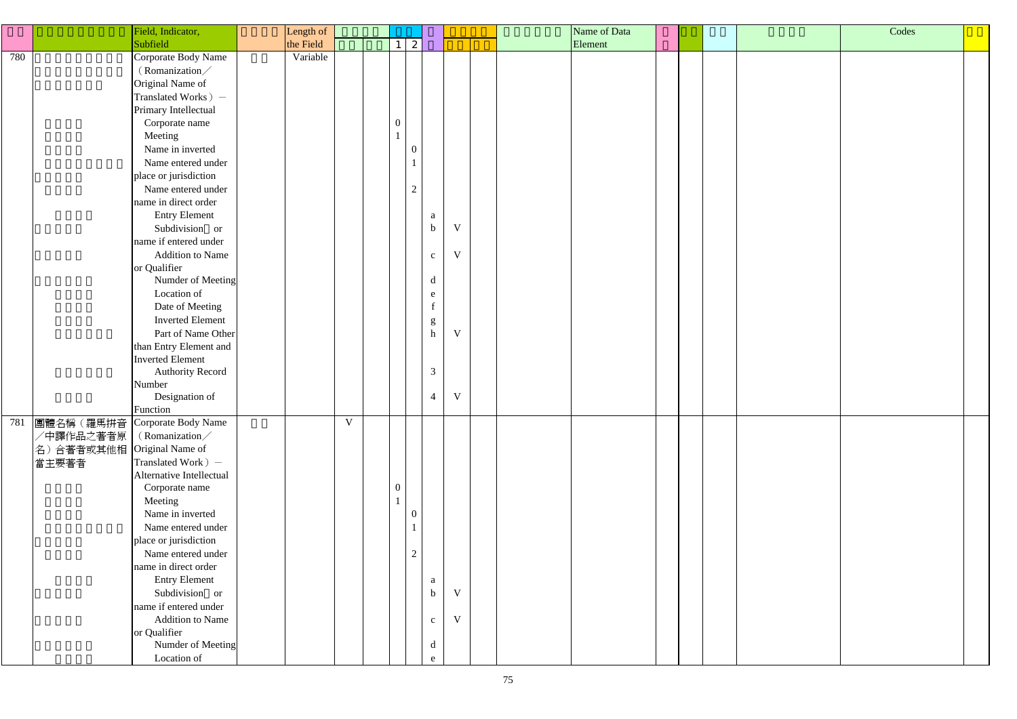|     | Field, Indicator,                 | Length of |             |  |                  |                                                                                  |             |  | Name of Data |         |  |  | Codes |  |
|-----|-----------------------------------|-----------|-------------|--|------------------|----------------------------------------------------------------------------------|-------------|--|--------------|---------|--|--|-------|--|
|     | Subfield                          | the Field |             |  | $\mathbf{2}$     |                                                                                  |             |  |              | Element |  |  |       |  |
| 780 | Corporate Body Name               | Variable  |             |  |                  |                                                                                  |             |  |              |         |  |  |       |  |
|     | (Romanization/                    |           |             |  |                  |                                                                                  |             |  |              |         |  |  |       |  |
|     | Original Name of                  |           |             |  |                  |                                                                                  |             |  |              |         |  |  |       |  |
|     | Translated Works) –               |           |             |  |                  |                                                                                  |             |  |              |         |  |  |       |  |
|     | Primary Intellectual              |           |             |  |                  |                                                                                  |             |  |              |         |  |  |       |  |
|     | Corporate name                    |           |             |  | $\boldsymbol{0}$ |                                                                                  |             |  |              |         |  |  |       |  |
|     | Meeting                           |           |             |  |                  |                                                                                  |             |  |              |         |  |  |       |  |
|     | Name in inverted                  |           |             |  | $\Omega$         |                                                                                  |             |  |              |         |  |  |       |  |
|     | Name entered under                |           |             |  |                  |                                                                                  |             |  |              |         |  |  |       |  |
|     | place or jurisdiction             |           |             |  |                  |                                                                                  |             |  |              |         |  |  |       |  |
|     | Name entered under                |           |             |  | $\overline{2}$   |                                                                                  |             |  |              |         |  |  |       |  |
|     | name in direct order              |           |             |  |                  |                                                                                  |             |  |              |         |  |  |       |  |
|     | <b>Entry Element</b>              |           |             |  |                  | $\mathbf{a}$                                                                     |             |  |              |         |  |  |       |  |
|     | Subdivision or                    |           |             |  |                  | $\mathbf b$                                                                      | $\mathbf V$ |  |              |         |  |  |       |  |
|     | name if entered under             |           |             |  |                  |                                                                                  |             |  |              |         |  |  |       |  |
|     | <b>Addition to Name</b>           |           |             |  |                  | $\mathbf c$                                                                      | $\mathbf V$ |  |              |         |  |  |       |  |
|     | or Qualifier                      |           |             |  |                  |                                                                                  |             |  |              |         |  |  |       |  |
|     | Numder of Meeting                 |           |             |  |                  | $\mathbf d$                                                                      |             |  |              |         |  |  |       |  |
|     | Location of                       |           |             |  |                  | e                                                                                |             |  |              |         |  |  |       |  |
|     | Date of Meeting                   |           |             |  |                  | $\mathbf f$                                                                      |             |  |              |         |  |  |       |  |
|     | <b>Inverted Element</b>           |           |             |  |                  |                                                                                  |             |  |              |         |  |  |       |  |
|     | Part of Name Other                |           |             |  |                  | $\mathbf{g}% _{0}\left( \mathbf{r},\mathbf{r}\right)$<br>$\boldsymbol{\text{h}}$ | $\mathbf V$ |  |              |         |  |  |       |  |
|     | than Entry Element and            |           |             |  |                  |                                                                                  |             |  |              |         |  |  |       |  |
|     | <b>Inverted Element</b>           |           |             |  |                  |                                                                                  |             |  |              |         |  |  |       |  |
|     | <b>Authority Record</b>           |           |             |  |                  | $\mathfrak{Z}$                                                                   |             |  |              |         |  |  |       |  |
|     | Number                            |           |             |  |                  |                                                                                  |             |  |              |         |  |  |       |  |
|     | Designation of                    |           |             |  |                  | $\overline{4}$                                                                   | $\mathbf V$ |  |              |         |  |  |       |  |
|     | Function                          |           |             |  |                  |                                                                                  |             |  |              |         |  |  |       |  |
| 781 | 團體名稱(羅馬拼音<br>Corporate Body Name  |           | $\mathbf V$ |  |                  |                                                                                  |             |  |              |         |  |  |       |  |
|     | /中譯作品之著者原<br>(Romanization/       |           |             |  |                  |                                                                                  |             |  |              |         |  |  |       |  |
|     | Original Name of<br>名)合著者或其他相     |           |             |  |                  |                                                                                  |             |  |              |         |  |  |       |  |
|     | Translated Work ) –<br>當主要著者      |           |             |  |                  |                                                                                  |             |  |              |         |  |  |       |  |
|     | Alternative Intellectual          |           |             |  |                  |                                                                                  |             |  |              |         |  |  |       |  |
|     | Corporate name                    |           |             |  | $\boldsymbol{0}$ |                                                                                  |             |  |              |         |  |  |       |  |
|     | Meeting                           |           |             |  |                  |                                                                                  |             |  |              |         |  |  |       |  |
|     | Name in inverted                  |           |             |  | -0               |                                                                                  |             |  |              |         |  |  |       |  |
|     | Name entered under                |           |             |  |                  |                                                                                  |             |  |              |         |  |  |       |  |
|     | place or jurisdiction             |           |             |  |                  |                                                                                  |             |  |              |         |  |  |       |  |
|     | Name entered under                |           |             |  | $\overline{2}$   |                                                                                  |             |  |              |         |  |  |       |  |
|     | name in direct order              |           |             |  |                  |                                                                                  |             |  |              |         |  |  |       |  |
|     | <b>Entry Element</b>              |           |             |  |                  | a                                                                                |             |  |              |         |  |  |       |  |
|     | Subdivision or                    |           |             |  |                  | $\mathbf b$                                                                      | V           |  |              |         |  |  |       |  |
|     | name if entered under             |           |             |  |                  |                                                                                  |             |  |              |         |  |  |       |  |
|     | <b>Addition to Name</b>           |           |             |  |                  |                                                                                  | $\mathbf V$ |  |              |         |  |  |       |  |
|     |                                   |           |             |  |                  | $\mathbf{C}$                                                                     |             |  |              |         |  |  |       |  |
|     | or Qualifier<br>Numder of Meeting |           |             |  |                  | $\rm d$                                                                          |             |  |              |         |  |  |       |  |
|     |                                   |           |             |  |                  |                                                                                  |             |  |              |         |  |  |       |  |
|     | Location of                       |           |             |  |                  | e                                                                                |             |  |              |         |  |  |       |  |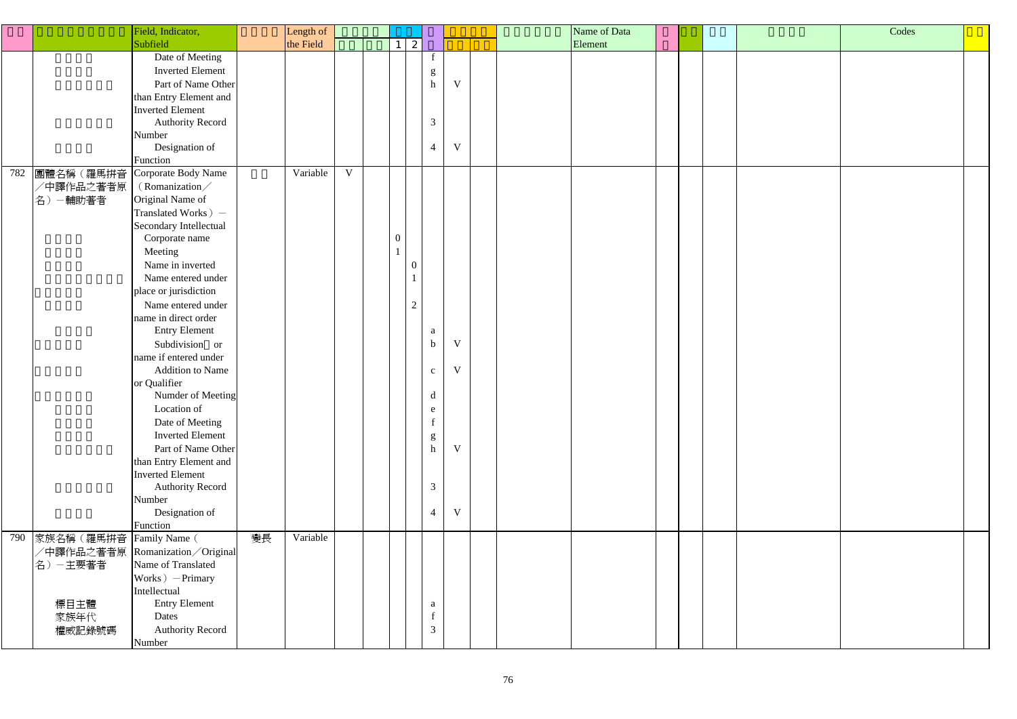| Codes |  |
|-------|--|
|       |  |
|       |  |
|       |  |
|       |  |
|       |  |
|       |  |
|       |  |
|       |  |
|       |  |
|       |  |
|       |  |
|       |  |
|       |  |
|       |  |
|       |  |
|       |  |
|       |  |
|       |  |
|       |  |
|       |  |
|       |  |
|       |  |
|       |  |

|     |           | Field, Indicator,       | Length of |           |              |                  |              |                |              |  | Name of Data |  |  |
|-----|-----------|-------------------------|-----------|-----------|--------------|------------------|--------------|----------------|--------------|--|--------------|--|--|
|     |           | Subfield                |           | the Field |              | $\mathbf{1}$     | $\mathbf{2}$ |                |              |  | Element      |  |  |
|     |           | Date of Meeting         |           |           |              |                  |              | f              |              |  |              |  |  |
|     |           | <b>Inverted Element</b> |           |           |              |                  |              | g              |              |  |              |  |  |
|     |           | Part of Name Other      |           |           |              |                  |              | $\mathbf h$    | $\mathbf{V}$ |  |              |  |  |
|     |           | than Entry Element and  |           |           |              |                  |              |                |              |  |              |  |  |
|     |           | <b>Inverted Element</b> |           |           |              |                  |              |                |              |  |              |  |  |
|     |           | <b>Authority Record</b> |           |           |              |                  |              | 3              |              |  |              |  |  |
|     |           | Number                  |           |           |              |                  |              |                |              |  |              |  |  |
|     |           | Designation of          |           |           |              |                  |              | $\overline{4}$ | V            |  |              |  |  |
|     |           | Function                |           |           |              |                  |              |                |              |  |              |  |  |
| 782 | 團體名稱(羅馬拼音 | Corporate Body Name     |           | Variable  | $\mathbf{V}$ |                  |              |                |              |  |              |  |  |
|     | /中譯作品之著者原 | (Romanization/          |           |           |              |                  |              |                |              |  |              |  |  |
|     | 名) 一輔助著者  | Original Name of        |           |           |              |                  |              |                |              |  |              |  |  |
|     |           | Translated Works) -     |           |           |              |                  |              |                |              |  |              |  |  |
|     |           | Secondary Intellectual  |           |           |              |                  |              |                |              |  |              |  |  |
|     |           | Corporate name          |           |           |              | $\boldsymbol{0}$ |              |                |              |  |              |  |  |
|     |           | Meeting                 |           |           |              | $\mathbf{1}$     |              |                |              |  |              |  |  |
|     |           | Name in inverted        |           |           |              |                  | 0            |                |              |  |              |  |  |
|     |           | Name entered under      |           |           |              |                  |              |                |              |  |              |  |  |
|     |           | place or jurisdiction   |           |           |              |                  |              |                |              |  |              |  |  |
|     |           | Name entered under      |           |           |              |                  | $\mathbf{2}$ |                |              |  |              |  |  |
|     |           | name in direct order    |           |           |              |                  |              |                |              |  |              |  |  |
|     |           | <b>Entry Element</b>    |           |           |              |                  |              | a              |              |  |              |  |  |
|     |           | Subdivision or          |           |           |              |                  |              | $\mathbf b$    | V            |  |              |  |  |
|     |           | name if entered under   |           |           |              |                  |              |                |              |  |              |  |  |
|     |           | <b>Addition to Name</b> |           |           |              |                  |              | $\mathbf{C}$   | V            |  |              |  |  |
|     |           | or Qualifier            |           |           |              |                  |              |                |              |  |              |  |  |
|     |           | Numder of Meeting       |           |           |              |                  |              | d              |              |  |              |  |  |
|     |           | Location of             |           |           |              |                  |              | e              |              |  |              |  |  |
|     |           | Date of Meeting         |           |           |              |                  |              |                |              |  |              |  |  |
|     |           | <b>Inverted Element</b> |           |           |              |                  |              | g              |              |  |              |  |  |
|     |           | Part of Name Other      |           |           |              |                  |              | $\mathbf h$    | $\mathbf{V}$ |  |              |  |  |
|     |           | than Entry Element and  |           |           |              |                  |              |                |              |  |              |  |  |
|     |           | <b>Inverted Element</b> |           |           |              |                  |              |                |              |  |              |  |  |
|     |           | <b>Authority Record</b> |           |           |              |                  |              | 3              |              |  |              |  |  |
|     |           | Number                  |           |           |              |                  |              |                |              |  |              |  |  |
|     |           | Designation of          |           |           |              |                  |              | $\overline{4}$ | $\mathbf V$  |  |              |  |  |
|     |           | Function                |           |           |              |                  |              |                |              |  |              |  |  |
| 790 | 家族名稱(羅馬拼音 | Family Name (           | 變長        | Variable  |              |                  |              |                |              |  |              |  |  |
|     | /中譯作品之著者原 | Romanization / Original |           |           |              |                  |              |                |              |  |              |  |  |
|     | 名)-主要著者   | Name of Translated      |           |           |              |                  |              |                |              |  |              |  |  |
|     |           | Works $)-$ Primary      |           |           |              |                  |              |                |              |  |              |  |  |
|     |           | Intellectual            |           |           |              |                  |              |                |              |  |              |  |  |
|     | 標目主體      | <b>Entry Element</b>    |           |           |              |                  |              | a              |              |  |              |  |  |
|     | 家族年代      | Dates                   |           |           |              |                  |              | $\mathbf f$    |              |  |              |  |  |
|     | 權威記錄號碼    | Authority Record        |           |           |              |                  |              | 3              |              |  |              |  |  |
|     |           | Number                  |           |           |              |                  |              |                |              |  |              |  |  |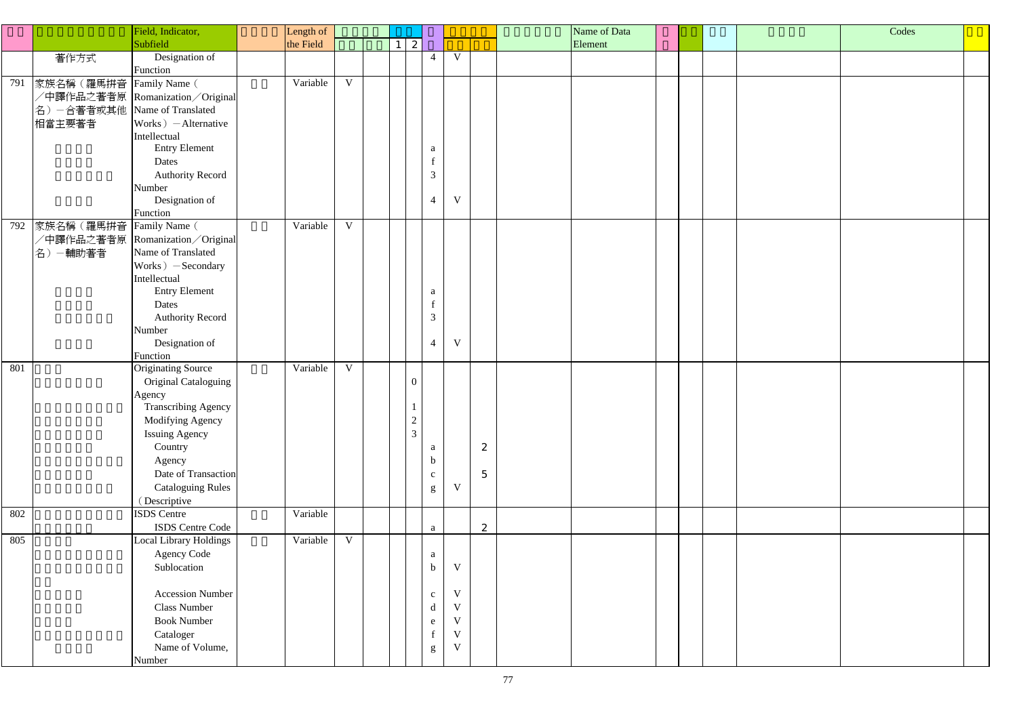|     |                               | Field, Indicator,               | Length of |              |  |                     |                                                   |              |                | Name of Data |  |  |  |  | Codes |  |
|-----|-------------------------------|---------------------------------|-----------|--------------|--|---------------------|---------------------------------------------------|--------------|----------------|--------------|--|--|--|--|-------|--|
|     |                               | Subfield                        | the Field |              |  | 2<br>1 <sup>1</sup> |                                                   |              |                | Element      |  |  |  |  |       |  |
|     | 著作方式                          | Designation of                  |           |              |  |                     | $\overline{4}$                                    | V            |                |              |  |  |  |  |       |  |
|     |                               | Function                        |           |              |  |                     |                                                   |              |                |              |  |  |  |  |       |  |
| 791 | 家族名稱(羅馬拼音                     | Family Name (                   | Variable  | $\mathbf{V}$ |  |                     |                                                   |              |                |              |  |  |  |  |       |  |
|     |                               | /中譯作品之著者原 Romanization/Original |           |              |  |                     |                                                   |              |                |              |  |  |  |  |       |  |
|     | 名) 一合著者或其他 Name of Translated |                                 |           |              |  |                     |                                                   |              |                |              |  |  |  |  |       |  |
|     | 相當主要著者                        | Works $)$ - Alternative         |           |              |  |                     |                                                   |              |                |              |  |  |  |  |       |  |
|     |                               | Intellectual                    |           |              |  |                     |                                                   |              |                |              |  |  |  |  |       |  |
|     |                               | <b>Entry Element</b>            |           |              |  |                     | a                                                 |              |                |              |  |  |  |  |       |  |
|     |                               | Dates                           |           |              |  |                     |                                                   |              |                |              |  |  |  |  |       |  |
|     |                               | <b>Authority Record</b>         |           |              |  |                     | 3                                                 |              |                |              |  |  |  |  |       |  |
|     |                               | Number                          |           |              |  |                     |                                                   |              |                |              |  |  |  |  |       |  |
|     |                               | Designation of                  |           |              |  |                     | $\overline{4}$                                    | $\mathbf V$  |                |              |  |  |  |  |       |  |
|     |                               | Function                        |           |              |  |                     |                                                   |              |                |              |  |  |  |  |       |  |
| 792 | 家族名稱(羅馬拼音                     | Family Name (                   | Variable  | $\mathbf V$  |  |                     |                                                   |              |                |              |  |  |  |  |       |  |
|     |                               | /中譯作品之著者原 Romanization/Original |           |              |  |                     |                                                   |              |                |              |  |  |  |  |       |  |
|     | 名)-輔助著者                       | Name of Translated              |           |              |  |                     |                                                   |              |                |              |  |  |  |  |       |  |
|     |                               | Works) - Secondary              |           |              |  |                     |                                                   |              |                |              |  |  |  |  |       |  |
|     |                               | Intellectual                    |           |              |  |                     |                                                   |              |                |              |  |  |  |  |       |  |
|     |                               | <b>Entry Element</b>            |           |              |  |                     | a                                                 |              |                |              |  |  |  |  |       |  |
|     |                               | Dates                           |           |              |  |                     |                                                   |              |                |              |  |  |  |  |       |  |
|     |                               | <b>Authority Record</b>         |           |              |  |                     | 3                                                 |              |                |              |  |  |  |  |       |  |
|     |                               | Number                          |           |              |  |                     |                                                   |              |                |              |  |  |  |  |       |  |
|     |                               | Designation of                  |           |              |  |                     | $\overline{4}$                                    | V            |                |              |  |  |  |  |       |  |
|     |                               | Function                        |           |              |  |                     |                                                   |              |                |              |  |  |  |  |       |  |
| 801 |                               | Originating Source              | Variable  | $\mathbf V$  |  |                     |                                                   |              |                |              |  |  |  |  |       |  |
|     |                               | <b>Original Cataloguing</b>     |           |              |  | $\boldsymbol{0}$    |                                                   |              |                |              |  |  |  |  |       |  |
|     |                               | Agency                          |           |              |  |                     |                                                   |              |                |              |  |  |  |  |       |  |
|     |                               | <b>Transcribing Agency</b>      |           |              |  | $\perp$             |                                                   |              |                |              |  |  |  |  |       |  |
|     |                               | Modifying Agency                |           |              |  | $\frac{2}{3}$       |                                                   |              |                |              |  |  |  |  |       |  |
|     |                               | <b>Issuing Agency</b>           |           |              |  |                     |                                                   |              |                |              |  |  |  |  |       |  |
|     |                               | Country                         |           |              |  |                     | a                                                 |              | 2              |              |  |  |  |  |       |  |
|     |                               | Agency                          |           |              |  |                     | $\mathbf b$                                       |              |                |              |  |  |  |  |       |  |
|     |                               | Date of Transaction             |           |              |  |                     | $\mathbf{c}$                                      |              | $\overline{5}$ |              |  |  |  |  |       |  |
|     |                               | <b>Cataloguing Rules</b>        |           |              |  |                     | ${\bf g}$                                         | $\mathbf V$  |                |              |  |  |  |  |       |  |
|     |                               | (Descriptive                    |           |              |  |                     |                                                   |              |                |              |  |  |  |  |       |  |
| 802 |                               | ISDS Centre                     | Variable  |              |  |                     |                                                   |              |                |              |  |  |  |  |       |  |
|     |                               | ISDS Centre Code                |           |              |  |                     | a                                                 |              | 2              |              |  |  |  |  |       |  |
| 805 |                               | Local Library Holdings          | Variable  | $\mathbf V$  |  |                     |                                                   |              |                |              |  |  |  |  |       |  |
|     |                               | <b>Agency Code</b>              |           |              |  |                     | a                                                 |              |                |              |  |  |  |  |       |  |
|     |                               | Sublocation                     |           |              |  |                     | $\mathbf b$                                       | $\mathbf V$  |                |              |  |  |  |  |       |  |
|     |                               |                                 |           |              |  |                     |                                                   |              |                |              |  |  |  |  |       |  |
|     |                               | <b>Accession Number</b>         |           |              |  |                     | $\mathbf{C}$                                      | $\mathbf V$  |                |              |  |  |  |  |       |  |
|     |                               | <b>Class Number</b>             |           |              |  |                     | $\mathrm{d}% \left\  \mathbf{r}_{i}\right\  ^{2}$ | $\mathbf V$  |                |              |  |  |  |  |       |  |
|     |                               | <b>Book Number</b>              |           |              |  |                     | e                                                 | $\mathbf{V}$ |                |              |  |  |  |  |       |  |
|     |                               | Cataloger                       |           |              |  |                     |                                                   | $\mathbf{V}$ |                |              |  |  |  |  |       |  |
|     |                               | Name of Volume,                 |           |              |  |                     | ${\bf g}$                                         | $\mathbf V$  |                |              |  |  |  |  |       |  |
|     |                               | Number                          |           |              |  |                     |                                                   |              |                |              |  |  |  |  |       |  |